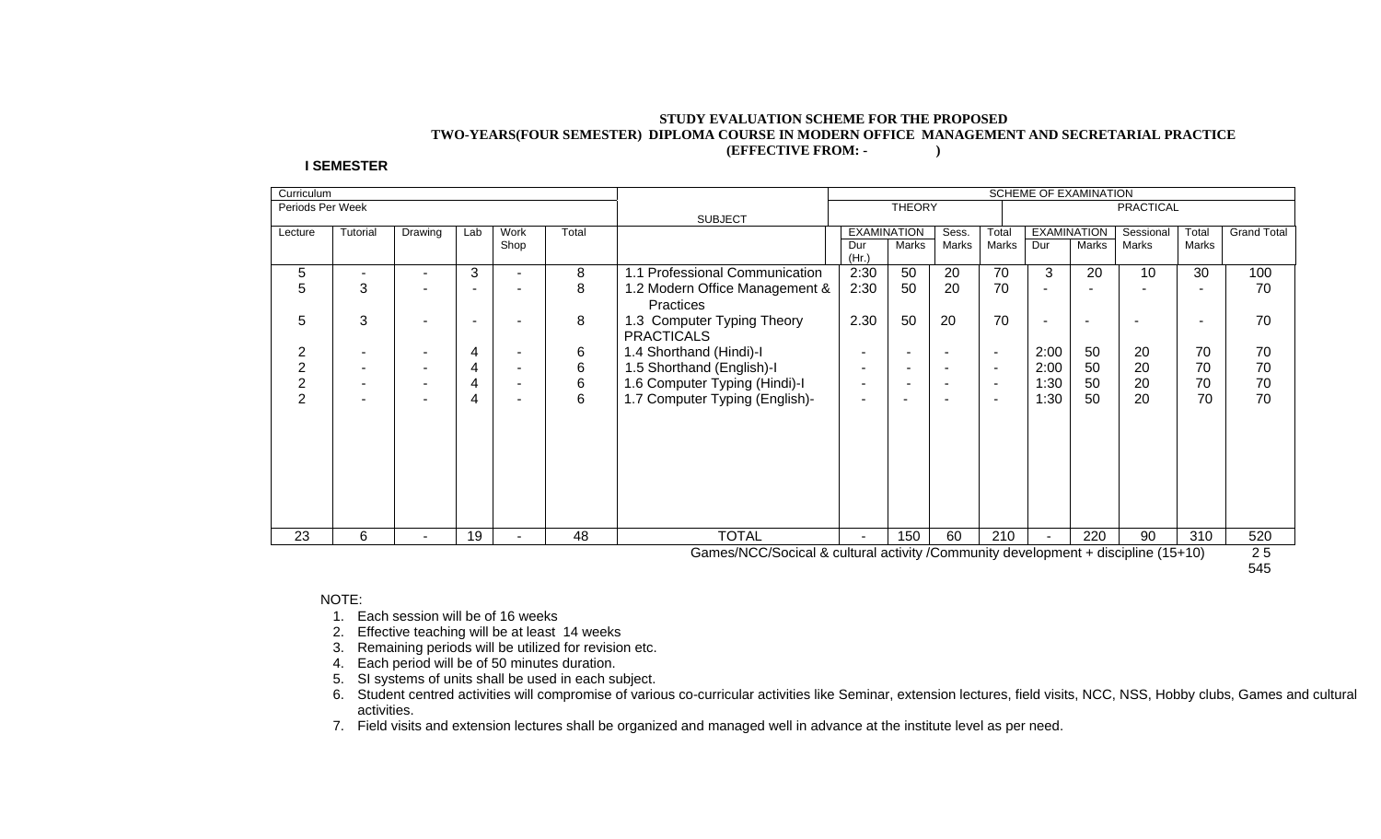#### **STUDY EVALUATION SCHEME FOR THE PROPOSED TWO-YEARS(FOUR SEMESTER) DIPLOMA COURSE IN MODERN OFFICE MANAGEMENT AND SECRETARIAL PRACTICE (EFFECTIVE FROM: - )**

#### **I SEMESTER**

|                  |          |                       |     |                          |       |                                | <b>SCHEME OF EXAMINATION</b> |                          |                          |                          |                          |                    |                  |       |                    |
|------------------|----------|-----------------------|-----|--------------------------|-------|--------------------------------|------------------------------|--------------------------|--------------------------|--------------------------|--------------------------|--------------------|------------------|-------|--------------------|
| Periods Per Week |          |                       |     |                          |       |                                |                              | <b>THEORY</b>            |                          |                          |                          |                    | <b>PRACTICAL</b> |       |                    |
|                  |          |                       |     |                          |       | <b>SUBJECT</b>                 |                              |                          |                          |                          |                          |                    |                  |       |                    |
| Lecture          | Tutorial | Drawing               | Lab | Work                     | Total |                                |                              | <b>EXAMINATION</b>       | Sess.                    | Total                    |                          | <b>EXAMINATION</b> | Sessional        | Total | <b>Grand Total</b> |
|                  |          |                       |     | Shop                     |       |                                | Dur                          | Marks                    | Marks                    | Marks                    | Dur                      | Marks              | Marks            | Marks |                    |
|                  |          |                       |     |                          |       |                                | (Hr.)                        |                          |                          |                          |                          |                    |                  |       |                    |
| 5                |          | ۰                     | 3   | $\overline{\phantom{0}}$ | 8     | .1 Professional Communication  | 2:30                         | 50                       | 20                       | 70                       | 3                        | 20                 | 10               | 30    | 100                |
| 5                | 3        | ۰                     |     |                          | 8     | 1.2 Modern Office Management & | 2:30                         | 50                       | 20                       | 70                       | ٠                        |                    |                  |       | 70                 |
|                  |          |                       |     |                          |       | <b>Practices</b>               |                              |                          |                          |                          |                          |                    |                  |       |                    |
| 5                | 3        | ۰                     |     |                          | 8     | 1.3 Computer Typing Theory     | 2.30                         | 50                       | 20                       | 70                       | $\overline{\phantom{a}}$ |                    |                  | -     | 70                 |
|                  |          |                       |     |                          |       | <b>PRACTICALS</b>              |                              |                          |                          |                          |                          |                    |                  |       |                    |
| 2                |          | -                     | 4   |                          | 6     | 1.4 Shorthand (Hindi)-I        |                              |                          |                          | ٠                        | 2:00                     | 50                 | 20               | 70    | 70                 |
| 2                |          | $\tilde{\phantom{a}}$ | 4   | $\overline{\phantom{a}}$ | 6     | 1.5 Shorthand (English)-I      |                              |                          | $\overline{\phantom{0}}$ | $\sim$                   | 2:00                     | 50                 | 20               | 70    | 70                 |
| 2                |          | ٠                     | 4   | ۰                        | 6     | .6 Computer Typing (Hindi)-I   | $\overline{\phantom{a}}$     |                          |                          | ٠                        | 1:30                     | 50                 | 20               | 70    | 70                 |
| 2                |          | ٠                     | 4   | ۰                        | 6     | 1.7 Computer Typing (English)- | $\overline{\phantom{a}}$     | $\overline{\phantom{a}}$ |                          | $\overline{\phantom{a}}$ | 1:30                     | 50                 | 20               | 70    | 70                 |
|                  |          |                       |     |                          |       |                                |                              |                          |                          |                          |                          |                    |                  |       |                    |
|                  |          |                       |     |                          |       |                                |                              |                          |                          |                          |                          |                    |                  |       |                    |
|                  |          |                       |     |                          |       |                                |                              |                          |                          |                          |                          |                    |                  |       |                    |
|                  |          |                       |     |                          |       |                                |                              |                          |                          |                          |                          |                    |                  |       |                    |
|                  |          |                       |     |                          |       |                                |                              |                          |                          |                          |                          |                    |                  |       |                    |
|                  |          |                       |     |                          |       |                                |                              |                          |                          |                          |                          |                    |                  |       |                    |
|                  |          |                       |     |                          |       |                                |                              |                          |                          |                          |                          |                    |                  |       |                    |
|                  |          |                       |     |                          |       |                                |                              |                          |                          |                          |                          |                    |                  |       |                    |
| 23               | 6        | $\blacksquare$        | 19  | $\sim$                   | 48    | <b>TOTAL</b>                   | $\sim$                       | 150                      | 60                       | 210                      |                          | 220                | 90               | 310   | 520                |

Games/NCC/Socical & cultural activity /Community development + discipline (15+10) 2 5

545 - 12 Anii 13 Anii 13 Anii 13 Anii 13 Anii 13 Anii 13 Anii 13 Anii 14 Anii 15 Anii 16 Anii 17 Anii 18 Anii

#### NOTE:

- 1. Each session will be of 16 weeks
- 2. Effective teaching will be at least 14 weeks
- 3. Remaining periods will be utilized for revision etc.
- 4. Each period will be of 50 minutes duration.
- 5. SI systems of units shall be used in each subject.
- 6. Student centred activities will compromise of various co-curricular activities like Seminar, extension lectures, field visits, NCC, NSS, Hobby clubs, Games and cultural activities.
- 7. Field visits and extension lectures shall be organized and managed well in advance at the institute level as per need.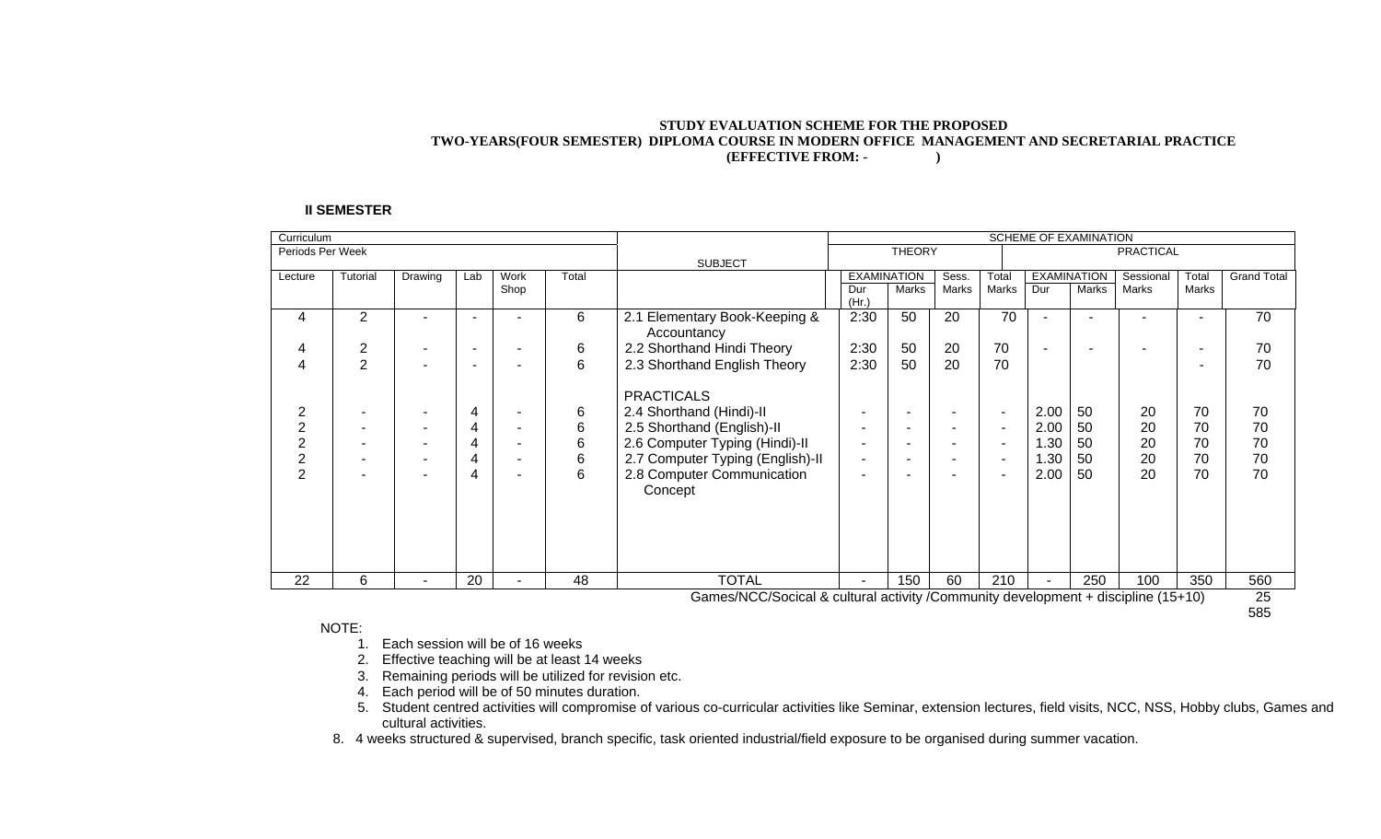#### **STUDY EVALUATION SCHEME FOR THE PROPOSED TWO-YEARS(FOUR SEMESTER) DIPLOMA COURSE IN MODERN OFFICE MANAGEMENT AND SECRETARIAL PRACTICE (EFFECTIVE FROM: - )**

#### **II SEMESTER**

| Curriculum       |          |         |                |      |       |                                                                                   | <b>SCHEME OF EXAMINATION</b> |                          |                          |       |                |                    |                  |       |                    |
|------------------|----------|---------|----------------|------|-------|-----------------------------------------------------------------------------------|------------------------------|--------------------------|--------------------------|-------|----------------|--------------------|------------------|-------|--------------------|
| Periods Per Week |          |         |                |      |       |                                                                                   |                              | <b>THEORY</b>            |                          |       |                |                    | <b>PRACTICAL</b> |       |                    |
|                  |          |         |                |      |       | <b>SUBJECT</b>                                                                    |                              |                          |                          |       |                |                    |                  |       |                    |
| Lecture          | Tutorial | Drawing | Lab            | Work | Total |                                                                                   |                              | <b>EXAMINATION</b>       | Sess.                    | Total |                | <b>EXAMINATION</b> | Sessional        | Total | <b>Grand Total</b> |
|                  |          |         |                | Shop |       |                                                                                   | Dur                          | Marks                    | Marks                    | Marks | Dur            | Marks              | Marks            | Marks |                    |
|                  |          |         |                |      |       |                                                                                   | (Hr)                         |                          |                          |       |                |                    |                  |       |                    |
| 4                | 2        |         | $\blacksquare$ |      | 6     | 2.1 Elementary Book-Keeping &                                                     | 2:30                         | 50                       | 20                       | 70    | $\blacksquare$ |                    |                  |       | 70                 |
|                  |          |         |                |      |       | Accountancy                                                                       |                              |                          |                          |       |                |                    |                  |       |                    |
| 4                | 2        |         |                |      | 6     | 2.2 Shorthand Hindi Theory                                                        | 2:30                         | 50                       | 20                       | 70    | ٠              |                    |                  |       | 70                 |
| 4                | 2        |         | -              |      | 6     | 2.3 Shorthand English Theory                                                      | 2:30                         | 50                       | 20                       | 70    |                |                    |                  |       | 70                 |
|                  |          |         |                |      |       |                                                                                   |                              |                          |                          |       |                |                    |                  |       |                    |
|                  |          |         |                |      |       | <b>PRACTICALS</b>                                                                 |                              |                          |                          |       |                |                    |                  |       |                    |
| 2                |          |         | 4              |      | 6     | 2.4 Shorthand (Hindi)-II                                                          |                              | $\overline{\phantom{a}}$ |                          | ٠     | 2.00           | 50                 | 20               | 70    | 70                 |
| 2                |          |         | 4              | -    | 6     | 2.5 Shorthand (English)-II                                                        |                              | $\overline{\phantom{a}}$ | $\overline{\phantom{0}}$ | ٠     | 2.00           | 50                 | 20               | 70    | 70                 |
|                  |          |         | 4              |      | 6     | 2.6 Computer Typing (Hindi)-II                                                    |                              | $\overline{\phantom{a}}$ |                          | ٠     | 1.30           | 50                 | 20               | 70    | 70                 |
| 2                |          | ٠       | 4              | ۰    | 6     | 2.7 Computer Typing (English)-II                                                  | ٠                            | $\overline{\phantom{a}}$ | ٠                        | ٠     | 1.30           | 50                 | 20               | 70    | 70                 |
| $\overline{2}$   |          |         | 4              | -    | 6     | 2.8 Computer Communication                                                        |                              | -                        |                          |       | 2.00           | 50                 | 20               | 70    | 70                 |
|                  |          |         |                |      |       |                                                                                   |                              |                          |                          |       |                |                    |                  |       |                    |
|                  |          |         |                |      |       | Concept                                                                           |                              |                          |                          |       |                |                    |                  |       |                    |
|                  |          |         |                |      |       |                                                                                   |                              |                          |                          |       |                |                    |                  |       |                    |
|                  |          |         |                |      |       |                                                                                   |                              |                          |                          |       |                |                    |                  |       |                    |
|                  |          |         |                |      |       |                                                                                   |                              |                          |                          |       |                |                    |                  |       |                    |
|                  |          |         |                |      |       |                                                                                   |                              |                          |                          |       |                |                    |                  |       |                    |
| 22               | 6        |         | 20             |      | 48    | <b>TOTAL</b>                                                                      |                              | 150                      | 60                       | 210   |                | 250                | 100              | 350   | 560                |
|                  |          |         |                |      |       | Games/NCC/Socical & cultural activity /Community development + discipline (15+10) |                              |                          |                          |       |                |                    |                  |       | 25                 |

Games/NCC/Socical & cultural activity /Community development + discipline (15+10) 25 585

#### NOTE:

- 1. Each session will be of 16 weeks
- 2. Effective teaching will be at least 14 weeks
- 3. Remaining periods will be utilized for revision etc.
- 4. Each period will be of 50 minutes duration.
- 5. Student centred activities will compromise of various co-curricular activities like Seminar, extension lectures, field visits, NCC, NSS, Hobby clubs, Games and cultural activities.
- 8. 4 weeks structured & supervised, branch specific, task oriented industrial/field exposure to be organised during summer vacation.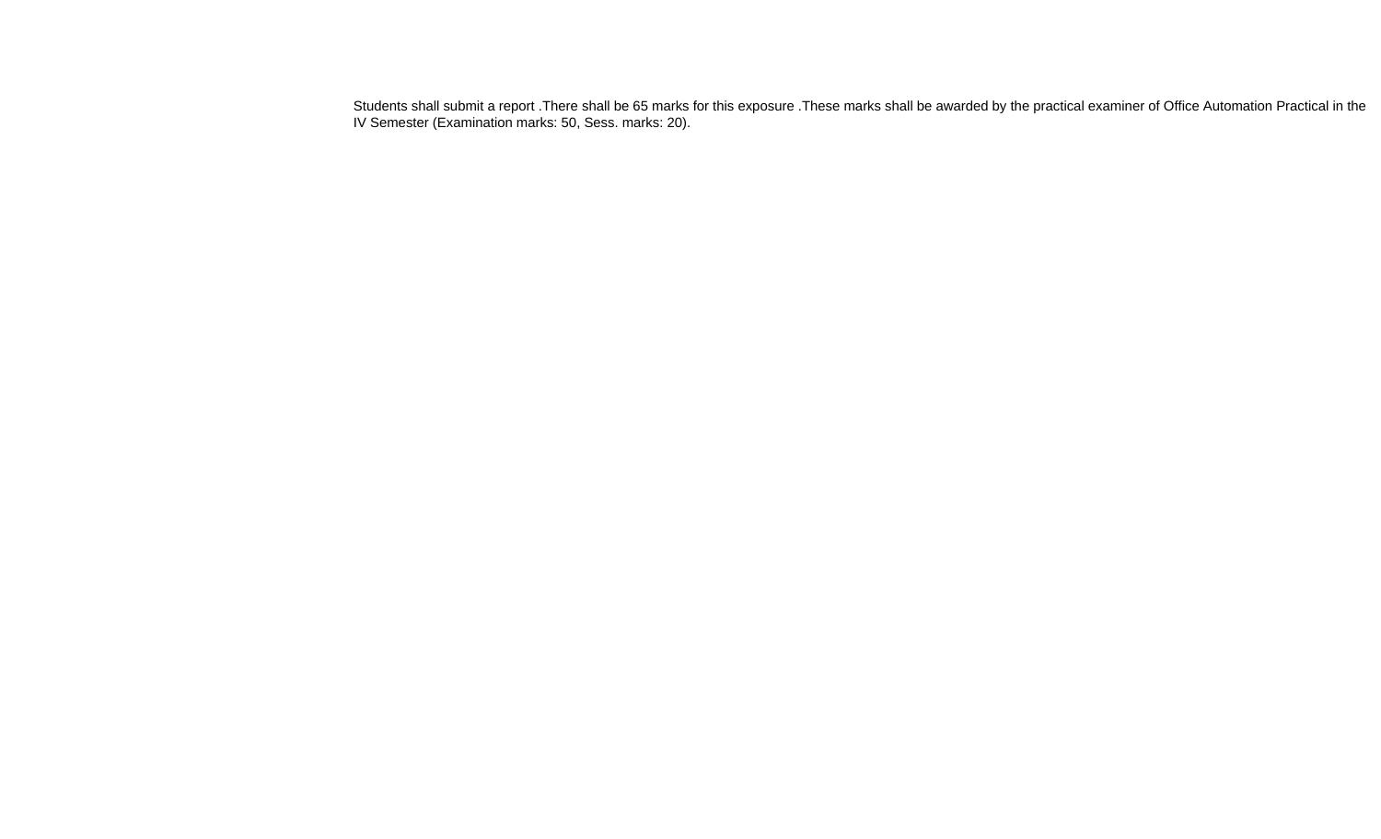Students shall submit a report .There shall be 65 marks for this exposure .These marks shall be awarded by the practical examiner of Office Automation Practical in the IV Semester (Examination marks: 50, Sess. marks: 20).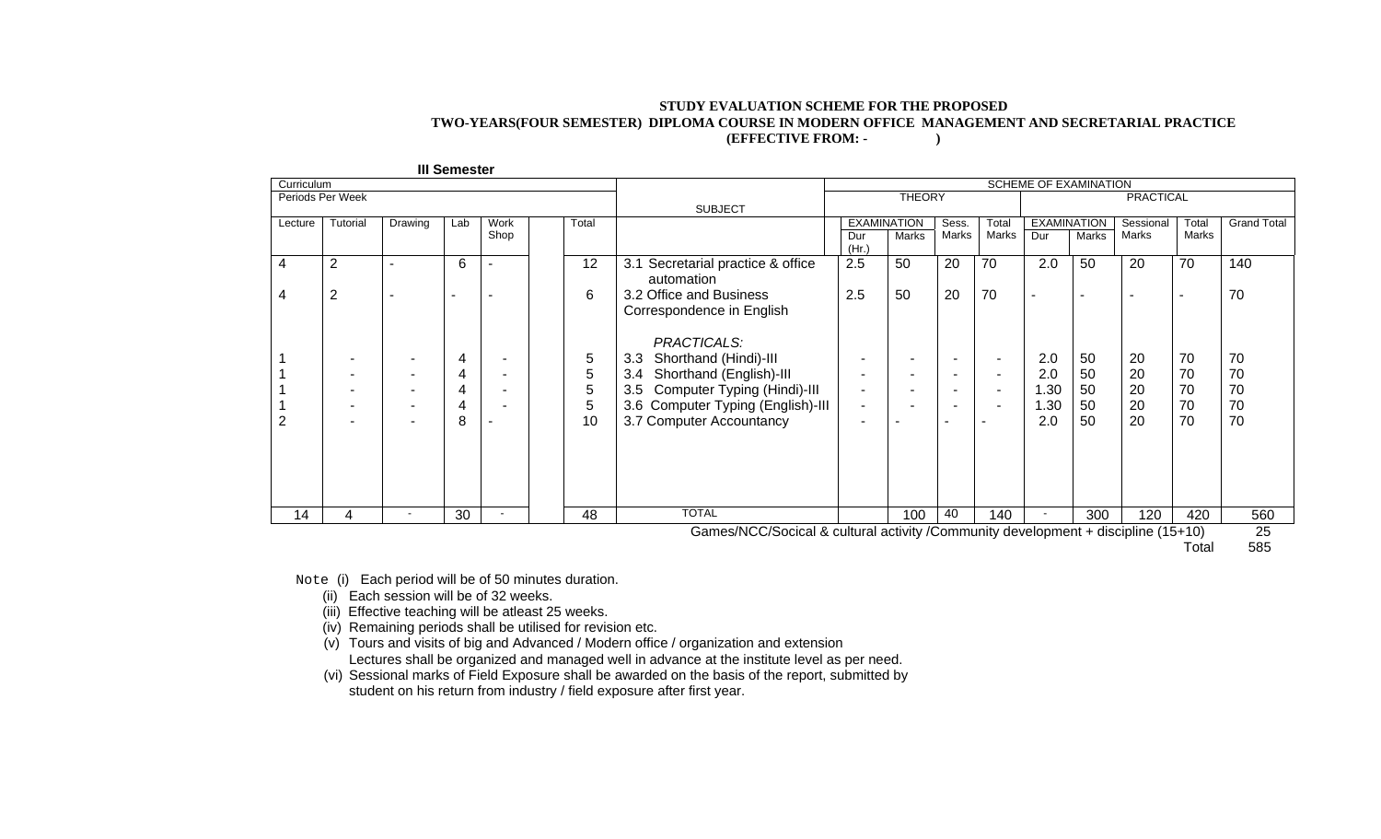#### **STUDY EVALUATION SCHEME FOR THE PROPOSED TWO-YEARS(FOUR SEMESTER) DIPLOMA COURSE IN MODERN OFFICE MANAGEMENT AND SECRETARIAL PRACTICE (EFFECTIVE FROM: - )**

| <b>III Semester</b> |                  |                          |                          |                          |       |                                                                                   |                                   |                    |                          |        |                          |                          |           |                          |                    |
|---------------------|------------------|--------------------------|--------------------------|--------------------------|-------|-----------------------------------------------------------------------------------|-----------------------------------|--------------------|--------------------------|--------|--------------------------|--------------------------|-----------|--------------------------|--------------------|
| Curriculum          |                  |                          |                          |                          |       |                                                                                   | SCHEME OF EXAMINATION             |                    |                          |        |                          |                          |           |                          |                    |
|                     | Periods Per Week |                          |                          |                          |       |                                                                                   | <b>THEORY</b><br><b>PRACTICAL</b> |                    |                          |        |                          |                          |           |                          |                    |
|                     |                  |                          |                          |                          |       | <b>SUBJECT</b>                                                                    |                                   |                    |                          |        |                          |                          |           |                          |                    |
| Lecture             | Tutorial         | Drawing                  | Lab                      | <b>Work</b>              | Total |                                                                                   |                                   | <b>EXAMINATION</b> | Sess.                    | Total  | <b>EXAMINATION</b>       |                          | Sessional | Total                    | <b>Grand Total</b> |
|                     |                  |                          |                          | Shop                     |       |                                                                                   | Dur<br>(Hr)                       | Marks              | Marks                    | Marks  | Dur                      | Marks                    | Marks     | Marks                    |                    |
| 4                   | $\overline{2}$   |                          | 6                        |                          | 12    | Secretarial practice & office<br>3.1<br>automation                                | 2.5                               | 50                 | 20                       | 70     | 2.0                      | 50                       | 20        | 70                       | 140                |
| 4                   | 2                | $\overline{\phantom{0}}$ | $\overline{\phantom{a}}$ | ۰                        | 6     | 3.2 Office and Business<br>Correspondence in English<br>PRACTICALS:               | 2.5                               | 50                 | 20                       | 70     | $\overline{\phantom{a}}$ | $\overline{\phantom{0}}$ |           | $\overline{\phantom{a}}$ | 70                 |
|                     |                  |                          | 4                        |                          | 5     | Shorthand (Hindi)-III<br>3.3                                                      | ٠                                 |                    | $\overline{\phantom{a}}$ | $\sim$ | 2.0                      | 50                       | 20        | 70                       | 70                 |
|                     |                  |                          | 4                        | ٠                        | 5     | Shorthand (English)-III<br>3.4                                                    | ٠                                 |                    | $\overline{\phantom{a}}$ | $\sim$ | 2.0                      | 50                       | 20        | 70                       | 70                 |
|                     |                  |                          | 4                        | ۰                        | 5     | 3.5 Computer Typing (Hindi)-III                                                   | $\overline{\phantom{a}}$          |                    | $\overline{\phantom{a}}$ | ۰      | 1.30                     | 50                       | 20        | 70                       | 70                 |
|                     |                  |                          | 4                        |                          | 5     | 3.6 Computer Typing (English)-III                                                 | $\blacksquare$                    |                    |                          |        | 1.30                     | 50                       | 20        | 70                       | 70                 |
| 2                   |                  |                          | 8                        |                          | 10    | 3.7 Computer Accountancy                                                          |                                   |                    |                          |        | 2.0                      | 50                       | 20        | 70                       | 70                 |
|                     |                  |                          |                          |                          |       |                                                                                   |                                   |                    |                          |        |                          |                          |           |                          |                    |
| 14                  | 4                | $\overline{\phantom{a}}$ | 30                       | $\overline{\phantom{a}}$ | 48    | <b>TOTAL</b>                                                                      |                                   | 100                | 40                       | 140    | $\blacksquare$           | 300                      | 120       | 420                      | 560                |
|                     |                  |                          |                          |                          |       | Games/NCC/Socical & cultural activity /Community development + discipline (15+10) |                                   |                    |                          |        |                          |                          |           |                          | 25                 |

Games/NCC/Socical & cultural activity /Community development + discipline (15+10) 25

Total 585

Note (i) Each period will be of 50 minutes duration.

(ii) Each session will be of 32 weeks.

(iii) Effective teaching will be atleast 25 weeks.

(iv) Remaining periods shall be utilised for revision etc.

(v) Tours and visits of big and Advanced / Modern office / organization and extension Lectures shall be organized and managed well in advance at the institute level as per need.

(vi) Sessional marks of Field Exposure shall be awarded on the basis of the report, submitted by student on his return from industry / field exposure after first year.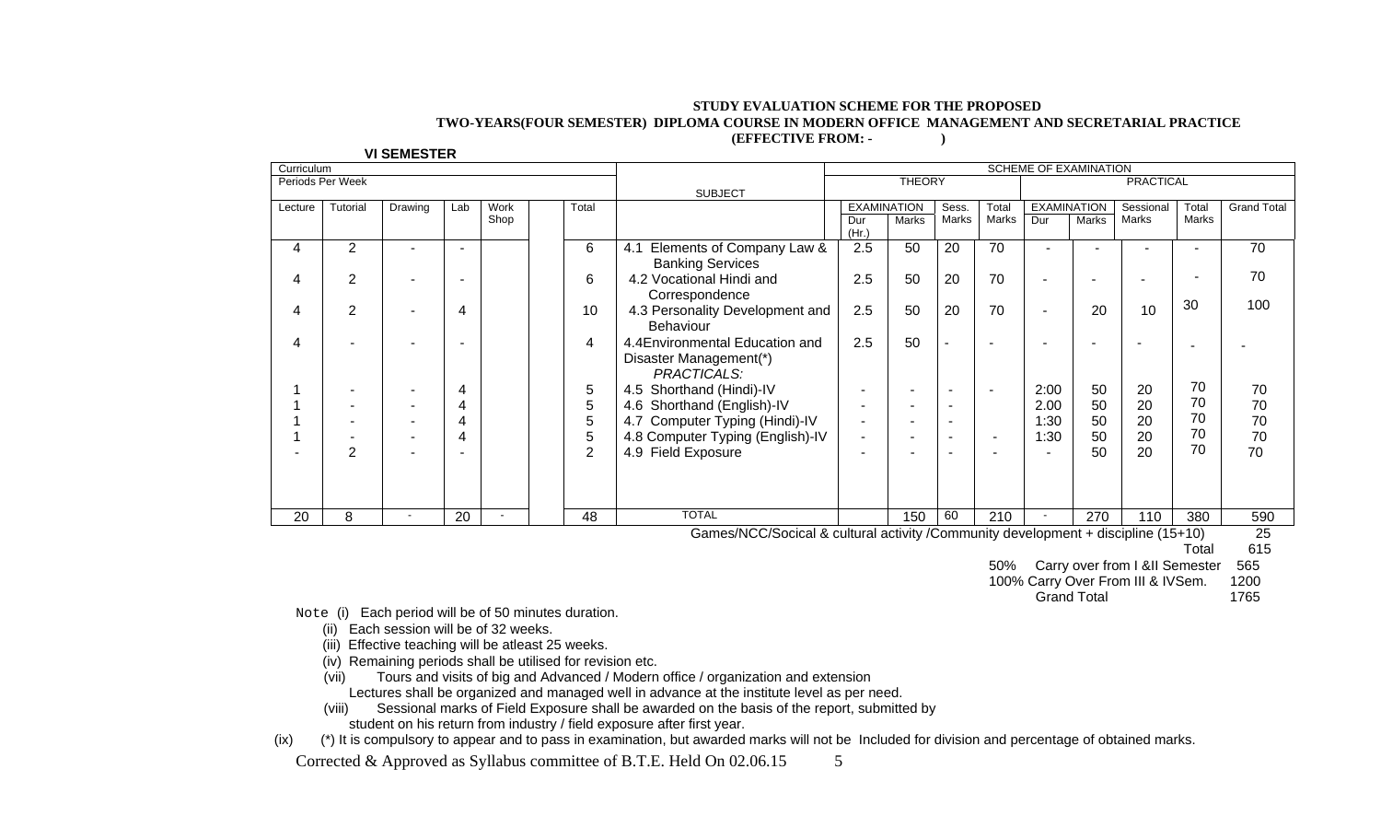#### **STUDY EVALUATION SCHEME FOR THE PROPOSED TWO-YEARS(FOUR SEMESTER) DIPLOMA COURSE IN MODERN OFFICE MANAGEMENT AND SECRETARIAL PRACTICE (EFFECTIVE FROM: - )**

| Curriculum |                  |                          |     |      |                |                                  | SCHEME OF EXAMINATION    |                    |          |       |                    |       |                  |              |                    |
|------------|------------------|--------------------------|-----|------|----------------|----------------------------------|--------------------------|--------------------|----------|-------|--------------------|-------|------------------|--------------|--------------------|
|            | Periods Per Week |                          |     |      |                |                                  |                          | <b>THEORY</b>      |          |       |                    |       | <b>PRACTICAL</b> |              |                    |
|            |                  |                          |     |      |                | <b>SUBJECT</b>                   |                          |                    |          |       |                    |       |                  |              |                    |
| Lecture    | Tutorial         | Drawing                  | Lab | Work | Total          |                                  |                          | <b>EXAMINATION</b> | Sess.    | Total | <b>EXAMINATION</b> |       | Sessional        | Total        | <b>Grand Total</b> |
|            |                  |                          |     | Shop |                |                                  | Dur<br>(Hr.)             | Marks              | Marks    | Marks | Dur                | Marks | Marks            | <b>Marks</b> |                    |
| 4          | 2                |                          |     |      | 6              | Elements of Company Law &<br>4.1 | 2.5                      | 50                 | 20       | 70    |                    |       |                  |              | 70                 |
|            |                  |                          |     |      |                | <b>Banking Services</b>          |                          |                    |          |       |                    |       |                  |              |                    |
| 4          | 2                |                          |     |      | 6              | 4.2 Vocational Hindi and         | 2.5                      | 50                 | 20       | 70    |                    |       |                  |              | 70                 |
|            |                  |                          |     |      |                | Correspondence                   |                          |                    |          |       |                    |       |                  |              |                    |
| 4          | $\overline{2}$   | $\overline{\phantom{a}}$ | 4   |      | 10             | 4.3 Personality Development and  | 2.5                      | 50                 | 20       | 70    |                    | 20    | 10               | 30           | 100                |
|            |                  |                          |     |      |                | <b>Behaviour</b>                 |                          |                    |          |       |                    |       |                  |              |                    |
| 4          |                  |                          |     |      | 4              | 4.4 Environmental Education and  | 2.5                      | 50                 | ۰        |       |                    |       |                  |              |                    |
|            |                  |                          |     |      |                | Disaster Management(*)           |                          |                    |          |       |                    |       |                  |              |                    |
|            |                  |                          |     |      |                | <b>PRACTICALS:</b>               |                          |                    |          |       |                    |       |                  |              |                    |
|            |                  | ٠                        | 4   |      | 5              | 4.5 Shorthand (Hindi)-IV         | $\overline{\phantom{a}}$ |                    | -        |       | 2:00               | 50    | 20               | 70           | 70                 |
|            |                  | ٠                        | 4   |      | 5              | 4.6 Shorthand (English)-IV       | $\overline{\phantom{0}}$ |                    | -        |       | 2.00               | 50    | 20               | 70           | 70                 |
|            |                  |                          | 4   |      | 5              | 4.7 Computer Typing (Hindi)-IV   | $\overline{\phantom{0}}$ |                    | <b>.</b> |       | 1:30               | 50    | 20               | 70           | 70                 |
|            |                  |                          | 4   |      | 5              | 4.8 Computer Typing (English)-IV | $\overline{\phantom{a}}$ |                    | -        |       | 1:30               | 50    | 20               | 70           | 70                 |
|            | 2                |                          |     |      | $\overline{2}$ | 4.9 Field Exposure               |                          |                    |          |       |                    | 50    | 20               | 70           | 70                 |
|            |                  |                          |     |      |                |                                  |                          |                    |          |       |                    |       |                  |              |                    |
|            |                  |                          |     |      |                |                                  |                          |                    |          |       |                    |       |                  |              |                    |
|            |                  |                          |     |      |                |                                  |                          |                    |          |       |                    |       |                  |              |                    |
| 20         | 8                | $\,$ $\,$                | 20  |      | 48             | <b>TOTAL</b>                     |                          | 150                | 60       | 210   |                    | 270   | 110              | 380          | 590                |

 **VI SEMESTER** 

Games/NCC/Socical & cultural activity /Community development + discipline (15+10) 25

Total 615

50% Carry over from I &II Semester 565

100% Carry Over From III & IVSem. 1200

Grand Total 1765

Note (i) Each period will be of 50 minutes duration.

- (ii) Each session will be of 32 weeks.
- (iii) Effective teaching will be atleast 25 weeks.
- (iv) Remaining periods shall be utilised for revision etc.
- (vii) Tours and visits of big and Advanced / Modern office / organization and extension Lectures shall be organized and managed well in advance at the institute level as per need.
- (viii) Sessional marks of Field Exposure shall be awarded on the basis of the report, submitted by student on his return from industry / field exposure after first year.

(ix) (\*) It is compulsory to appear and to pass in examination, but awarded marks will not be Included for division and percentage of obtained marks.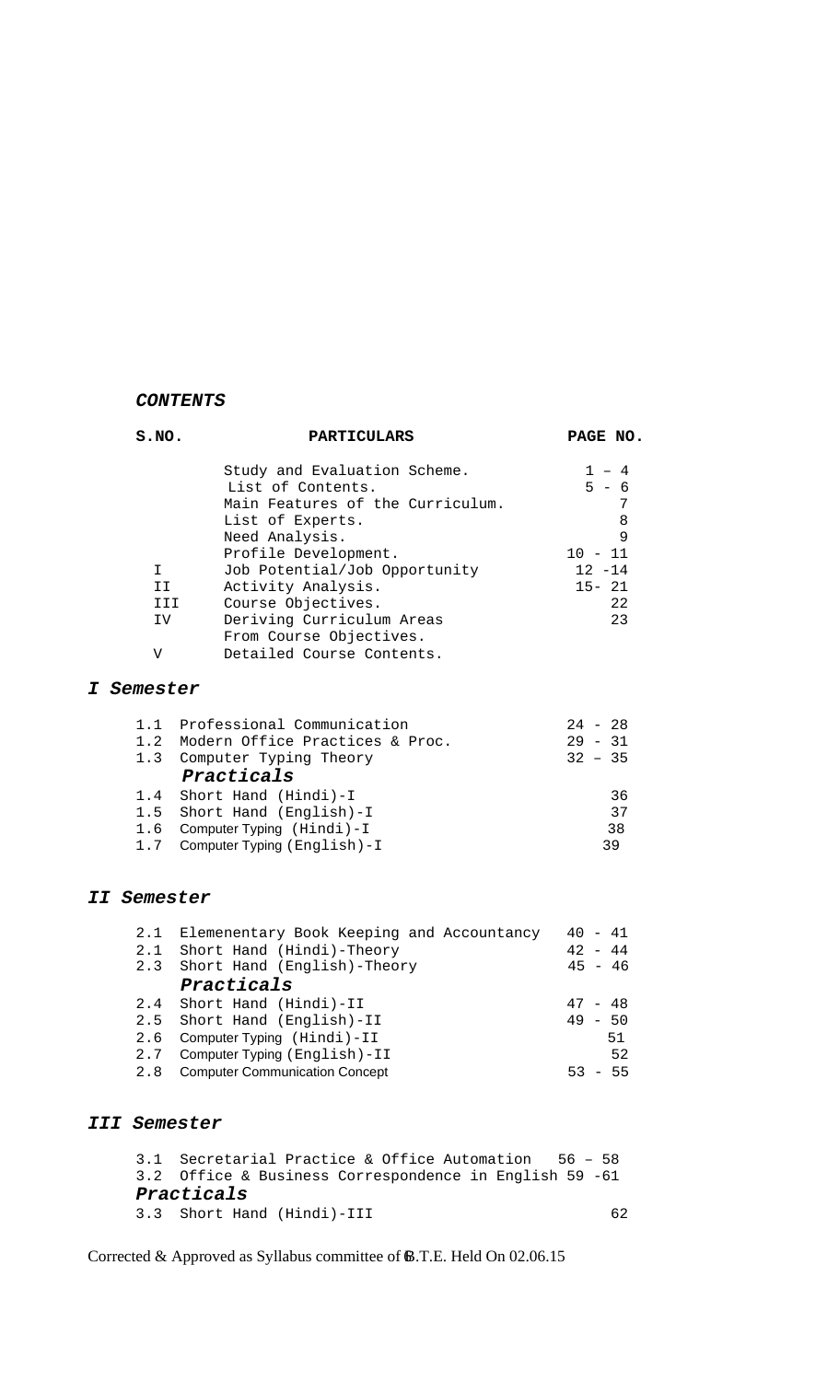### *CONTENTS*

| S.NO.       | <b>PARTICULARS</b>                        | PAGE NO.  |
|-------------|-------------------------------------------|-----------|
|             | Study and Evaluation Scheme.              | $1 - 4$   |
|             | List of Contents.                         | $5 - 6$   |
|             | Main Features of the Curriculum.          | 7         |
|             | List of Experts.                          | 8         |
|             | Need Analysis.                            | 9         |
|             | Profile Development.                      | $10 - 11$ |
| I.          | Job Potential/Job Opportunity             | $12 - 14$ |
|             | Activity Analysis.<br>II                  | $15 - 21$ |
|             | Course Objectives.<br>III                 | 22        |
|             | Deriving Curriculum Areas<br>IV           | 23        |
|             | From Course Objectives.                   |           |
| V           | Detailed Course Contents.                 |           |
| I Semester  |                                           |           |
|             | 1.1 Professional Communication            | $24 - 28$ |
| 1.2         | Modern Office Practices & Proc.           | $29 - 31$ |
| 1.3         | Computer Typing Theory                    | $32 - 35$ |
|             | Practicals                                |           |
| 1.4         | Short Hand (Hindi)-I                      | 36        |
| 1.5         | Short Hand (English)-I                    | 37        |
| 1.6         | Computer Typing (Hindi)-I                 | 38        |
| 1.7         | Computer Typing (English)-I               | 39        |
|             |                                           |           |
| II Semester |                                           |           |
| 2.1         | Elemenentary Book Keeping and Accountancy | $40 - 41$ |
| 2.1         | Short Hand (Hindi)-Theory                 | $42 - 44$ |
| 2.3         | Short Hand (English)-Theory               | $45 - 46$ |
|             | Practicals                                |           |
| 2.4         | Short Hand (Hindi)-II                     | $47 - 48$ |
| 2.5         | Short Hand (English)-II                   | $49 - 50$ |
| 2.6         | Computer Typing (Hindi)-II                | 51        |
| 2.7         | Computer Typing (English)-II              | 52        |

# *III Semester*

3.1 Secretarial Practice & Office Automation 56 – 58 3.2 Office & Business Correspondence in English 59 -61 *Practicals* 3.3 Short Hand (Hindi)-III 62

2.8 Computer Communication Concept 53 - 55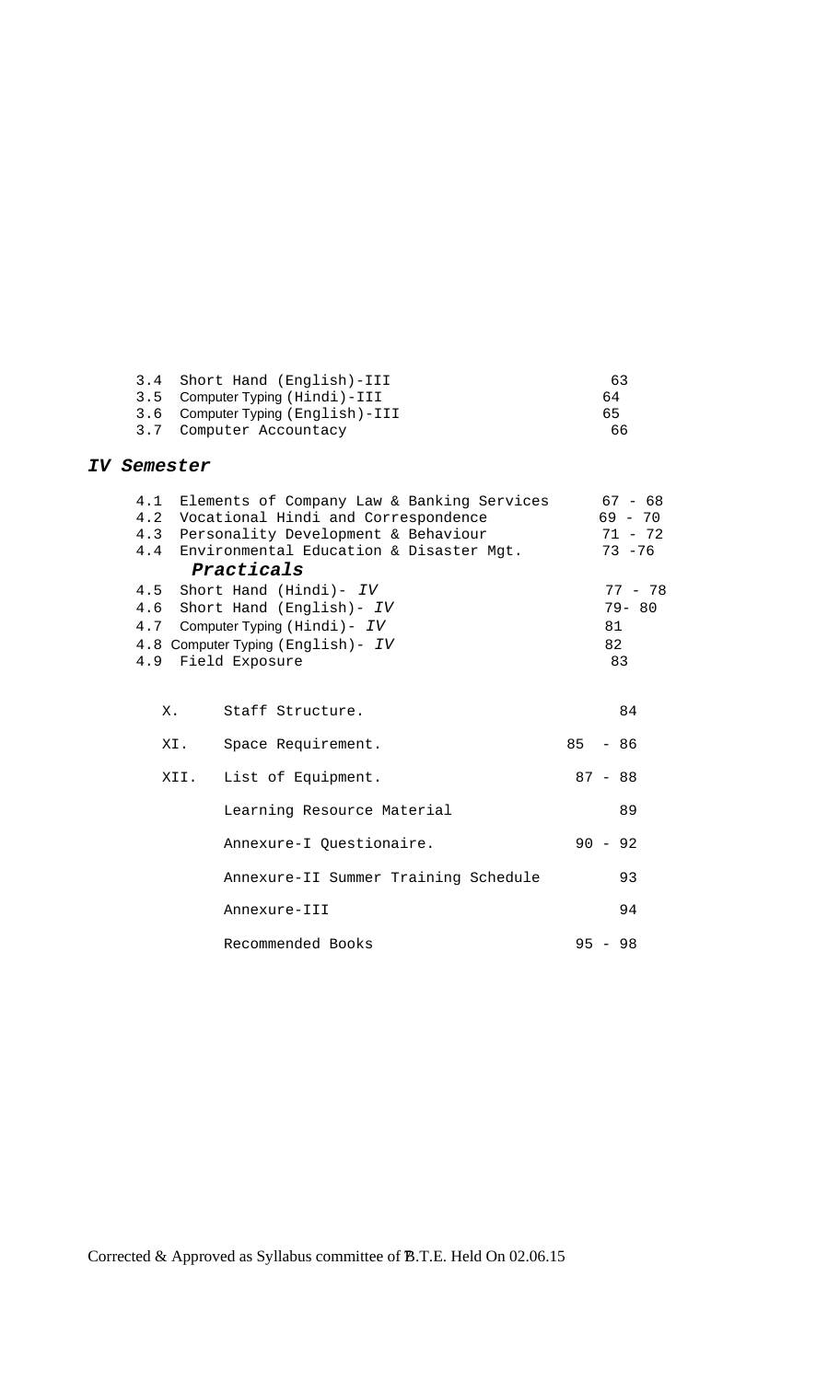| 3.4 Short Hand (English)-III      | 63 |
|-----------------------------------|----|
| 3.5 Computer Typing (Hindi)-III   | 64 |
| 3.6 Computer Typing (English)-III | 65 |
| 3.7 Computer Accountacy           | 66 |

### *IV Semester*

| 4.1  | Elements of Company Law & Banking Services | $67 - 68$ |
|------|--------------------------------------------|-----------|
| 4.2  | Vocational Hindi and Correspondence        | $69 - 70$ |
| 4.3  | Personality Development & Behaviour        | $71 - 72$ |
| 4.4  | Environmental Education & Disaster Mgt.    | $73 - 76$ |
|      | Practicals                                 |           |
|      | 4.5 Short Hand (Hindi)- IV                 | $77 - 78$ |
|      | 4.6 Short Hand (English)- IV               | $79 - 80$ |
|      | 4.7 Computer Typing (Hindi) - IV           | 81        |
|      | 4.8 Computer Typing (English) - IV         | 82        |
|      | 4.9 Field Exposure                         | 83        |
|      |                                            |           |
|      |                                            |           |
| Х.   | Staff Structure.                           | 84        |
|      |                                            |           |
| XI.  | Space Requirement.                         | $85 - 86$ |
|      |                                            |           |
| XII. | List of Equipment.                         | $87 - 88$ |
|      |                                            |           |
|      | Learning Resource Material                 | 89        |
|      |                                            | $90 - 92$ |
|      | Annexure-I Questionaire.                   |           |
|      | Annexure-II Summer Training Schedule       | 93        |
|      |                                            |           |
|      | Annexure-III                               | 94        |
|      |                                            |           |
|      | Recommended Books                          | $95 - 98$ |
|      |                                            |           |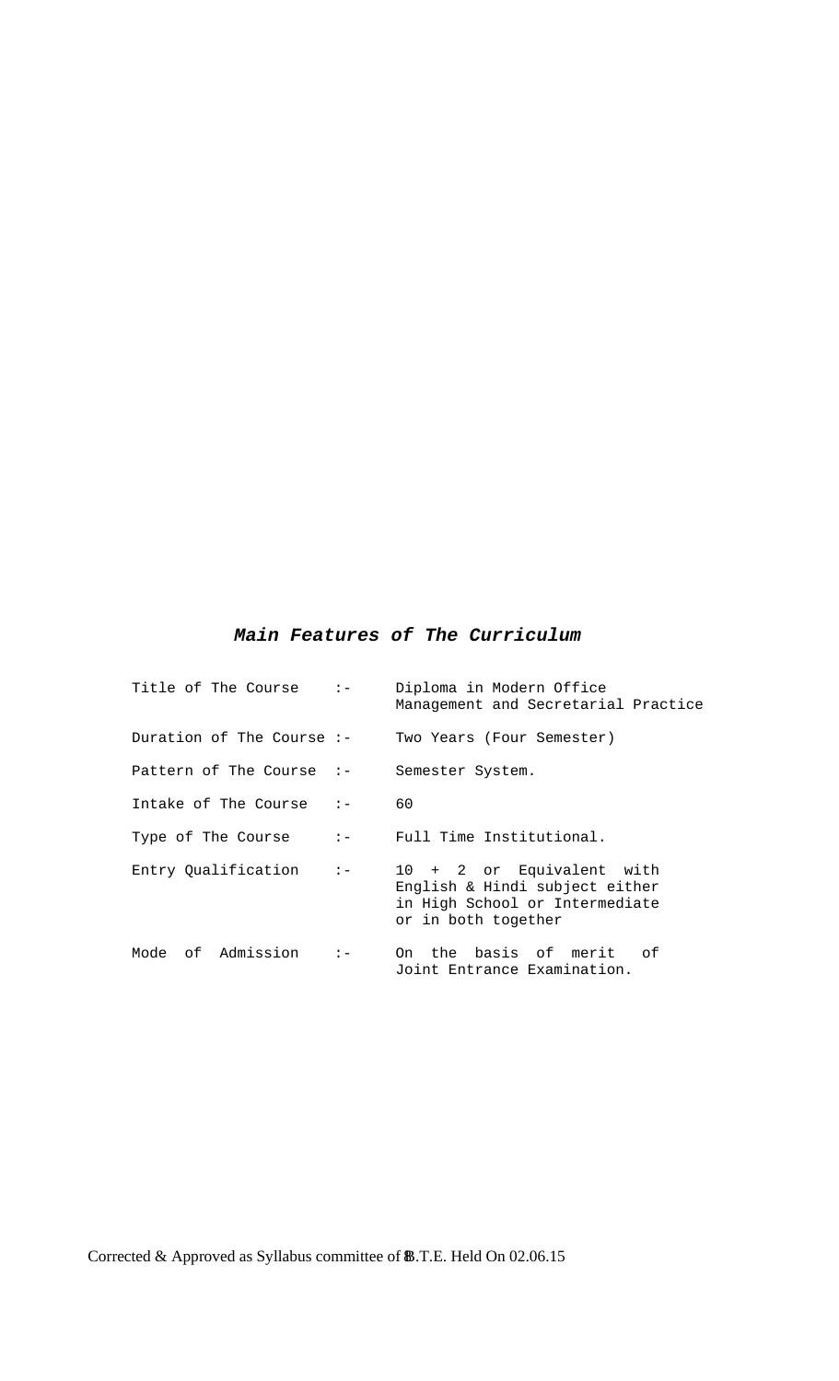## *Main Features of The Curriculum*

| Title of The Course         | $\mathbf{I} =$                                              | Diploma in Modern Office<br>Management and Secretarial Practice                                                      |  |  |  |  |
|-----------------------------|-------------------------------------------------------------|----------------------------------------------------------------------------------------------------------------------|--|--|--|--|
| Duration of The Course $:-$ |                                                             | Two Years (Four Semester)                                                                                            |  |  |  |  |
| Pattern of The Course $:-$  |                                                             | Semester System.                                                                                                     |  |  |  |  |
| Intake of The Course $:-$   |                                                             | 60                                                                                                                   |  |  |  |  |
| Type of The Course          | $\mathbf{1} = \mathbf{1}$                                   | Full Time Institutional.                                                                                             |  |  |  |  |
| Entry Qualification         | $\mathbf{I} = \begin{bmatrix} 1 & 1 \\ 1 & 1 \end{bmatrix}$ | 10 + 2 or Equivalent with<br>English & Hindi subject either<br>in High School or Intermediate<br>or in both together |  |  |  |  |
| Mode of Admission           | $\mathbf{I} -$                                              | On the basis of merit<br>of<br>Joint Entrance Examination.                                                           |  |  |  |  |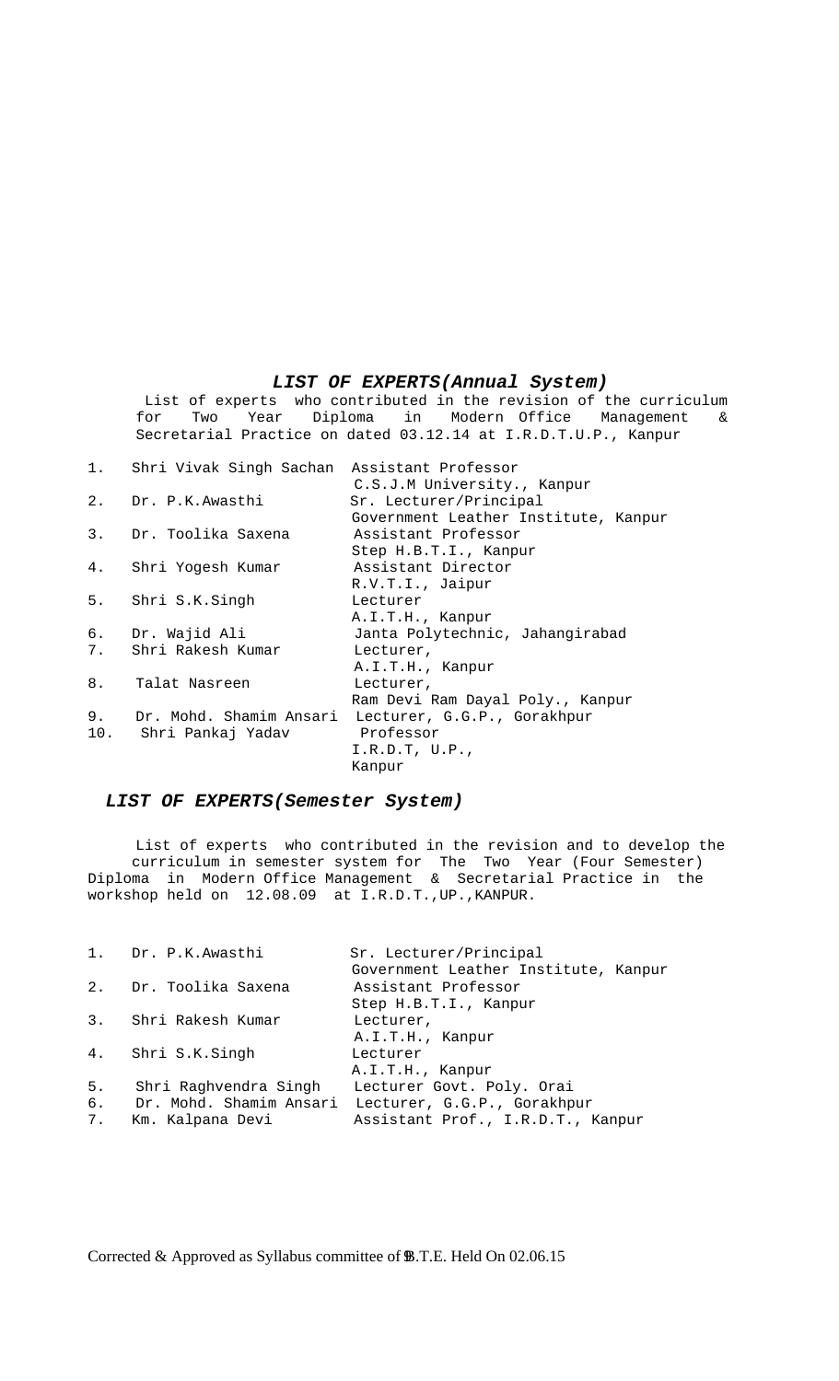#### *LIST OF EXPERTS(Annual System)*

 List of experts who contributed in the revision of the curriculum for Two Year Diploma in Modern Office Management & Secretarial Practice on dated 03.12.14 at I.R.D.T.U.P., Kanpur

|    | 1. Shri Vivak Singh Sachan Assistant Professor |                                      |
|----|------------------------------------------------|--------------------------------------|
|    |                                                | C.S.J.M University., Kanpur          |
|    | 2. Dr. P.K.Awasthi                             | Sr. Lecturer/Principal               |
|    |                                                | Government Leather Institute, Kanpur |
| 3. | Dr. Toolika Saxena                             | Assistant Professor                  |
|    |                                                | Step H.B.T.I., Kanpur                |
|    | 4. Shri Yogesh Kumar                           | Assistant Director                   |
|    |                                                | R.V.T.I., Jaipur                     |
|    | 5. Shri S.K.Singh                              | Lecturer                             |
|    |                                                | A.I.T.H., Kanpur                     |
|    | 6. Dr. Wajid Ali                               | Janta Polytechnic, Jahangirabad      |
|    | 7. Shri Rakesh Kumar                           | Lecturer,                            |
|    |                                                | A.I.T.H., Kanpur                     |
| 8. | Talat Nasreen                                  | Lecturer,                            |
|    |                                                | Ram Devi Ram Dayal Poly., Kanpur     |
| 9. | Dr. Mohd. Shamim Ansari                        | Lecturer, G.G.P., Gorakhpur          |
|    | 10. Shri Pankaj Yadav                          | Professor                            |
|    |                                                | I.R.D.T, U.P.,                       |
|    |                                                | Kanpur                               |

### *LIST OF EXPERTS(Semester System)*

List of experts who contributed in the revision and to develop the curriculum in semester system for The Two Year (Four Semester) Diploma in Modern Office Management & Secretarial Practice in the workshop held on 12.08.09 at I.R.D.T.,UP.,KANPUR.

|    | 1. Dr. P.K. Awasthi     | Sr. Lecturer/Principal               |
|----|-------------------------|--------------------------------------|
|    |                         | Government Leather Institute, Kanpur |
|    | 2. Dr. Toolika Saxena   | Assistant Professor                  |
|    |                         | Step H.B.T.I., Kanpur                |
|    | 3. Shri Rakesh Kumar    | Lecturer,                            |
|    |                         | A.I.T.H., Kanpur                     |
|    | 4. Shri S.K.Singh       | Lecturer                             |
|    |                         | A.I.T.H., Kanpur                     |
| 5. | Shri Raghvendra Singh   | Lecturer Govt. Poly. Orai            |
| б. | Dr. Mohd. Shamim Ansari | Lecturer, G.G.P., Gorakhpur          |
| 7. | Km. Kalpana Devi        | Assistant Prof., I.R.D.T., Kanpur    |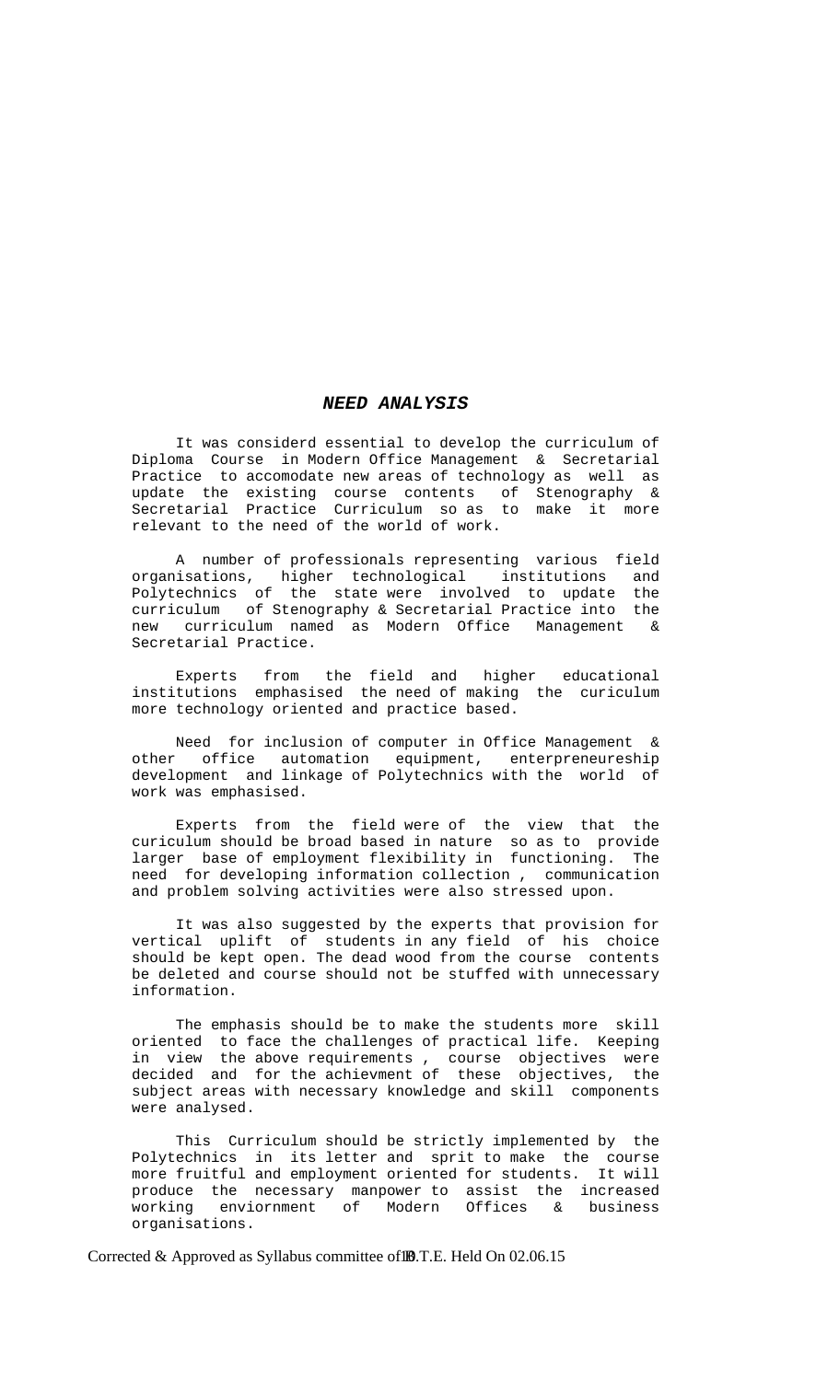#### *NEED ANALYSIS*

 It was considerd essential to develop the curriculum of Diploma Course in Modern Office Management & Secretarial Practice to accomodate new areas of technology as well as update the existing course contents of Stenography & Secretarial Practice Curriculum so as to make it more relevant to the need of the world of work.

A number of professionals representing various field<br>isations, higher technological institutions and organisations, higher technological Polytechnics of the state were involved to update the curriculum of Stenography & Secretarial Practice into the new curriculum named as Modern Office Management & Secretarial Practice.

 Experts from the field and higher educational institutions emphasised the need of making the curiculum more technology oriented and practice based.

 Need for inclusion of computer in Office Management & other office automation equipment, enterpreneureship development and linkage of Polytechnics with the world of work was emphasised.

 Experts from the field were of the view that the curiculum should be broad based in nature so as to provide larger base of employment flexibility in functioning. The need for developing information collection , communication and problem solving activities were also stressed upon.

 It was also suggested by the experts that provision for vertical uplift of students in any field of his choice should be kept open. The dead wood from the course contents be deleted and course should not be stuffed with unnecessary information.

 The emphasis should be to make the students more skill oriented to face the challenges of practical life. Keeping in view the above requirements , course objectives were decided and for the achievment of these objectives, the subject areas with necessary knowledge and skill components were analysed.

 This Curriculum should be strictly implemented by the Polytechnics in its letter and sprit to make the course more fruitful and employment oriented for students. It will produce the necessary manpower-to assist the increased<br>working enviornment of Modern Offices & business enviornment of Modern Offices & business organisations.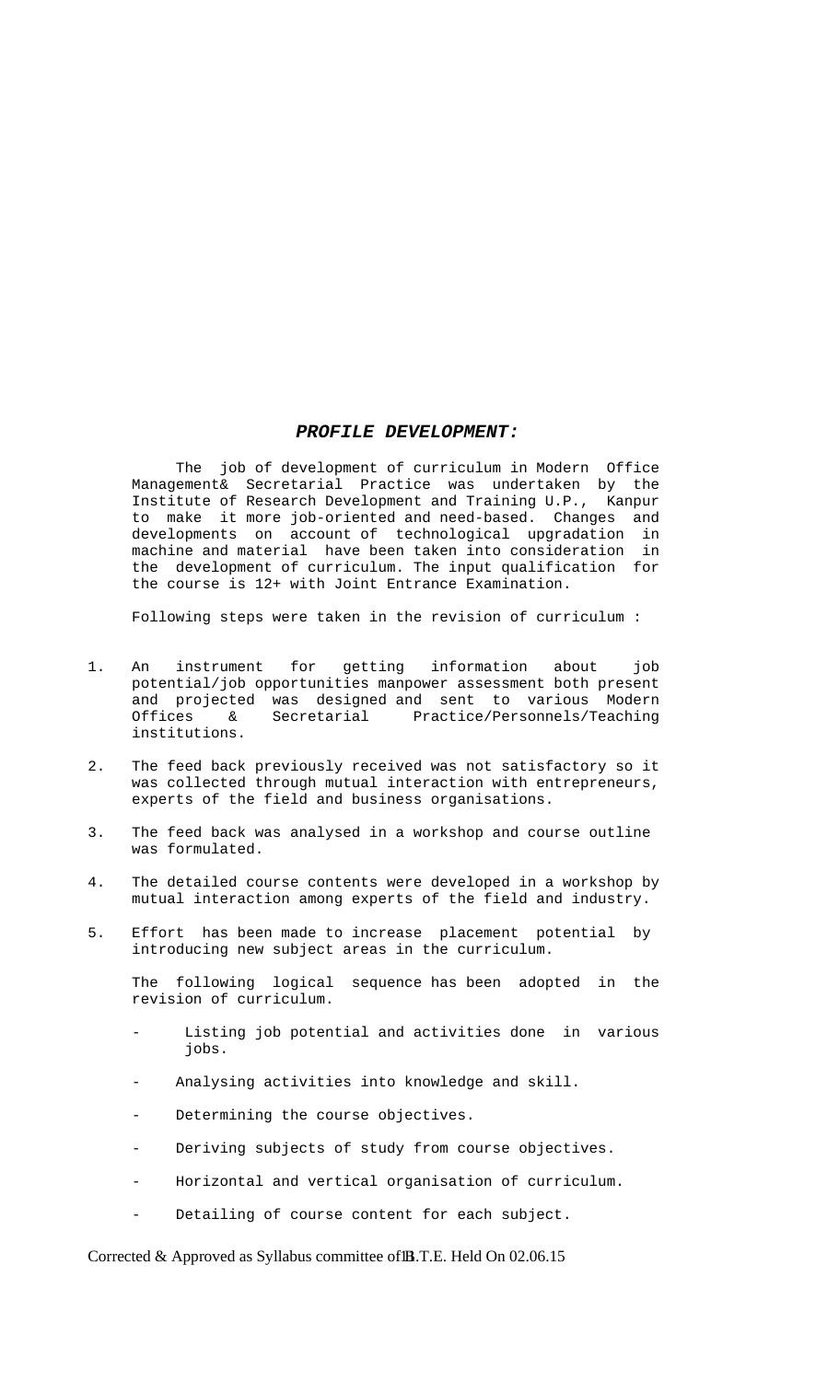#### *PROFILE DEVELOPMENT:*

 The job of development of curriculum in Modern Office Management& Secretarial Practice was undertaken by the Institute of Research Development and Training U.P., Kanpur to make it more job-oriented and need-based. Changes and developments on account of technological upgradation in machine and material have been taken into consideration in the development of curriculum. The input qualification for the course is 12+ with Joint Entrance Examination.

Following steps were taken in the revision of curriculum :

- 1. An instrument for getting information about job potential/job opportunities manpower assessment both present and projected was designed and sent to various Modern Offices & Secretarial Practice/Personnels/Teaching institutions.
- 2. The feed back previously received was not satisfactory so it was collected through mutual interaction with entrepreneurs, experts of the field and business organisations.
- 3. The feed back was analysed in a workshop and course outline was formulated.
- 4. The detailed course contents were developed in a workshop by mutual interaction among experts of the field and industry.
- 5. Effort has been made to increase placement potential by introducing new subject areas in the curriculum.

 The following logical sequence has been adopted in the revision of curriculum.

- Listing job potential and activities done in various jobs.
- Analysing activities into knowledge and skill.
- Determining the course objectives.
- Deriving subjects of study from course objectives.
- Horizontal and vertical organisation of curriculum.
- Detailing of course content for each subject.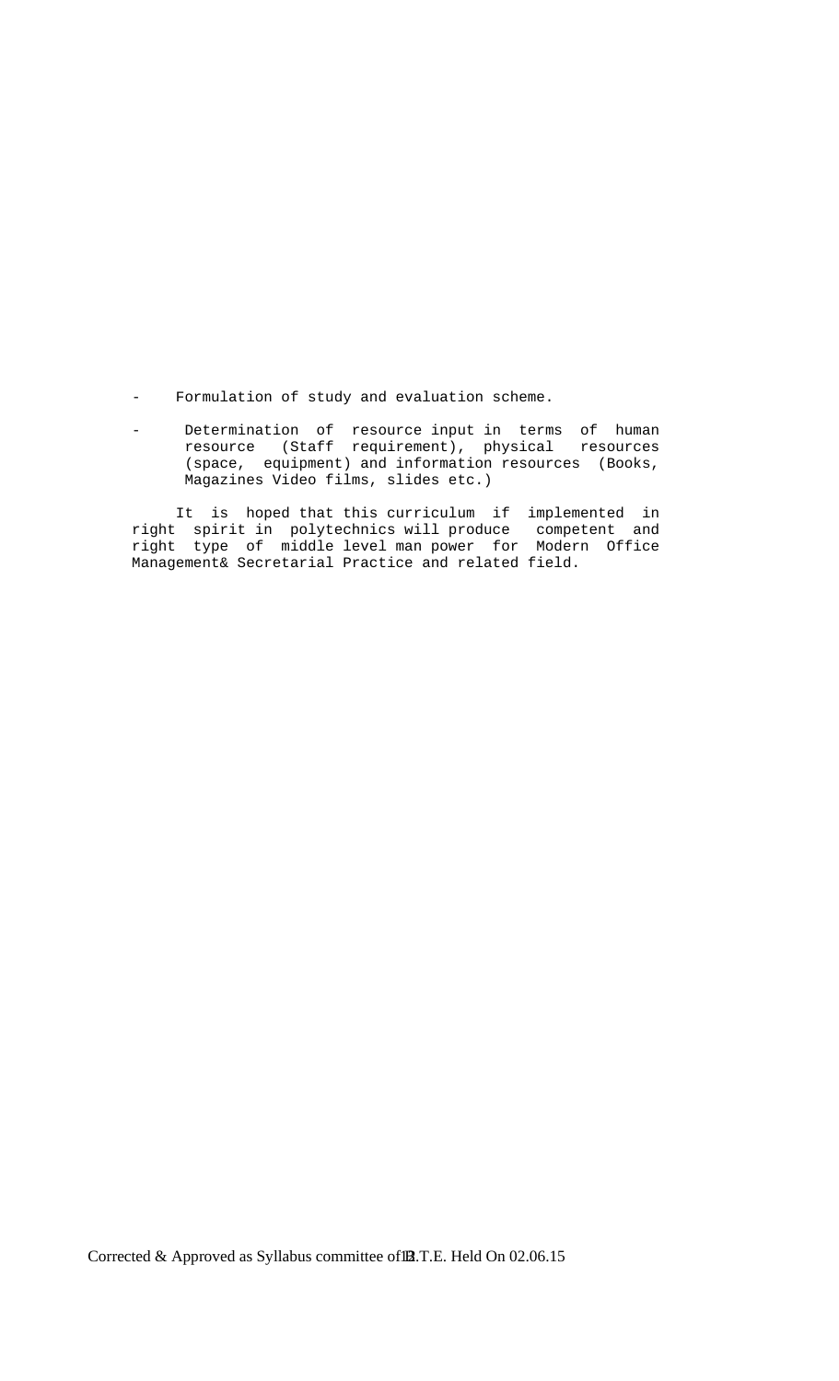- Formulation of study and evaluation scheme.
- Determination of resource input in terms of human resource (Staff requirement), physical resources (space, equipment) and information resources (Books, Magazines Video films, slides etc.)

 It is hoped that this curriculum if implemented in right spirit in polytechnics will produce competent and right type of middle level man power for Modern Office Management& Secretarial Practice and related field.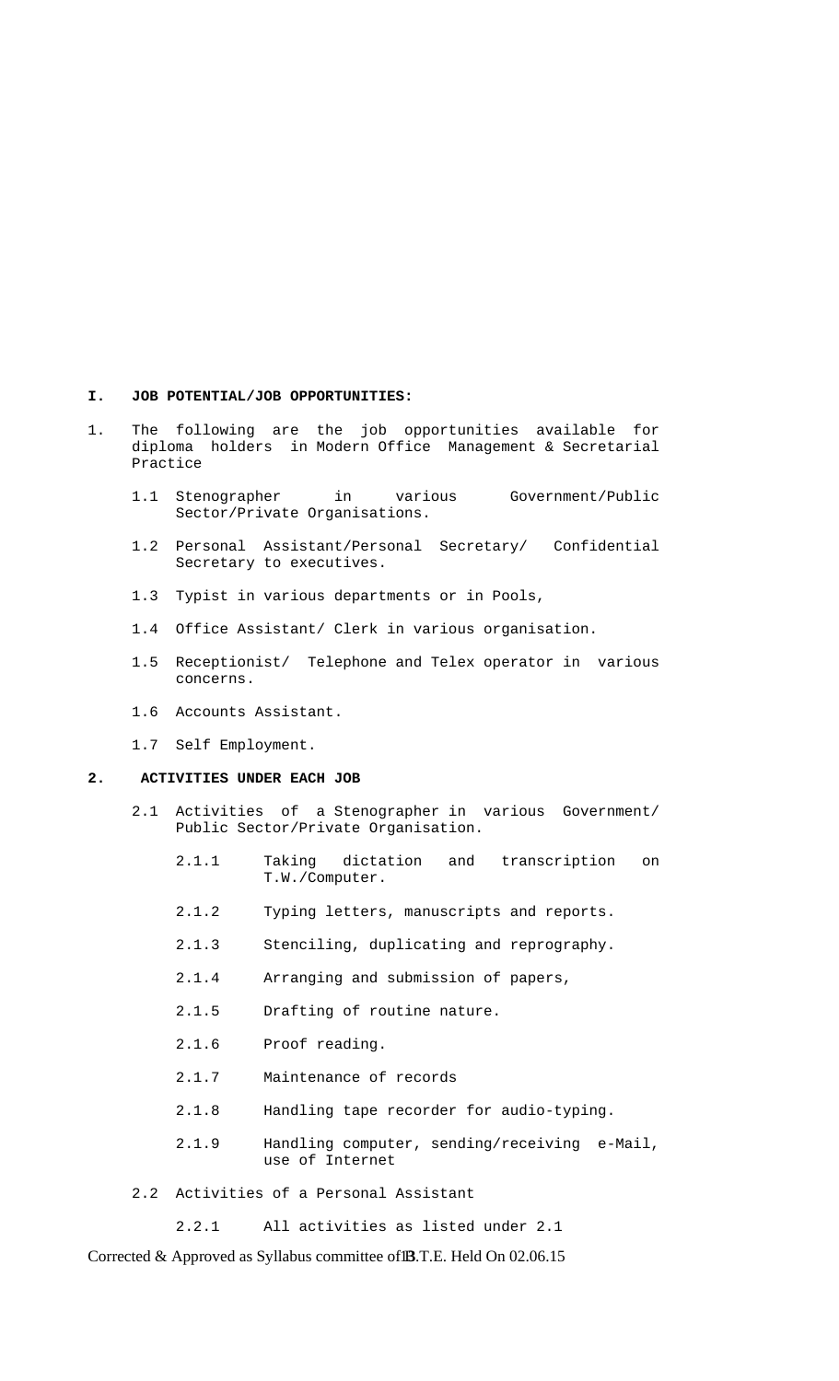#### **I. JOB POTENTIAL/JOB OPPORTUNITIES:**

- 1. The following are the job opportunities available for diploma holders in Modern Office Management & Secretarial Practice
	- 1.1 Stenographer in various Government/Public Sector/Private Organisations.
	- 1.2 Personal Assistant/Personal Secretary/ Confidential Secretary to executives.
	- 1.3 Typist in various departments or in Pools,
	- 1.4 Office Assistant/ Clerk in various organisation.
	- 1.5 Receptionist/ Telephone and Telex operator in various concerns.
	- 1.6 Accounts Assistant.
	- 1.7 Self Employment.

#### **2. ACTIVITIES UNDER EACH JOB**

- 2.1 Activities of a Stenographer in various Government/ Public Sector/Private Organisation.
	- 2.1.1 Taking dictation and transcription on T.W./Computer.
	- 2.1.2 Typing letters, manuscripts and reports.
	- 2.1.3 Stenciling, duplicating and reprography.
	- 2.1.4 Arranging and submission of papers,
	- 2.1.5 Drafting of routine nature.
	- 2.1.6 Proof reading.
	- 2.1.7 Maintenance of records
	- 2.1.8 Handling tape recorder for audio-typing.
	- 2.1.9 Handling computer, sending/receiving e-Mail, use of Internet
- 2.2 Activities of a Personal Assistant

2.2.1 All activities as listed under 2.1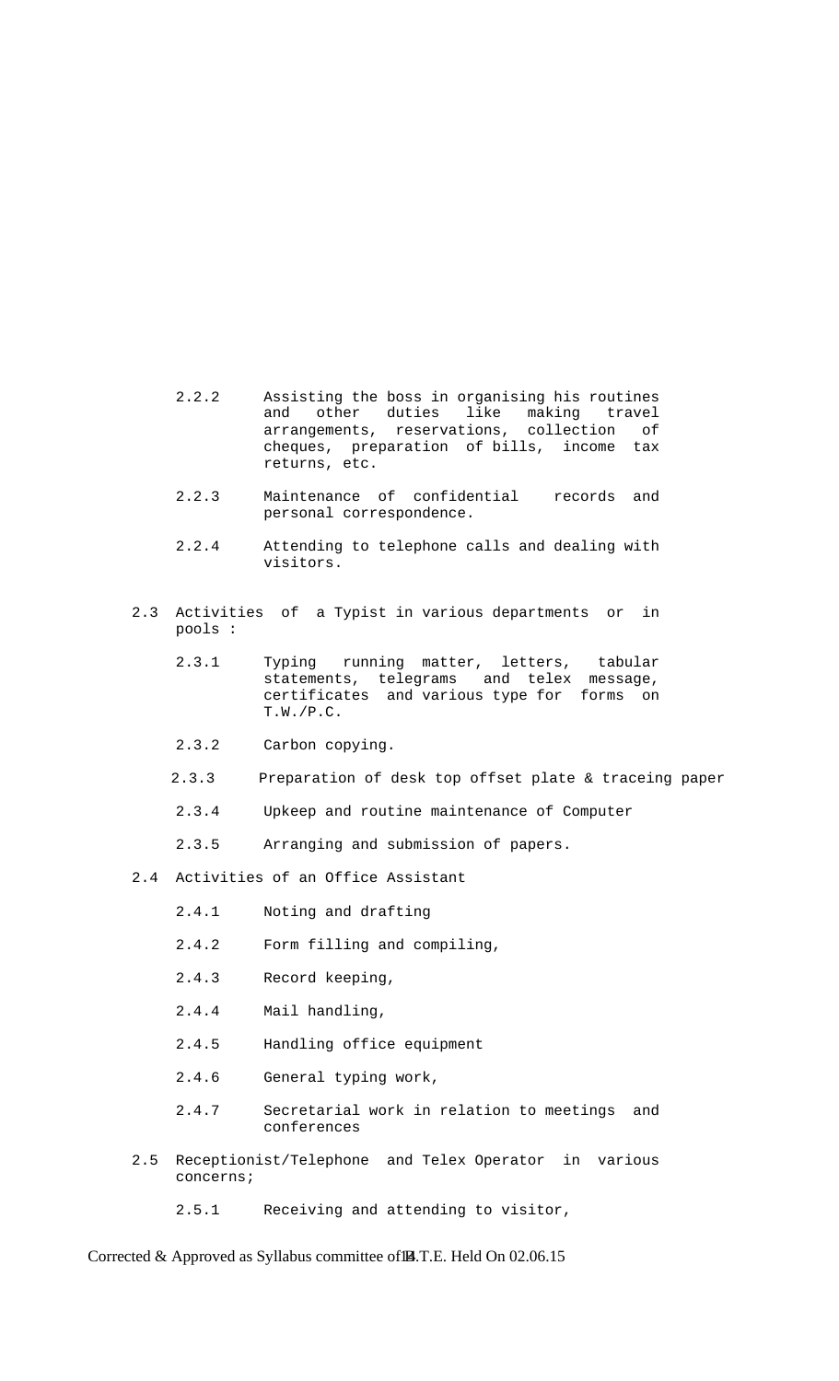- 2.2.2 Assisting the boss in organising his routines and other duties like making travel arrangements, reservations, collection of cheques, preparation of bills, income tax returns, etc.
	- 2.2.3 Maintenance of confidential records and personal correspondence.
	- 2.2.4 Attending to telephone calls and dealing with visitors.
	- 2.3 Activities of a Typist in various departments or in pools :
		- 2.3.1 Typing running matter, letters, tabular statements, telegrams and telex message, certificates and various type for forms on T.W./P.C.
		- 2.3.2 Carbon copying.
		- 2.3.3 Preparation of desk top offset plate & traceing paper
		- 2.3.4 Upkeep and routine maintenance of Computer
		- 2.3.5 Arranging and submission of papers.
	- 2.4 Activities of an Office Assistant
		- 2.4.1 Noting and drafting
		- 2.4.2 Form filling and compiling,
		- 2.4.3 Record keeping,
		- 2.4.4 Mail handling,
		- 2.4.5 Handling office equipment
		- 2.4.6 General typing work,
		- 2.4.7 Secretarial work in relation to meetings and conferences
	- 2.5 Receptionist/Telephone and Telex Operator in various concerns;
		- 2.5.1 Receiving and attending to visitor,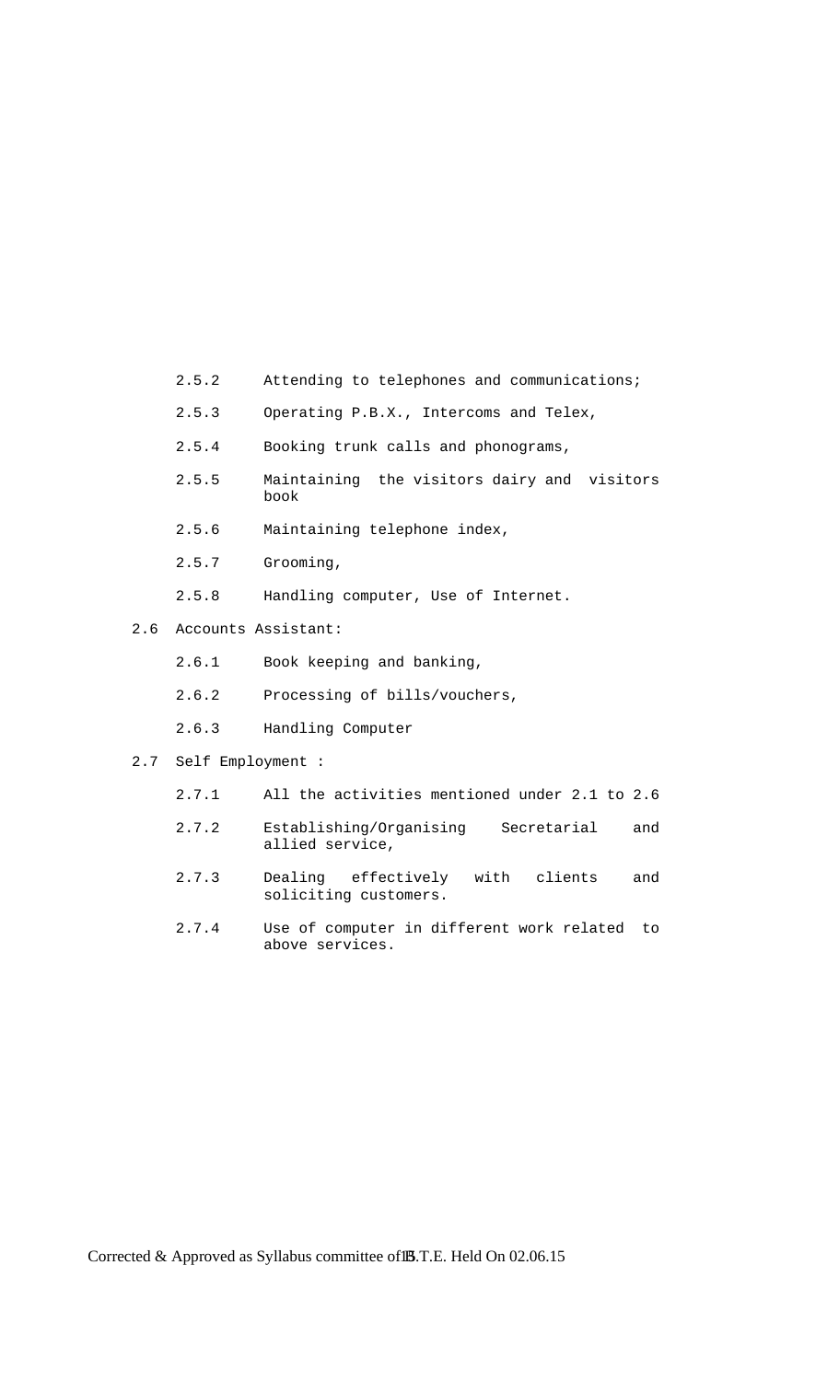- 2.5.2 Attending to telephones and communications;
- 2.5.3 Operating P.B.X., Intercoms and Telex,
- 2.5.4 Booking trunk calls and phonograms,
- 2.5.5 Maintaining the visitors dairy and visitors book
- 2.5.6 Maintaining telephone index,
- 2.5.7 Grooming,
- 2.5.8 Handling computer, Use of Internet.
- 2.6 Accounts Assistant:
	- 2.6.1 Book keeping and banking,
	- 2.6.2 Processing of bills/vouchers,
	- 2.6.3 Handling Computer
- 2.7 Self Employment :
	- 2.7.1 All the activities mentioned under 2.1 to 2.6
	- 2.7.2 Establishing/Organising Secretarial and allied service,
	- 2.7.3 Dealing effectively with clients and soliciting customers.
	- 2.7.4 Use of computer in different work related to above services.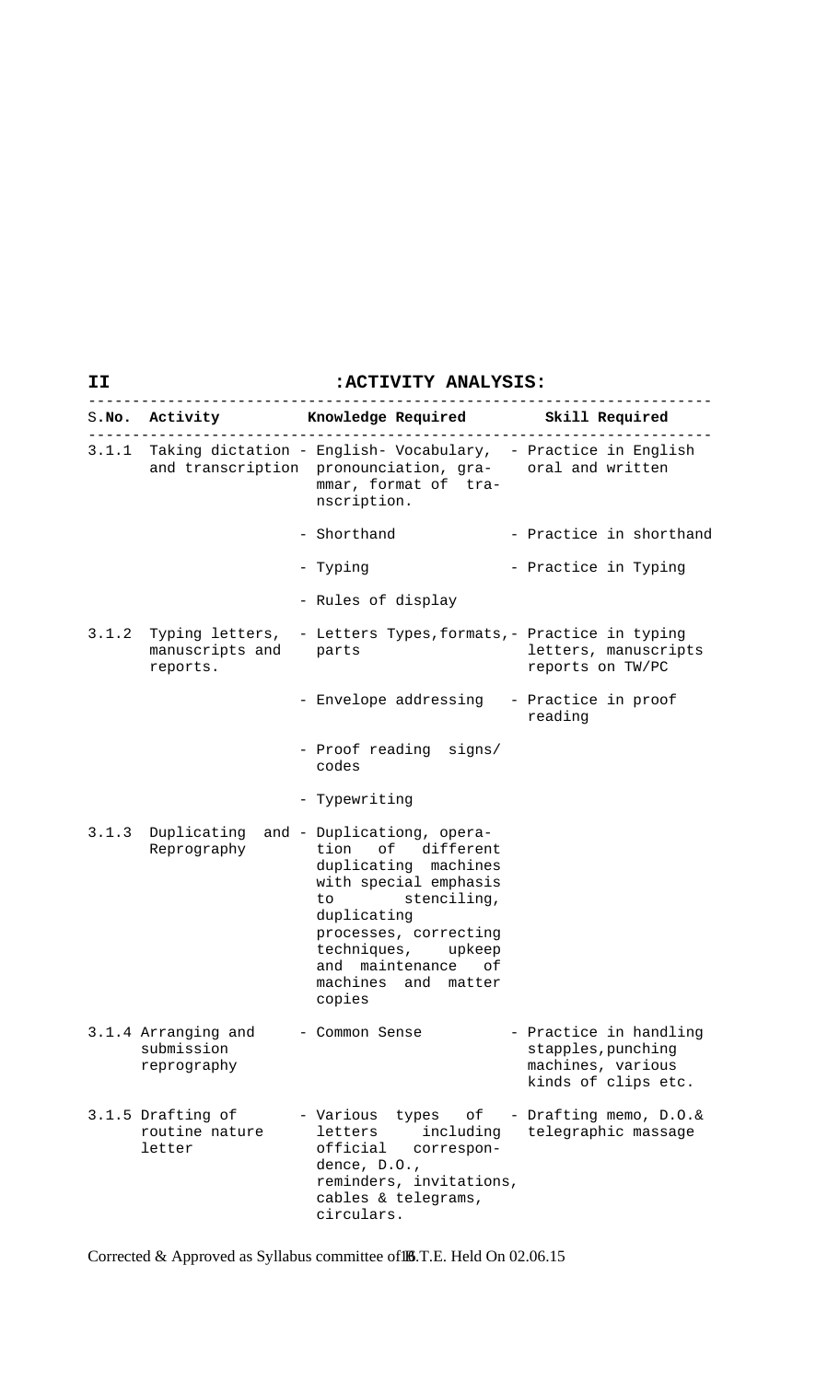### **II :ACTIVITY ANALYSIS:**

|       |                                                  | S.No. Activity Knowledge Required Skill Required                                                                                                                                                                                                        |                                                                                          |
|-------|--------------------------------------------------|---------------------------------------------------------------------------------------------------------------------------------------------------------------------------------------------------------------------------------------------------------|------------------------------------------------------------------------------------------|
|       |                                                  | 3.1.1 Taking dictation - English- Vocabulary, - Practice in English<br>and transcription pronounciation, gra- oral and written<br>mmar, format of tra-<br>nscription.                                                                                   |                                                                                          |
|       |                                                  | - Shorthand                                                                                                                                                                                                                                             | - Practice in shorthand                                                                  |
|       |                                                  | - Typing                                                                                                                                                                                                                                                | - Practice in Typing                                                                     |
|       |                                                  | - Rules of display                                                                                                                                                                                                                                      |                                                                                          |
|       | manuscripts and parts<br>reports.                | 3.1.2 Typing letters, - Letters Types, formats, - Practice in typing                                                                                                                                                                                    | letters, manuscripts<br>reports on TW/PC                                                 |
|       |                                                  | - Envelope addressing - Practice in proof                                                                                                                                                                                                               | reading                                                                                  |
|       |                                                  | - Proof reading signs/<br>codes                                                                                                                                                                                                                         |                                                                                          |
|       |                                                  | - Typewriting                                                                                                                                                                                                                                           |                                                                                          |
| 3.1.3 | Reprography                                      | Duplicating and - Duplicationg, opera-<br>tion of different<br>duplicating machines<br>with special emphasis<br>stenciling,<br>to.<br>duplicating<br>processes, correcting<br>techniques, upkeep<br>and maintenance of<br>machines and matter<br>copies |                                                                                          |
|       | 3.1.4 Arranging and<br>submission<br>reprography | - Common Sense                                                                                                                                                                                                                                          | - Practice in handling<br>stapples, punching<br>machines, various<br>kinds of clips etc. |
|       | 3.1.5 Drafting of<br>routine nature<br>letter    | - Various<br>types of<br>including<br>letters<br>official<br>correspon-<br>dence, D.O.,<br>reminders, invitations,<br>cables & telegrams,<br>circulars.                                                                                                 | - Drafting memo, D.O.&<br>telegraphic massage                                            |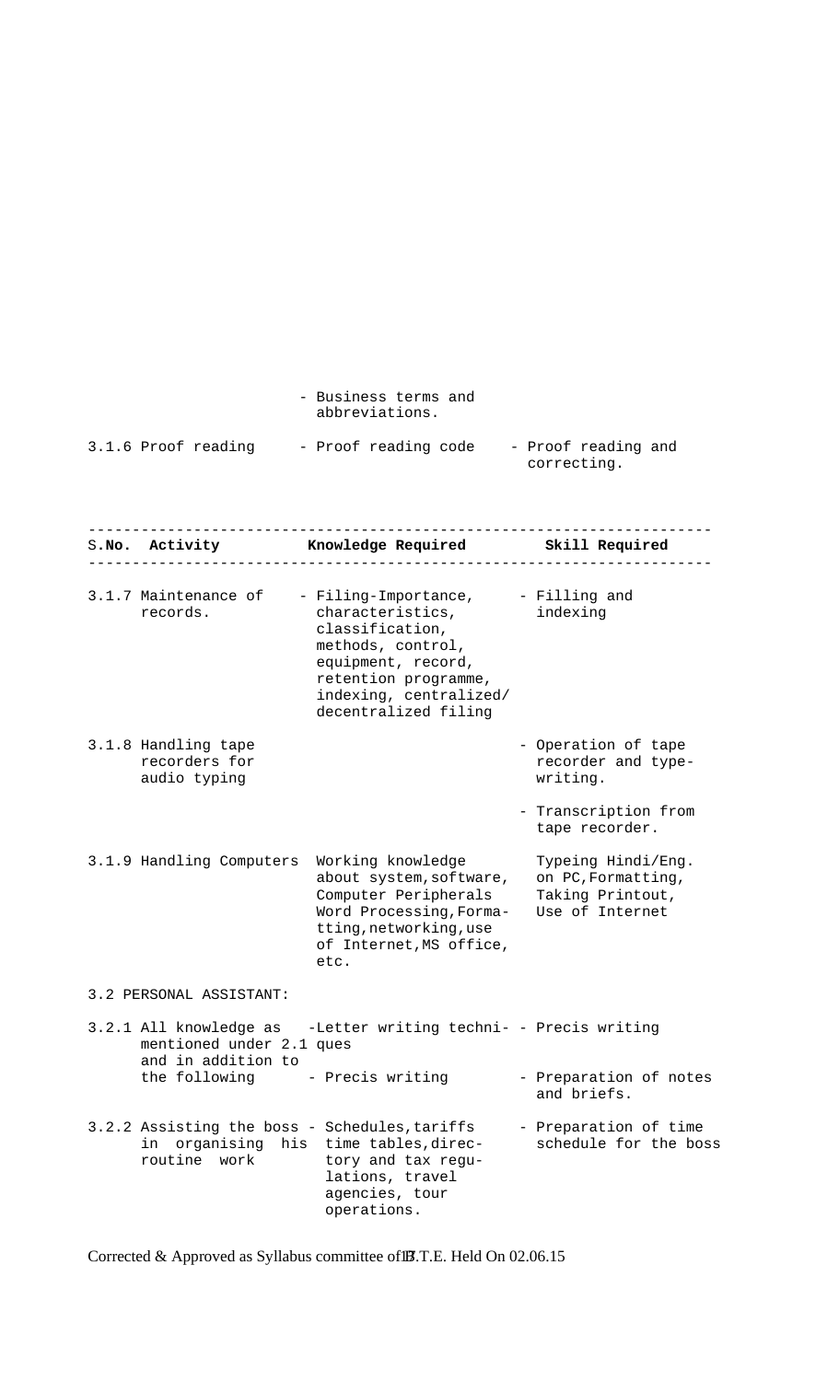|                     | - Business terms and<br>abbreviations. |                                    |
|---------------------|----------------------------------------|------------------------------------|
| 3.1.6 Proof reading | - Proof reading code                   | - Proof reading and<br>correcting. |

|                                                       | S.No. Activity <b>Knowledge Required</b> Skill Required                                                                                                          |                                                                                 |
|-------------------------------------------------------|------------------------------------------------------------------------------------------------------------------------------------------------------------------|---------------------------------------------------------------------------------|
| 3.1.7 Maintenance of - Filing-Importance,<br>records. | characteristics,<br>classification,<br>methods, control,<br>equipment, record,<br>retention programme,<br>indexing, centralized/<br>decentralized filing         | - Filling and<br>indexing                                                       |
| 3.1.8 Handling tape<br>recorders for<br>audio typing  |                                                                                                                                                                  | - Operation of tape<br>recorder and type-<br>writing.                           |
|                                                       |                                                                                                                                                                  | - Transcription from<br>tape recorder.                                          |
| 3.1.9 Handling Computers                              | Working knowledge<br>about system, software,<br>Computer Peripherals<br>Word Processing, Forma-<br>tting, networking, use<br>of Internet, MS office,<br>etc.     | Typeing Hindi/Eng.<br>on PC, Formatting,<br>Taking Printout,<br>Use of Internet |
| 3.2 PERSONAL ASSISTANT:                               |                                                                                                                                                                  |                                                                                 |
| mentioned under 2.1 ques<br>and in addition to        | 3.2.1 All knowledge as -Letter writing techni- - Precis writing                                                                                                  |                                                                                 |
| the following - Precis writing                        |                                                                                                                                                                  | - Preparation of notes<br>and briefs.                                           |
| routine work                                          | 3.2.2 Assisting the boss - Schedules, tariffs<br>in organising his time tables, direc-<br>tory and tax regu-<br>lations, travel<br>agencies, tour<br>operations. | - Preparation of time<br>schedule for the boss                                  |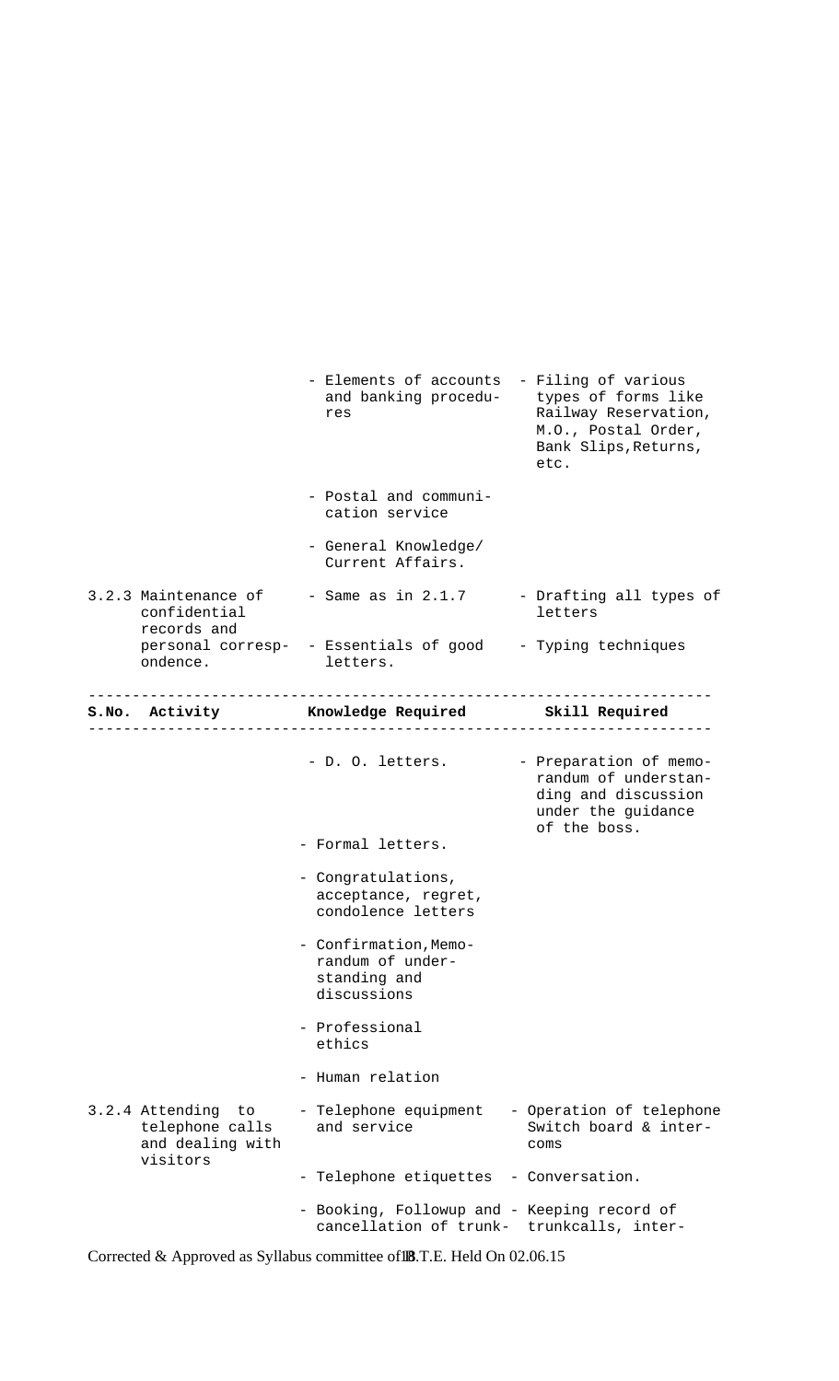|                                                                          | - Elements of accounts - Filing of various<br>and banking procedu-<br>res                | types of forms like<br>Railway Reservation,<br>M.O., Postal Order,<br>Bank Slips, Returns,<br>etc.          |
|--------------------------------------------------------------------------|------------------------------------------------------------------------------------------|-------------------------------------------------------------------------------------------------------------|
|                                                                          | - Postal and communi-<br>cation service                                                  |                                                                                                             |
|                                                                          | - General Knowledge/<br>Current Affairs.                                                 |                                                                                                             |
| 3.2.3 Maintenance of<br>confidential<br>records and                      | - Same as in 2.1.7                                                                       | - Drafting all types of<br>letters                                                                          |
| ondence.                                                                 | personal corresp- - Essentials of good - Typing techniques<br>letters.                   |                                                                                                             |
|                                                                          | S.No. Activity Mowledge Required Skill Required                                          |                                                                                                             |
|                                                                          | - D. O. letters.<br>- Formal letters.                                                    | - Preparation of memo-<br>randum of understan-<br>ding and discussion<br>under the guidance<br>of the boss. |
|                                                                          | - Congratulations,<br>acceptance, regret,<br>condolence letters                          |                                                                                                             |
|                                                                          | - Confirmation, Memo-<br>randum of under-<br>standing and<br>discussions                 |                                                                                                             |
|                                                                          | - Professional<br>ethics                                                                 |                                                                                                             |
|                                                                          | - Human relation                                                                         |                                                                                                             |
| 3.2.4 Attending<br>to<br>telephone calls<br>and dealing with<br>visitors | - Telephone equipment<br>and service                                                     | - Operation of telephone<br>Switch board & inter-<br>coms                                                   |
|                                                                          | - Telephone etiquettes                                                                   | - Conversation.                                                                                             |
|                                                                          | - Booking, Followup and - Keeping record of<br>cancellation of trunk- trunkcalls, inter- |                                                                                                             |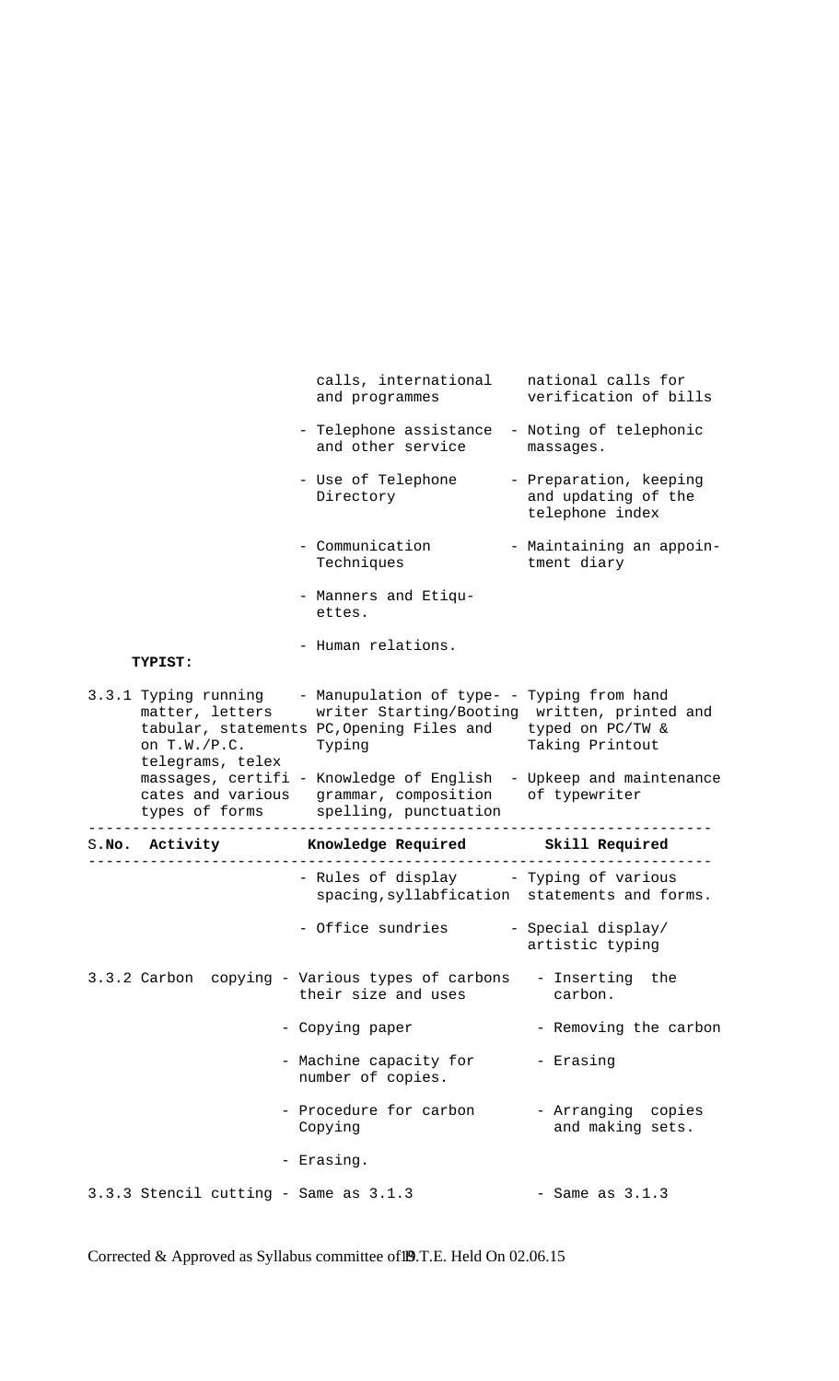|                                                     | calls, international<br>and programmes                                                                                                                                 | national calls for<br>verification of bills                      |
|-----------------------------------------------------|------------------------------------------------------------------------------------------------------------------------------------------------------------------------|------------------------------------------------------------------|
|                                                     | - Telephone assistance - Noting of telephonic<br>and other service                                                                                                     | massages.                                                        |
|                                                     | - Use of Telephone<br>Directory                                                                                                                                        | - Preparation, keeping<br>and updating of the<br>telephone index |
|                                                     | - Communication<br>Techniques                                                                                                                                          | - Maintaining an appoin-<br>tment diary                          |
|                                                     | - Manners and Etiqu-<br>ettes.                                                                                                                                         |                                                                  |
| TYPIST:                                             | - Human relations.                                                                                                                                                     |                                                                  |
| matter, letters<br>on T.W./P.C.<br>telegrams, telex | 3.3.1 Typing running - Manupulation of type- - Typing from hand<br>writer Starting/Booting written, printed and<br>tabular, statements PC, Opening Files and<br>Typing | typed on PC/TW &<br>Taking Printout                              |
|                                                     | massages, certifi - Knowledge of English - Upkeep and maintenance                                                                                                      |                                                                  |
|                                                     | cates and various grammar, composition of typewriter<br>types of forms spelling, punctuation                                                                           |                                                                  |
| S.No. Activity                                      | Knowledge Required <a></a> Skill Required                                                                                                                              |                                                                  |
|                                                     | - Rules of display - Typing of various<br>spacing, syllabfication statements and forms.                                                                                |                                                                  |
|                                                     | - Office sundries                                                                                                                                                      | - Special display/<br>artistic typing                            |
|                                                     | 3.3.2 Carbon copying - Various types of carbons - Inserting<br>their size and uses                                                                                     | the<br>carbon.                                                   |
|                                                     | - Copying paper                                                                                                                                                        | - Removing the carbon                                            |
|                                                     | - Machine capacity for<br>number of copies.                                                                                                                            | - Erasing                                                        |
|                                                     | - Procedure for carbon<br>Copying                                                                                                                                      | - Arranging copies<br>and making sets.                           |
|                                                     | - Erasing.                                                                                                                                                             |                                                                  |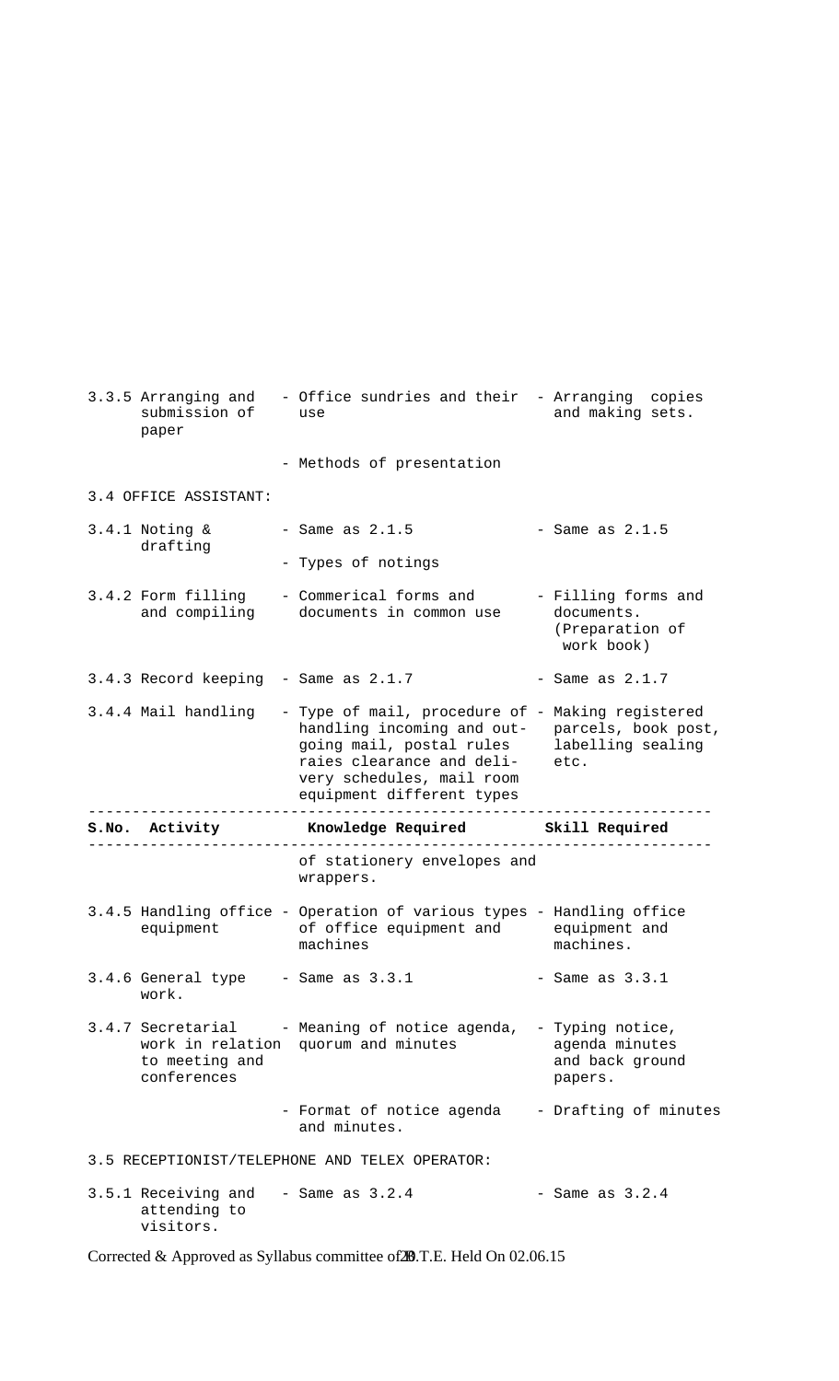| submission of<br>paper                      | 3.3.5 Arranging and - Office sundries and their - Arranging copies<br>use                                                                                                                         | and making sets.                                                   |
|---------------------------------------------|---------------------------------------------------------------------------------------------------------------------------------------------------------------------------------------------------|--------------------------------------------------------------------|
|                                             | - Methods of presentation                                                                                                                                                                         |                                                                    |
| 3.4 OFFICE ASSISTANT:                       |                                                                                                                                                                                                   |                                                                    |
| $3.4.1$ Noting &<br>drafting                | - Same as $2.1.5$                                                                                                                                                                                 | - Same as $2.1.5$                                                  |
|                                             | - Types of notings                                                                                                                                                                                |                                                                    |
| 3.4.2 Form filling<br>and compiling         | - Commerical forms and<br>documents in common use                                                                                                                                                 | - Filling forms and<br>documents.<br>(Preparation of<br>work book) |
| 3.4.3 Record keeping - Same as 2.1.7        |                                                                                                                                                                                                   | - Same as $2.1.7$                                                  |
| 3.4.4 Mail handling                         | - Type of mail, procedure of - Making registered<br>handling incoming and out-<br>going mail, postal rules<br>raies clearance and deli-<br>very schedules, mail room<br>equipment different types | parcels, book post,<br>labelling sealing<br>etc.                   |
|                                             |                                                                                                                                                                                                   |                                                                    |
| S.No. Activity                              | Knowledge Required Skill Required                                                                                                                                                                 |                                                                    |
|                                             | - – – – – – – – – – -<br>of stationery envelopes and<br>wrappers.                                                                                                                                 |                                                                    |
|                                             | 3.4.5 Handling office - Operation of various types - Handling office<br>equipment of office equipment and equipment and<br>machines                                                               | machines.                                                          |
| 3.4.6 General type - Same as 3.3.1<br>work. |                                                                                                                                                                                                   | - Same as $3.3.1$                                                  |
| to meeting and<br>conferences               | 3.4.7 Secretarial - Meaning of notice agenda, - Typing notice,<br>work in relation quorum and minutes                                                                                             | agenda minutes<br>and back ground<br>papers.                       |
|                                             | - Format of notice agenda<br>and minutes.                                                                                                                                                         | - Drafting of minutes                                              |
|                                             | 3.5 RECEPTIONIST/TELEPHONE AND TELEX OPERATOR:                                                                                                                                                    |                                                                    |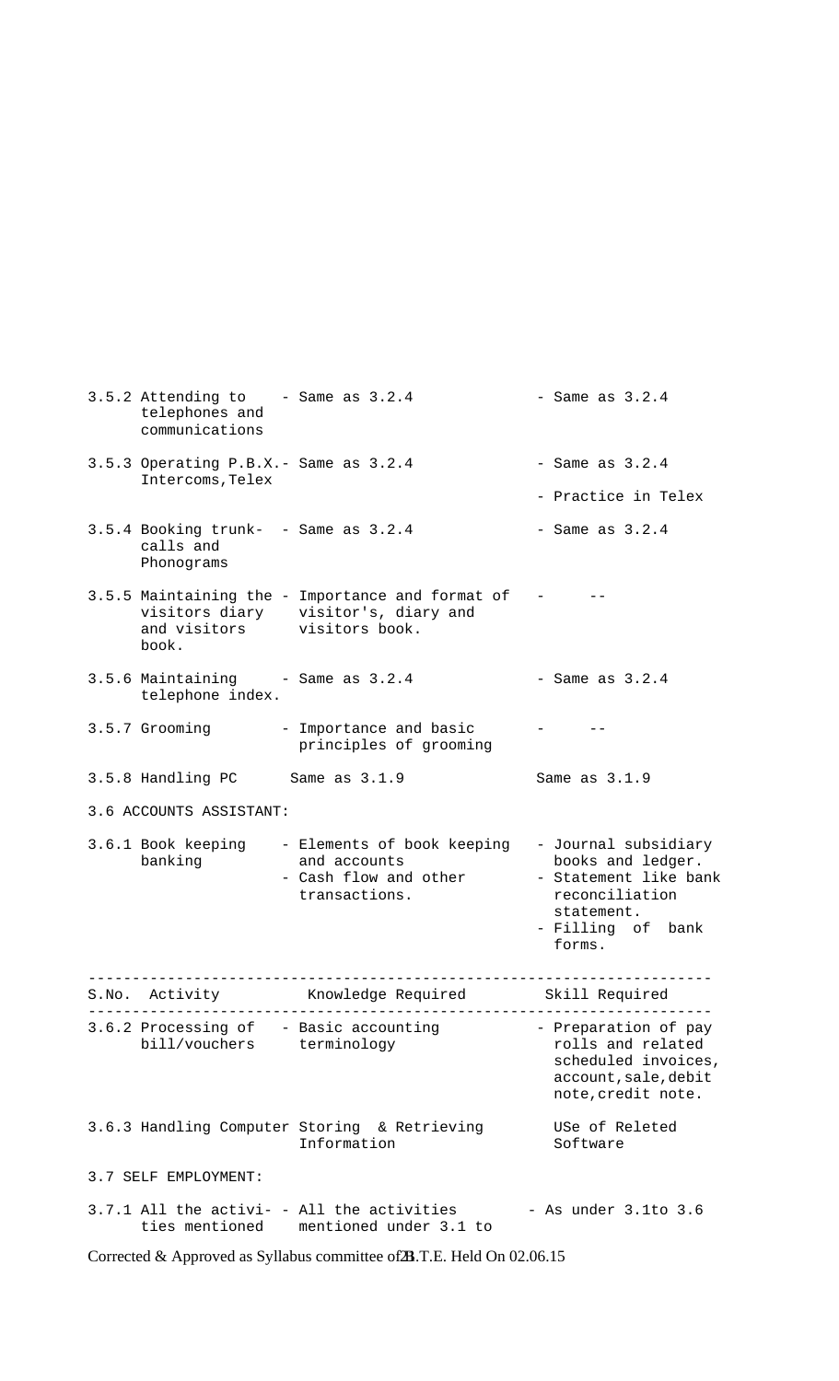|       | 3.5.2 Attending to<br>telephones and<br>communications          | - Same as $3.2.4$                                                                       | - Same as $3.2.4$                                                                                                                 |
|-------|-----------------------------------------------------------------|-----------------------------------------------------------------------------------------|-----------------------------------------------------------------------------------------------------------------------------------|
|       | 3.5.3 Operating P.B.X. - Same as 3.2.4<br>Intercoms, Telex      |                                                                                         | - Same as $3.2.4$                                                                                                                 |
|       |                                                                 |                                                                                         | - Practice in Telex                                                                                                               |
|       | 3.5.4 Booking trunk- - Same as 3.2.4<br>calls and<br>Phonograms |                                                                                         | - Same as $3.2.4$                                                                                                                 |
|       | and visitors visitors book.<br>book.                            | 3.5.5 Maintaining the - Importance and format of<br>visitors diary visitor's, diary and |                                                                                                                                   |
|       | 3.5.6 Maintaining<br>telephone index.                           | - Same as $3.2.4$                                                                       | - Same as $3.2.4$                                                                                                                 |
|       | 3.5.7 Grooming                                                  | - Importance and basic<br>principles of grooming                                        |                                                                                                                                   |
|       | 3.5.8 Handling PC                                               | Same as 3.1.9                                                                           | Same as 3.1.9                                                                                                                     |
|       | 3.6 ACCOUNTS ASSISTANT:                                         |                                                                                         |                                                                                                                                   |
|       | 3.6.1 Book keeping<br>banking                                   | - Elements of book keeping<br>and accounts<br>- Cash flow and other<br>transactions.    | - Journal subsidiary<br>books and ledger.<br>- Statement like bank<br>reconciliation<br>statement.<br>- Filling of bank<br>forms. |
| S.No. | Activity                                                        | Knowledge Required                                                                      | Skill Required                                                                                                                    |
|       | bill/vouchers terminology                                       | 3.6.2 Processing of - Basic accounting                                                  | - Preparation of pay<br>rolls and related<br>scheduled invoices,<br>account, sale, debit<br>note, credit note.                    |
|       |                                                                 | 3.6.3 Handling Computer Storing & Retrieving<br>Information                             | USe of Releted<br>Software                                                                                                        |
|       | 3.7 SELF EMPLOYMENT:                                            |                                                                                         |                                                                                                                                   |
|       |                                                                 | 3.7.1 All the activi- - All the activities<br>ties mentioned mentioned under 3.1 to     | - As under $3.1$ to $3.6$                                                                                                         |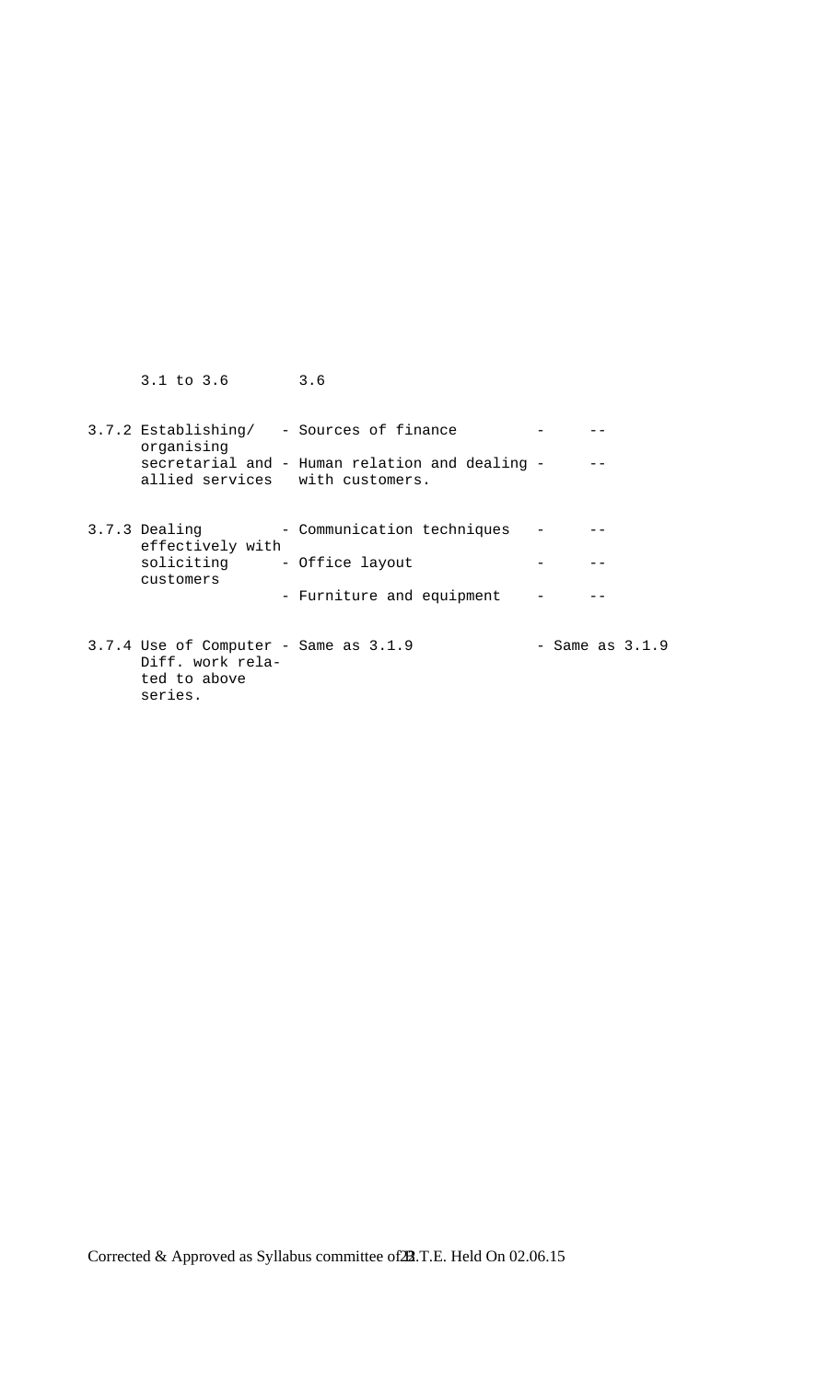| 3.1 to 3.6 3.6                                                                           |                                                                                            |                     |
|------------------------------------------------------------------------------------------|--------------------------------------------------------------------------------------------|---------------------|
| organising<br>allied services with customers.                                            | 3.7.2 Establishing/ - Sources of finance<br>secretarial and - Human relation and dealing - |                     |
| 3.7.3 Dealing<br>effectively with<br>soliciting - Office layout<br>customers             | - Communication techniques<br>- Furniture and equipment                                    |                     |
| $3.7.4$ Use of Computer - Same as $3.1.9$<br>Diff. work rela-<br>ted to above<br>series. |                                                                                            | $-$ Same as $3.1.9$ |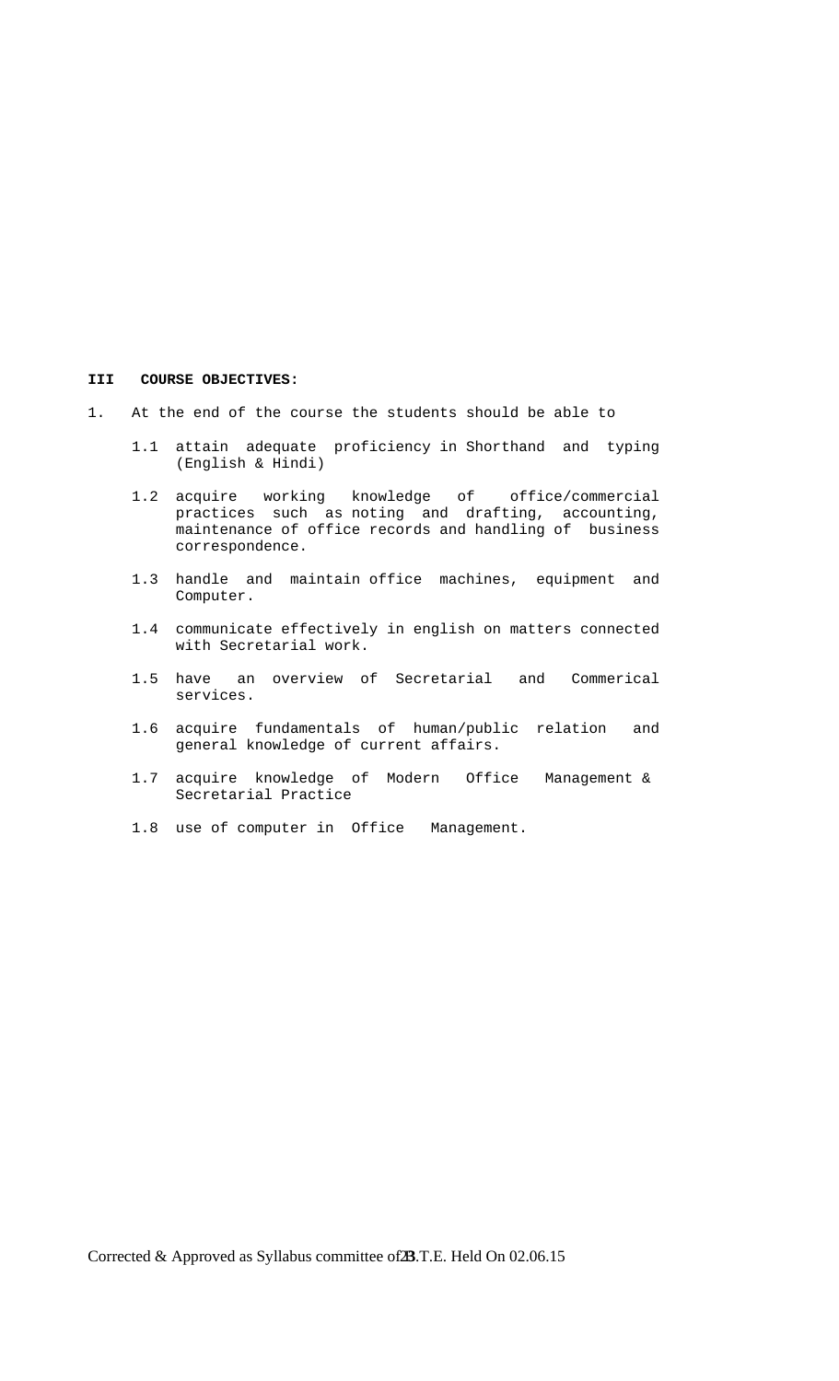#### **III COURSE OBJECTIVES:**

- 1. At the end of the course the students should be able to
	- 1.1 attain adequate proficiency in Shorthand and typing (English & Hindi)
- 1.2 acquire working knowledge of office/commercial practices such as noting and drafting, accounting, maintenance of office records and handling of business correspondence.
	- 1.3 handle and maintain office machines, equipment and Computer.
	- 1.4 communicate effectively in english on matters connected with Secretarial work.
	- 1.5 have an overview of Secretarial and Commerical services.
	- 1.6 acquire fundamentals of human/public relation and general knowledge of current affairs.
	- 1.7 acquire knowledge of Modern Office Management & Secretarial Practice
	- 1.8 use of computer in Office Management.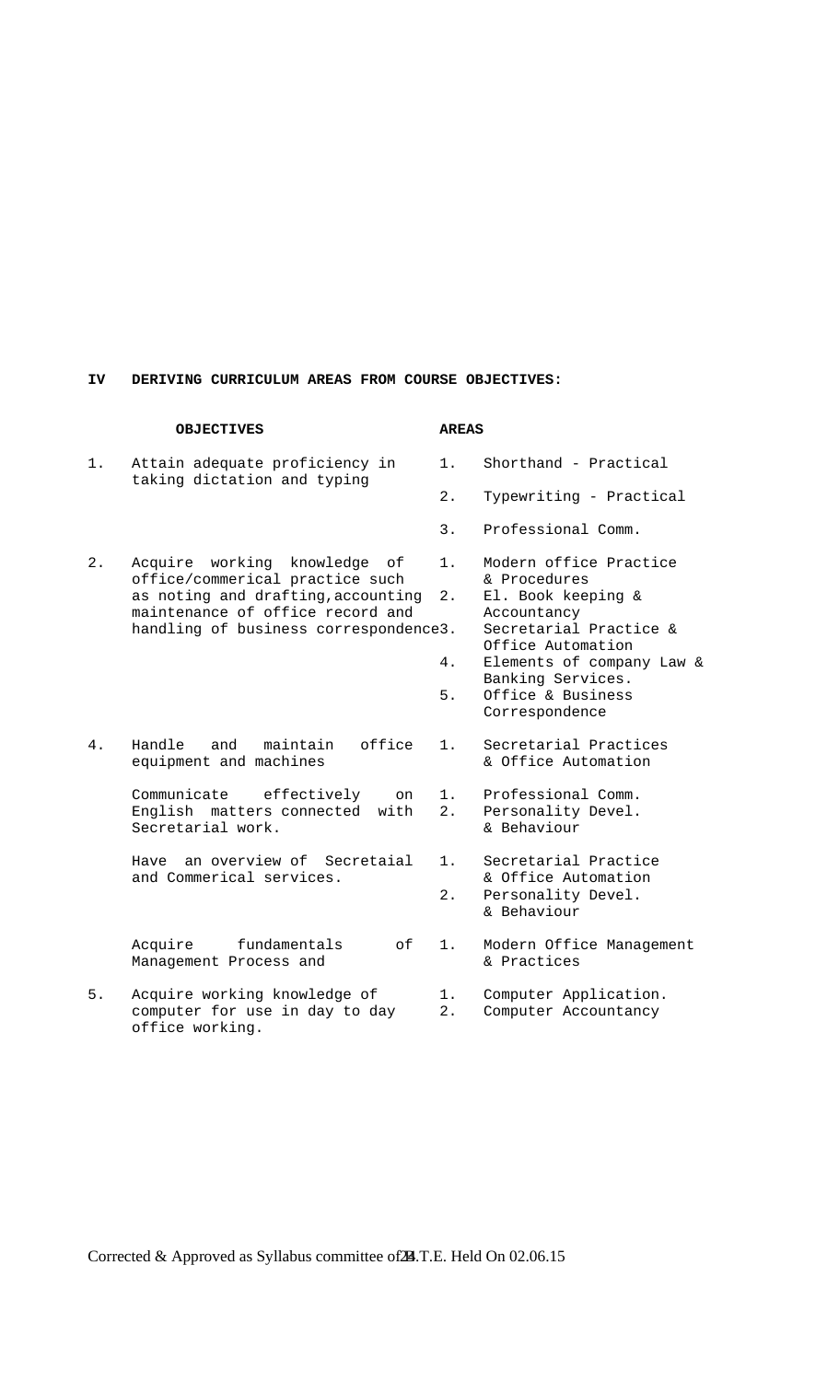#### **IV DERIVING CURRICULUM AREAS FROM COURSE OBJECTIVES:**

### **OBJECTIVES AREAS**  1. Attain adequate proficiency in 1. Shorthand - Practical taking dictation and typing 2. Typewriting - Practical 3. Professional Comm. 2. Acquire working knowledge of 1. Modern office Practice office/commerical practice such & Procedures as noting and drafting,accounting 2. El. Book keeping & maintenance of office record and Accountancy handling of business correspondence3. Secretarial Practice & Office Automation 4. Elements of company Law & Banking Services. 5. Office & Business Correspondence 4. Handle and maintain office 1. Secretarial Practices equipment and machines  $\&$  Office Automation Communicate effectively on 1. Professional Comm. English matters connected with 2. Personality Devel.<br>Secretarial work. 6 a Behaviour Secretarial work. Have an overview of Secretaial 1. Secretarial Practice and Commerical services.<br>
2. Personality Devel. Personality Devel. & Behaviour Acquire fundamentals of 1. Modern Office Management Management Process and  $\&$  Practices 5. Acquire working knowledge of 1. Computer Application. computer for use in day to day 2. Computer Accountancy office working.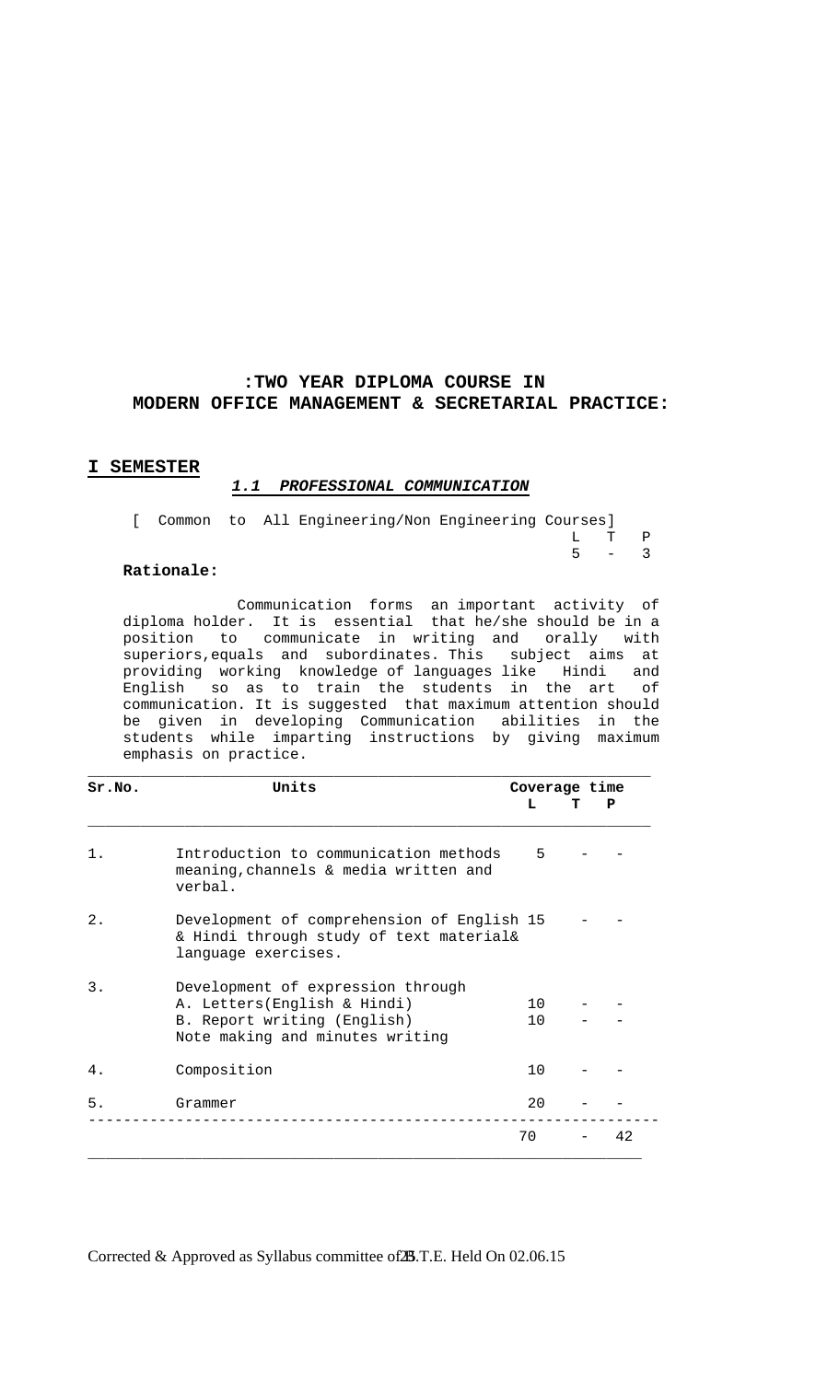### **:TWO YEAR DIPLOMA COURSE IN MODERN OFFICE MANAGEMENT & SECRETARIAL PRACTICE:**

### **I SEMESTER**

### *1.1 PROFESSIONAL COMMUNICATION*

|  |  | [ Common to All Engineering/Non Engineering Courses] |  |         |  |
|--|--|------------------------------------------------------|--|---------|--|
|  |  |                                                      |  | L T P   |  |
|  |  |                                                      |  | $5 - 3$ |  |

#### **Rationale:**

 Communication forms an important activity of diploma holder. It is essential that he/she should be in a position to communicate in writing and orally with superiors,equals and subordinates. This subject aims at providing working knowledge of languages like Hindi and English so as to train the students in the art of communication. It is suggested that maximum attention should be given in developing Communication abilities in the students while imparting instructions by giving maximum emphasis on practice.

| Sr.NO. | Units                                                                                                                              | Coverage time               |    |
|--------|------------------------------------------------------------------------------------------------------------------------------------|-----------------------------|----|
|        |                                                                                                                                    | L                           | P  |
| 1.     | Introduction to communication methods<br>meaning, channels & media written and<br>verbal.                                          | 5                           |    |
| $2$ .  | Development of comprehension of English 15<br>& Hindi through study of text material&<br>language exercises.                       |                             |    |
| 3.     | Development of expression through<br>A. Letters(English & Hindi)<br>B. Report writing (English)<br>Note making and minutes writing | $10^{-}$<br>10 <sup>°</sup> |    |
| 4.     | Composition                                                                                                                        | 10                          |    |
| 5.     | Grammer                                                                                                                            | 20                          |    |
|        |                                                                                                                                    | 70                          | 42 |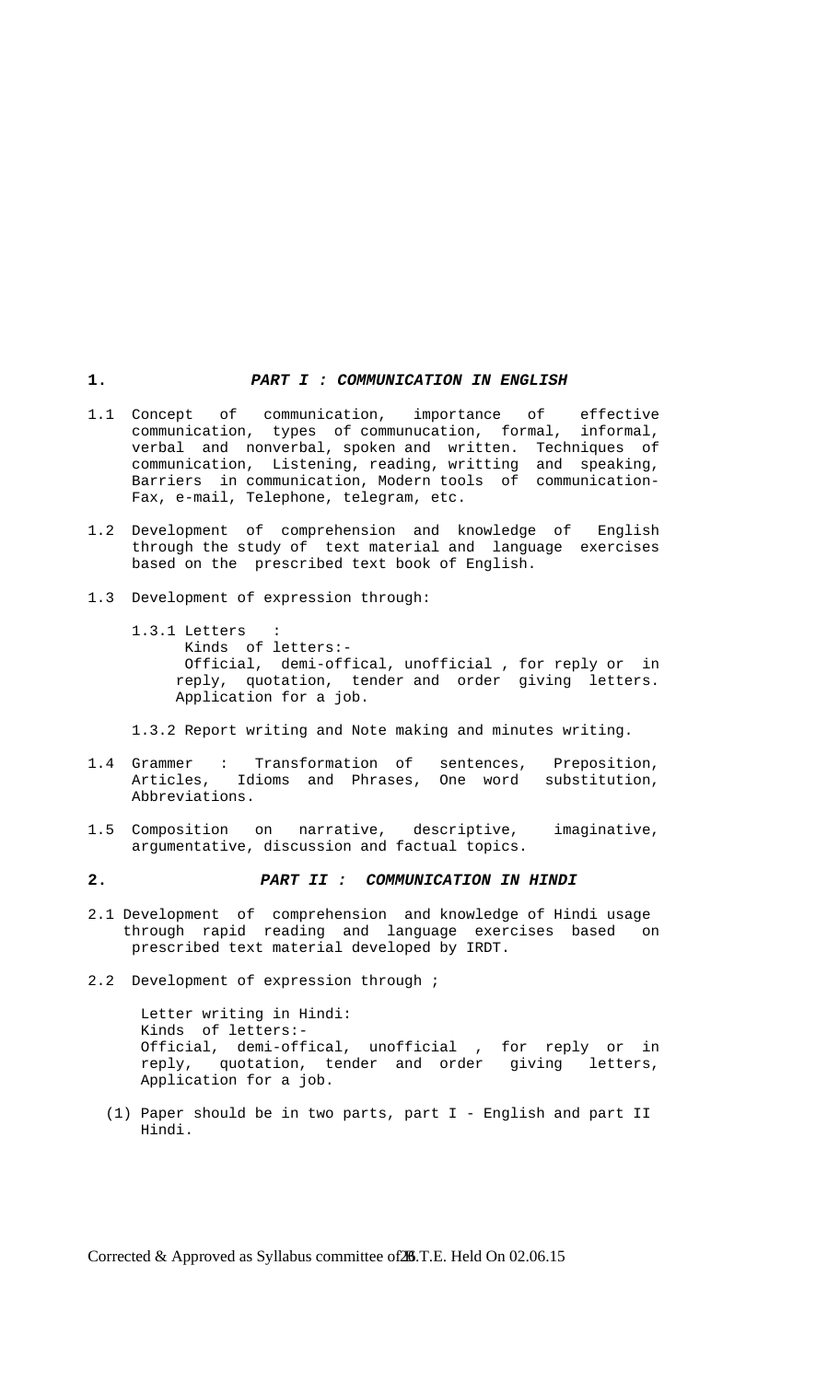#### **1.** *PART I : COMMUNICATION IN ENGLISH*

- 1.1 Concept of communication, importance of effective communication, types of communucation, formal, informal, verbal and nonverbal, spoken and written. Techniques of communication, Listening, reading, writting and speaking, Barriers in communication, Modern tools of communication- Fax, e-mail, Telephone, telegram, etc.
- 1.2 Development of comprehension and knowledge of English through the study of text material and language exercises based on the prescribed text book of English.
- 1.3 Development of expression through:
	- 1.3.1 Letters Kinds of letters:- Official, demi-offical, unofficial , for reply or in reply, quotation, tender and order giving letters. Application for a job.

1.3.2 Report writing and Note making and minutes writing.

- 1.4 Grammer : Transformation of sentences, Preposition, Articles, Idioms and Phrases, One word substitution, Abbreviations.
- 1.5 Composition on narrative, descriptive, imaginative, argumentative, discussion and factual topics.
- **2.** *PART II : COMMUNICATION IN HINDI*
- 2.1 Development of comprehension and knowledge of Hindi usage through rapid reading and language exercises based on prescribed text material developed by IRDT.
- 2.2 Development of expression through ;

 Letter writing in Hindi: Kinds of letters:- Official, demi-offical, unofficial , for reply or in reply, quotation, tender and order giving letters, Application for a job.

 (1) Paper should be in two parts, part I - English and part II Hindi.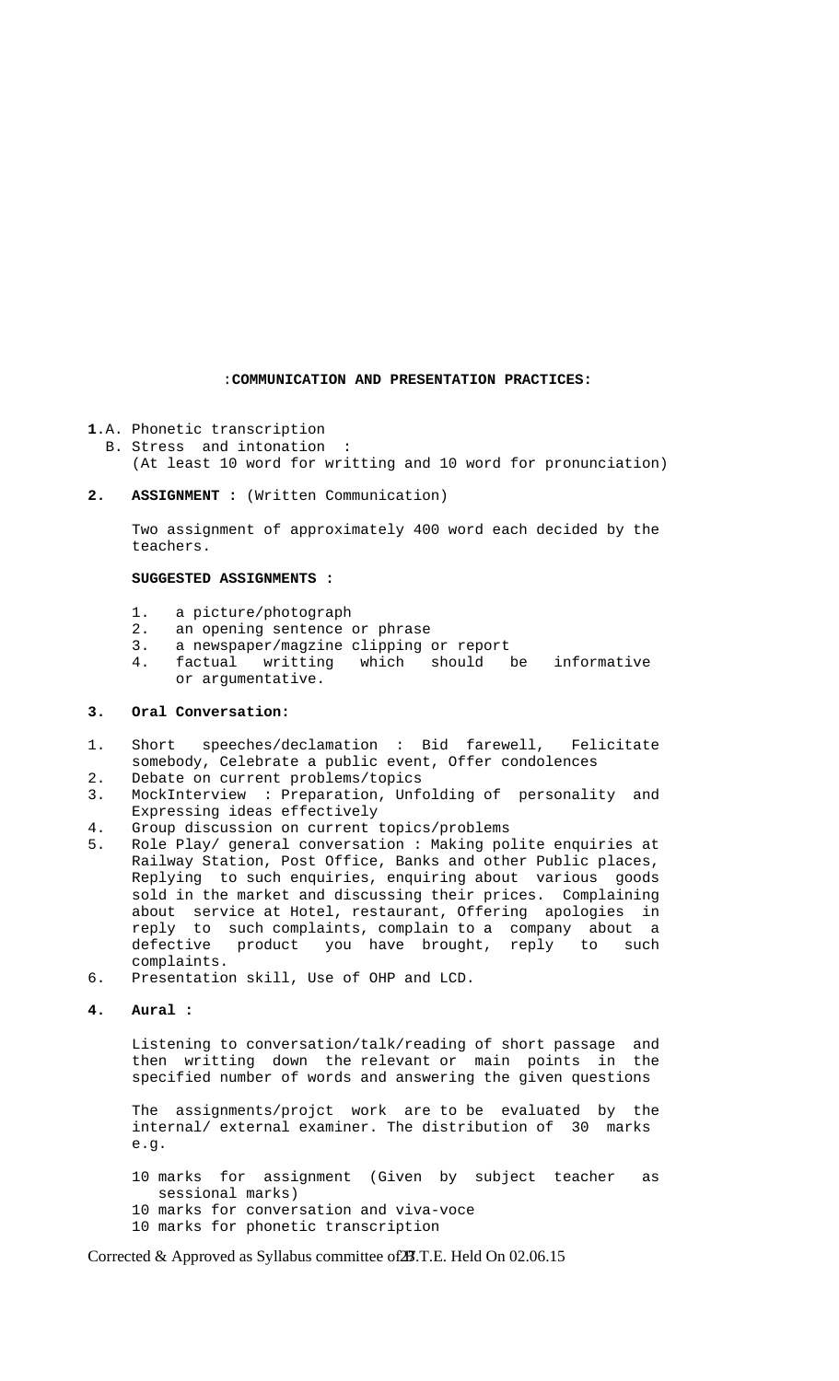#### :**COMMUNICATION AND PRESENTATION PRACTICES:**

- **1**.A. Phonetic transcription
	- B. Stress and intonation (At least 10 word for writting and 10 word for pronunciation)
- **2. ASSIGNMENT :** (Written Communication)

 Two assignment of approximately 400 word each decided by the teachers.

#### **SUGGESTED ASSIGNMENTS :**

- 1. a picture/photograph
- 2. an opening sentence or phrase
- 3. a newspaper/magzine clipping or report
- 4. factual writting which should be informative or argumentative.

#### **3. Oral Conversation:**

- 1. Short speeches/declamation : Bid farewell, Felicitate somebody, Celebrate a public event, Offer condolences
- 2. Debate on current problems/topics
- 3. MockInterview : Preparation, Unfolding of personality and Expressing ideas effectively
- 4. Group discussion on current topics/problems
- 5. Role Play/ general conversation : Making polite enquiries at Railway Station, Post Office, Banks and other Public places, Replying to such enquiries, enquiring about various goods sold in the market and discussing their prices. Complaining about service at Hotel, restaurant, Offering apologies in reply to such complaints, complain to a company about a defective product you have brought, reply to such complaints.
- 6. Presentation skill, Use of OHP and LCD.

**4. Aural :** 

 Listening to conversation/talk/reading of short passage and then writting down the relevant or main points in the specified number of words and answering the given questions

 The assignments/projct work are to be evaluated by the internal/ external examiner. The distribution of 30 marks e.g.

- 10 marks for assignment (Given by subject teacher as sessional marks)
- 10 marks for conversation and viva-voce
- 10 marks for phonetic transcription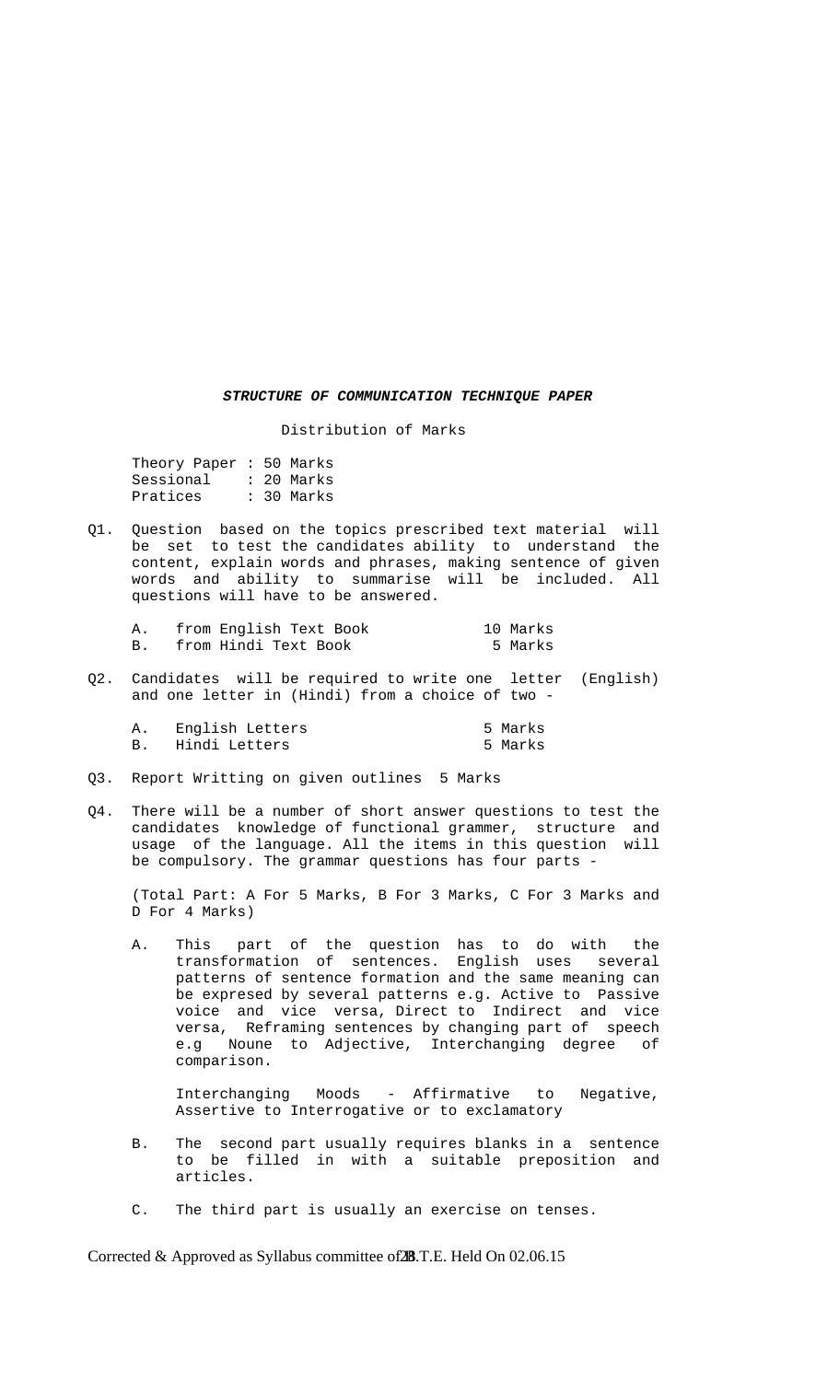#### *STRUCTURE OF COMMUNICATION TECHNIQUE PAPER*

Distribution of Marks

 Theory Paper : 50 Marks Sessional : 20 Marks Pratices : 30 Marks

Q1. Question based on the topics prescribed text material will be set to test the candidates ability to understand the content, explain words and phrases, making sentence of given words and ability to summarise will be included. All questions will have to be answered.

| from English Text Book | 10 Marks |
|------------------------|----------|
| from Hindi Text Book   | 5 Marks  |

Q2. Candidates will be required to write one letter (English) and one letter in (Hindi) from a choice of two -

| English Letters | 5 Marks |
|-----------------|---------|
| Hindi Letters   | 5 Marks |

- Q3. Report Writting on given outlines 5 Marks
- Q4. There will be a number of short answer questions to test the candidates knowledge of functional grammer, structure and usage of the language. All the items in this question will be compulsory. The grammar questions has four parts -

 (Total Part: A For 5 Marks, B For 3 Marks, C For 3 Marks and D For 4 Marks)

 A. This part of the question has to do with the transformation of sentences. English uses several patterns of sentence formation and the same meaning can be expresed by several patterns e.g. Active to Passive voice and vice versa, Direct to Indirect and vice versa, Reframing sentences by changing part of speech e.g Noune to Adjective, Interchanging degree of comparison.

 Interchanging Moods - Affirmative to Negative, Assertive to Interrogative or to exclamatory

- B. The second part usually requires blanks in a sentence to be filled in with a suitable preposition and articles.
- C. The third part is usually an exercise on tenses.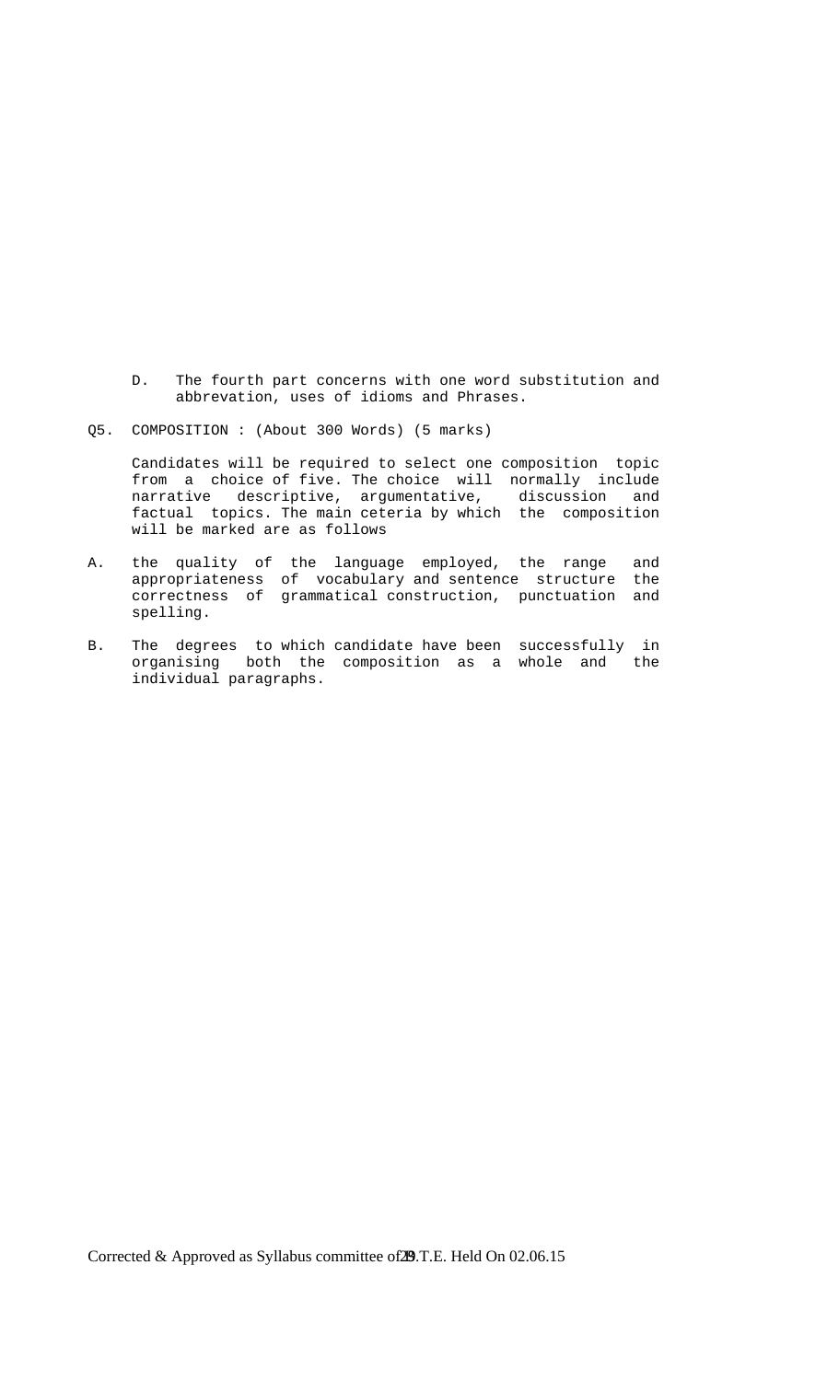- D. The fourth part concerns with one word substitution and abbrevation, uses of idioms and Phrases.
- Q5. COMPOSITION : (About 300 Words) (5 marks)

 Candidates will be required to select one composition topic from a choice of five. The choice will normally include narrative descriptive, argumentative, discussion and factual topics. The main ceteria by which the composition will be marked are as follows

- A. the quality of the language employed, the range and appropriateness of vocabulary and sentence structure the correctness of grammatical construction, punctuation and spelling.
- B. The degrees to which candidate have been successfully in organising both the composition as a whole and the individual paragraphs.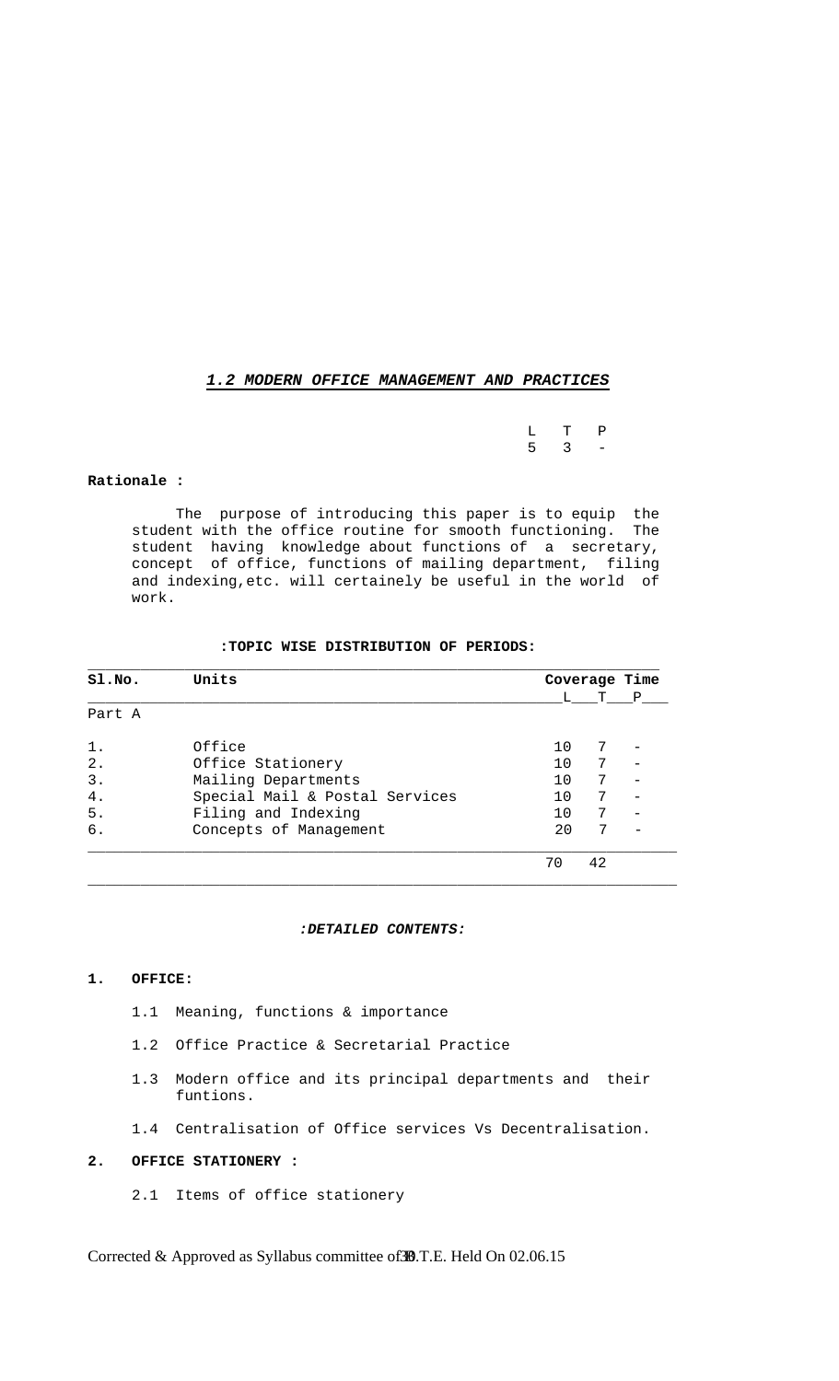#### *1.2 MODERN OFFICE MANAGEMENT AND PRACTICES*

L T P<br>5 3 –  $5 \t3 \t-$ 

#### **Rationale :**

 The purpose of introducing this paper is to equip the student with the office routine for smooth functioning. The student having knowledge about functions of a secretary, concept of office, functions of mailing department, filing and indexing,etc. will certainely be useful in the world of work.

#### **:TOPIC WISE DISTRIBUTION OF PERIODS:**

| S1.NO. | Units                          |    |       | Coverage Time |
|--------|--------------------------------|----|-------|---------------|
|        |                                |    | L T P |               |
| Part A |                                |    |       |               |
| $1$ .  | Office                         | 10 | 7     |               |
| 2.     | Office Stationery              | 10 | 7     |               |
| 3.     | Mailing Departments            | 10 | 7     |               |
| $4$ .  | Special Mail & Postal Services | 10 | 7     |               |
| 5.     | Filing and Indexing            | 10 | 7     |               |
| б.     | Concepts of Management         | 20 | 7     |               |
|        |                                | 70 | 42    |               |

#### *:DETAILED CONTENTS:*

#### **1. OFFICE:**

- 1.1 Meaning, functions & importance
- 1.2 Office Practice & Secretarial Practice
- 1.3 Modern office and its principal departments and their funtions.
- 1.4 Centralisation of Office services Vs Decentralisation.

### **2. OFFICE STATIONERY :**

2.1 Items of office stationery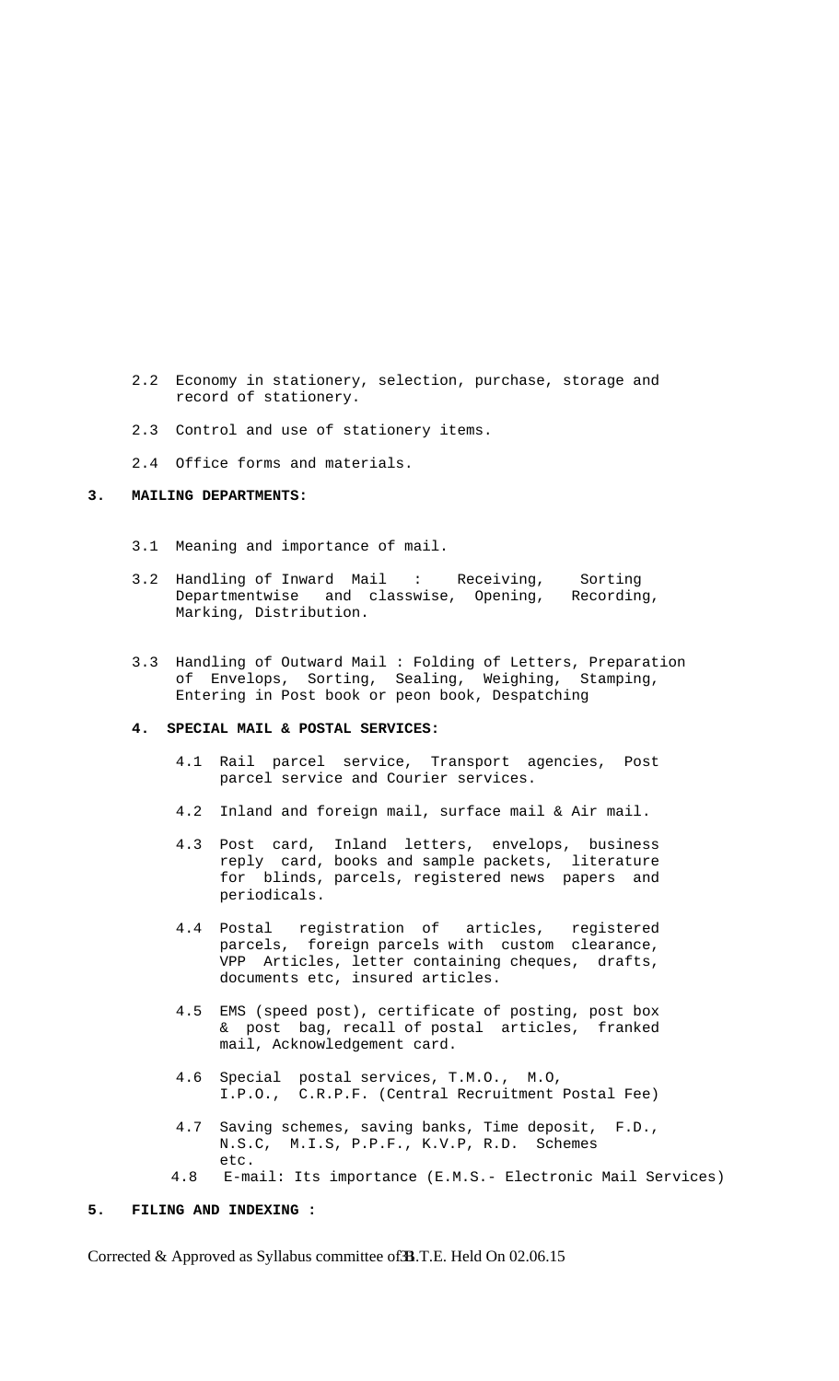- 2.2 Economy in stationery, selection, purchase, storage and record of stationery.
- 2.3 Control and use of stationery items.
- 2.4 Office forms and materials.

#### **3. MAILING DEPARTMENTS:**

- 3.1 Meaning and importance of mail.
- 3.2 Handling of Inward Mail : Receiving, Sorting Departmentwise and classwise, Opening, Recording, Marking, Distribution.
	- 3.3 Handling of Outward Mail : Folding of Letters, Preparation of Envelops, Sorting, Sealing, Weighing, Stamping, Entering in Post book or peon book, Despatching

#### **4. SPECIAL MAIL & POSTAL SERVICES:**

- 4.1 Rail parcel service, Transport agencies, Post parcel service and Courier services.
- 4.2 Inland and foreign mail, surface mail & Air mail.
- 4.3 Post card, Inland letters, envelops, business reply card, books and sample packets, literature for blinds, parcels, registered news papers and periodicals.
- 4.4 Postal registration of articles, registered parcels, foreign parcels with custom clearance, VPP Articles, letter containing cheques, drafts, documents etc, insured articles.
	- 4.5 EMS (speed post), certificate of posting, post box & post bag, recall of postal articles, franked mail, Acknowledgement card.
	- 4.6 Special postal services, T.M.O., M.O, I.P.O., C.R.P.F. (Central Recruitment Postal Fee)
	- 4.7 Saving schemes, saving banks, Time deposit, F.D., N.S.C, M.I.S, P.P.F., K.V.P, R.D. Schemes etc.
	- 4.8 E-mail: Its importance (E.M.S.- Electronic Mail Services)

#### **5. FILING AND INDEXING :**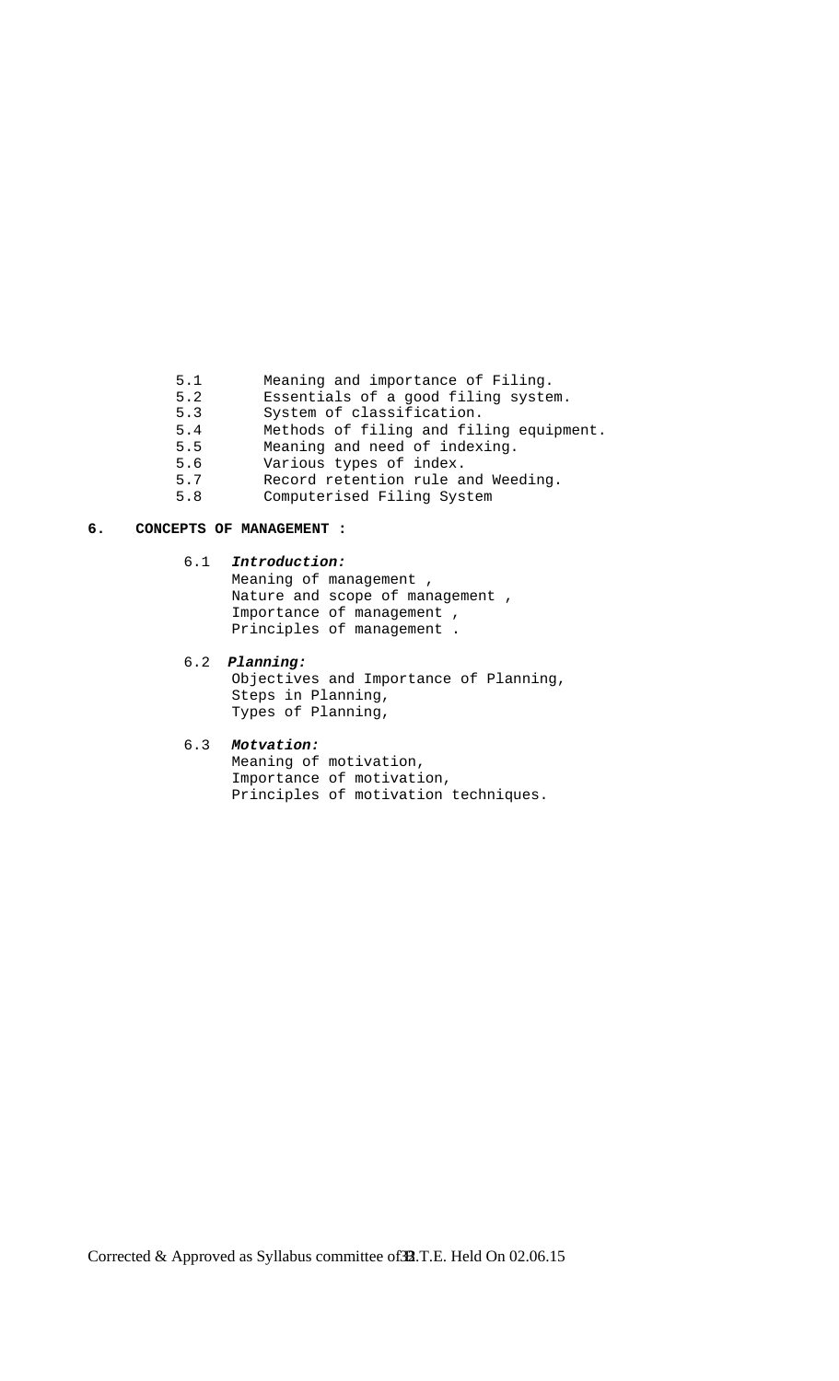- 5.1 Meaning and importance of Filing.<br>5.2 Essentials of a good filing syste
- Essentials of a good filing system.
- 5.3 System of classification.<br>5.4 Methods of filing and fil
- 5.4 Methods of filing and filing equipment.<br>5.5 Meaning and need of indexing.
- 5.5 Meaning and need of indexing.<br>5.6 Various types of index.
- 5.6 Various types of index.<br>5.7 Record retention rule a
- Record retention rule and Weeding.
- 5.8 Computerised Filing System

#### **6. CONCEPTS OF MANAGEMENT :**

### 6.1 *Introduction:*

 Meaning of management , Nature and scope of management , Importance of management , Principles of management .

#### 6.2 *Planning:*

Objectives and Importance of Planning, Steps in Planning, Types of Planning,

#### 6.3 *Motvation:*

 Meaning of motivation, Importance of motivation, Principles of motivation techniques.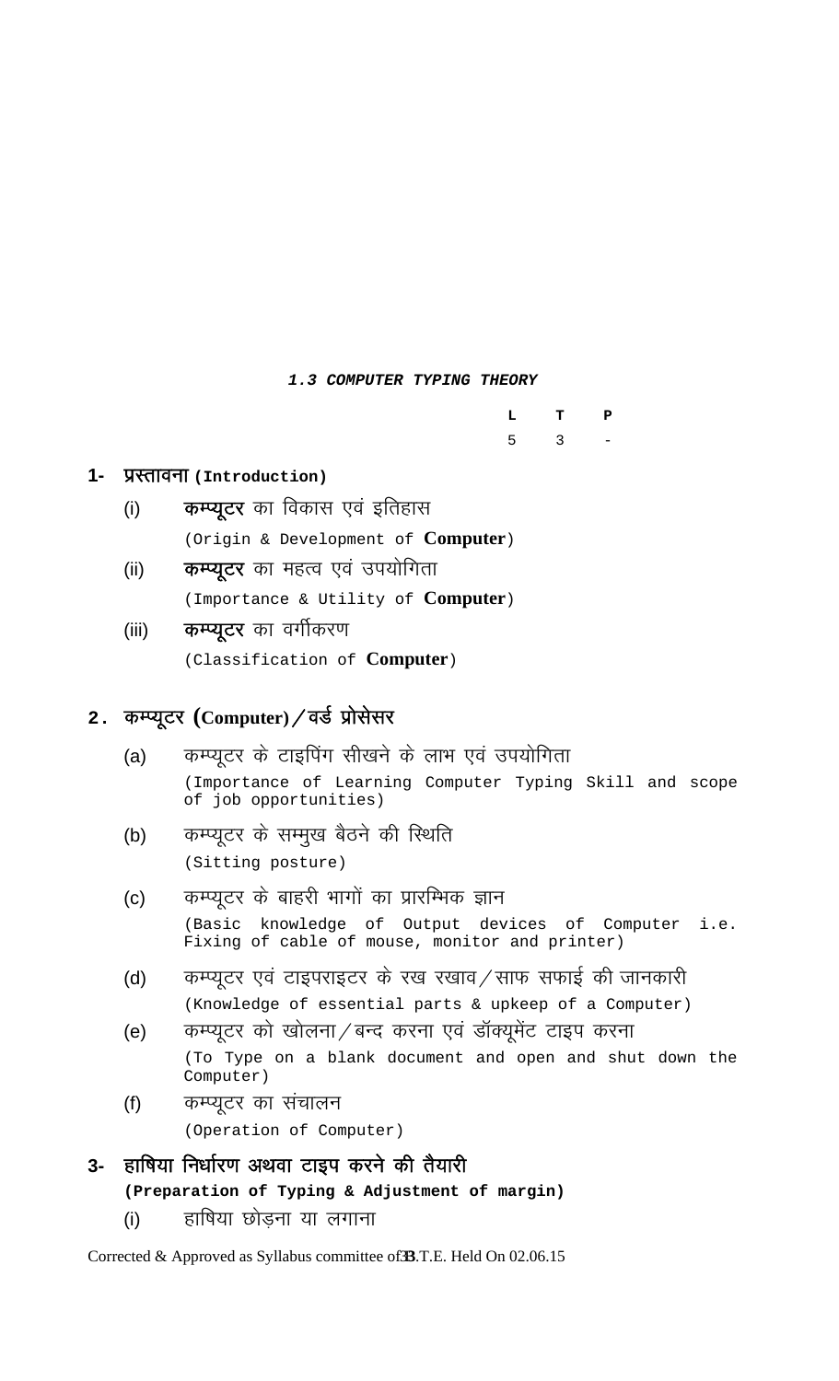### *1.3 COMPUTER TYPING THEORY*

|  | L T P                 |  |
|--|-----------------------|--|
|  | $5 \qquad 3 \qquad -$ |  |

### 1- प्रस्तावना (Introduction)

- (i) कम्प्यूटर का विकास एवं इतिहास (Origin & Development of **Computer**)
- (ii) **कम्प्यूटर** का महत्व एवं उपयोगिता (Importance & Utility of **Computer**)
- (iii) **कम्प्यूटर** का वर्गीकरण

(Classification of **Computer**)

## 2. कम्प्यूटर (Computer) / वर्ड प्रोसेसर

- (a) कम्प्यूटर के टाइपिंग सीखने के लाभ एवं उपयोगिता (Importance of Learning Computer Typing Skill and scope of job opportunities)
- (b) कम्प्यूटर के सम्मुख बैठने की स्थिति (Sitting posture)
- (c) कम्प्यूटर के बाहरी भागों का प्रारम्भिक ज्ञान (Basic knowledge of Output devices of Computer i.e. Fixing of cable of mouse, monitor and printer)
- (d) कम्प्युटर एवं टाइपराइटर के रख रखाव ⁄ साफ सफाई की जानकारी (Knowledge of essential parts & upkeep of a Computer)
- (e) व्यास्प्यूटर को खोलना / बन्द करना एवं डॉक्यूमेंट टाइप करना (To Type on a blank document and open and shut down the Computer)
- (f) कम्प्यूटर का संचालन

(Operation of Computer)

## **3-** हाषिया निर्धारण अथवा टाइप करने की तैयारी

**(Preparation of Typing & Adjustment of margin)** 

(i) हाषिया छोडना या लगाना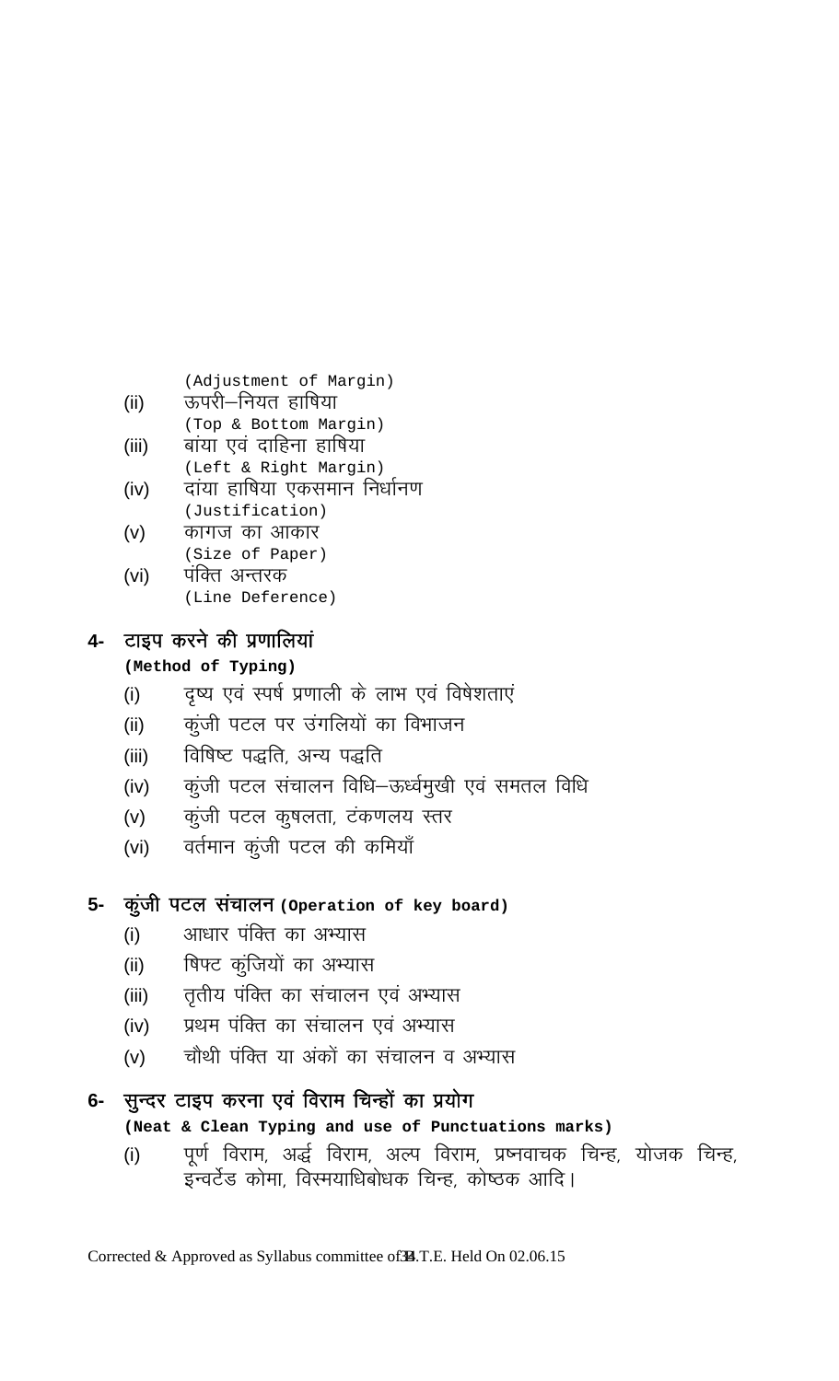(Adjustment of Margin)

- ii) ऊपरी—नियत हाषिया<br>(Top & Bottom Margin)
- iii) बांया एवं दाहिना हाषिया)<br>(Left & Right Margin)
- (iv) दांया हाषिया एकसमान निर्धानण<br>(Justification)
- **(v) कागज का आकार)**<br>(Size of Paper)
- (vi) पंक्ति अन्तरक<br>(Line Deference)

## **4-** टाइप करने की प्रणालियां

## **(Method of Typing)**

- (i) वृष्य एवं स्पर्ष प्रणाली के लाभ एवं विषेशताएं
- (ii) कुंजी पटल पर उंगलियों का विभाजन
- (iii) विषिष्ट पद्धति, अन्य पद्धति
- (iv) कुंजी पटल संचालन विधि–ऊर्ध्वमुखी एवं समतल विधि
- (v) कुंजी पटल कुषलता, टंकणलय स्तर
- (vi) वर्तमान कुंजी पटल की कमियाँ

## 5- कुंजी पटल संचालन (Operation of key board)

- (i) अाधार पंक्ति का अभ्यास
- (ii) शिफ्ट कुंजियों का अभ्यास
- (iii) तृतीय पंक्ति का संचालन एवं अभ्यास
- (iv) प्रथम पंक्ति का संचालन एवं अभ्यास
- (v) चौथी पंक्ति या अंकों का संचालन व अभ्यास

## 6- सुन्दर टाइप करना एवं विराम चिन्हों का प्रयोग

## **(Neat & Clean Typing and use of Punctuations marks)**

(i) पूर्ण विराम, अर्द्ध विराम, अल्प विराम, प्रष्नवाचक चिन्ह, योजक चिन्ह, इन्वर्टेड कोमा, विस्मयाधिबोधक चिन्ह, कोष्ठक आदि।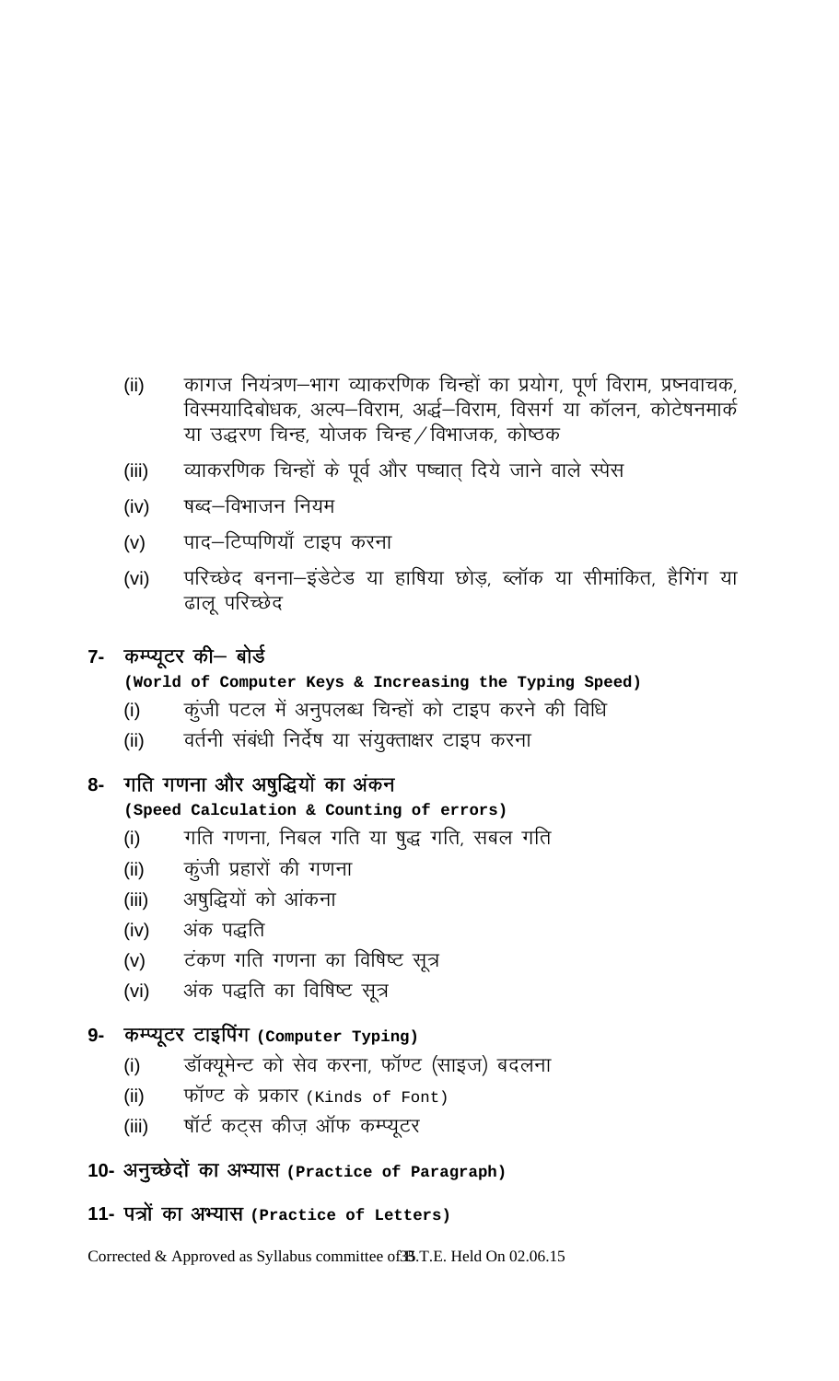- (ii) कागज नियंत्रण-भाग व्याकरणिक चिन्हों का प्रयोग, पूर्ण विराम, प्रष्नवाचक, विस्मयादिबोधक, अल्प-विराम, अर्द्ध-विराम, विसर्ग या कॉलन, कोटेषनमार्क या उद्धरण चिन्ह, योजक चिन्ह / विभाजक, कोष्ठक
- (iii) व्याकरणिक चिन्हों के पूर्व और पष्चात् दिये जाने वाले स्पेस
- (iv) पब्द—विभाजन नियम
- (v) पाद—टिप्पणियाँ टाइप करना
- (vi) परिच्छेद बनना-इंडेटेड या हाषिया छोड़, ब्लॉक या सीमांकित, हैगिंग या ढाल परिच्छेद

## 7- कम्प्यूटर की– बोर्ड

## **(World of Computer Keys & Increasing the Typing Speed)**

- (i) व्यंजी पटल में अनुपलब्ध चिन्हों को टाइप करने की विधि
- (ii) वर्तनी संबंधी निर्देष या संयुक्ताक्षर टाइप करना

## 8- गति गणना और अषुद्धियों का अंकन

## **(Speed Calculation & Counting of errors)**

- (i) गति गणना, निबल गति या षुद्ध गति, सबल गति
- (ii) कुंजी प्रहारों की गणना
- (iii) अषुद्धियों को आंकना
- (iv) अंक पद्धति
- (v) टंकण गति गणना का विषिष्ट सूत्र
- (vi) अंक पद्धति का विषिष्ट सूत्र

### **9-** कम्प्यूटर टाइपिंग (Computer Typing)

- (i) जॉक्यूमेन्ट को सेव करना, फॉण्ट (साइज) बदलना
- (ii) प्लॉण्ट के प्रकार (Kinds of Font)
- (iii) पॉर्ट कट्स कीज़ ऑफ कम्प्यूटर

## 10- अनुच्छेदों का अभ्यास (Practice of Paragraph)

## 11- पत्रों का अभ्यास (Practice of Letters)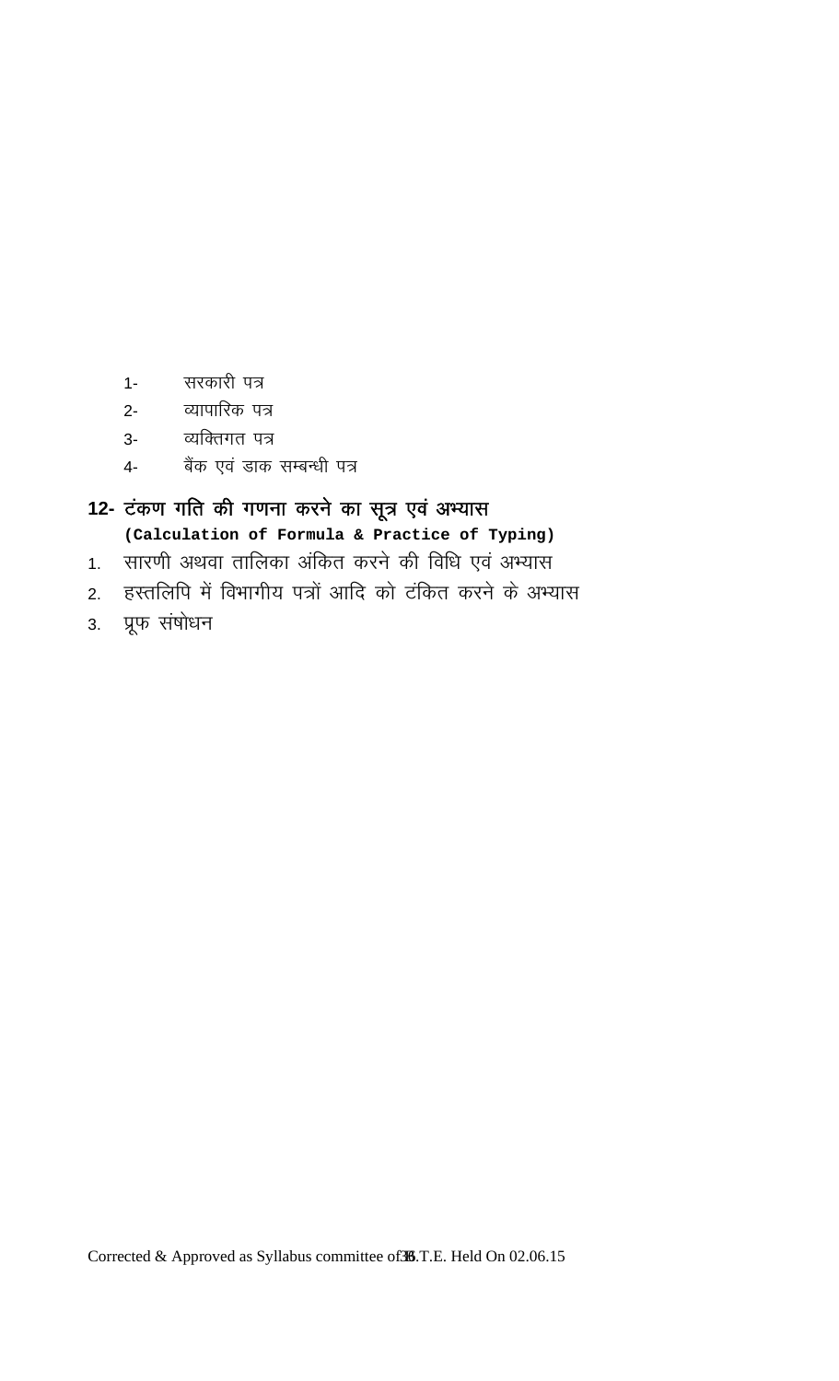- 1- सरकारी पत्र
- 
- 
- 
- 
- 
- 
- 
- 
- 
- 
- 
- 
- 2- व्यापारिक पत्र
- 
- 
- 
- 

3. प्रूफ संषोधन

3- व्यक्तिगत पत्र 4- बैंक एवं डाक सम्बन्धी पत्र

12- टंकण गति की गणना करने का सूत्र एवं अभ्यास

**(Calculation of Formula & Practice of Typing)** 

2. हस्तलिपि में विभागीय पत्रों आदि को टंकित करने के अभ्यास

1. सारणी अथवा तालिका अंकित करने की विधि एवं अभ्यास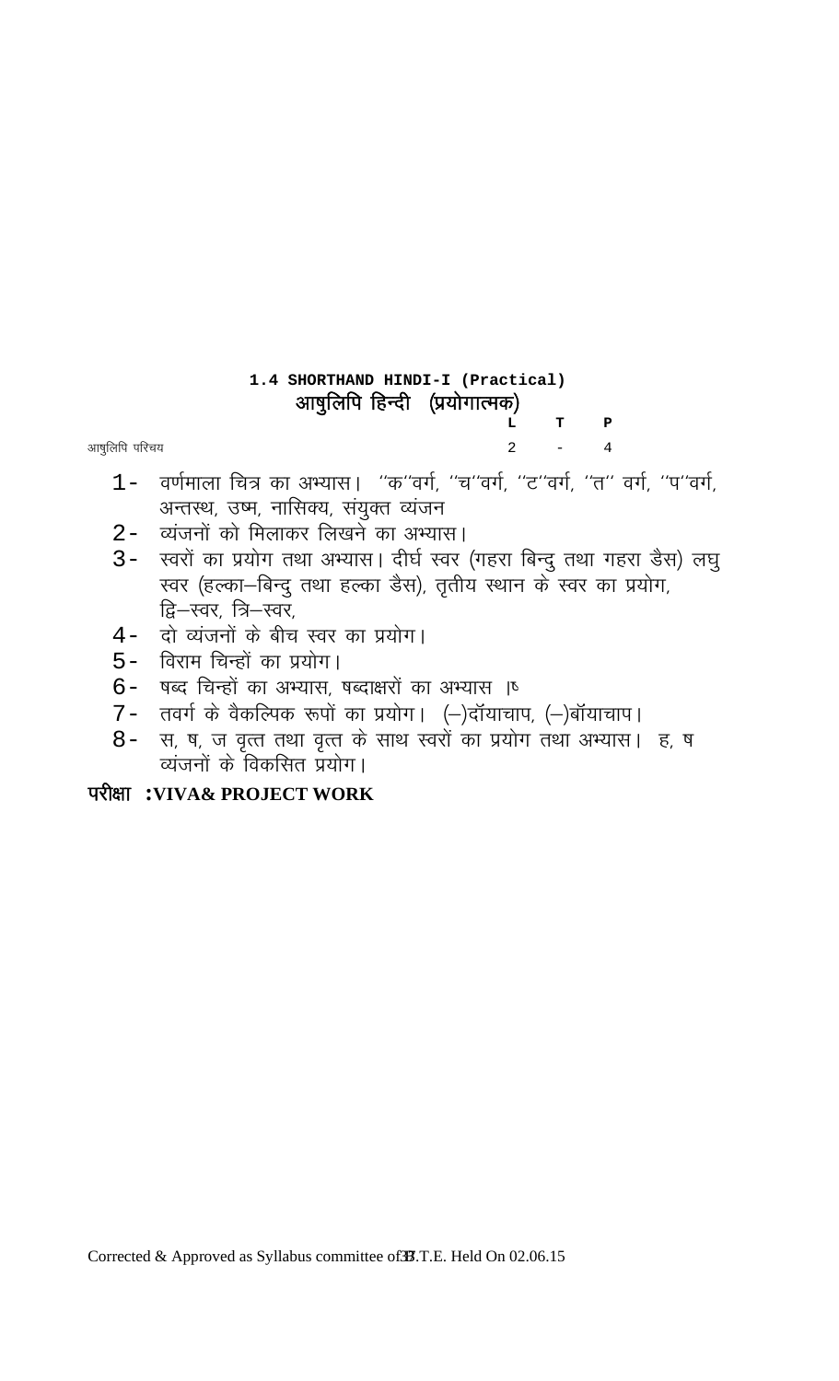# **1.4 SHORTHAND HINDI-I (Practical)**  आषुलिपि हिन्दी (प्रयोगात्मक)  **L T P**

आषुलिपि परिचय $\,$ 

- $1-$  वर्णमाला चित्र का अभ्यास। "क"वर्ग, "च"वर्ग, "ट"वर्ग, "त" वर्ग, "प"वर्ग, अन्तस्थ, उष्म, नासिक्य, संयुक्त व्यंजन
- 2- व्यंजनों को मिलाकर लिखने का अभ्यास।
- 3- स्वरों का प्रयोग तथा अभ्यास। दीर्घ स्वर (गहरा बिन्दु तथा गहरा डैस) लघु स्वर (हल्का-बिन्दु तथा हल्का डैस), तृतीय स्थान के स्वर का प्रयोग, द्वि—स्वर, त्रि—स्वर,
- 4- दो व्यंजनों के बीच स्वर का प्रयोग।
- 5- विराम चिन्हों का प्रयोग।
- $6-$  षब्द चिन्हों का अभ्यास, षब्दाक्षरों का अभ्यास ।
- 7- तवर्ग के वैकल्पिक रूपों का प्रयोग। (-)दॉयाचाप, (-)बॉयाचाप।
- 8- स, ष, ज वृत्त तथा वृत्त के साथ स्वरों का प्रयोग तथा अभ्यास। ह, ष व्यंजनों के विकसित प्रयोग।

# ijh{kk **:VIVA& PROJECT WORK**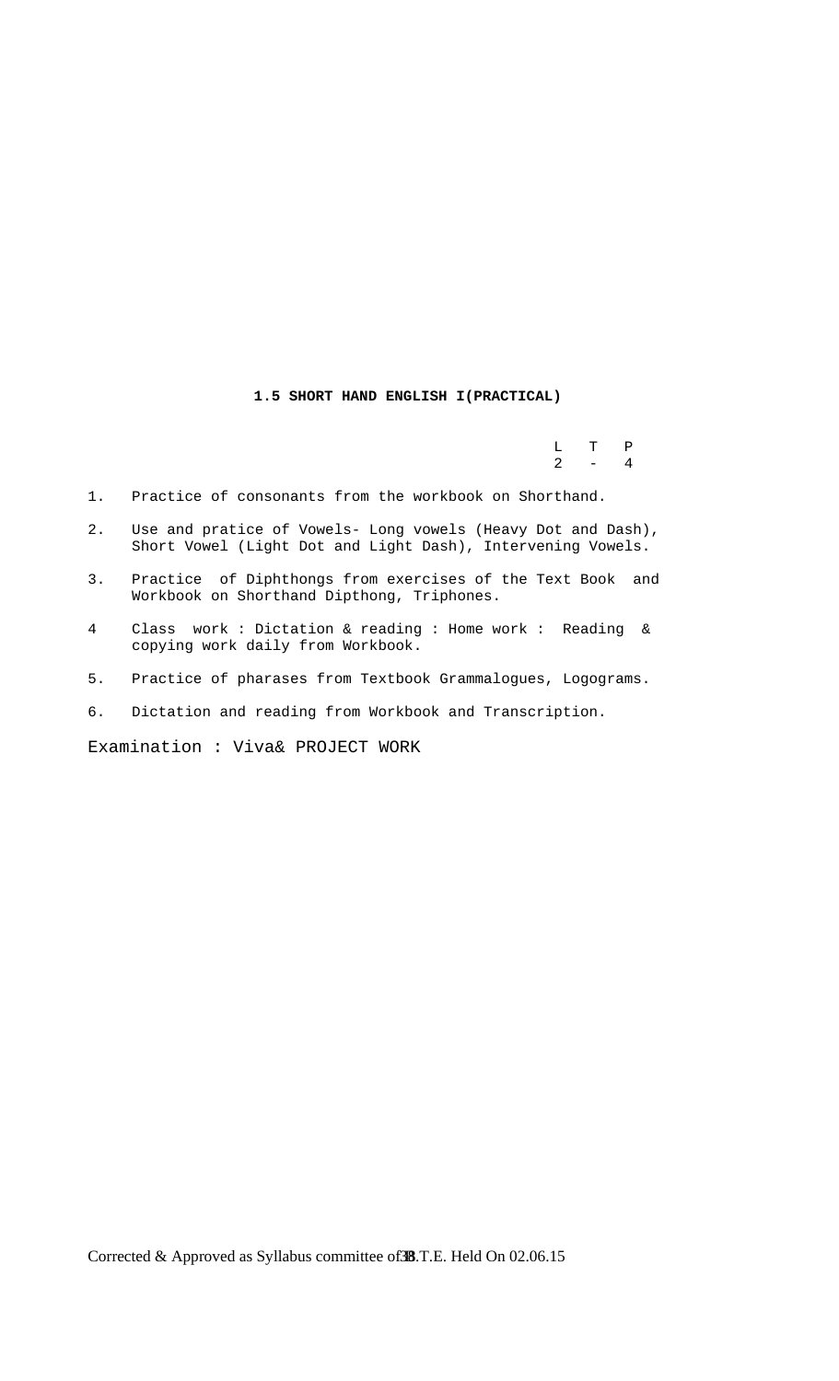## **1.5 SHORT HAND ENGLISH I(PRACTICAL)**

 L T P  $2 - 4$ 

- 1. Practice of consonants from the workbook on Shorthand.
- 2. Use and pratice of Vowels- Long vowels (Heavy Dot and Dash), Short Vowel (Light Dot and Light Dash), Intervening Vowels.
- 3. Practice of Diphthongs from exercises of the Text Book and Workbook on Shorthand Dipthong, Triphones.
- 4 Class work : Dictation & reading : Home work : Reading & copying work daily from Workbook.
- 5. Practice of pharases from Textbook Grammalogues, Logograms.
- 6. Dictation and reading from Workbook and Transcription.

Examination : Viva& PROJECT WORK

Corrected & Approved as Syllabus committee of 38.T.E. Held On 02.06.15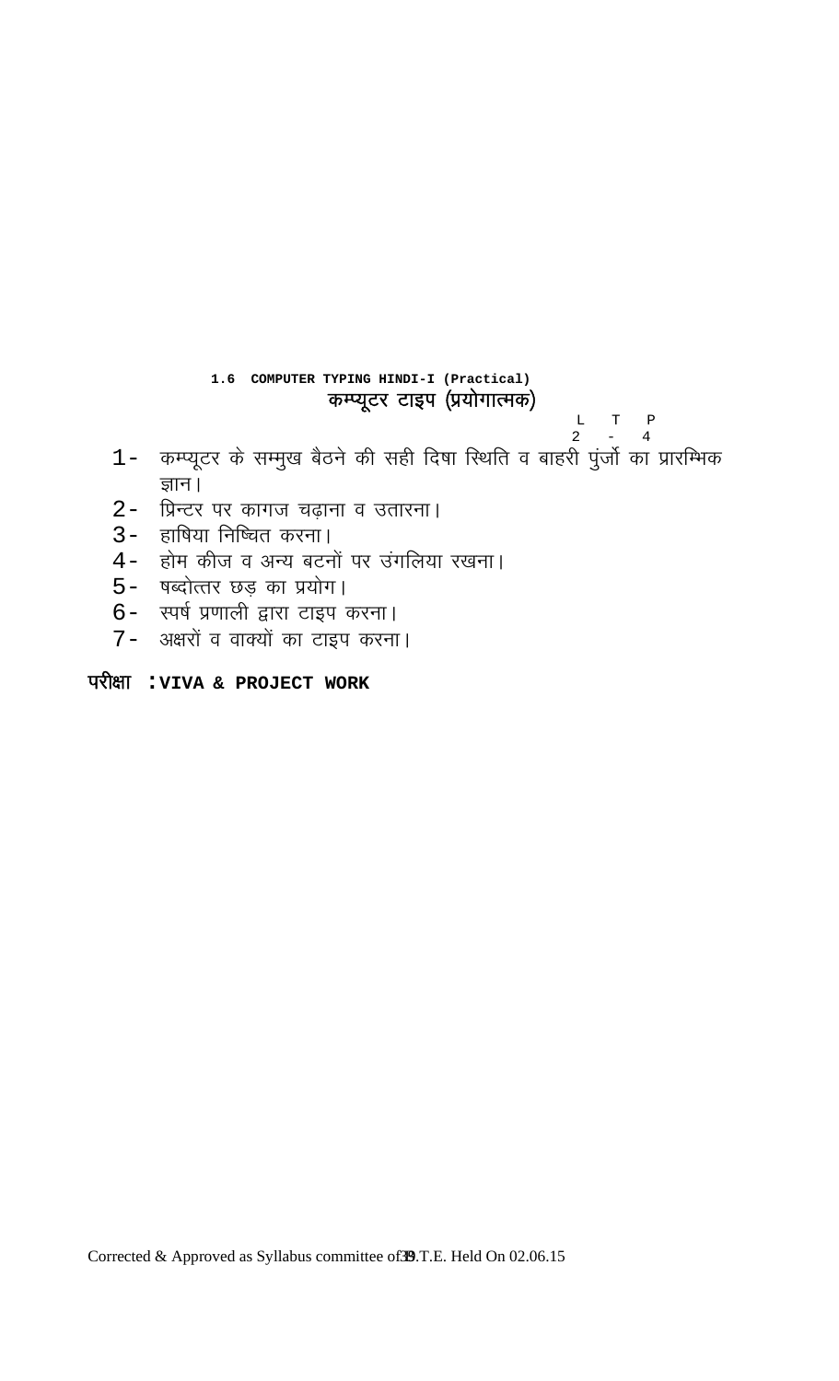1.6 COMPUTER TYPING HINDI-I (Practical)

1- कम्प्यूटर के सम्मुख बैठने की सही दिषा स्थिति व बाहरी पुंर्जो का प्रारम्भिक

कम्प्यूटर टाइप (प्रयोगात्मक)

 $\begin{array}{ccc} \text{L} & \text{T} & \text{P} \\ \text{2} & - & 4 \end{array}$ 

Corrected & Approved as Syllabus committee of 39.T.E. Held On 02.06.15

# परीक्षा : VIVA & PROJECT WORK

3- हाषिया निष्चित करना।

5- षब्दोत्तर छड़ का प्रयोग।

6- स्पर्ष प्रणाली द्वारा टाइप करना। 7- अक्षरों व वाक्यों का टाइप करना।

2- प्रिन्टर पर कागज चढ़ाना व उतारना।

4- होम कीज व अन्य बटनों पर उंगलिया रखना।

ज्ञान।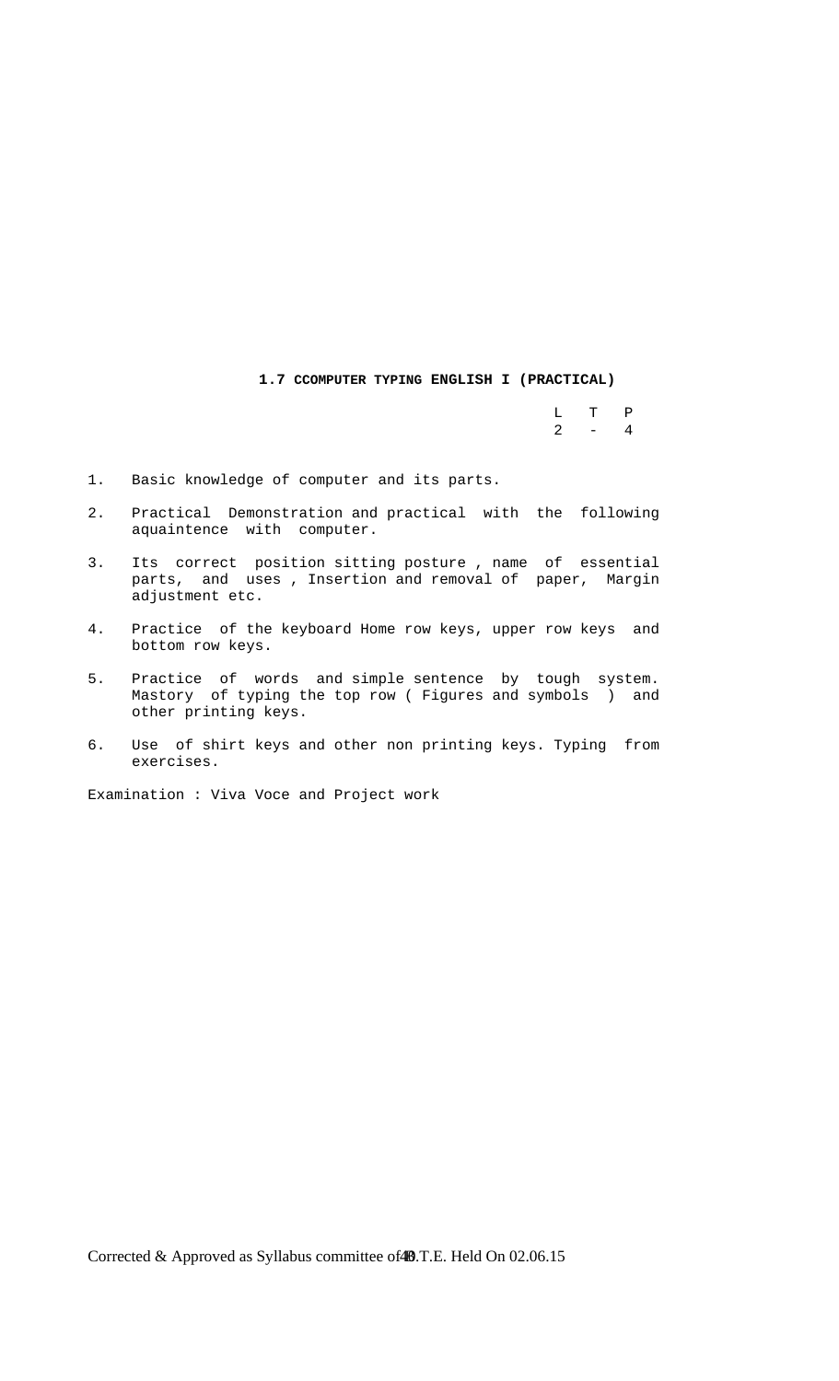**1.7 CCOMPUTER TYPING ENGLISH I (PRACTICAL)** 

 L T P  $2 - 4$ 

- 1. Basic knowledge of computer and its parts.
- 2. Practical Demonstration and practical with the following aquaintence with computer.
- 3. Its correct position sitting posture , name of essential parts, and uses , Insertion and removal of paper, Margin adjustment etc.
- 4. Practice of the keyboard Home row keys, upper row keys and bottom row keys.
- 5. Practice of words and simple sentence by tough system. Mastory of typing the top row ( Figures and symbols ) and other printing keys.
- 6. Use of shirt keys and other non printing keys. Typing from exercises.

Examination : Viva Voce and Project work

Corrected & Approved as Syllabus committee of 49.T.E. Held On 02.06.15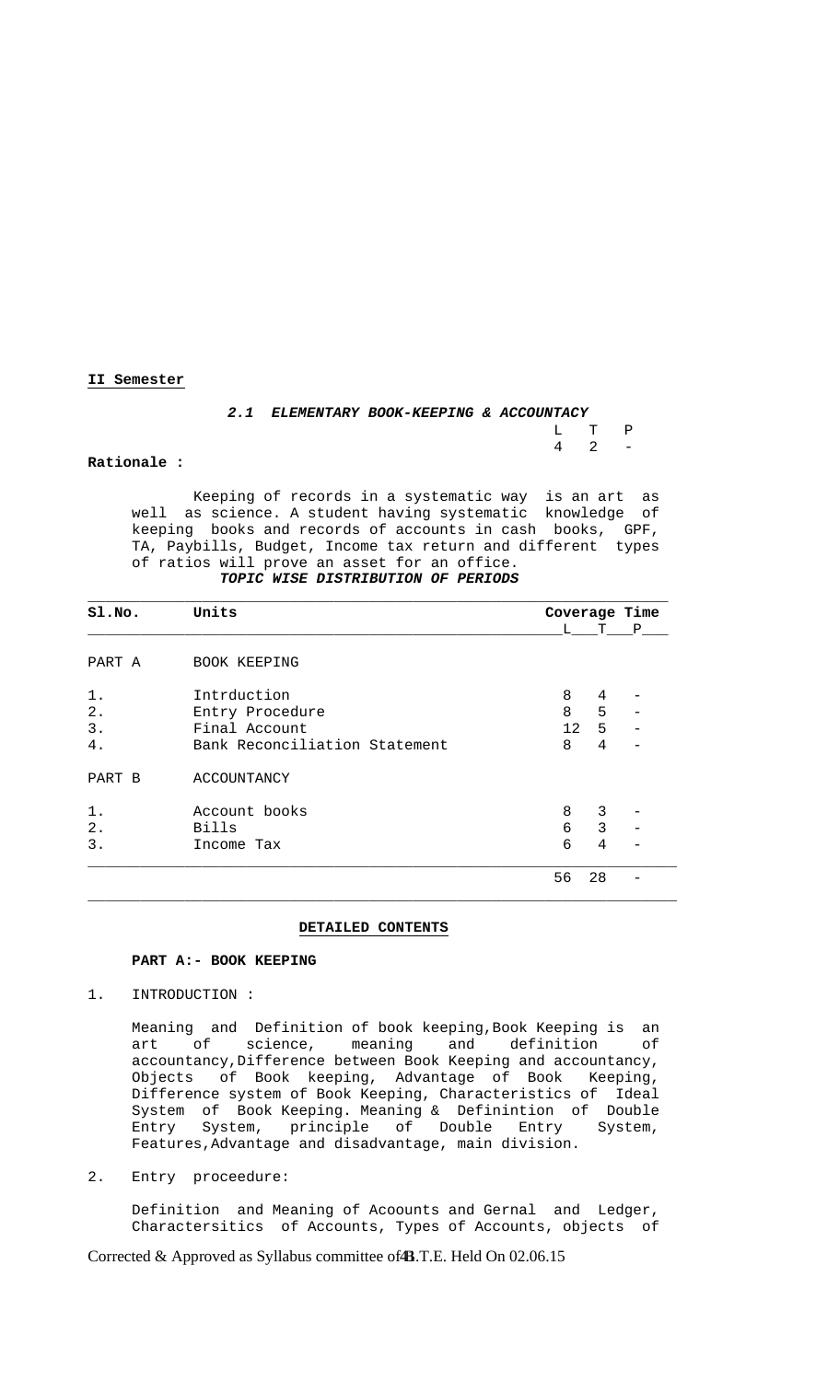## **II Semester**

|  | 2.1 ELEMENTARY BOOK-KEEPING & ACCOUNTACY |       |  |
|--|------------------------------------------|-------|--|
|  |                                          | T. TP |  |
|  |                                          | 4 2 – |  |

#### **Rationale :**

 Keeping of records in a systematic way is an art as well as science. A student having systematic knowledge of keeping books and records of accounts in cash books, GPF, TA, Paybills, Budget, Income tax return and different types of ratios will prove an asset for an office.

## *TOPIC WISE DISTRIBUTION OF PERIODS*

| SI.NO. | Units                         |              | Coverage Time  |     |
|--------|-------------------------------|--------------|----------------|-----|
|        |                               | $\mathbf{L}$ |                | T P |
| PART A | BOOK KEEPING                  |              |                |     |
| $1$ .  | Intrduction                   | 8            | 4              |     |
| 2.     | Entry Procedure               | 8            | 5              |     |
| 3.     | Final Account                 | 12           | 5              |     |
| 4.     | Bank Reconciliation Statement | 8            | 4              |     |
| PART B | ACCOUNTANCY                   |              |                |     |
| $1$ .  | Account books                 | 8            | 3              |     |
| 2.     | Bills                         | 6            | $\mathsf{3}$   |     |
| 3.     | Income Tax                    | 6            | $\overline{4}$ |     |
|        |                               | 56           | 28             |     |

## **DETAILED CONTENTS**

#### **PART A:- BOOK KEEPING**

1. INTRODUCTION :

 Meaning and Definition of book keeping,Book Keeping is an art of science, meaning and definition of accountancy,Difference between Book Keeping and accountancy, Objects of Book keeping, Advantage of Book Keeping, Difference system of Book Keeping, Characteristics of Ideal System of Book Keeping. Meaning & Definintion of Double Entry System, principle of Double Entry System, Features,Advantage and disadvantage, main division.

#### 2. Entry proceedure:

 Definition and Meaning of Acoounts and Gernal and Ledger, Charactersitics of Accounts, Types of Accounts, objects of

Corrected & Approved as Syllabus committee of **4B**.T.E. Held On 02.06.15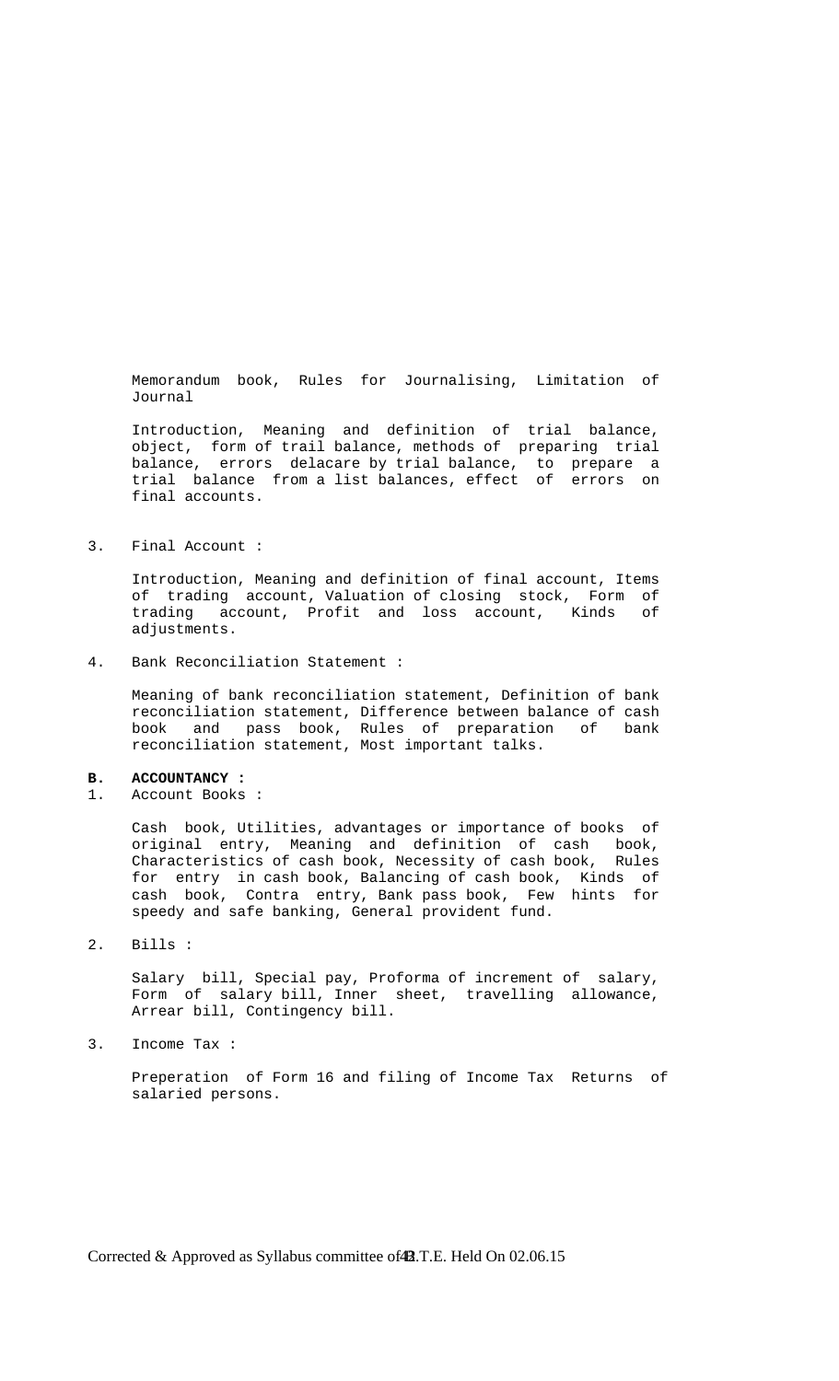Memorandum book, Rules for Journalising, Limitation of Journal

 Introduction, Meaning and definition of trial balance, object, form of trail balance, methods of preparing trial balance, errors delacare by trial balance, to prepare a trial balance from a list balances, effect of errors on final accounts.

3. Final Account :

 Introduction, Meaning and definition of final account, Items of trading account, Valuation of closing stock, Form of trading account, Profit and loss account, Kinds of adjustments.

4. Bank Reconciliation Statement :

 Meaning of bank reconciliation statement, Definition of bank reconciliation statement, Difference between balance of cash book and pass book, Rules of preparation of bank reconciliation statement, Most important talks.

#### **B. ACCOUNTANCY :**

1. Account Books :

 Cash book, Utilities, advantages or importance of books of original entry, Meaning and definition of cash book, Characteristics of cash book, Necessity of cash book, Rules for entry in cash book, Balancing of cash book, Kinds of cash book, Contra entry, Bank pass book, Few hints for speedy and safe banking, General provident fund.

2. Bills :

 Salary bill, Special pay, Proforma of increment of salary, Form of salary bill, Inner sheet, travelling allowance, Arrear bill, Contingency bill.

3. Income Tax :

 Preperation of Form 16 and filing of Income Tax Returns of salaried persons.

Corrected & Approved as Syllabus committee of **12**.T.E. Held On 02.06.15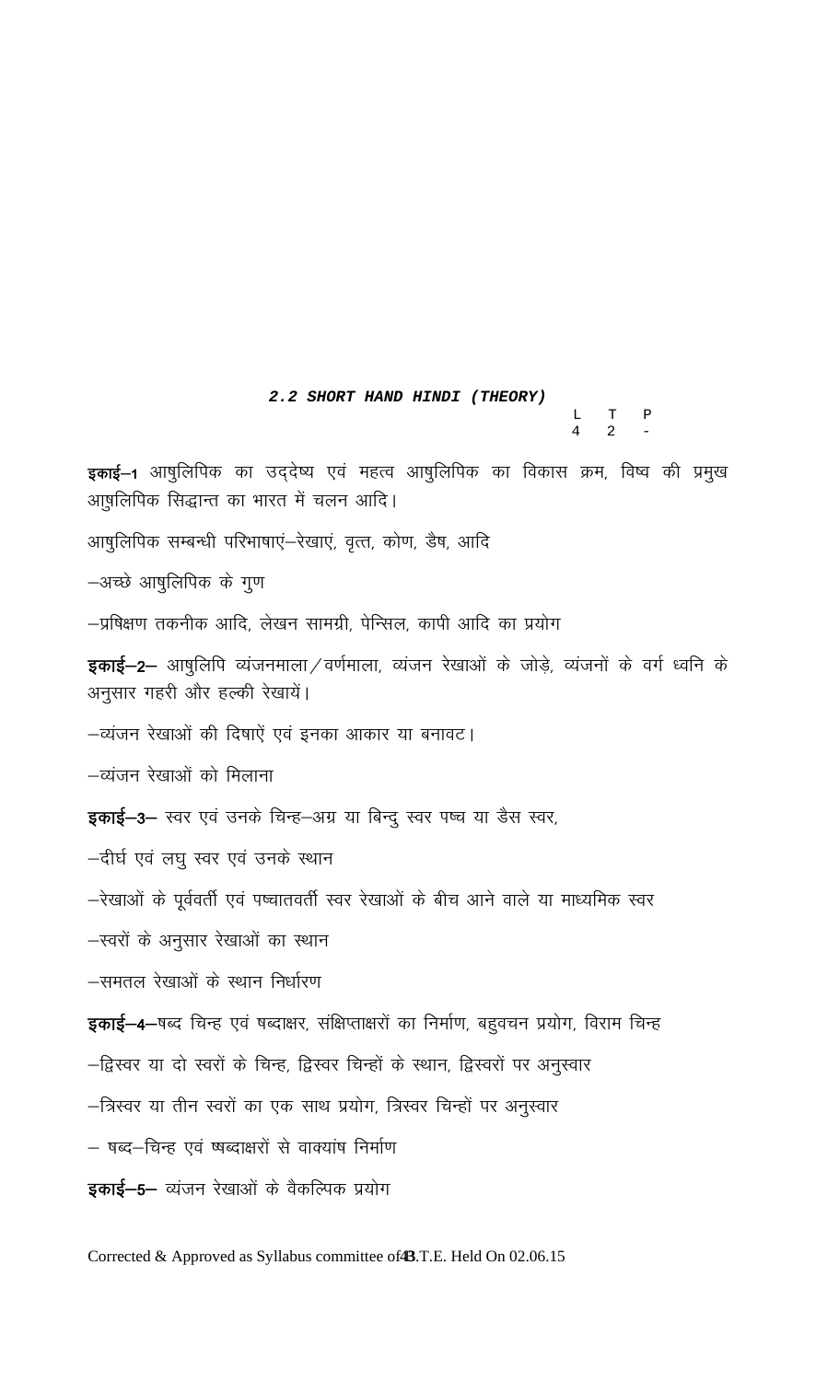# 2.2 SHORT HAND HINDI (THEORY)

 $\begin{array}{ccc}\nL & T & P \\
4 & 2 & -\n\end{array}$ 

इकाई–1 आषुलिपिक का उद्देष्य एवं महत्व आषुलिपिक का विकास क्रम, विष्व की प्रमुख आ़षलिपिक सिद्धान्त का भारत में चलन आदि।

आषुलिपिक सम्बन्धी परिभाषाएं-रेखाएं, वृत्त, कोण, डैष, आदि

-अच्छे आषुलिपिक के गुण

–प्रषिक्षण तकनीक आदि, लेखन सामग्री, पेन्सिल, कापी आदि का प्रयोग

**इकाई–2–** आषुलिपि व्यंजनमाला/वर्णमाला, व्यंजन रेखाओं के जोड़े, व्यंजनों के वर्ग ध्वनि के अनुसार गहरी और हल्की रेखायें।

-व्यंजन रेखाओं की दिषाऐं एवं इनका आकार या बनावट।

—व्यंजन रेखाओं को मिलाना

इकाई-3- स्वर एवं उनके चिन्ह-अग्र या बिन्दु स्वर पष्च या डैस स्वर,

-दीर्घ एवं लघु स्वर एवं उनके स्थान

–रेखाओं के पूर्ववर्ती एवं पष्चातवर्ती स्वर रेखाओं के बीच आने वाले या माध्यमिक स्वर

-स्वरों के अनुसार रेखाओं का स्थान

-समतल रेखाओं के स्थान निर्धारण

इकाई-4-षब्द चिन्ह एवं षब्दाक्षर, संक्षिप्ताक्षरों का निर्माण, बहुवचन प्रयोग, विराम चिन्ह

–द्विस्वर या दो स्वरों के चिन्ह, द्विस्वर चिन्हों के स्थान, द्विस्वरों पर अनुस्वार

–त्रिस्वर या तीन स्वरों का एक साथ प्रयोग, त्रिस्वर चिन्हों पर अनुस्वार

– षब्द–चिन्ह एवं ष्षब्दाक्षरों से वाक्यांष निर्माण

इकाई-5- व्यंजन रेखाओं के वैकल्पिक प्रयोग

Corrected & Approved as Syllabus committee of 4B.T.E. Held On 02.06.15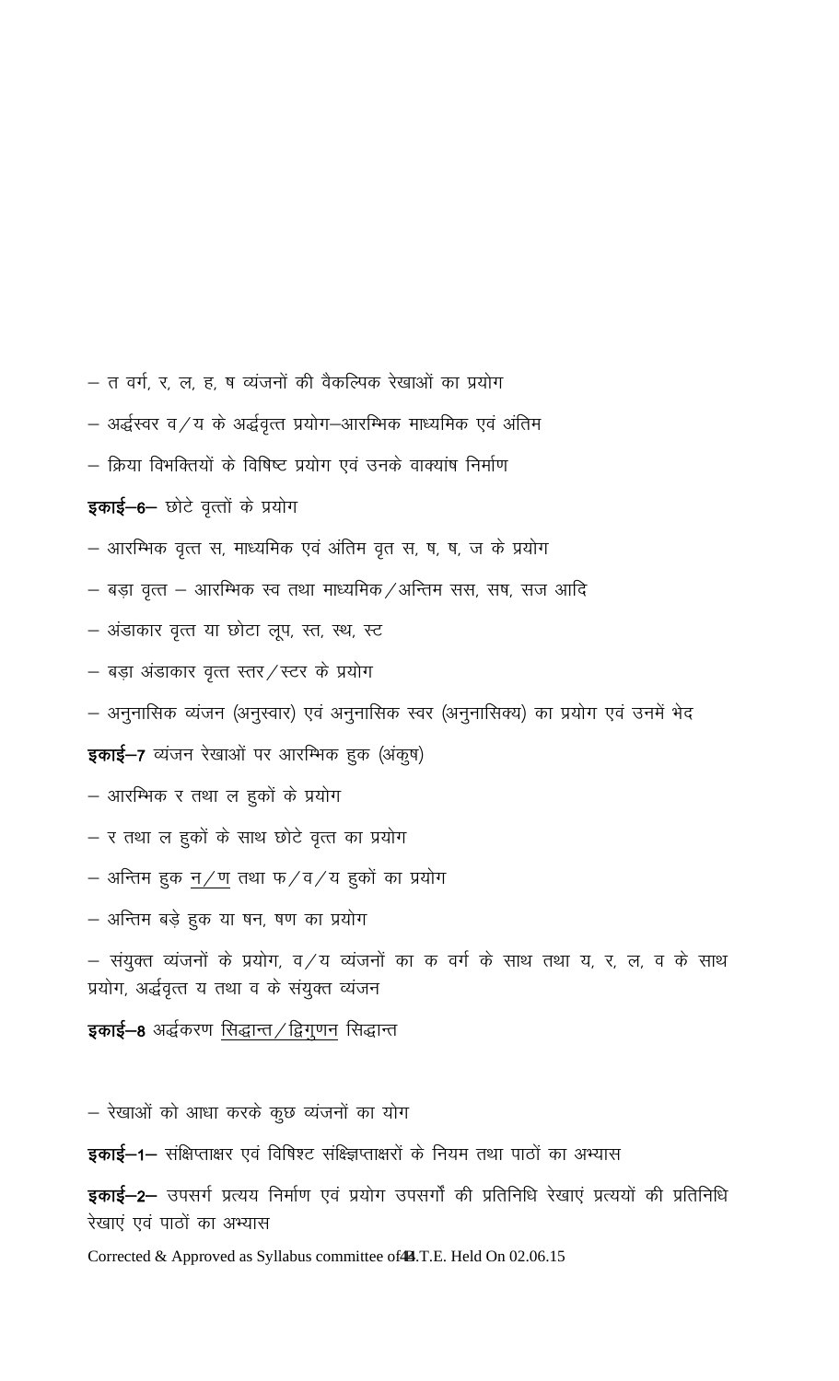- त वर्ग, र, ल, ह, ष व्यंजनों की वैकल्पिक रेखाओं का प्रयोग
- $-$  अर्द्धस्वर व $\angle$ य के अर्द्धवृत्त प्रयोग $-$ आरम्भिक माध्यमिक एवं अंतिम
- क्रिया विभक्तियों के विषिष्ट प्रयोग एवं उनके वाक्यांष निर्माण

# इकाई-6- छोटे वृत्तों के प्रयोग

- आरम्भिक वृत्त स, माध्यमिक एवं अंतिम वृत स, ष, ष, ज के प्रयोग
- $-$  बड़ा वृत्त आरम्भिक स्व तथा माध्यमिक /अन्तिम सस, सष, सज आदि
- अंडाकार वृत्त या छोटा लूप, स्त, स्थ, स्ट
- $-$  बड़ा अंडाकार वृत्त स्तर/स्टर के प्रयोग
- अनुनासिक व्यंजन (अनुस्वार) एवं अनुनासिक स्वर (अनुनासिक्य) का प्रयोग एवं उनमें भेद

# इकाई-7 व्यंजन रेखाओं पर आरम्भिक हक (अंकूष)

- आरम्भिक र तथा ल हुकों के प्रयोग
- र तथा ल हुकों के साथ छोटे वृत्त का प्रयोग
- $-$  अन्तिम हुक <u>न / ण</u> तथा फ / व / य हुकों का प्रयोग
- अन्तिम बड़े हुक या षन, षण का प्रयोग
- $-$  संयुक्त व्यंजनों के प्रयोग, व $\angle$ य व्यंजनों का क वर्ग के साथ तथा य, र, ल, व के साथ प्रयोग, अर्द्धवृत्त य तथा व के संयुक्त व्यंजन

# इकाई–8 अर्द्धकरण <u>सिद्धान्त / द्विगुणन</u> सिद्धान्त

– रेखाओं को आधा करके कुछ व्यंजनों का योग

**इकाई–1–** संक्षिप्ताक्षर एवं विषिश्ट संक्ष्क्षिप्ताक्षरों के नियम तथा पाठों का अभ्यास

इकाई–2– उपसर्ग प्रत्यय निर्माण एवं प्रयोग उपसर्गों की प्रतिनिधि रेखाएं प्रत्ययों की प्रतिनिधि रेखाएं एवं पाठों का अभ्यास

Corrected & Approved as Syllabus committee of 4.T.E. Held On 02.06.15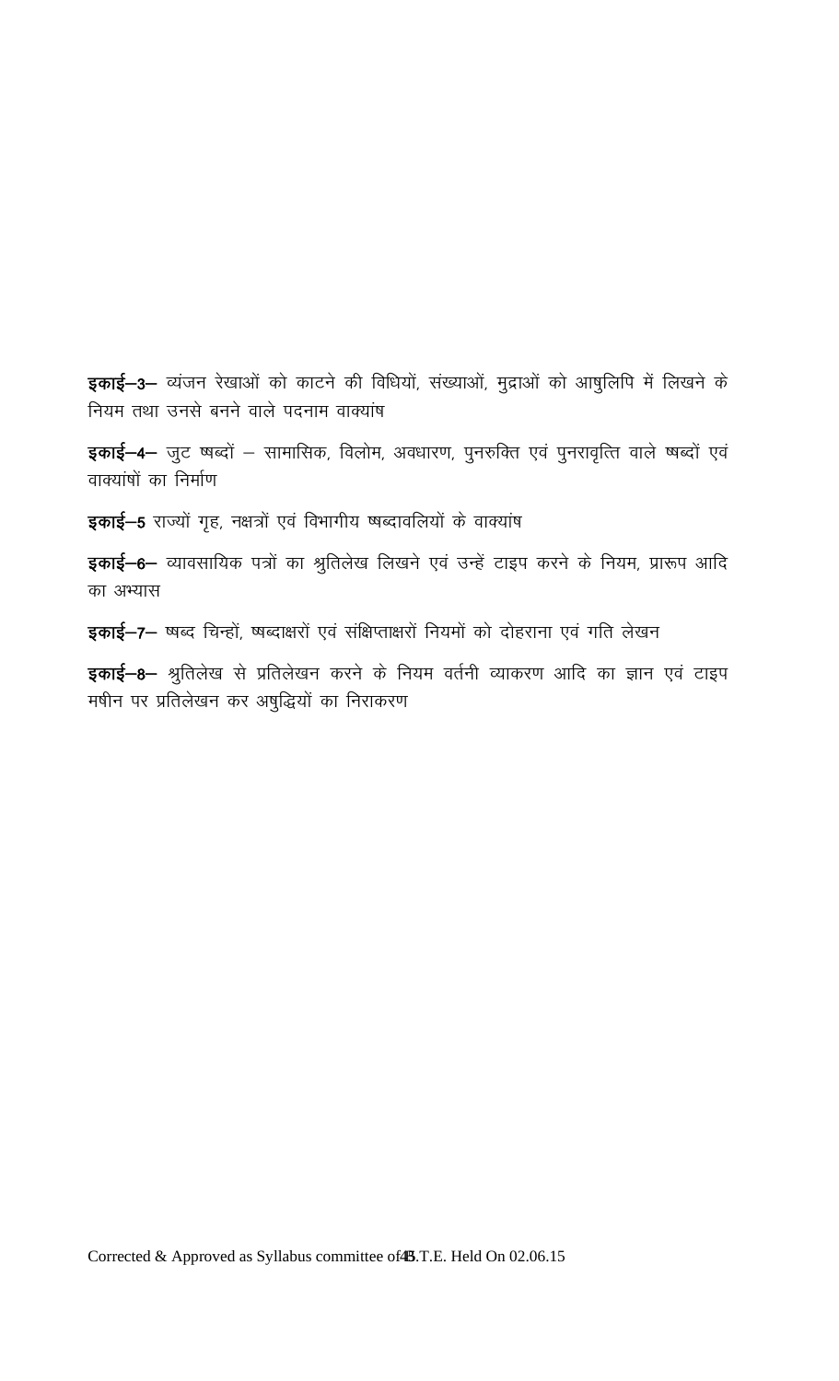इकाई-3- व्यंजन रेखाओं को काटने की विधियों, संख्याओं, मुद्राओं को आषुलिपि में लिखने के नियम तथा उनसे बनने वाले पदनाम वाक्यांष

इकाई-4- जुट ष्षब्दों - सामासिक, विलोम, अवधारण, पुनरुक्ति एवं पुनरावृत्ति वाले ष्षब्दों एवं वाक्यांषों का निर्माण

इकाई-5 राज्यों गृह, नक्षत्रों एवं विभागीय ष्षब्दावलियों के वाक्यांष

इकाई-6- व्यावसायिक पत्रों का श्रुतिलेख लिखने एवं उन्हें टाइप करने के नियम, प्रारूप आदि का अभ्यास

इकाई-7- ष्षब्द चिन्हों, ष्षब्दाक्षरों एवं संक्षिप्ताक्षरों नियमों को दोहराना एवं गति लेखन

इकाई-8- श्रुतिलेख से प्रतिलेखन करने के नियम वर्तनी व्याकरण आदि का ज्ञान एवं टाइप मषीन पर प्रतिलेखन कर अषुद्धियों का निराकरण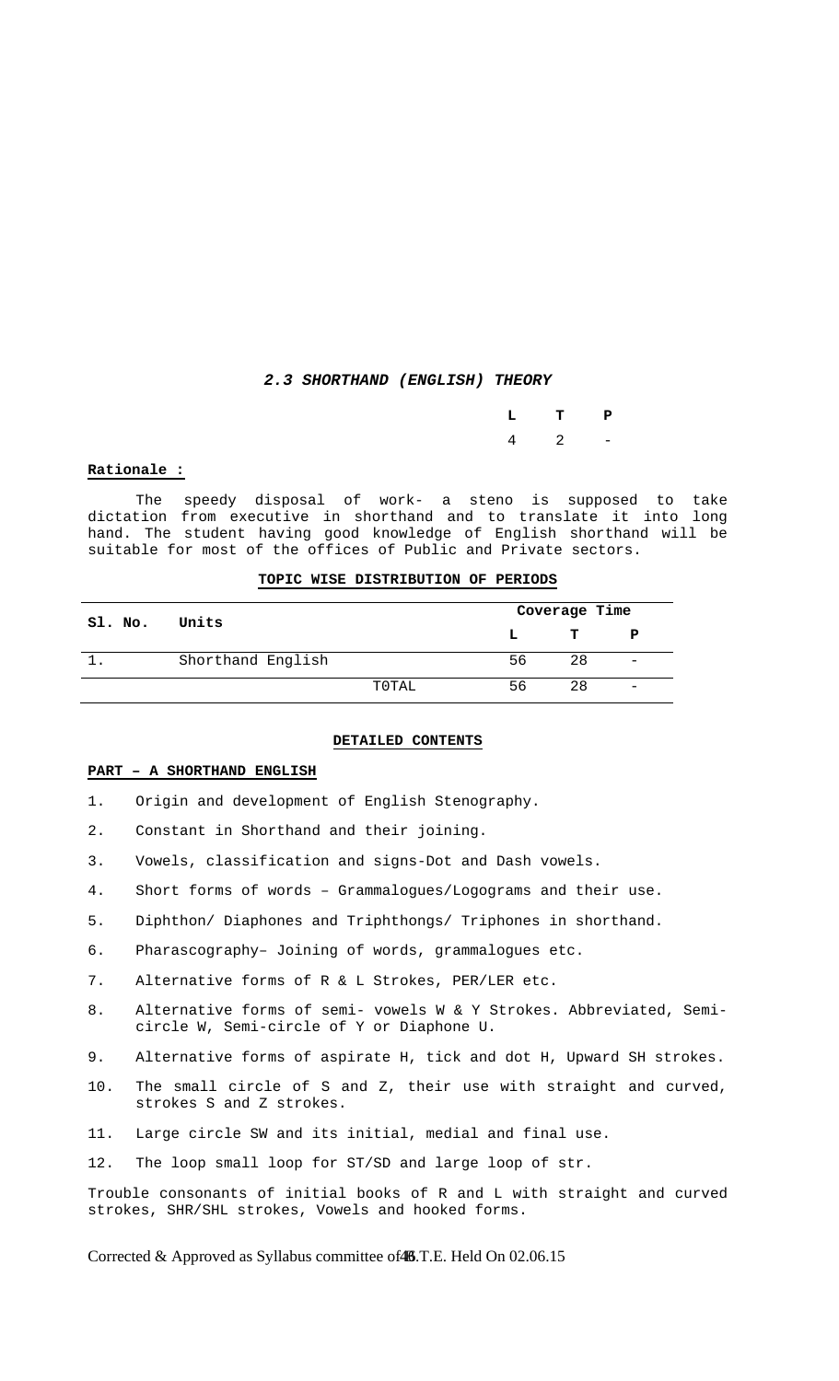#### *2.3 SHORTHAND (ENGLISH) THEORY*

|  | $L$ T P             |  |
|--|---------------------|--|
|  | $4\qquad 2\qquad -$ |  |

#### **Rationale :**

 The speedy disposal of work- a steno is supposed to take dictation from executive in shorthand and to translate it into long hand. The student having good knowledge of English shorthand will be suitable for most of the offices of Public and Private sectors.

#### **TOPIC WISE DISTRIBUTION OF PERIODS**

| Sl. No. | Units             |       |     | Coverage Time |                              |  |  |
|---------|-------------------|-------|-----|---------------|------------------------------|--|--|
|         |                   |       | L   | T.            | P                            |  |  |
|         | Shorthand English |       | 56. | 28            | $\qquad \qquad \blacksquare$ |  |  |
|         |                   | T0TAL | 56  | 28            |                              |  |  |

#### **DETAILED CONTENTS**

#### **PART – A SHORTHAND ENGLISH**

1. Origin and development of English Stenography.

2. Constant in Shorthand and their joining.

3. Vowels, classification and signs-Dot and Dash vowels.

- 4. Short forms of words Grammalogues/Logograms and their use.
- 5. Diphthon/ Diaphones and Triphthongs/ Triphones in shorthand.
- 6. Pharascography– Joining of words, grammalogues etc.
- 7. Alternative forms of R & L Strokes, PER/LER etc.
- 8. Alternative forms of semi- vowels W & Y Strokes. Abbreviated, Semicircle W, Semi-circle of Y or Diaphone U.
- 9. Alternative forms of aspirate H, tick and dot H, Upward SH strokes.
- 10. The small circle of S and Z, their use with straight and curved, strokes S and Z strokes.
- 11. Large circle SW and its initial, medial and final use.
- 12. The loop small loop for ST/SD and large loop of str.

Trouble consonants of initial books of R and L with straight and curved strokes, SHR/SHL strokes, Vowels and hooked forms.

Corrected & Approved as Syllabus committee of 46.T.E. Held On 02.06.15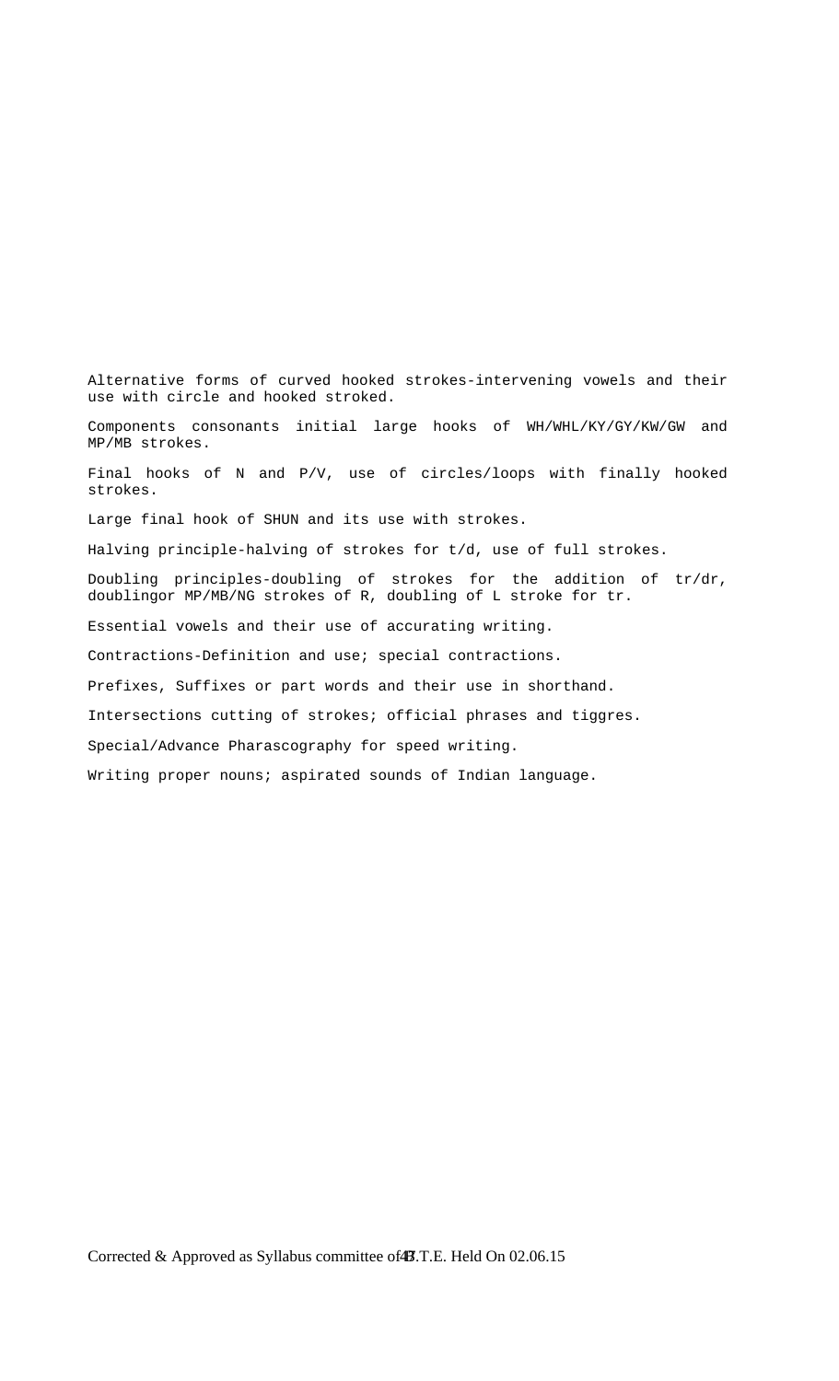Alternative forms of curved hooked strokes-intervening vowels and their use with circle and hooked stroked. Components consonants initial large hooks of WH/WHL/KY/GY/KW/GW and MP/MB strokes. Final hooks of N and P/V, use of circles/loops with finally hooked strokes. Large final hook of SHUN and its use with strokes. Halving principle-halving of strokes for t/d, use of full strokes. Doubling principles-doubling of strokes for the addition of tr/dr, doublingor MP/MB/NG strokes of R, doubling of L stroke for tr. Essential vowels and their use of accurating writing. Contractions-Definition and use; special contractions. Prefixes, Suffixes or part words and their use in shorthand. Intersections cutting of strokes; official phrases and tiggres. Special/Advance Pharascography for speed writing. Writing proper nouns; aspirated sounds of Indian language.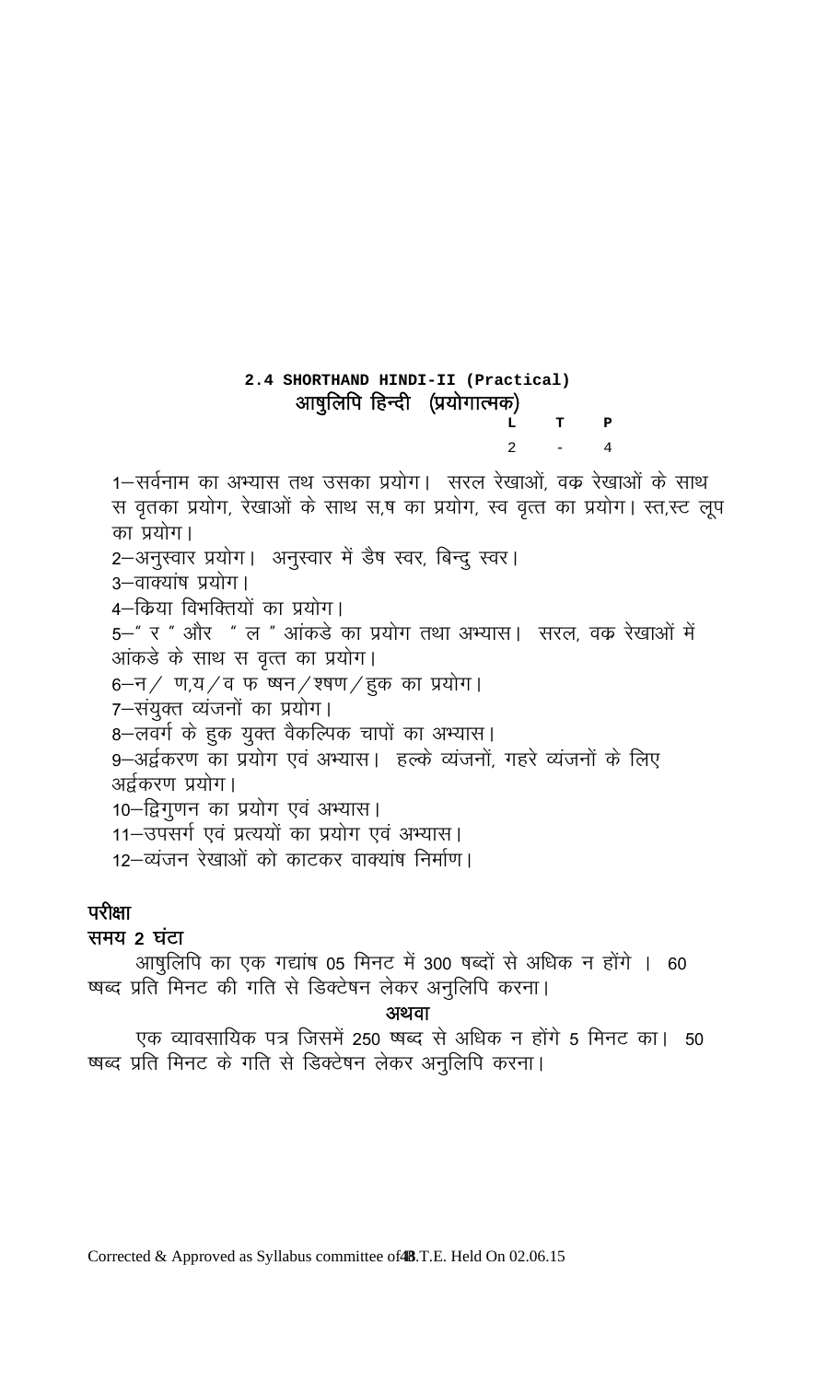# **2.4 SHORTHAND HINDI-II (Practical)**  आषुलिपि हिन्दी (प्रयोगात्मक)  **L T P**  2  $-4$

1–सर्वनाम का अभ्यास तथ उसका प्रयोग। सरल रेखाओं, वक्र रेखाओं के साथ स वृतका प्रयोग, रेखाओं के साथ स,ष का प्रयोग, स्व वृत्त का प्रयोग। स्त,स्ट लूप का प्रयोग। 2-अनुस्वार प्रयोग। अनुस्वार में डैष स्वर, बिन्दु स्वर। 3—वाक्यांष प्रयोग | 4—किया विभक्तियों का प्रयोग। 5—" र " और " ल " आंकडे का प्रयोग तथा अभ्यास। सरल, वक रेखाओं में आंकडे के साथ स वृत्त का प्रयोग। 6-न/ ण,य/व फ ष्षन/श्षण/हुक का प्रयोग। 7-संयुक्त व्यंजनों का प्रयोग। 8-लवर्ग के हुक युक्त वैकल्पिक चापों का अभ्यास। 9-अर्द्वकरण का प्रयोग एवं अभ्यास। हल्के व्यंजनों, गहरे व्यंजनों के लिए अर्द्वकरण प्रयोग। 10–द्विगुणन का प्रयोग एवं अभ्यास। 11—उपसर्ग एवं प्रत्ययों का प्रयोग एवं अभ्यास। 12-व्यंजन रेखाओं को काटकर वाक्यांष निर्माण।

# परीक्षा

# समय 2 घंटा

आषुलिपि का एक गद्यांष 05 मिनट में 300 षब्दों से अधिक न होंगे । 60 षब्द प्रति मिनट की गति से डिक्टेषन लेकर अनुलिपि करना।

अथवा

एक व्यावसायिक पत्र जिसमें 250 ष्षब्द से अधिक न होंगे 5 मिनट का। 50 षब्द प्रति मिनट के गति से डिक्टेषन लेकर अनुलिपि करना।

Corrected & Approved as Syllabus committee of 48.T.E. Held On 02.06.15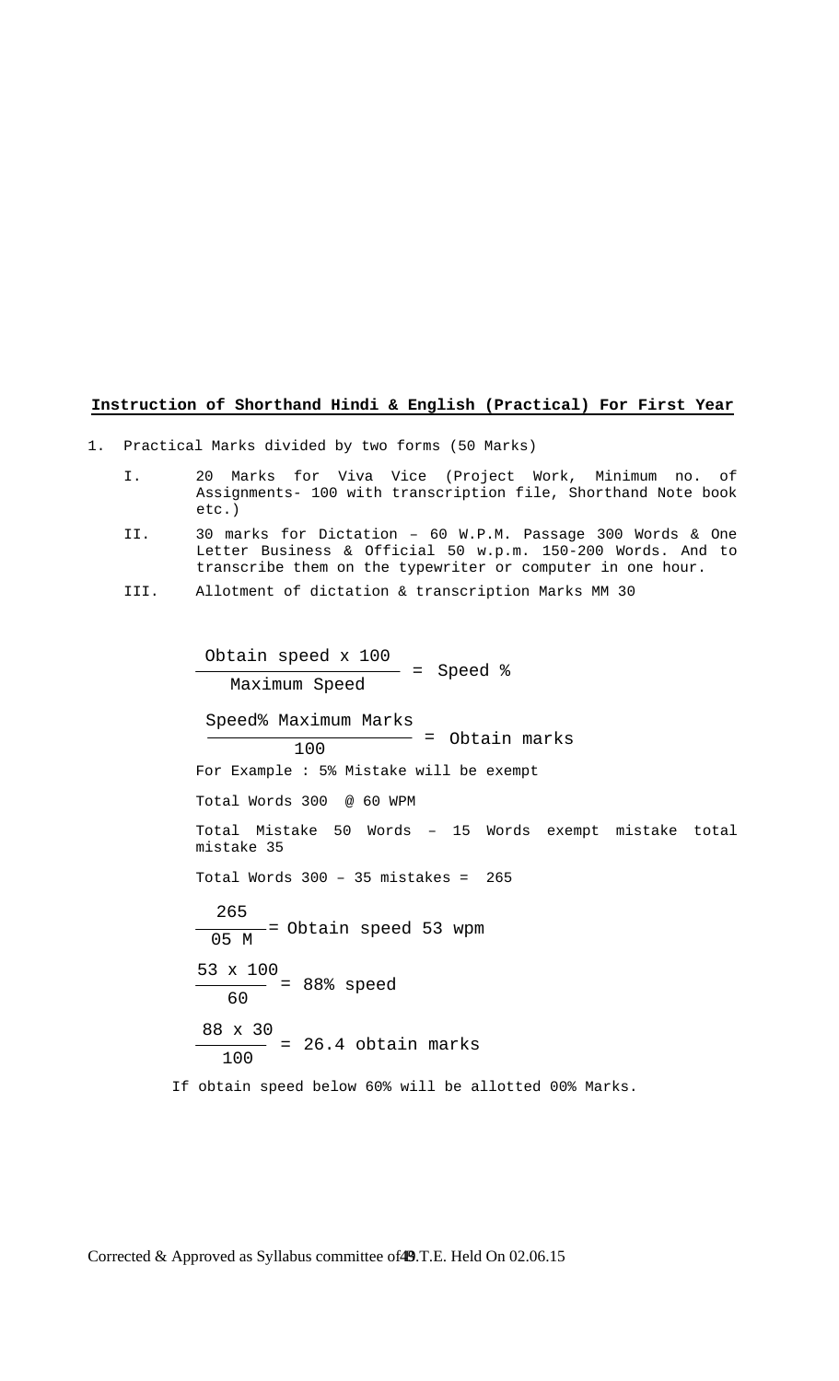## **Instruction of Shorthand Hindi & English (Practical) For First Year**

1. Practical Marks divided by two forms (50 Marks)

- I. 20 Marks for Viva Vice (Project Work, Minimum no. of Assignments- 100 with transcription file, Shorthand Note book etc.)
- II. 30 marks for Dictation 60 W.P.M. Passage 300 Words & One Letter Business & Official 50 w.p.m. 150-200 Words. And to transcribe them on the typewriter or computer in one hour.
- III. Allotment of dictation & transcription Marks MM 30

 For Example : 5% Mistake will be exempt Total Words 300 @ 60 WPM Total Mistake 50 Words – 15 Words exempt mistake total mistake 35 Total Words 300 – 35 mistakes = 265 If obtain speed below 60% will be allotted 00% Marks. Obtain speed x 100 Maximum Speed <sup>=</sup> Speed % Speed% Maximum Marks  $100$  = Obtain marks 265  $\frac{1}{05 M}$  = Obtain speed 53 wpm 53 x 100  $\frac{1}{60}$  = 88% speed 88 x 30 100 <sup>=</sup> 26.4 obtain marks

Corrected & Approved as Syllabus committee of 49.T.E. Held On 02.06.15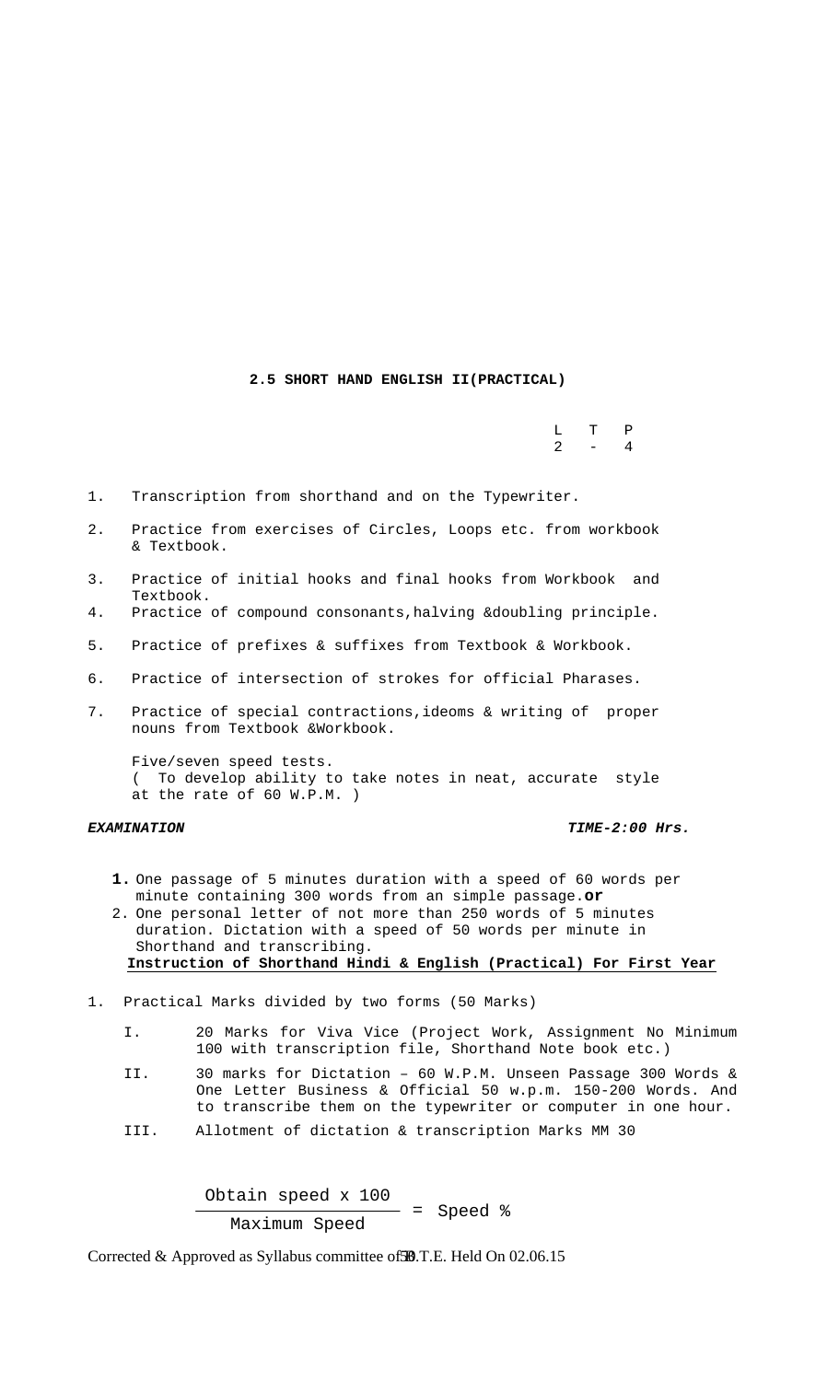#### **2.5 SHORT HAND ENGLISH II(PRACTICAL)**

 L T P  $2 - 4$ 

1. Transcription from shorthand and on the Typewriter.

- 2. Practice from exercises of Circles, Loops etc. from workbook & Textbook.
- 3. Practice of initial hooks and final hooks from Workbook and Textbook.
- 4. Practice of compound consonants,halving &doubling principle.
- 5. Practice of prefixes & suffixes from Textbook & Workbook.
- 6. Practice of intersection of strokes for official Pharases.
- 7. Practice of special contractions,ideoms & writing of proper nouns from Textbook &Workbook.

 Five/seven speed tests. ( To develop ability to take notes in neat, accurate style at the rate of 60 W.P.M. )

*EXAMINATION TIME-2:00 Hrs.* 

- **1.** One passage of 5 minutes duration with a speed of 60 words per minute containing 300 words from an simple passage.**or**
- 2. One personal letter of not more than 250 words of 5 minutes duration. Dictation with a speed of 50 words per minute in Shorthand and transcribing. **Instruction of Shorthand Hindi & English (Practical) For First Year**
- 1. Practical Marks divided by two forms (50 Marks)
- I. 20 Marks for Viva Vice (Project Work, Assignment No Minimum 100 with transcription file, Shorthand Note book etc.)
	- II. 30 marks for Dictation 60 W.P.M. Unseen Passage 300 Words & One Letter Business & Official 50 w.p.m. 150-200 Words. And to transcribe them on the typewriter or computer in one hour.
	- III. Allotment of dictation & transcription Marks MM 30

Obtain speed  $x = 100$ <br>= Speed  $x = 100$ <br>= Speed  $x = 100$ Maximum Speed

Corrected & Approved as Syllabus committee of **SB**.T.E. Held On 02.06.15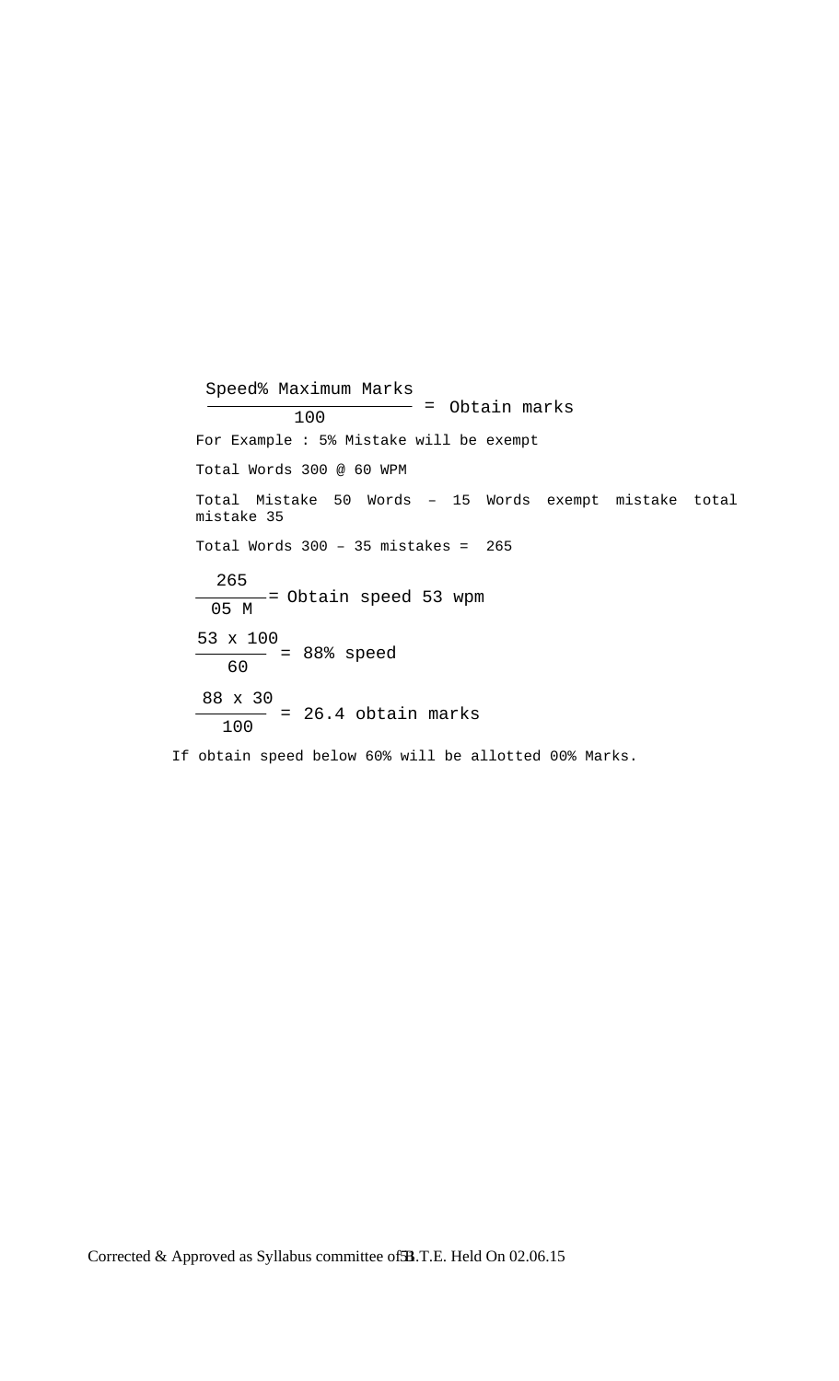For Example : 5% Mistake will be exempt Total Words 300 @ 60 WPM Total Mistake 50 Words – 15 Words exempt mistake total mistake 35 Total Words  $300 - 35$  mistakes =  $265$  If obtain speed below 60% will be allotted 00% Marks. Speed% Maximum Marks  $\frac{100}{100}$  = Obtain marks 265 05 M <sup>=</sup> Obtain speed 53 wpm 53 x 100  $\frac{1}{60}$  = 88% speed 88 x 30 100 <sup>=</sup> 26.4 obtain marks

Corrected & Approved as Syllabus committee of **3B**.T.E. Held On 02.06.15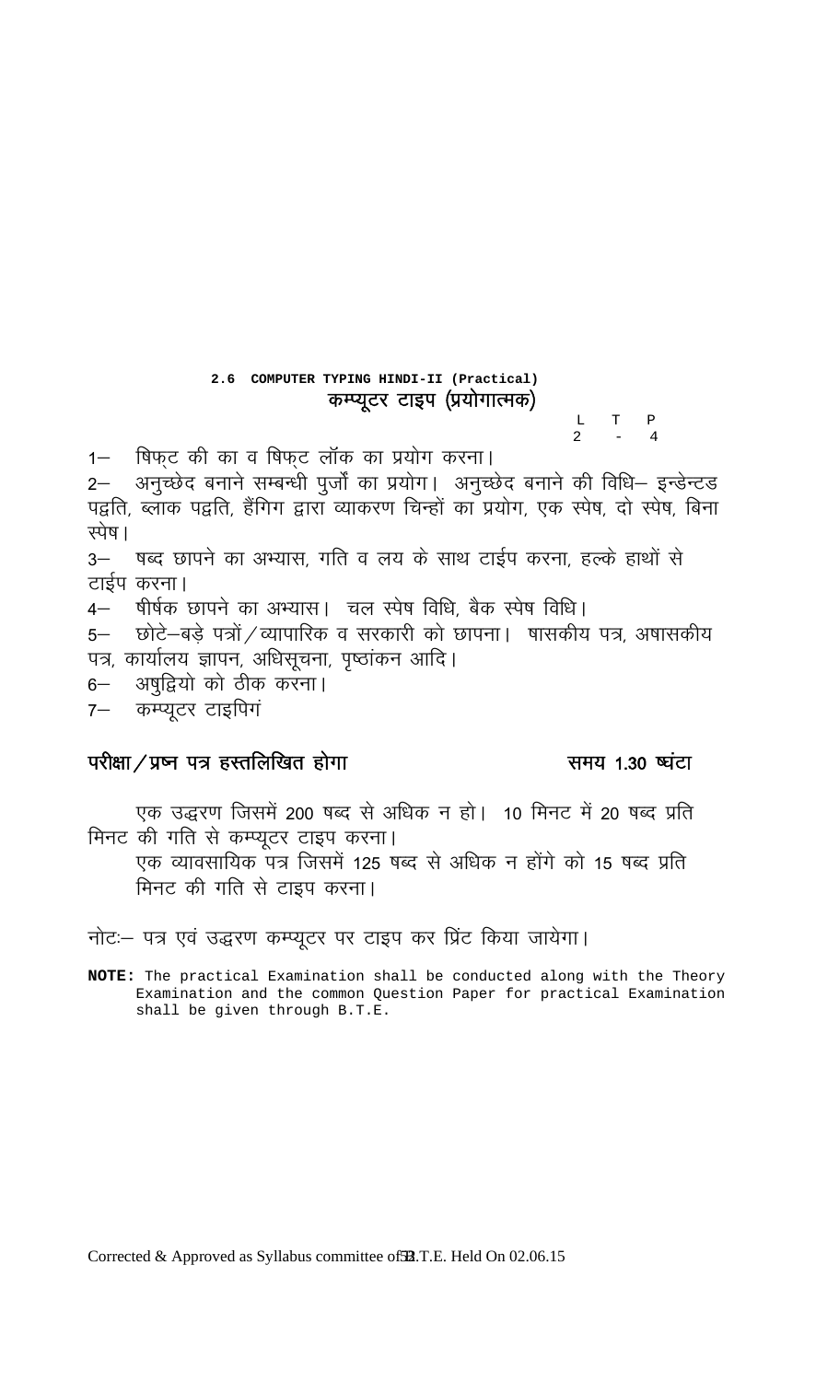2.6 COMPUTER TYPING HINDI-II (Practical) कम्प्यूटर टाइप (प्रयोगात्मक)

 $\begin{array}{ccc} \mathbb{L} & \mathbb{T} & \mathbb{P} \\ 2 & - & 4 \end{array}$ 

षिफ्ट की का व षिफ्ट लॉक का प्रयोग करना।  $1 -$ 

-<br>2– अनुच्छेद बनाने सम्बन्धी पुर्जों का प्रयोग। अनुच्छेद बनाने की विधि– इन्डेन्टड<br>पद्वति, ब्लाक पद्वति, हैंगिग द्वारा व्याकरण चिन्हों का प्रयोग, एक स्पेष, दो स्पेष, बिना स्पेष ।

3– षब्द छापने का अभ्यास, गति व लय के साथ टाईप करना, हल्के हाथों से टाईप करना।

4– षीर्षक छापने का अभ्यास। चल स्पेष विधि, बैक स्पेष विधि।

छोटे–बडे पत्रों / व्यापारिक व सरकारी को छापना। षासकीय पत्र, अषासकीय  $5-$ पत्र, कार्यालय ज्ञापन, अधिसूचना, पृष्ठांकन आदि।

अषुद्वियो को ठीक करना।  $6-$ 

कम्प्यूटर टाइपिगं  $7-$ 

# परीक्षा / प्रष्न पत्र हस्तलिखित होगा

# समय 1.30 ष्यंटा

एक उद्धरण जिसमें 200 षब्द से अधिक न हो। 10 मिनट में 20 षब्द प्रति मिनट की गति से कम्प्यूटर टाइप करना।

एक व्यावसायिक पत्र जिसमें 125 षब्द से अधिक न होंगे को 15 षब्द प्रति मिनट की गति से टाइप करना।

नोट: पत्र एवं उद्धरण कम्प्यूटर पर टाइप कर प्रिंट किया जायेगा।

NOTE: The practical Examination shall be conducted along with the Theory Examination and the common Question Paper for practical Examination shall be given through B.T.E.

Corrected & Approved as Syllabus committee of **32**.T.E. Held On 02.06.15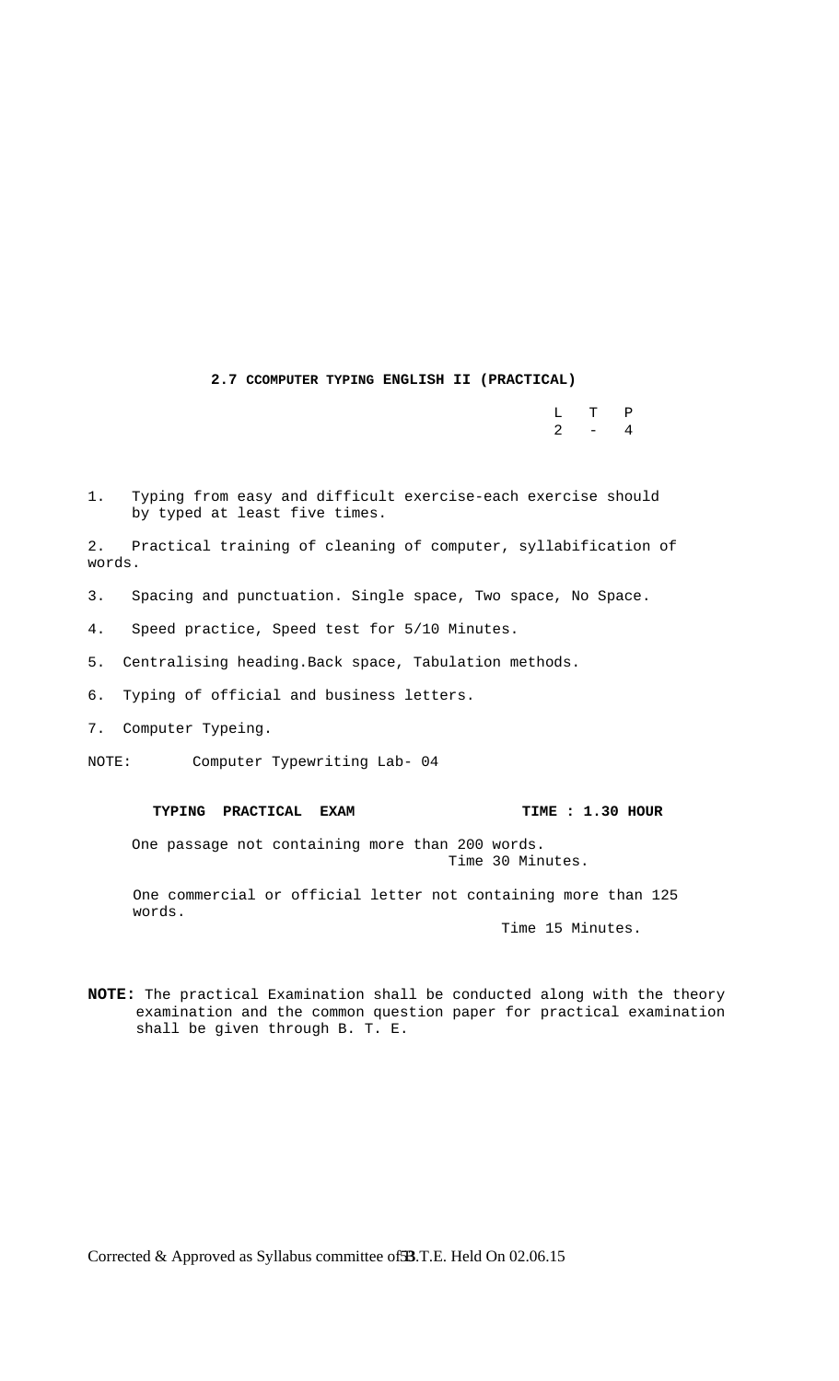**2.7 CCOMPUTER TYPING ENGLISH II (PRACTICAL)** 

 L T P  $2 - 4$ 

1. Typing from easy and difficult exercise-each exercise should by typed at least five times.

2. Practical training of cleaning of computer, syllabification of words.

3. Spacing and punctuation. Single space, Two space, No Space.

- 4. Speed practice, Speed test for 5/10 Minutes.
- 5. Centralising heading.Back space, Tabulation methods.
- 6. Typing of official and business letters.
- 7. Computer Typeing.

NOTE: Computer Typewriting Lab- 04

## **TYPING PRACTICAL EXAM TIME : 1.30 HOUR**

 One passage not containing more than 200 words. Time 30 Minutes.

One commercial or official letter not containing more than 125 words.

Time 15 Minutes.

**NOTE:** The practical Examination shall be conducted along with the theory examination and the common question paper for practical examination shall be given through B. T. E.

Corrected & Approved as Syllabus committee of **3B**.T.E. Held On 02.06.15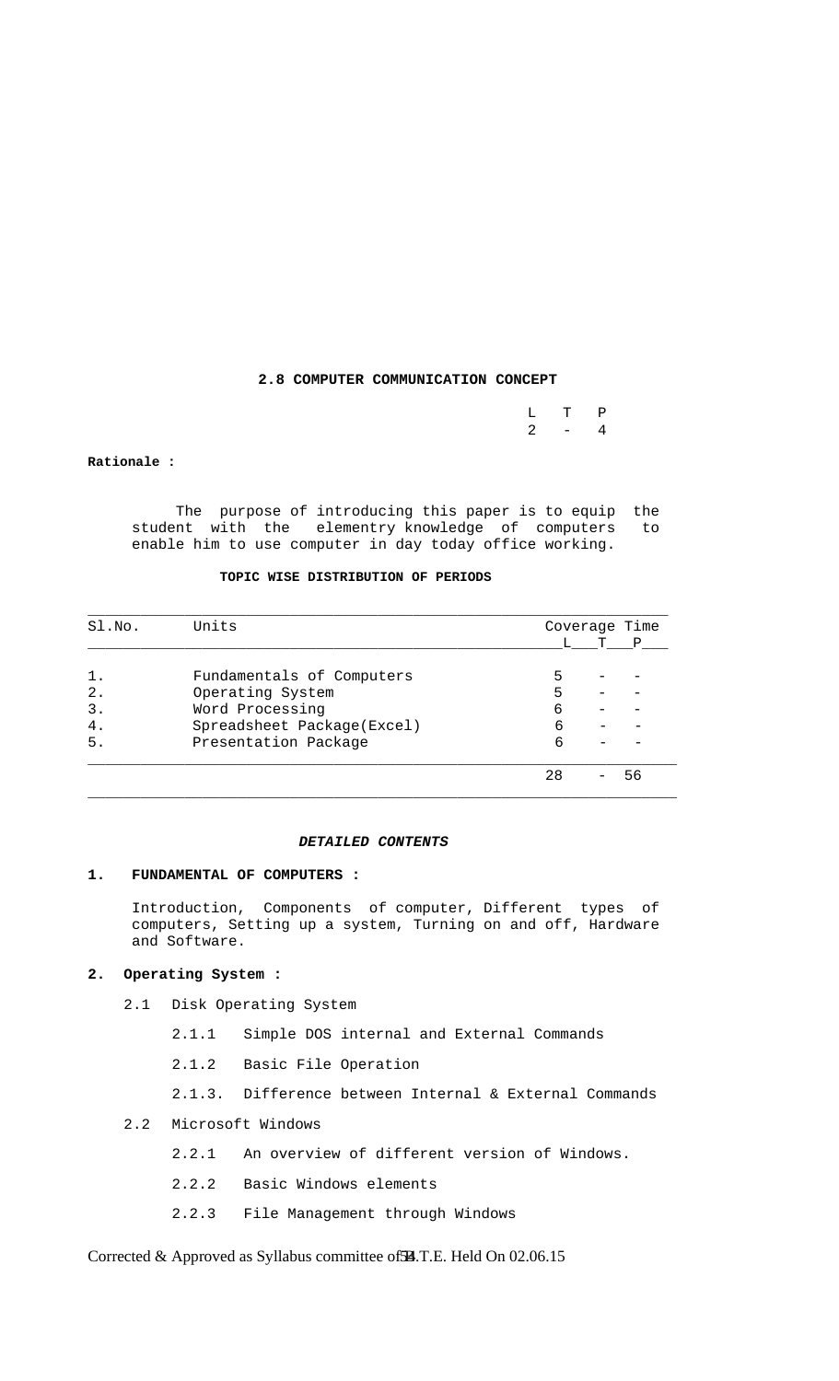# **2.8 COMPUTER COMMUNICATION CONCEPT**

|         | $L$ T P |  |
|---------|---------|--|
| $2 - 4$ |         |  |

#### **Rationale :**

 The purpose of introducing this paper is to equip the student with the elementry knowledge of computers to enable him to use computer in day today office working.

# **TOPIC WISE DISTRIBUTION OF PERIODS**

| SI.NO.         | Units                      |    | Coverage Time |   |  |
|----------------|----------------------------|----|---------------|---|--|
|                |                            |    |               | Ρ |  |
| 1.             | Fundamentals of Computers  | 5  |               |   |  |
| $2$ .          | Operating System           | 5  |               |   |  |
| $\mathbf{3}$ . | Word Processing            | 6  |               |   |  |
| 4.             | Spreadsheet Package(Excel) | 6  |               |   |  |
| 5.             | Presentation Package       | 6  |               |   |  |
|                |                            | 28 |               |   |  |

#### *DETAILED CONTENTS*

 $\Box$  . The contribution of the contribution of the contribution of the contribution of the contribution of the contribution of the contribution of the contribution of the contribution of the contribution of the contributi

#### **1. FUNDAMENTAL OF COMPUTERS :**

 Introduction, Components of computer, Different types of computers, Setting up a system, Turning on and off, Hardware and Software.

# **2. Operating System :**

- 2.1 Disk Operating System
	- 2.1.1 Simple DOS internal and External Commands
	- 2.1.2 Basic File Operation
	- 2.1.3. Difference between Internal & External Commands
- 2.2 Microsoft Windows
	- 2.2.1 An overview of different version of Windows.
	- 2.2.2 Basic Windows elements
	- 2.2.3 File Management through Windows

Corrected & Approved as Syllabus committee of **£4**.T.E. Held On 02.06.15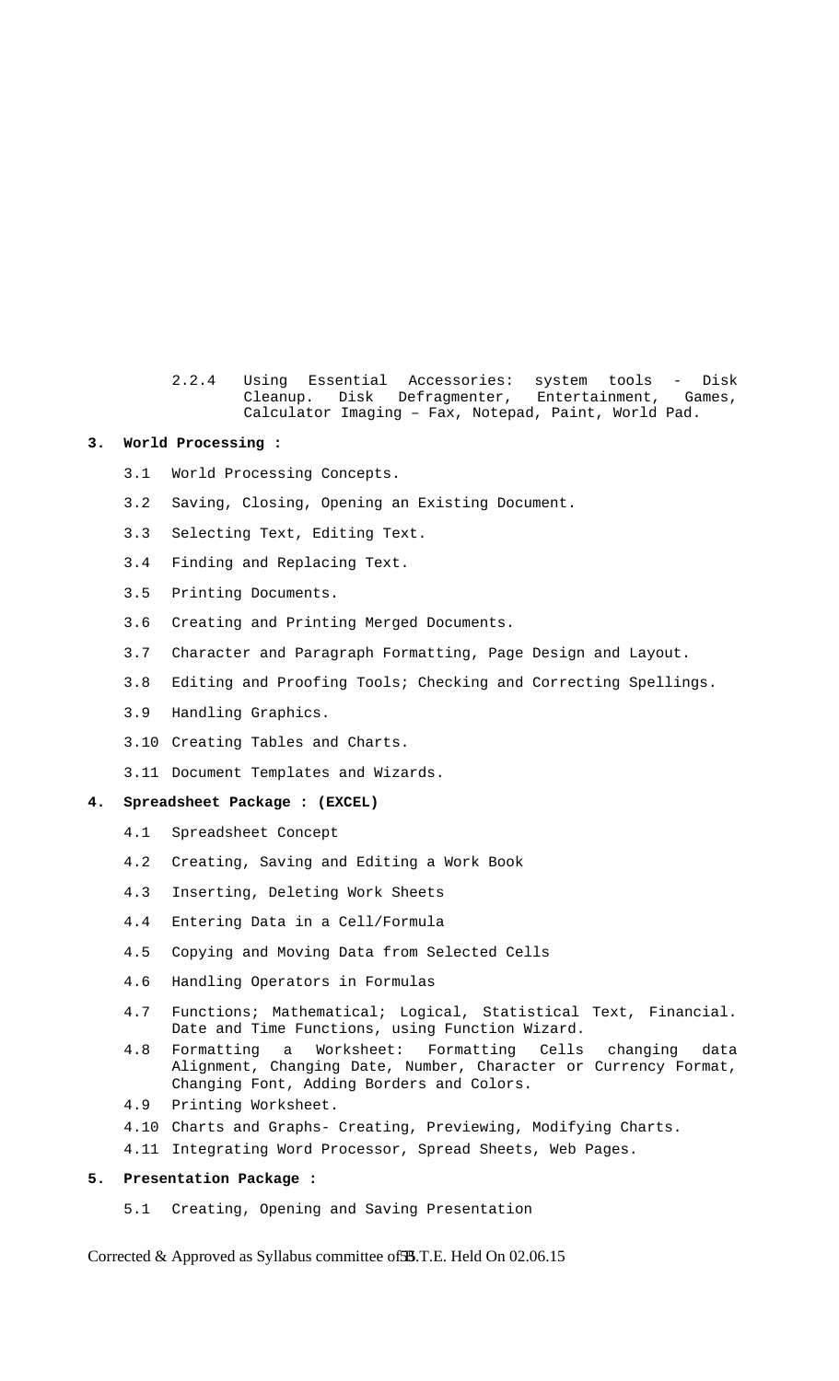2.2.4 Using Essential Accessories: system tools - Disk Cleanup. Disk Defragmenter, Entertainment, Games, Calculator Imaging – Fax, Notepad, Paint, World Pad.

#### **3. World Processing :**

- 3.1 World Processing Concepts.
- 3.2 Saving, Closing, Opening an Existing Document.
- 3.3 Selecting Text, Editing Text.
- 3.4 Finding and Replacing Text.
- 3.5 Printing Documents.
- 3.6 Creating and Printing Merged Documents.
- 3.7 Character and Paragraph Formatting, Page Design and Layout.
- 3.8 Editing and Proofing Tools; Checking and Correcting Spellings.
- 3.9 Handling Graphics.
- 3.10 Creating Tables and Charts.
- 3.11 Document Templates and Wizards.

# **4. Spreadsheet Package : (EXCEL)**

- 4.1 Spreadsheet Concept
- 4.2 Creating, Saving and Editing a Work Book
- 4.3 Inserting, Deleting Work Sheets
- 4.4 Entering Data in a Cell/Formula
- 4.5 Copying and Moving Data from Selected Cells
- 4.6 Handling Operators in Formulas
- 4.7 Functions; Mathematical; Logical, Statistical Text, Financial. Date and Time Functions, using Function Wizard.
- 4.8 Formatting a Worksheet: Formatting Cells changing data Alignment, Changing Date, Number, Character or Currency Format, Changing Font, Adding Borders and Colors.
- 4.9 Printing Worksheet.
- 4.10 Charts and Graphs- Creating, Previewing, Modifying Charts.
- 4.11 Integrating Word Processor, Spread Sheets, Web Pages.

## **5. Presentation Package :**

5.1 Creating, Opening and Saving Presentation

Corrected & Approved as Syllabus committee of **35**.T.E. Held On 02.06.15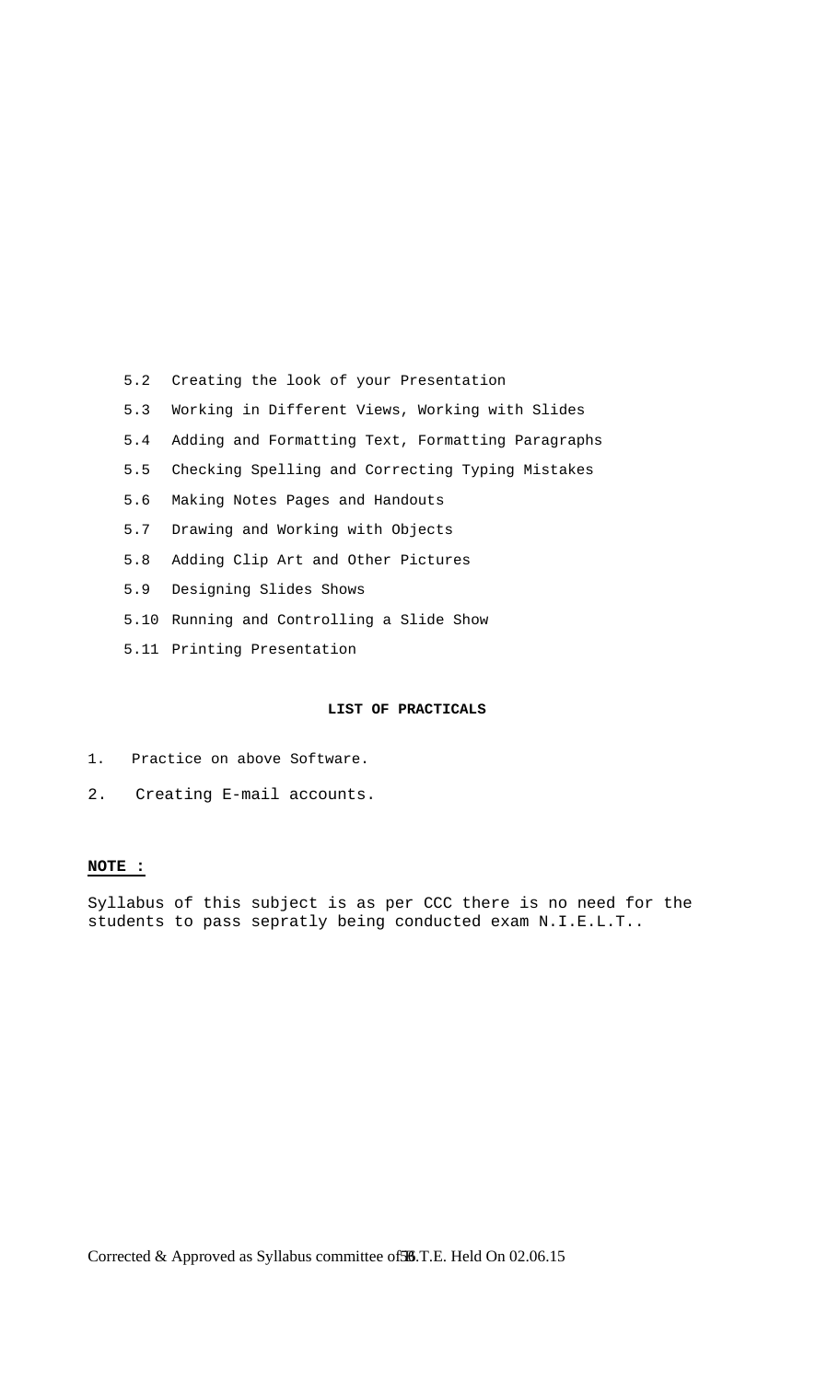- 5.2 Creating the look of your Presentation
- 5.3 Working in Different Views, Working with Slides
- 5.4 Adding and Formatting Text, Formatting Paragraphs
- 5.5 Checking Spelling and Correcting Typing Mistakes
- 5.6 Making Notes Pages and Handouts
- 5.7 Drawing and Working with Objects
- 5.8 Adding Clip Art and Other Pictures
- 5.9 Designing Slides Shows
- 5.10 Running and Controlling a Slide Show
- 5.11 Printing Presentation

## **LIST OF PRACTICALS**

- 1. Practice on above Software.
- 2. Creating E-mail accounts.

# **NOTE :**

Syllabus of this subject is as per CCC there is no need for the students to pass sepratly being conducted exam N.I.E.L.T..

Corrected & Approved as Syllabus committee of 56.T.E. Held On 02.06.15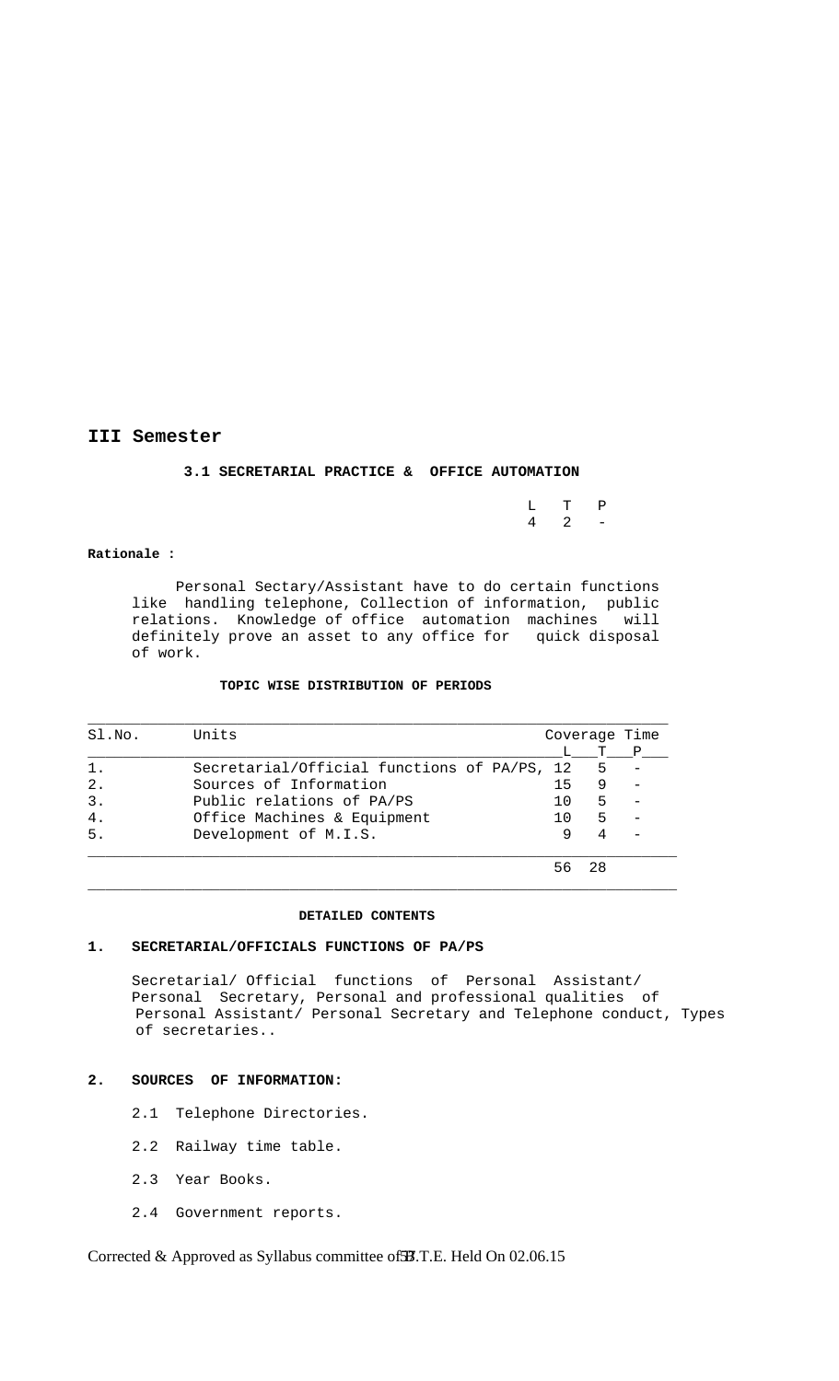# **III Semester**

## **3.1 SECRETARIAL PRACTICE & OFFICE AUTOMATION**

| L T P             |  |
|-------------------|--|
| $4\quad 2\quad -$ |  |

#### **Rationale :**

 Personal Sectary/Assistant have to do certain functions like handling telephone, Collection of information, public relations. Knowledge of office automation machines will definitely prove an asset to any office for quick disposal of work.

#### **TOPIC WISE DISTRIBUTION OF PERIODS**

| SI.NO. | Units                                       |     |   | Coverage Time    |
|--------|---------------------------------------------|-----|---|------------------|
|        |                                             |     | T | $-^{\mathsf{P}}$ |
| 1.     | Secretarial/Official functions of PA/PS, 12 |     | 5 |                  |
| 2.     | Sources of Information                      | 15  |   |                  |
| 3.     | Public relations of PA/PS                   | 1 O | 5 |                  |
| 4.     | Office Machines & Equipment                 | 1 N | 5 |                  |
| 5.     | Development of M.I.S.                       |     |   |                  |
|        |                                             |     |   |                  |

#### **DETAILED CONTENTS**

 $\Box$  . The contribution of the contribution of the contribution of the contribution of the contribution of the contribution of the contribution of the contribution of the contribution of the contribution of the contributi

## **1. SECRETARIAL/OFFICIALS FUNCTIONS OF PA/PS**

 Secretarial/ Official functions of Personal Assistant/ Personal Secretary, Personal and professional qualities of Personal Assistant/ Personal Secretary and Telephone conduct, Types of secretaries..

### **2. SOURCES OF INFORMATION:**

- 2.1 Telephone Directories.
- 2.2 Railway time table.
- 2.3 Year Books.
- 2.4 Government reports.

Corrected & Approved as Syllabus committee of **37**.T.E. Held On 02.06.15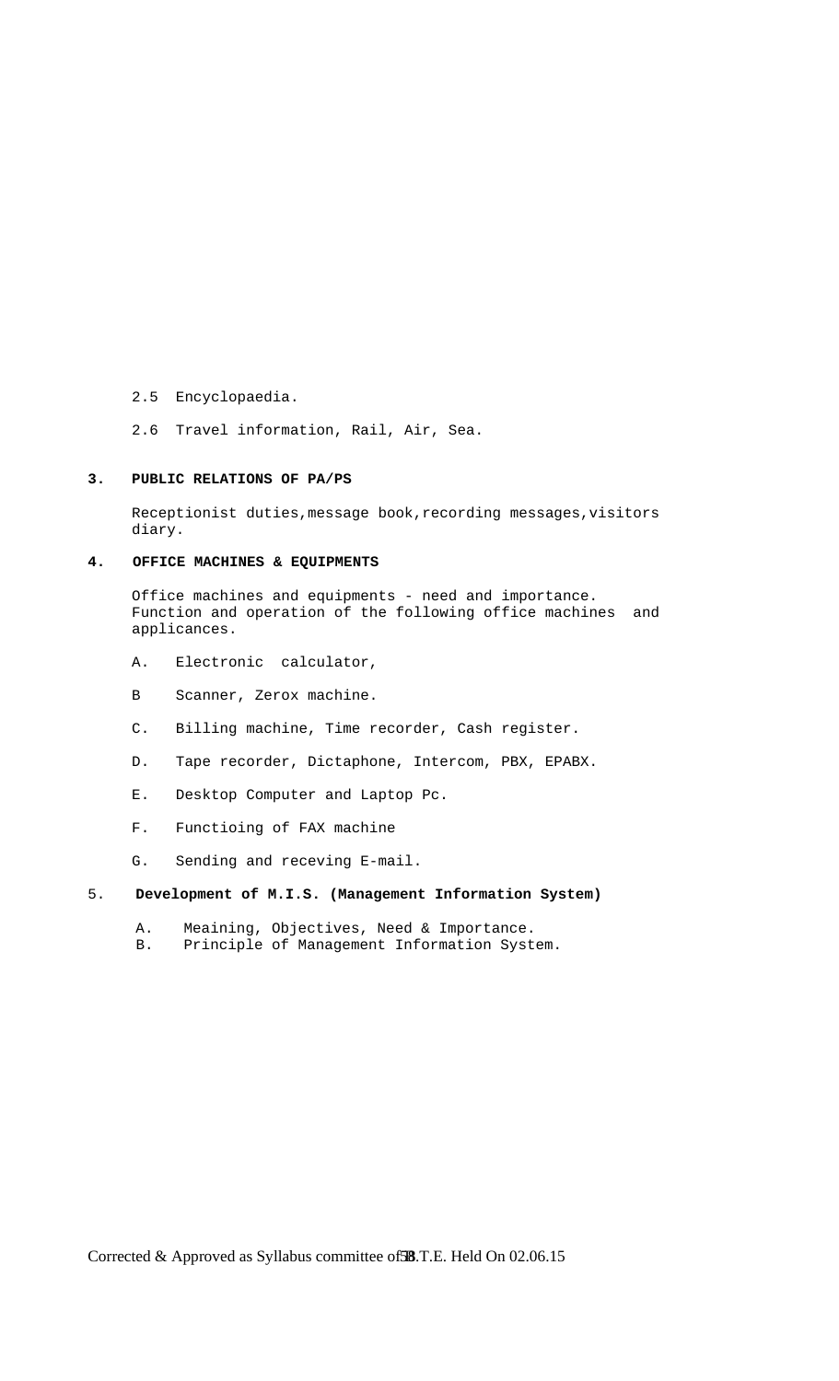- 2.5 Encyclopaedia.
- 2.6 Travel information, Rail, Air, Sea.

### **3. PUBLIC RELATIONS OF PA/PS**

Receptionist duties, message book, recording messages, visitors diary.

# **4. OFFICE MACHINES & EQUIPMENTS**

 Office machines and equipments - need and importance. Function and operation of the following office machines and applicances.

- A. Electronic calculator,
- B Scanner, Zerox machine.
- C. Billing machine, Time recorder, Cash register.
- D. Tape recorder, Dictaphone, Intercom, PBX, EPABX.
- E. Desktop Computer and Laptop Pc.
- F. Functioing of FAX machine
- G. Sending and receving E-mail.

# 5. **Development of M.I.S. (Management Information System)**

- A. Meaining, Objectives, Need & Importance.<br>B. Principle of Management Information Syst
- Principle of Management Information System.

Corrected & Approved as Syllabus committee of **38**.T.E. Held On 02.06.15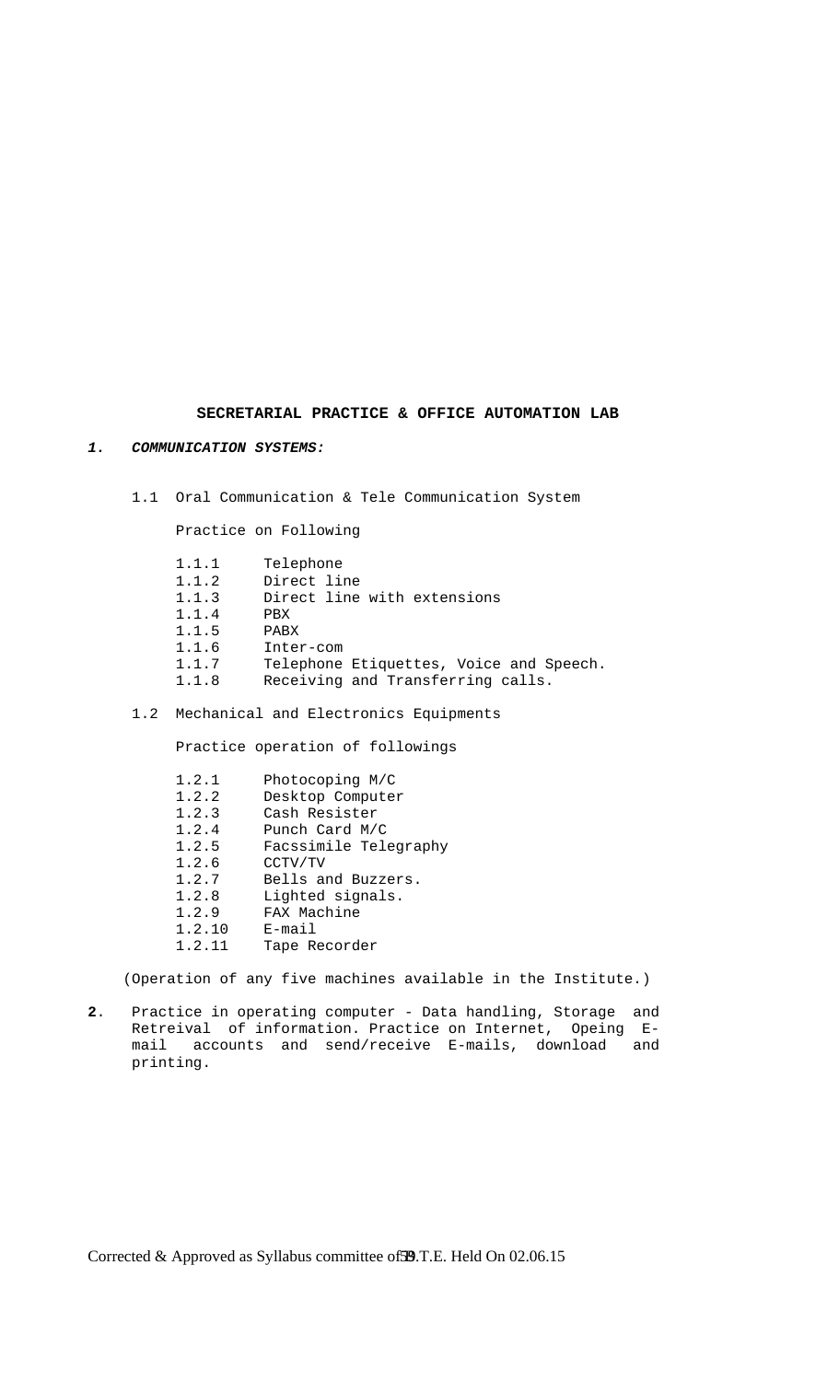## **SECRETARIAL PRACTICE & OFFICE AUTOMATION LAB**

### *1. COMMUNICATION SYSTEMS:*

1.1 Oral Communication & Tele Communication System

Practice on Following

| 1.1.1 | Telephone                               |
|-------|-----------------------------------------|
| 1.1.2 | Direct line                             |
| 1.1.3 | Direct line with extensions             |
| 1.1.4 | PBX                                     |
| 1.1.5 | PABX                                    |
| 1.1.6 | Inter-com                               |
| 1.1.7 | Telephone Etiquettes, Voice and Speech. |
| 1.1.8 | Receiving and Transferring calls.       |
|       |                                         |

1.2 Mechanical and Electronics Equipments

Practice operation of followings

| 1.2.1 |        | Photocoping M/C       |
|-------|--------|-----------------------|
| 1.2.2 |        | Desktop Computer      |
| 1.2.3 |        | Cash Resister         |
| 1.2.4 |        | Punch Card M/C        |
| 1.2.5 |        | Facssimile Telegraphy |
| 1.2.6 |        | CCTV/TV               |
| 1.2.7 |        | Bells and Buzzers.    |
| 1.2.8 |        | Lighted signals.      |
| 1.2.9 |        | FAX Machine           |
|       | 1.2.10 | E-mail                |
|       | 1.2.11 | Tape Recorder         |
|       |        |                       |

(Operation of any five machines available in the Institute.)

**2**. Practice in operating computer - Data handling, Storage and Retreival of information. Practice on Internet, Opeing E mail accounts and send/receive E-mails, download and printing.

Corrected & Approved as Syllabus committee of 59.T.E. Held On 02.06.15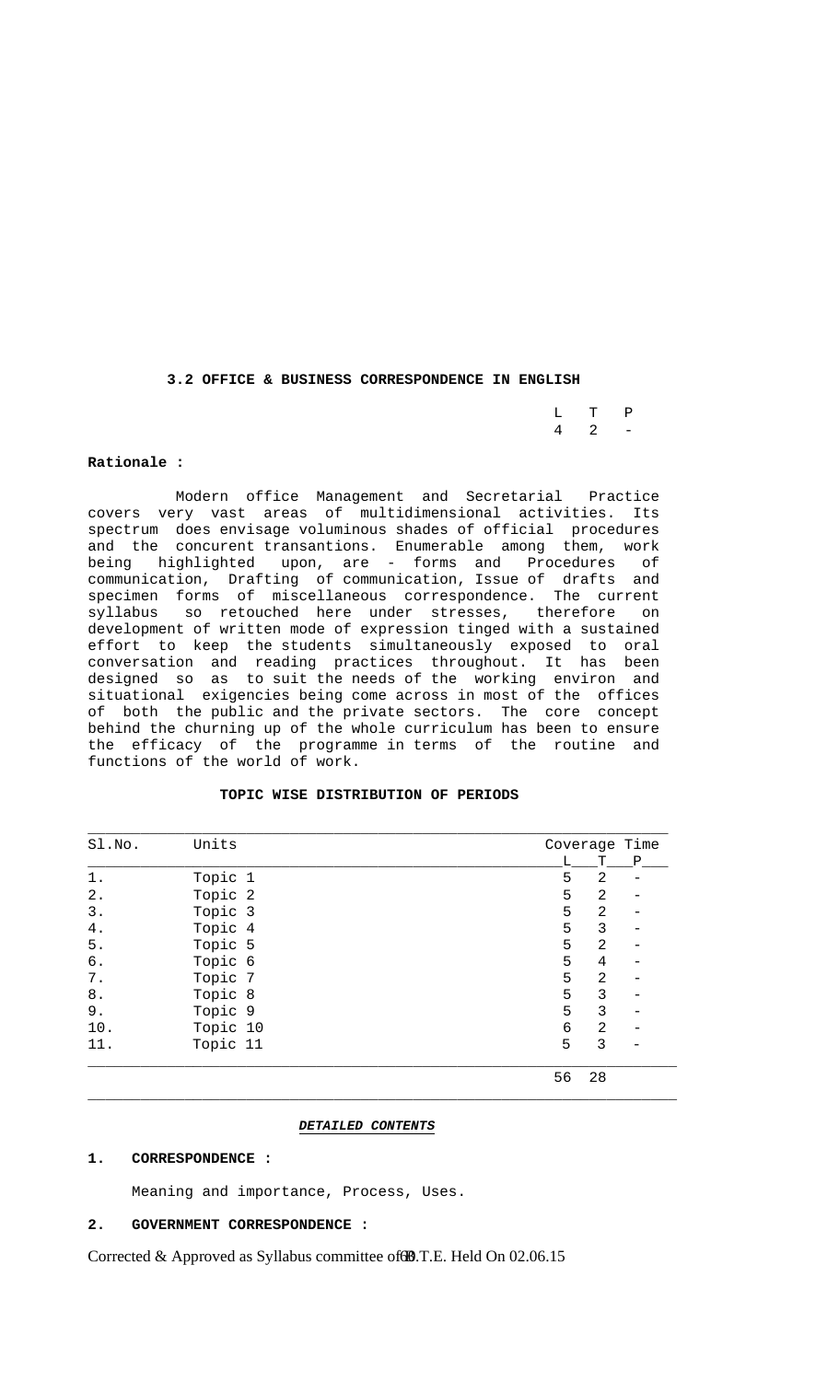**3.2 OFFICE & BUSINESS CORRESPONDENCE IN ENGLISH**

|  | $L$ T P           |  |
|--|-------------------|--|
|  | $4\quad 2\quad -$ |  |

#### **Rationale :**

 Modern office Management and Secretarial Practice covers very vast areas of multidimensional activities. Its spectrum does envisage voluminous shades of official procedures and the concurent transantions. Enumerable among them, work being highlighted upon, are - forms and Procedures of communication, Drafting of communication, Issue of drafts and specimen forms of miscellaneous correspondence. The current syllabus so retouched here under stresses, therefore on development of written mode of expression tinged with a sustained effort to keep the students simultaneously exposed to oral conversation and reading practices throughout. It has been designed so as to suit the needs of the working environ and situational exigencies being come across in most of the offices of both the public and the private sectors. The core concept behind the churning up of the whole curriculum has been to ensure the efficacy of the programme in terms of the routine and functions of the world of work.

#### **TOPIC WISE DISTRIBUTION OF PERIODS**

\_\_\_\_\_\_\_\_\_\_\_\_\_\_\_\_\_\_\_\_\_\_\_\_\_\_\_\_\_\_\_\_\_\_\_\_\_\_\_\_\_\_\_\_\_\_\_\_\_\_\_\_\_\_\_\_\_\_\_\_\_\_\_\_\_\_

| Sl.No. | Units    |    | Coverage Time  |              |
|--------|----------|----|----------------|--------------|
|        |          | L  | Т              | $\mathbf{P}$ |
| $1$ .  | Topic 1  | 5  | 2              |              |
| $2$ .  | Topic 2  | 5  | 2              |              |
| 3.     | Topic 3  | 5  | 2              |              |
| 4.     | Topic 4  | 5  | 3              |              |
| $5$ .  | Topic 5  | 5  | 2              |              |
| б.     | Topic 6  | 5  | 4              |              |
| $7$ .  | Topic 7  | 5  | $\overline{2}$ |              |
| $8$ .  | Topic 8  | 5  | 3              |              |
| 9.     | Topic 9  | 5  | 3              |              |
| 10.    | Topic 10 | 6  | 2              |              |
| 11.    | Topic 11 | 5  | 3              |              |
|        |          | 56 | 28             |              |

#### *DETAILED CONTENTS*

\_\_\_\_\_\_\_\_\_\_\_\_\_\_\_\_\_\_\_\_\_\_\_\_\_\_\_\_\_\_\_\_\_\_\_\_\_\_\_\_\_\_\_\_\_\_\_\_\_\_\_\_\_\_\_\_\_\_\_\_\_\_\_\_\_\_\_

## **1. CORRESPONDENCE :**

Meaning and importance, Process, Uses.

## **2. GOVERNMENT CORRESPONDENCE :**

Corrected & Approved as Syllabus committee of **B**.T.E. Held On 02.06.15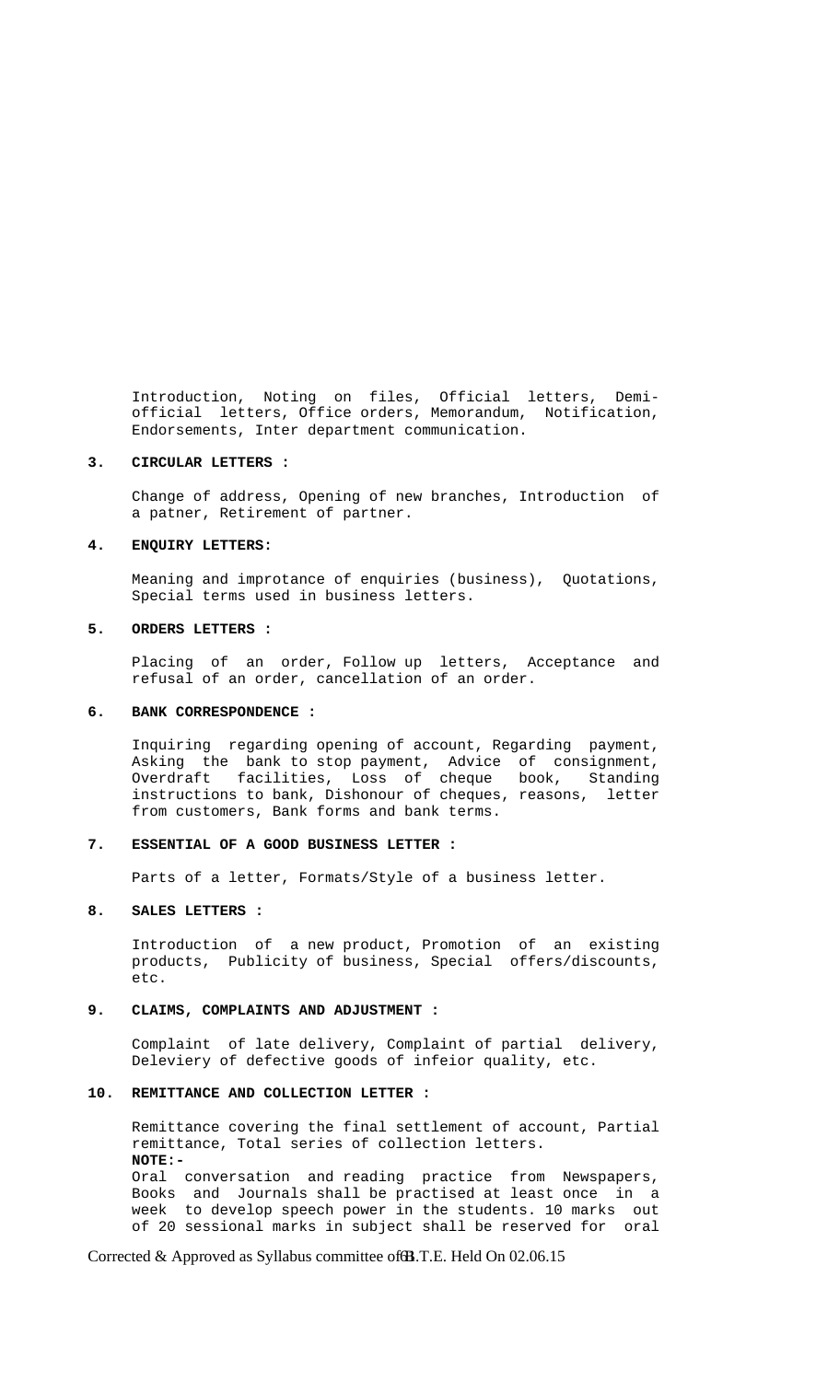Introduction, Noting on files, Official letters, Demi official letters, Office orders, Memorandum, Notification, Endorsements, Inter department communication.

#### **3. CIRCULAR LETTERS :**

 Change of address, Opening of new branches, Introduction of a patner, Retirement of partner.

#### **4. ENQUIRY LETTERS:**

 Meaning and improtance of enquiries (business), Quotations, Special terms used in business letters.

## **5. ORDERS LETTERS :**

 Placing of an order, Follow up letters, Acceptance and refusal of an order, cancellation of an order.

#### **6. BANK CORRESPONDENCE :**

 Inquiring regarding opening of account, Regarding payment, Asking the bank to stop payment, Advice of consignment, Overdraft facilities, Loss of cheque book, Standing instructions to bank, Dishonour of cheques, reasons, letter from customers, Bank forms and bank terms.

#### **7. ESSENTIAL OF A GOOD BUSINESS LETTER :**

Parts of a letter, Formats/Style of a business letter.

#### **8. SALES LETTERS :**

 Introduction of a new product, Promotion of an existing products, Publicity of business, Special offers/discounts, etc.

## **9. CLAIMS, COMPLAINTS AND ADJUSTMENT :**

 Complaint of late delivery, Complaint of partial delivery, Deleviery of defective goods of infeior quality, etc.

## **10. REMITTANCE AND COLLECTION LETTER :**

 Remittance covering the final settlement of account, Partial remittance, Total series of collection letters. **NOTE:-**  Oral conversation and reading practice from Newspapers, Books and Journals shall be practised at least once in a week to develop speech power in the students. 10 marks out of 20 sessional marks in subject shall be reserved for oral

Corrected & Approved as Syllabus committee of **B**.T.E. Held On 02.06.15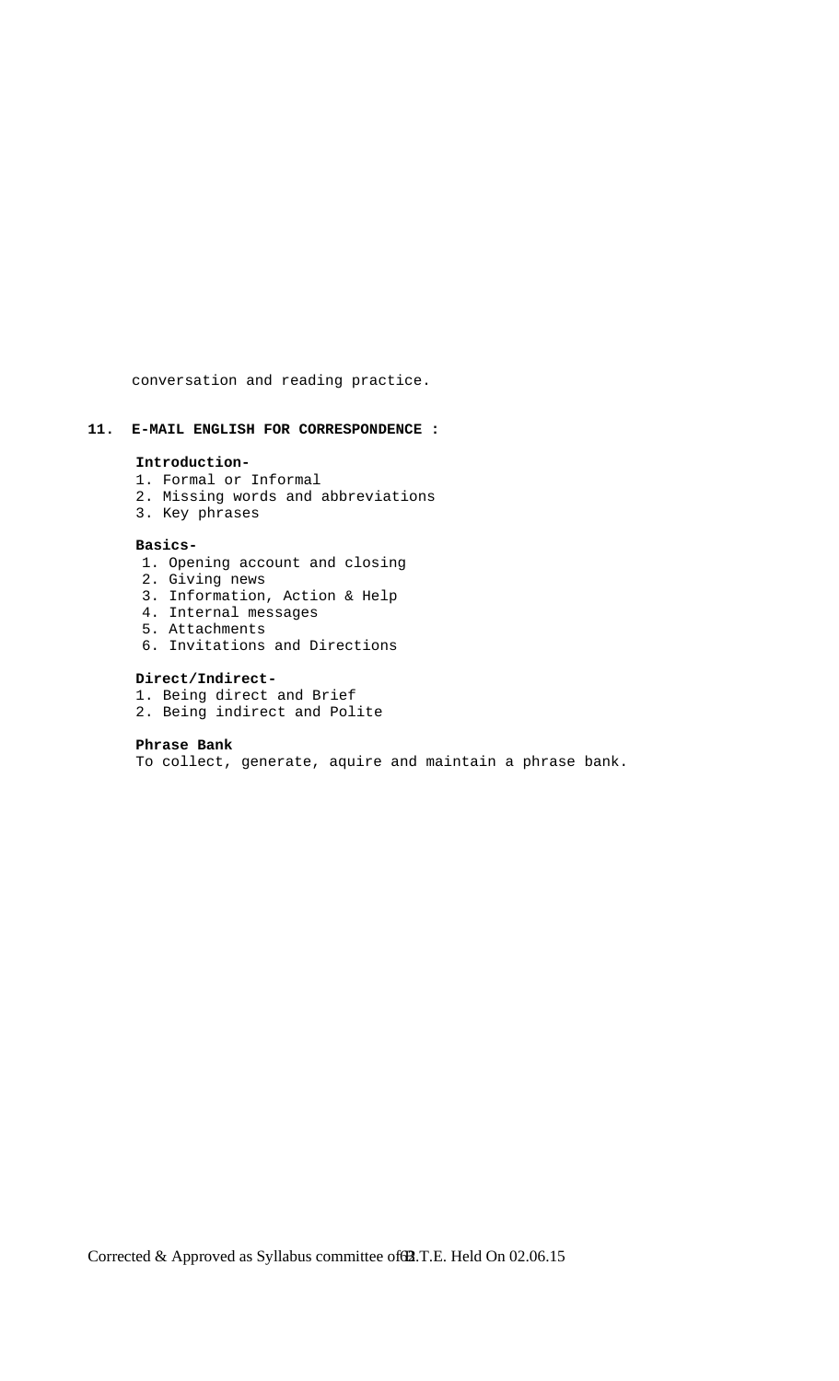conversation and reading practice.

# **11. E-MAIL ENGLISH FOR CORRESPONDENCE :**

#### **Introduction-**

- 1. Formal or Informal
- 2. Missing words and abbreviations
- 3. Key phrases

#### **Basics-**

- 1. Opening account and closing
- 2. Giving news
- 3. Information, Action & Help
- 4. Internal messages
- 5. Attachments
- 6. Invitations and Directions

# **Direct/Indirect-**

- 1. Being direct and Brief
- 2. Being indirect and Polite

#### **Phrase Bank**

To collect, generate, aquire and maintain a phrase bank.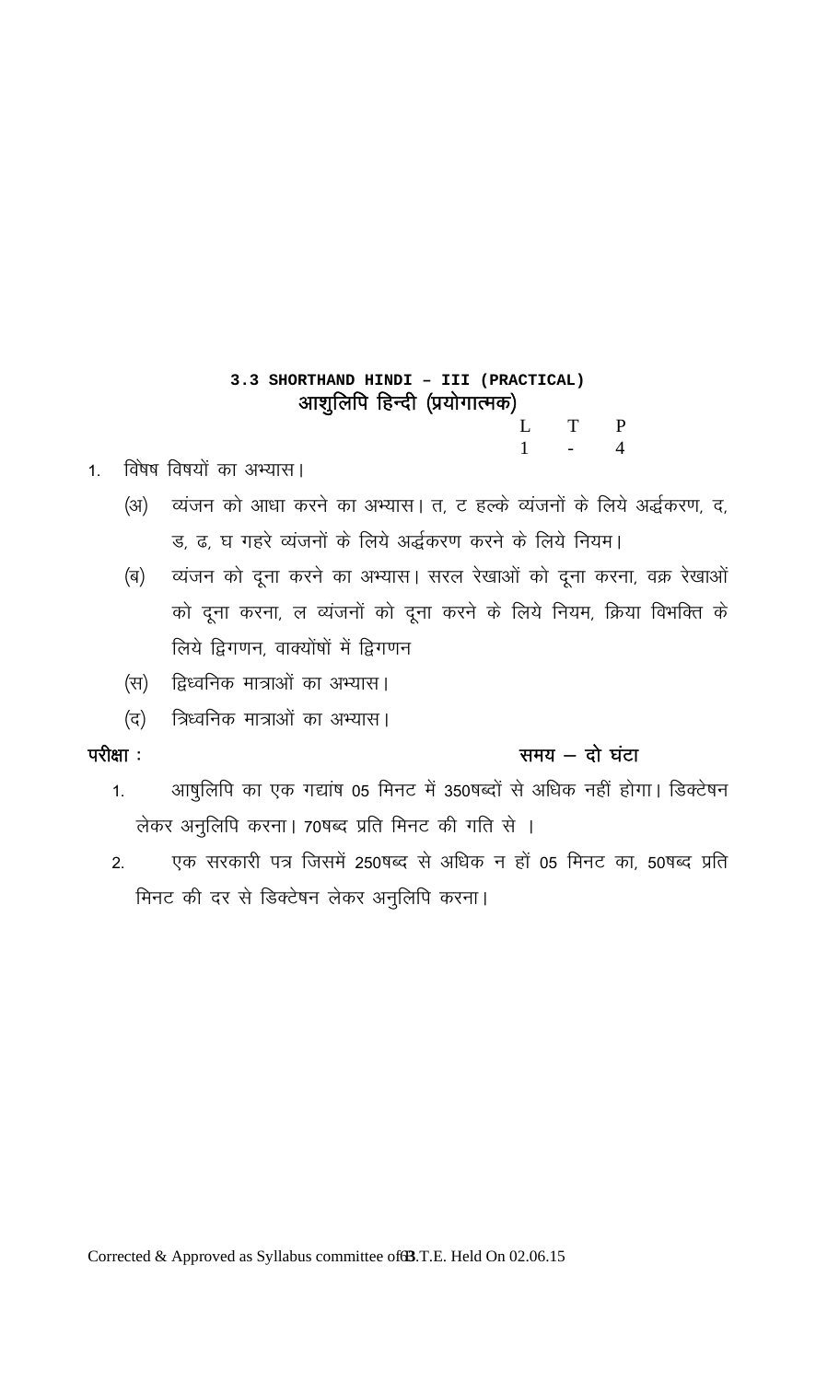# 3.3 SHORTHAND HINDI - III (PRACTICAL) आशुलिपि हिन्दी (प्रयोगात्मक)

 $\mathbf{L}$  $\mathbf T$  $\mathbf{P}$  $\mathbf{1}$  $\overline{4}$ 

- विषेष विषयों का अभ्यास।  $1<sup>1</sup>$ 
	- व्यंजन को आधा करने का अभ्यास। त, ट हल्के व्यंजनों के लिये अर्द्धकरण, द,  $(3I)$ ड, ढ, घ गहरे व्यंजनों के लिये अर्द्धकरण करने के लिये नियम।
	- व्यंजन को दूना करने का अभ्यास। सरल रेखाओं को दूना करना, वक्र रेखाओं (ब) को दूना करना, ल व्यंजनों को दूना करने के लिये नियम, क्रिया विभक्ति के लिये द्विगणन, वाक्योंषों में द्विगणन
	- द्विध्वनिक मात्राओं का अभ्यास। (स)
	- त्रिध्वनिक मात्राओं का अभ्यास। (द)

# परीक्षा :

# समय  $-$  दो घंटा

- आषुलिपि का एक गद्यांष 05 मिनट में 350षब्दों से अधिक नहीं होगा। डिक्टेषन  $1.$ लेकर अनुलिपि करना। 70षब्द प्रति मिनट की गति से ।
- एक सरकारी पत्र जिसमें 250षब्द से अधिक न हों 05 मिनट का, 50षब्द प्रति  $2.$ मिनट की दर से डिक्टेषन लेकर अनुलिपि करना।

Corrected & Approved as Syllabus committee of **3.** T.E. Held On 02.06.15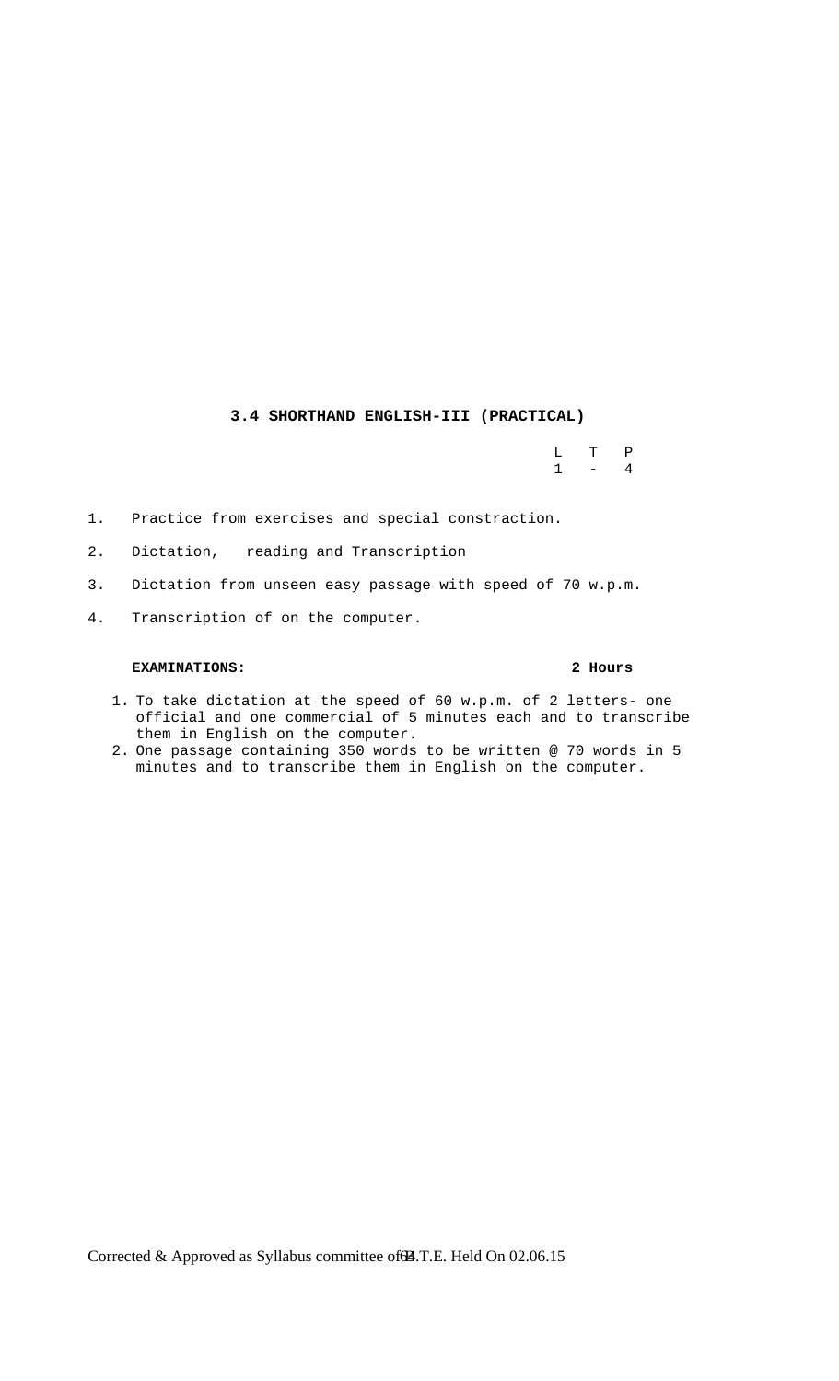# **3.4 SHORTHAND ENGLISH-III (PRACTICAL)**

 L T P  $1 - 4$ 

- 1. Practice from exercises and special constraction.
- 2. Dictation, reading and Transcription
- 3. Dictation from unseen easy passage with speed of 70 w.p.m.
- 4. Transcription of on the computer.

## **EXAMINATIONS: 2 Hours**

- 1. To take dictation at the speed of 60 w.p.m. of 2 letters- one official and one commercial of 5 minutes each and to transcribe them in English on the computer.
- 2. One passage containing 350 words to be written @ 70 words in 5 minutes and to transcribe them in English on the computer.

Corrected & Approved as Syllabus committee of **A**.T.E. Held On 02.06.15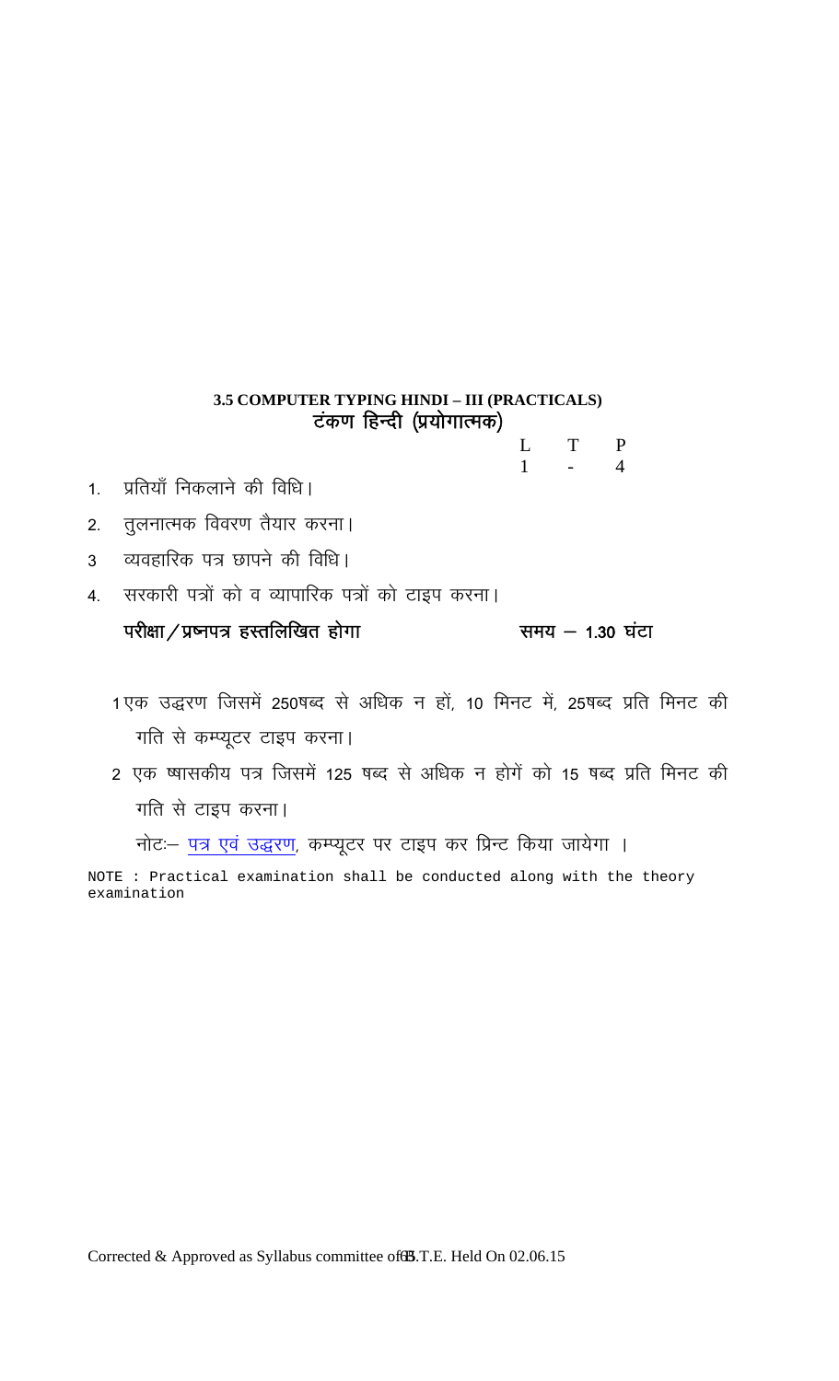# 3.5 COMPUTER TYPING HINDI - III (PRACTICALS) टंकण हिन्दी (प्रयोगात्मक)

 $\mathbf{L}$ T  $\mathbf P$  $\mathbf{1}$  $\overline{4}$ 

- प्रतियाँ निकलाने की विधि।  $1<sup>1</sup>$
- तुलनात्मक विवरण तैयार करना।  $2.$
- व्यवहारिक पत्र छापने की विधि।  $\overline{3}$
- 4. सरकारी पत्रों को व व्यापारिक पत्रों को टाइप करना।

परीक्षा/प्रष्नपत्र हस्तलिखित होगा समय  $-$  1.30 घंटा

- 1एक उद्धरण जिसमें 250षब्द से अधिक न हों, 10 मिनट में, 25षब्द प्रति मिनट की गति से कम्प्यूटर टाइप करना।
- 2 एक ष्यासकीय पत्र जिसमें 125 षब्द से अधिक न होगें को 15 षब्द प्रति मिनट की गति से टाइप करना।

नोट:- पत्र एवं उद्धरण, कम्प्यूटर पर टाइप कर प्रिन्ट किया जायेगा ।

NOTE : Practical examination shall be conducted along with the theory examination

Corrected & Approved as Syllabus committee of 3.T.E. Held On 02.06.15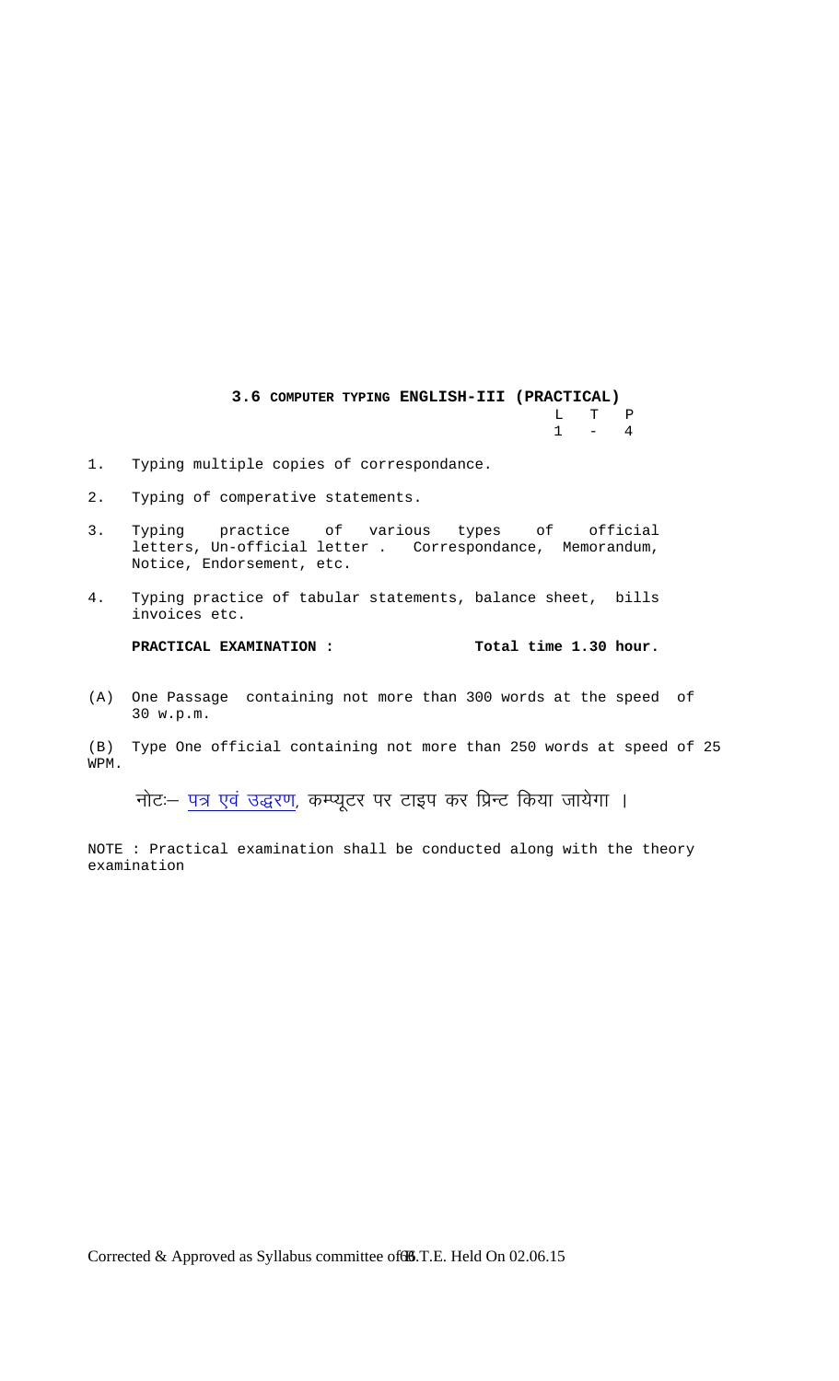**3.6 COMPUTER TYPING ENGLISH-III (PRACTICAL)** L T P  $1 - 4$ 

- 1. Typing multiple copies of correspondance.
- 2. Typing of comperative statements.
- 3. Typing practice of various types of official letters, Un-official letter . Correspondance, Memorandum, Notice, Endorsement, etc.
- 4. Typing practice of tabular statements, balance sheet, bills invoices etc.

**PRACTICAL EXAMINATION : Total time 1.30 hour.**

(A) One Passage containing not more than 300 words at the speed of 30 w.p.m.

(B) Type One official containing not more than 250 words at speed of 25 WPM.

नोट: पत्र एवं उद्धरण, कम्प्यूटर पर टाइप कर प्रिन्ट किया जायेगा ।

NOTE : Practical examination shall be conducted along with the theory examination

Corrected & Approved as Syllabus committee of **66**.T.E. Held On 02.06.15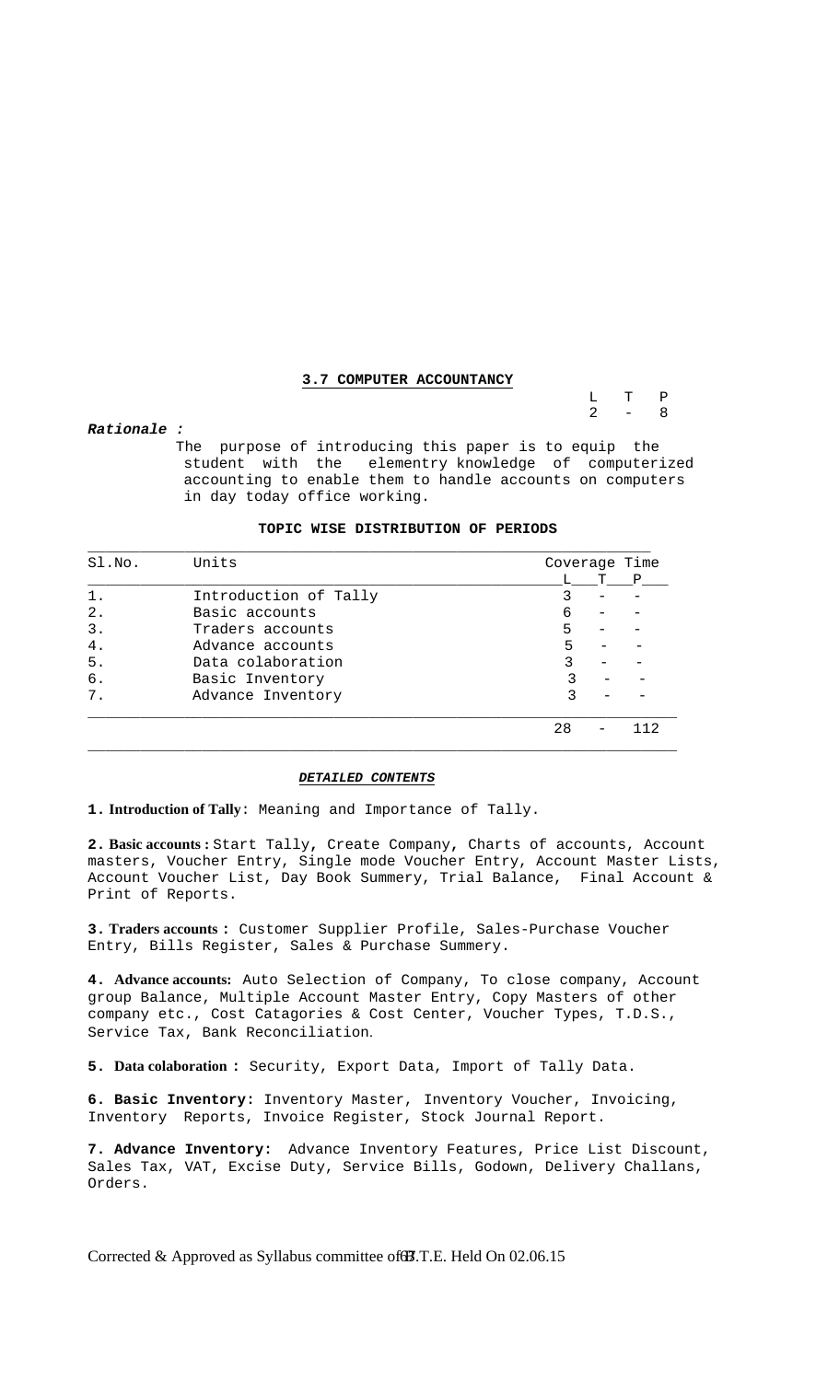#### **3.7 COMPUTER ACCOUNTANCY**

 L T P  $2 - 8$ 

#### *Rationale :*

 The purpose of introducing this paper is to equip the student with the elementry knowledge of computerized accounting to enable them to handle accounts on computers in day today office working.

#### **TOPIC WISE DISTRIBUTION OF PERIODS**

| SI.NO. | Units                 | Coverage Time |    |     |
|--------|-----------------------|---------------|----|-----|
|        |                       |               | T. | P   |
| 1.     | Introduction of Tally |               |    |     |
| 2.     | Basic accounts        | 6             |    |     |
| 3.     | Traders accounts      | 5             |    |     |
| 4.     | Advance accounts      | 5             |    |     |
| 5.     | Data colaboration     |               |    |     |
| б.     | Basic Inventory       |               |    |     |
| 7.     | Advance Inventory     | ς             |    |     |
|        |                       | 28            |    | 112 |

#### *DETAILED CONTENTS*

**1. Introduction of Tally**: Meaning and Importance of Tally.

**2. Basic accounts :** Start Tally**,** Create Company**,** Charts of accounts, Account masters, Voucher Entry, Single mode Voucher Entry, Account Master Lists, Account Voucher List, Day Book Summery, Trial Balance, Final Account & Print of Reports.

**3. Traders accounts :** Customer Supplier Profile, Sales-Purchase Voucher Entry, Bills Register, Sales & Purchase Summery.

**4. Advance accounts:** Auto Selection of Company, To close company, Account group Balance, Multiple Account Master Entry, Copy Masters of other company etc., Cost Catagories & Cost Center, Voucher Types, T.D.S., Service Tax, Bank Reconciliation.

**5. Data colaboration :** Security, Export Data, Import of Tally Data.

**6. Basic Inventory:** Inventory Master, Inventory Voucher, Invoicing, Inventory Reports, Invoice Register, Stock Journal Report.

**7. Advance Inventory:** Advance Inventory Features, Price List Discount, Sales Tax, VAT, Excise Duty, Service Bills, Godown, Delivery Challans, Orders.

Corrected & Approved as Syllabus committee of **B**.T.E. Held On 02.06.15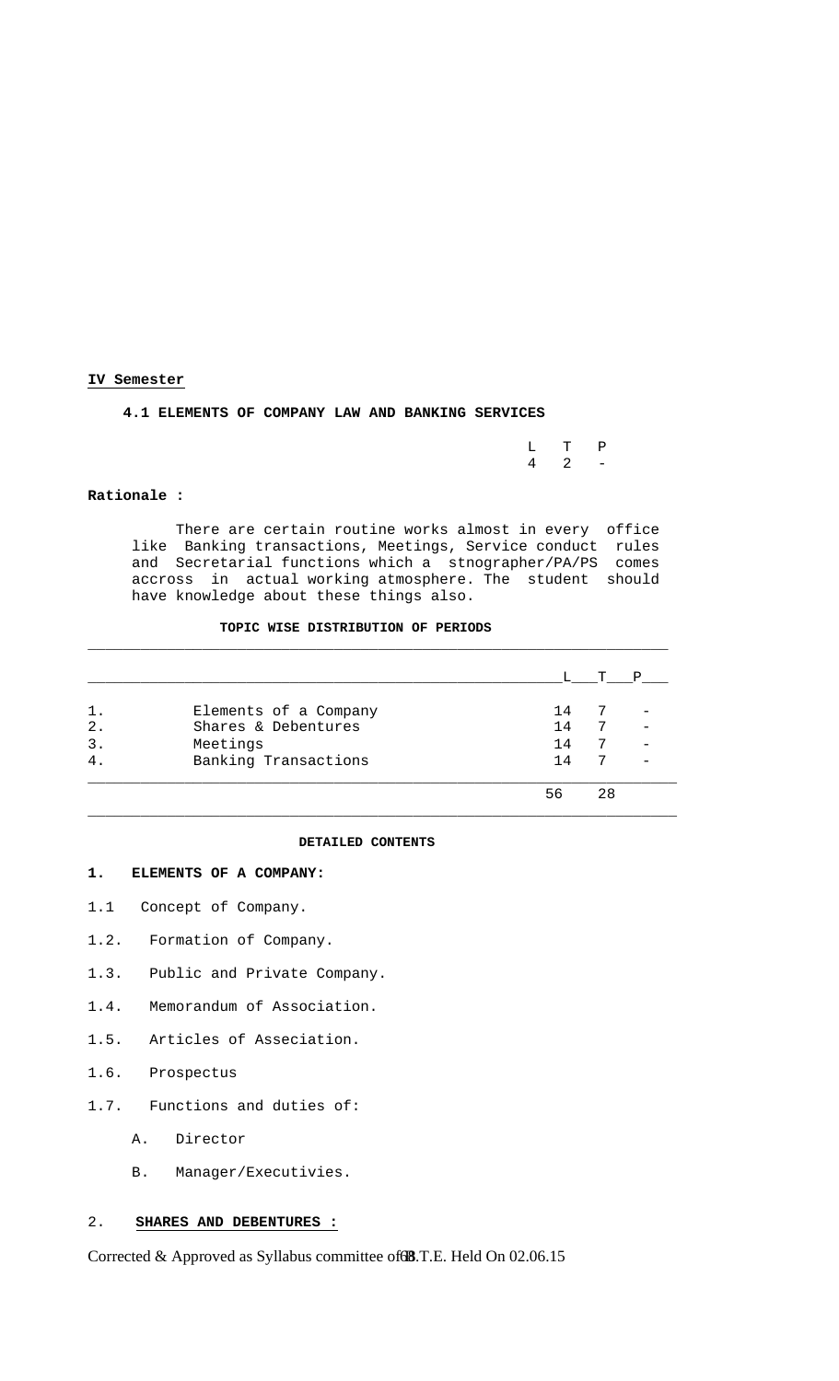#### **IV Semester**

#### **4.1 ELEMENTS OF COMPANY LAW AND BANKING SERVICES**

|  | $L$ T P           |  |
|--|-------------------|--|
|  | $4\quad 2\quad -$ |  |

#### **Rationale :**

 There are certain routine works almost in every office like Banking transactions, Meetings, Service conduct rules and Secretarial functions which a stnographer/PA/PS comes accross in actual working atmosphere. The student should have knowledge about these things also.

### **TOPIC WISE DISTRIBUTION OF PERIODS**

|                |                       |    | $\mathbf{T}$ | P |
|----------------|-----------------------|----|--------------|---|
| 1.             | Elements of a Company | 14 |              |   |
| $2$ .          | Shares & Debentures   | 14 | 7            |   |
| 3.             | Meetings              | 14 | 7            |   |
| 4 <sup>1</sup> | Banking Transactions  | 14 | 7            |   |
|                |                       | 56 | 28           |   |

 $\Box$  . The contribution of the contribution of the contribution of the contribution of the contribution of the contribution of the contribution of the contribution of the contribution of the contribution of the contributi

#### **DETAILED CONTENTS**

### **1. ELEMENTS OF A COMPANY:**

- 1.1 Concept of Company.
- 1.2. Formation of Company.
- 1.3. Public and Private Company.
- 1.4. Memorandum of Association.
- 1.5. Articles of Asseciation.
- 1.6. Prospectus
- 1.7. Functions and duties of:
	- A. Director
	- B. Manager/Executivies.

# 2. **SHARES AND DEBENTURES :**

Corrected & Approved as Syllabus committee of **8**.T.E. Held On 02.06.15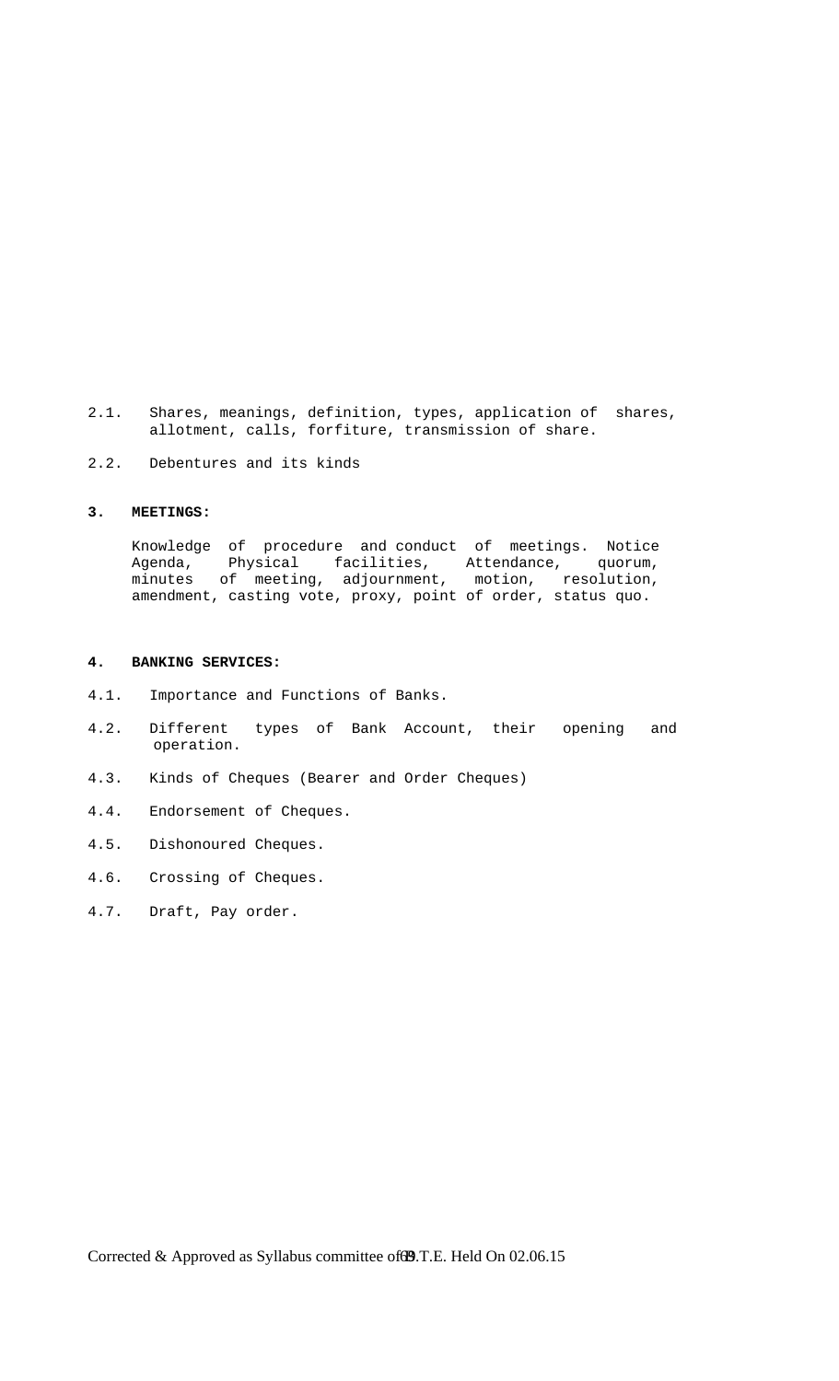- 2.1. Shares, meanings, definition, types, application of shares, allotment, calls, forfiture, transmission of share.
- 2.2. Debentures and its kinds

#### **3. MEETINGS:**

 Knowledge of procedure and conduct of meetings. Notice Agenda, Physical facilities, Attendance, quorum, minutes of meeting, adjournment, motion, resolution, amendment, casting vote, proxy, point of order, status quo.

#### **4. BANKING SERVICES:**

- 4.1. Importance and Functions of Banks.
- 4.2. Different types of Bank Account, their opening and operation.
- 4.3. Kinds of Cheques (Bearer and Order Cheques)
- 4.4. Endorsement of Cheques.
- 4.5. Dishonoured Cheques.
- 4.6. Crossing of Cheques.
- 4.7. Draft, Pay order.

Corrected & Approved as Syllabus committee of **39.** T.E. Held On 02.06.15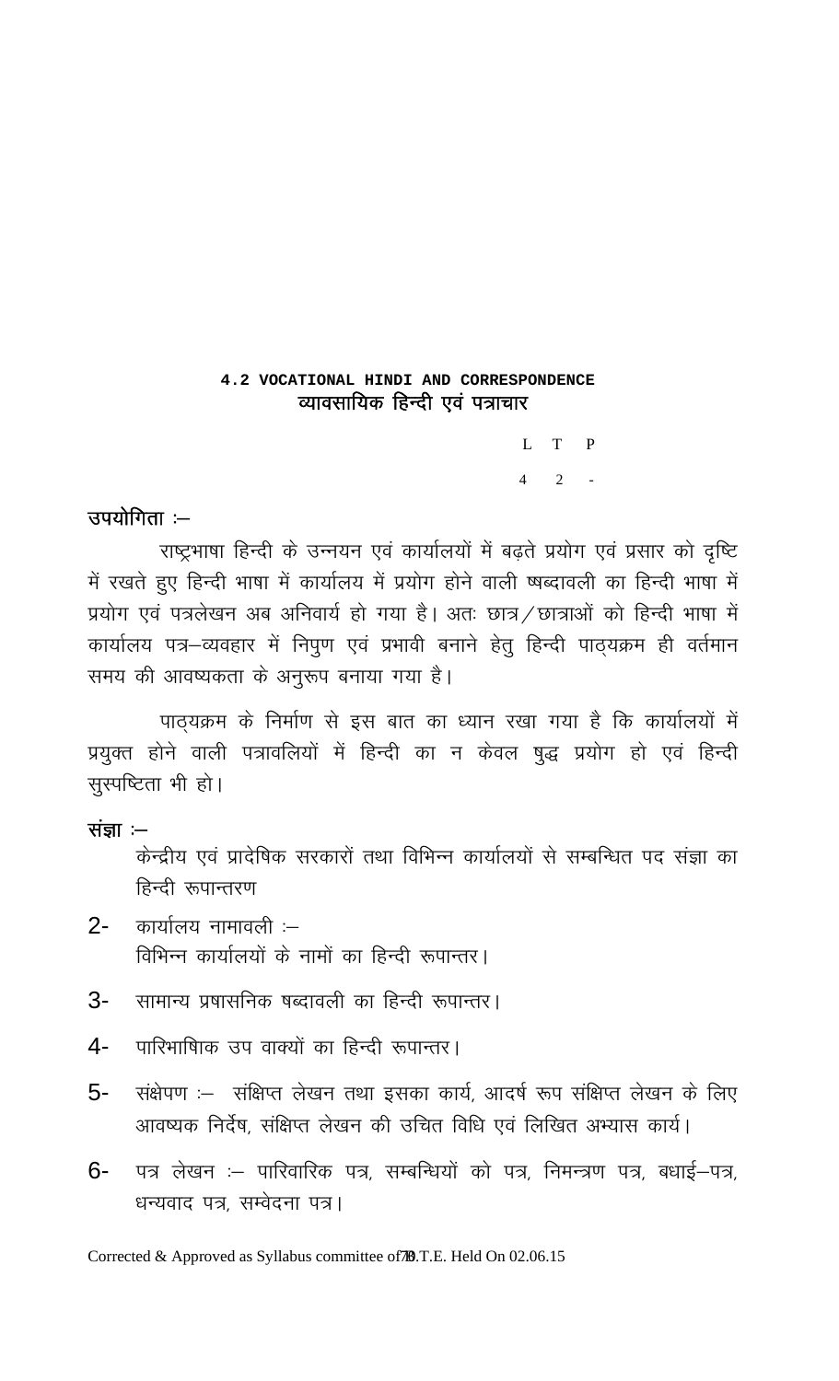# 4.2 VOCATIONAL HINDI AND CORRESPONDENCE व्यावसायिक हिन्दी एवं पत्राचार

 $L$  T  $\mathbf{P}$  $4\quad 2$ 

# उपयोगिता :--

राष्ट्रभाषा हिन्दी के उन्नयन एवं कार्यालयों में बढ़ते प्रयोग एवं प्रसार को दृष्टि में रखते हुए हिन्दी भाषा में कार्यालय में प्रयोग होने वाली ष्षब्दावली का हिन्दी भाषा में प्रयोग एवं पत्रलेखन अब अनिवार्य हो गया है। अतः छात्र / छात्राओं को हिन्दी भाषा में कार्यालय पत्र–व्यवहार में निपुण एवं प्रभावी बनाने हेतु हिन्दी पाठ्यक्रम ही वर्तमान समय की आवष्यकता के अनुरूप बनाया गया है।

पाठ्यक्रम के निर्माण से इस बात का ध्यान रखा गया है कि कार्यालयों में प्रयुक्त होने वाली पत्रावलियों में हिन्दी का न केवल षुद्ध प्रयोग हो एवं हिन्दी सुस्पष्टिता भी हो।

# संज्ञा $:=$

केन्द्रीय एवं प्रादेषिक सरकारों तथा विभिन्न कार्यालयों से सम्बन्धित पद संज्ञा का हिन्दी रूपान्तरण

- कार्यालय नामावली :-- $2 -$ विभिन्न कार्यालयों के नामों का हिन्दी रूपान्तर।
- सामान्य प्रषासनिक षब्दावली का हिन्दी रूपान्तर। 3-
- पारिभाषिाक उप वाक्यों का हिन्दी रूपान्तर। 4-
- 5-संक्षेपण :– संक्षिप्त लेखन तथा इसका कार्य, आदर्ष रूप संक्षिप्त लेखन के लिए आवष्यक निर्देष, संक्षिप्त लेखन की उचित विधि एवं लिखित अभ्यास कार्य।
- पत्र लेखन :– पारिवारिक पत्र, सम्बन्धियों को पत्र, निमन्त्रण पत्र, बधाई–पत्र,  $6-$ धन्यवाद पत्र, सम्वेदना पत्र।

Corrected & Approved as Syllabus committee of 70.T.E. Held On 02.06.15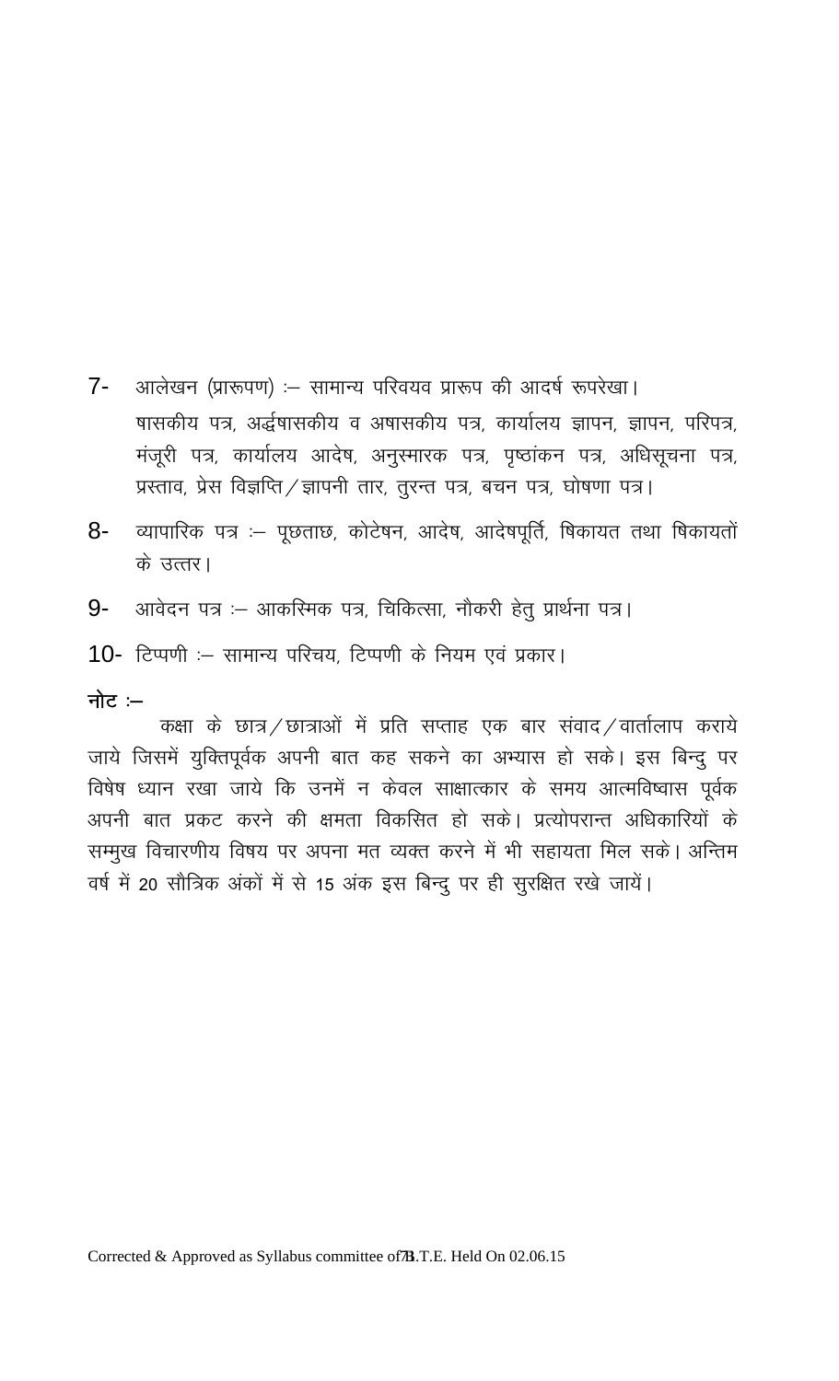- आलेखन (प्रारूपण) :- सामान्य परिवयव प्रारूप की आदर्ष रूपरेखा।  $7 -$ षासकीय पत्र, अर्द्धषासकीय व अषासकीय पत्र, कार्यालय ज्ञापन, ज्ञापन, परिपत्र, मंजूरी पत्र, कार्यालय आदेष, अनुस्मारक पत्र, पृष्ठांकन पत्र, अधिसूचना पत्र, प्रस्ताव, प्रेस विज्ञप्ति / ज्ञापनी तार, तुरन्त पत्र, बचन पत्र, घोषणा पत्र।
- व्यापारिक पत्र :- पूछताछ, कोटेषन, आदेष, आदेषपूर्ति, षिकायत तथा षिकायतों 8-के उत्तर।
- आवेदन पत्र :- आकरिमक पत्र, चिकित्सा, नौकरी हेतु प्रार्थना पत्र। 9-
- 10- टिप्पणी :- सामान्य परिचय, टिप्पणी के नियम एवं प्रकार।

# नोट $-$

कक्षा के छात्र / छात्राओं में प्रति सप्ताह एक बार संवाद / वार्तालाप कराये जाये जिसमें युक्तिपूर्वक अपनी बात कह सकने का अभ्यास हो सके। इस बिन्दु पर विषेष ध्यान रखा जाये कि उनमें न केवल साक्षात्कार के समय आत्मविष्वास पूर्वक अपनी बात प्रकट करने की क्षमता विकसित हो सके। प्रत्योपरान्त अधिकारियों के सम्मुख विचारणीय विषय पर अपना मत व्यक्त करने में भी सहायता मिल सके। अन्तिम वर्ष में 20 सौत्रिक अंकों में से 15 अंक इस बिन्दु पर ही सुरक्षित रखे जायें।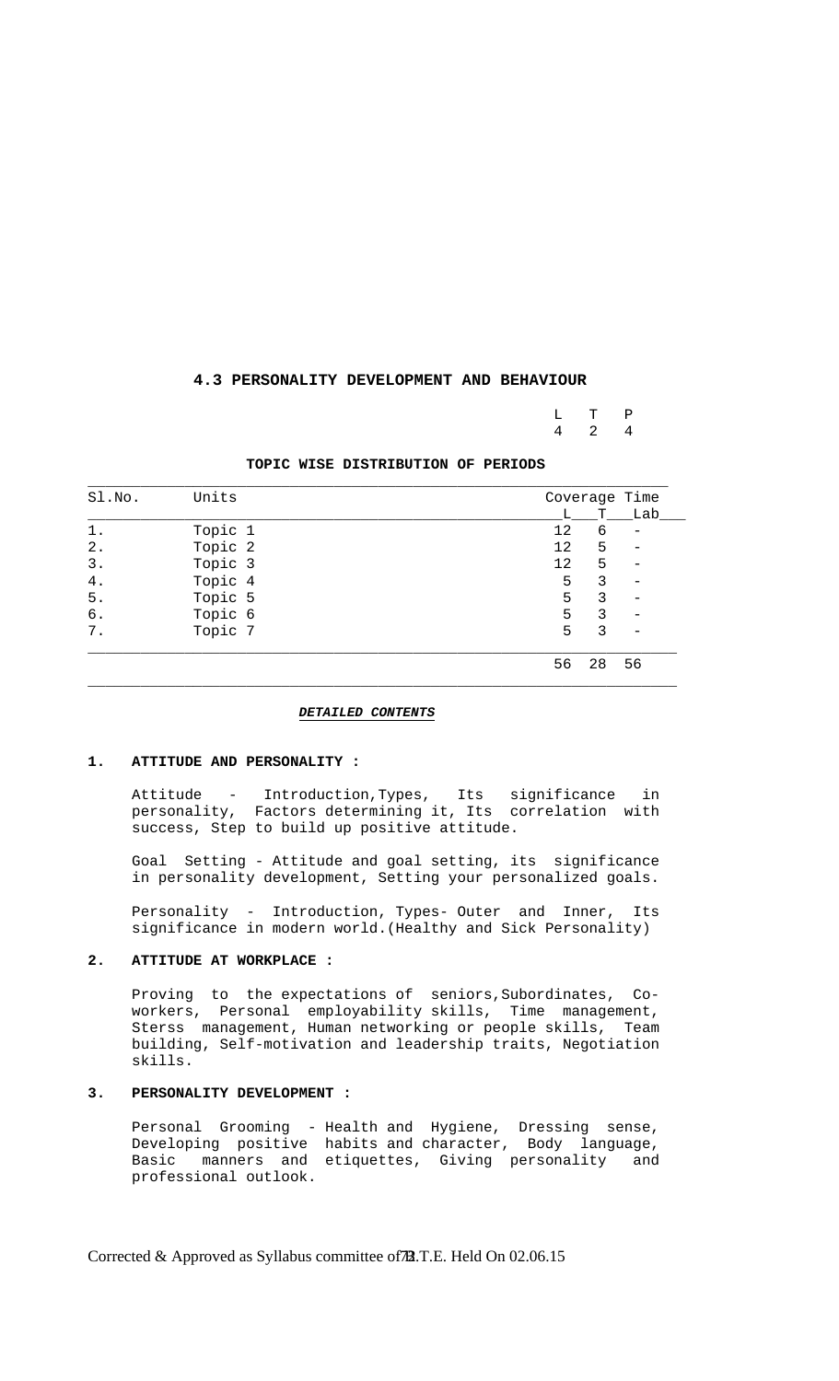## **4.3 PERSONALITY DEVELOPMENT AND BEHAVIOUR**

 L T P 4 2 4

#### **TOPIC WISE DISTRIBUTION OF PERIODS**

| Sl.No. | Units   | Coverage Time |    |     |
|--------|---------|---------------|----|-----|
|        |         | L             | T. | Lab |
| 1.     | Topic 1 | 12            | 6  |     |
| $2$ .  | Topic 2 | 12            | 5  |     |
| 3.     | Topic 3 | 12            | 5  |     |
| $4$ .  | Topic 4 | 5             | 3  |     |
| $5$ .  | Topic 5 | 5             | ζ  |     |
| б.     | Topic 6 | 5             | 3  |     |
| $7$ .  | Topic 7 | 5             | 3  |     |
|        |         | 56            | 28 | 56  |

*DETAILED CONTENTS*

## **1. ATTITUDE AND PERSONALITY :**

 Attitude - Introduction,Types, Its significance in personality, Factors determining it, Its correlation with success, Step to build up positive attitude.

 Goal Setting - Attitude and goal setting, its significance in personality development, Setting your personalized goals.

 Personality - Introduction, Types- Outer and Inner, Its significance in modern world.(Healthy and Sick Personality)

#### **2. ATTITUDE AT WORKPLACE :**

 Proving to the expectations of seniors,Subordinates, Co workers, Personal employability skills, Time management, Sterss management, Human networking or people skills, Team building, Self-motivation and leadership traits, Negotiation skills.

## **3. PERSONALITY DEVELOPMENT :**

 Personal Grooming - Health and Hygiene, Dressing sense, Developing positive habits and character, Body language, Basic manners and etiquettes, Giving personality and professional outlook.

Corrected & Approved as Syllabus committee of B.T.E. Held On 02.06.15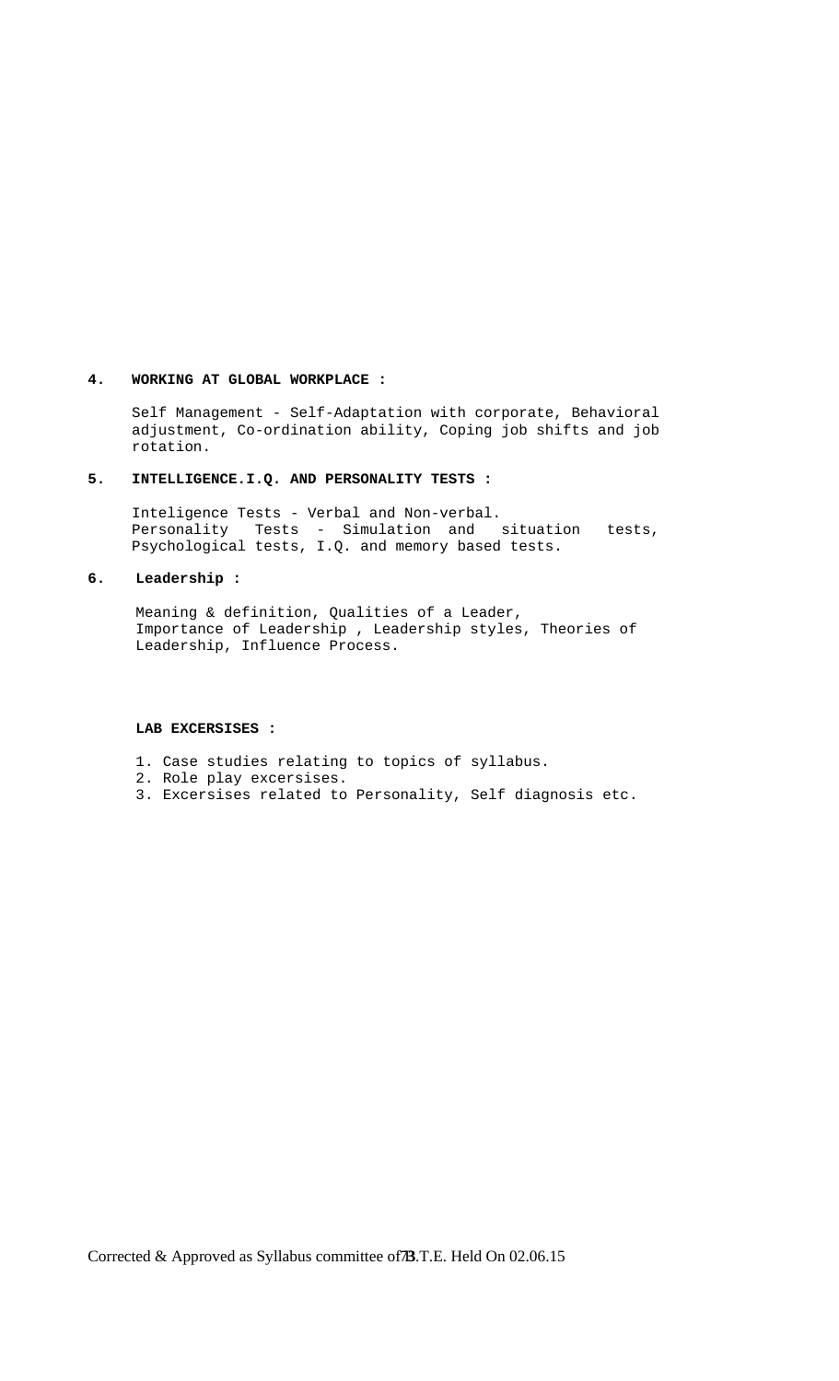## **4. WORKING AT GLOBAL WORKPLACE :**

 Self Management - Self-Adaptation with corporate, Behavioral adjustment, Co-ordination ability, Coping job shifts and job rotation.

## **5. INTELLIGENCE.I.Q. AND PERSONALITY TESTS :**

 Inteligence Tests - Verbal and Non-verbal. Personality Tests - Simulation and situation tests, Psychological tests, I.Q. and memory based tests.

## **6. Leadership :**

Meaning & definition, Qualities of a Leader, Importance of Leadership , Leadership styles, Theories of Leadership, Influence Process.

#### **LAB EXCERSISES :**

- 1. Case studies relating to topics of syllabus.
- 2. Role play excersises.
- 3. Excersises related to Personality, Self diagnosis etc.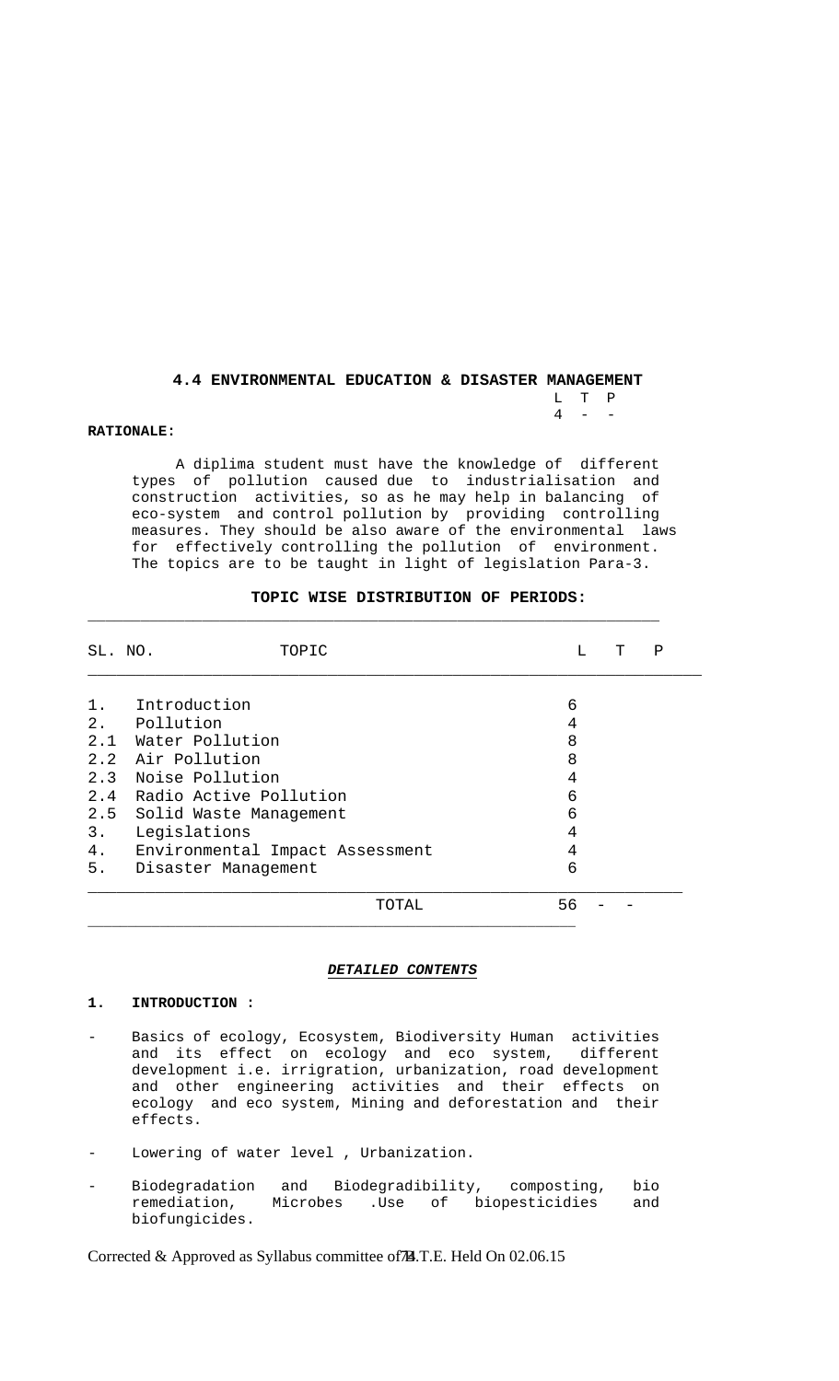## **4.4 ENVIRONMENTAL EDUCATION & DISASTER MANAGEMENT**  L T P  $4 - -$

### **RATIONALE:**

 A diplima student must have the knowledge of different types of pollution caused due to industrialisation and construction activities, so as he may help in balancing of eco-system and control pollution by providing controlling measures. They should be also aware of the environmental laws for effectively controlling the pollution of environment. The topics are to be taught in light of legislation Para-3.

| SL. NO. | TOPIC                           | т<br>т. | Ρ |
|---------|---------------------------------|---------|---|
|         |                                 |         |   |
| $1$ .   | Introduction                    | 6       |   |
|         | 2. Pollution                    | 4       |   |
|         | 2.1 Water Pollution             | 8       |   |
|         | 2.2 Air Pollution               | 8       |   |
|         | 2.3 Noise Pollution             | 4       |   |
|         | 2.4 Radio Active Pollution      | 6       |   |
| 2.5     | Solid Waste Management          | 6       |   |
| $3$ .   | Legislations                    | 4       |   |
| 4.      | Environmental Impact Assessment | 4       |   |
| 5.      | Disaster Management             | 6       |   |
|         | TOTAL                           | 56      |   |

 $\Box$ 

## **TOPIC WISE DISTRIBUTION OF PERIODS:**

#### *DETAILED CONTENTS*

## **1. INTRODUCTION :**

- Basics of ecology, Ecosystem, Biodiversity Human activities and its effect on ecology and eco system, different development i.e. irrigration, urbanization, road development and other engineering activities and their effects on ecology and eco system, Mining and deforestation and their effects.
- Lowering of water level , Urbanization.
- Biodegradation and Biodegradibility, composting, bio<br>remediation, Microbes .Use of biopesticidies and Microbes .Use of biopesticidies and biofungicides.

Corrected & Approved as Syllabus committee of A.T.E. Held On 02.06.15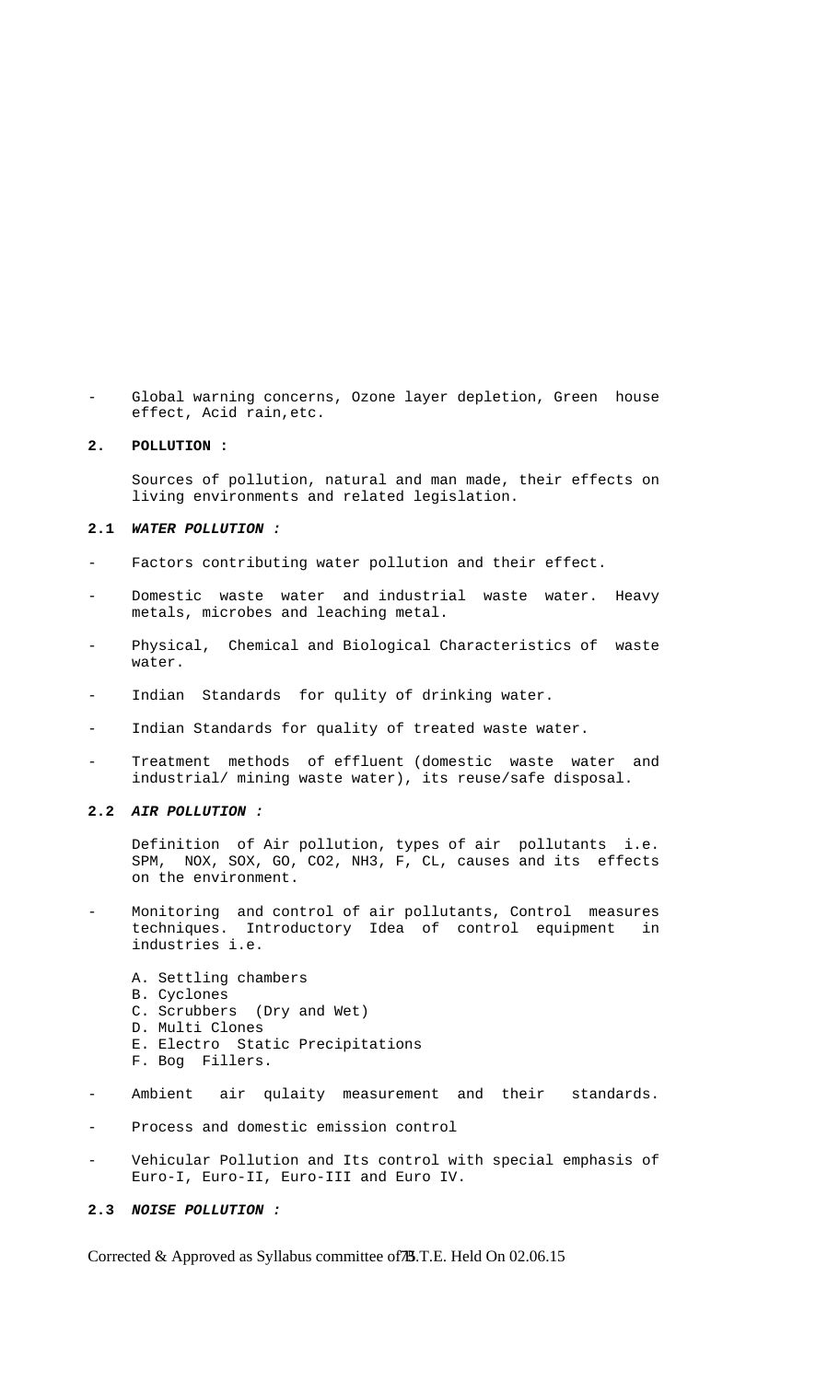Global warning concerns, Ozone layer depletion, Green house effect, Acid rain,etc.

## **2. POLLUTION :**

 Sources of pollution, natural and man made, their effects on living environments and related legislation.

## **2.1** *WATER POLLUTION :*

- Factors contributing water pollution and their effect.
- Domestic waste water and industrial waste water. Heavy metals, microbes and leaching metal.
- Physical, Chemical and Biological Characteristics of waste water.
- Indian Standards for qulity of drinking water.
- Indian Standards for quality of treated waste water.
- Treatment methods of effluent (domestic waste water and industrial/ mining waste water), its reuse/safe disposal.

## **2.2** *AIR POLLUTION :*

 Definition of Air pollution, types of air pollutants i.e. SPM, NOX, SOX, GO, CO2, NH3, F, CL, causes and its effects on the environment.

- Monitoring and control of air pollutants, Control measures techniques. Introductory Idea of control equipment in industries i.e.
	- A. Settling chambers B. Cyclones C. Scrubbers (Dry and Wet) D. Multi Clones E. Electro Static Precipitations F. Bog Fillers.
- Ambient air qulaity measurement and their standards.
- Process and domestic emission control
- Vehicular Pollution and Its control with special emphasis of Euro-I, Euro-II, Euro-III and Euro IV.

#### **2.3** *NOISE POLLUTION :*

Corrected & Approved as Syllabus committee of **B**.T.E. Held On 02.06.15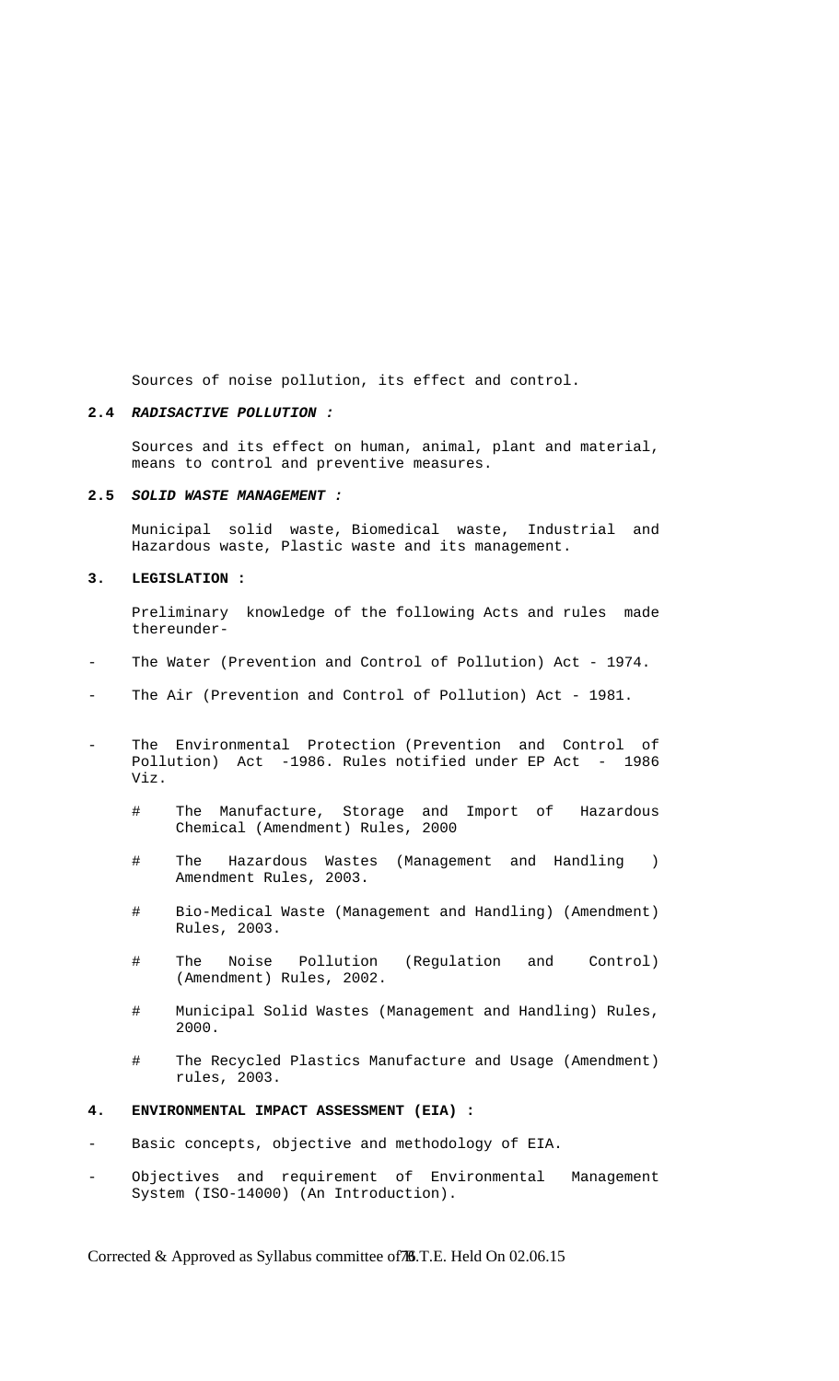Sources of noise pollution, its effect and control.

### **2.4** *RADISACTIVE POLLUTION :*

 Sources and its effect on human, animal, plant and material, means to control and preventive measures.

## **2.5** *SOLID WASTE MANAGEMENT :*

 Municipal solid waste, Biomedical waste, Industrial and Hazardous waste, Plastic waste and its management.

## **3. LEGISLATION :**

 Preliminary knowledge of the following Acts and rules made thereunder-

- The Water (Prevention and Control of Pollution) Act 1974.
- The Air (Prevention and Control of Pollution) Act 1981.
- The Environmental Protection (Prevention and Control of Pollution) Act -1986. Rules notified under EP Act - 1986 Viz.
- # The Manufacture, Storage and Import of Hazardous Chemical (Amendment) Rules, 2000
	- # The Hazardous Wastes (Management and Handling ) Amendment Rules, 2003.
	- # Bio-Medical Waste (Management and Handling) (Amendment) Rules, 2003.
	- # The Noise Pollution (Regulation and Control) (Amendment) Rules, 2002.
	- # Municipal Solid Wastes (Management and Handling) Rules, 2000.
	- # The Recycled Plastics Manufacture and Usage (Amendment) rules, 2003.
- **4. ENVIRONMENTAL IMPACT ASSESSMENT (EIA) :**
- Basic concepts, objective and methodology of EIA.
- Objectives and requirement of Environmental Management System (ISO-14000) (An Introduction).

Corrected & Approved as Syllabus committee of 76.T.E. Held On 02.06.15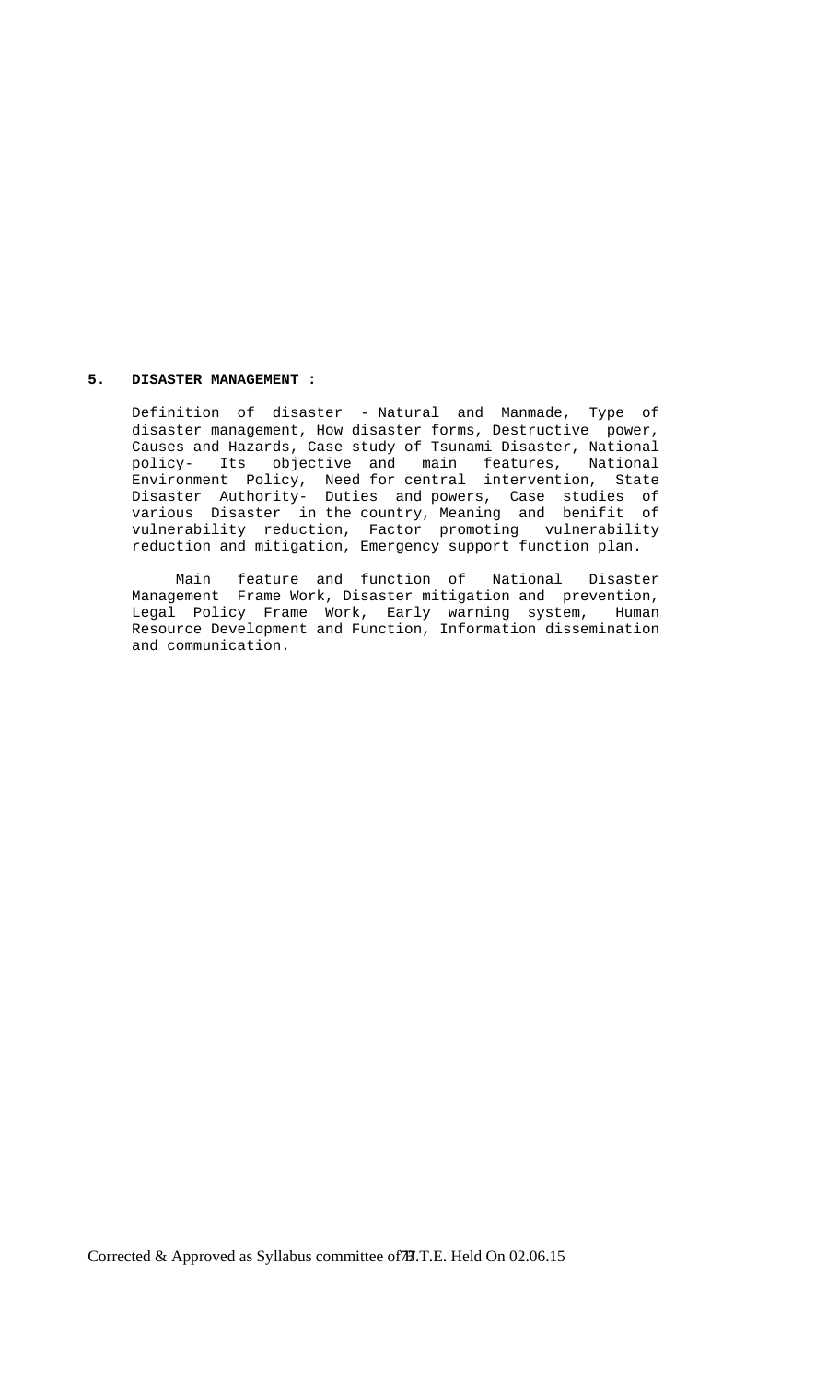## **5. DISASTER MANAGEMENT :**

 Definition of disaster - Natural and Manmade, Type of disaster management, How disaster forms, Destructive power, Causes and Hazards, Case study of Tsunami Disaster, National policy- Its objective and main features, National Environment Policy, Need for central intervention, State Disaster Authority- Duties and powers, Case studies of various Disaster in the country, Meaning and benifit of vulnerability reduction, Factor promoting vulnerability reduction and mitigation, Emergency support function plan.

 Main feature and function of National Disaster Management Frame Work, Disaster mitigation and prevention, Legal Policy Frame Work, Early warning system, Human Resource Development and Function, Information dissemination and communication.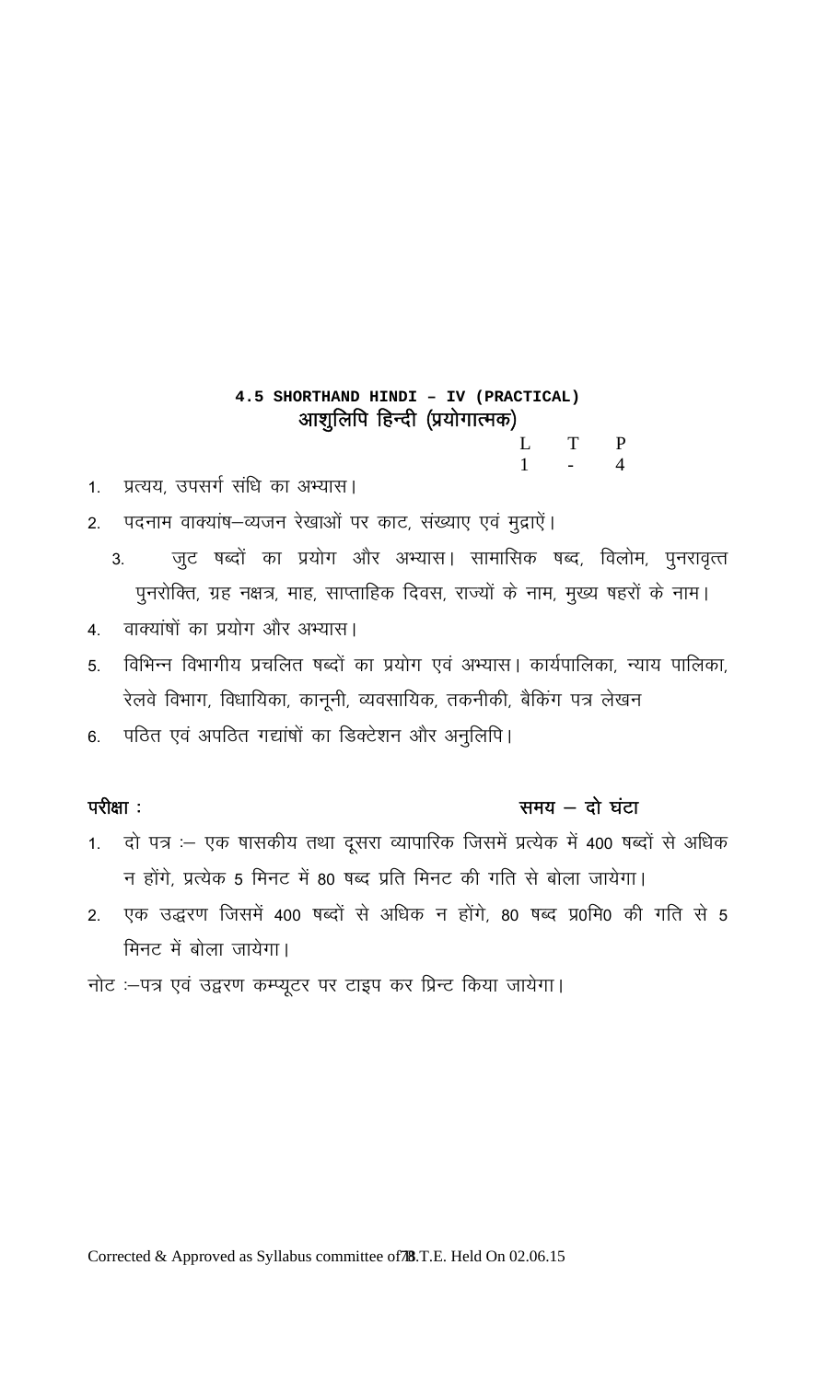## **4.5 SHORTHAND HINDI – IV (PRACTICAL)**  आशुलिपि हिन्दी (प्रयोगात्मक) L T P  $1 - 4$

1. प्रत्यय, उपसर्ग संधि का अभ्यास।

2. पदनाम वाक्यांष-व्यजन रेखाओं पर काट, संख्याए एवं मुद्राऐं।

- 3. जुट षब्दों का प्रयोग और अभ्यास। सामासिक षब्द, विलोम, पुनरावृत्त पुनरोक्ति, ग्रह नक्षत्र, माह, साप्ताहिक दिवस, राज्यों के नाम, मुख्य षहरों के नाम।
- 4. वाक्यांषों का प्रयोग और अभ्यास।
- 5. विभिन्न विभागीय प्रचलित षब्दों का प्रयोग एवं अभ्यास। कार्यपालिका, न्याय पालिका, रेलवे विभाग, विधायिका, कानूनी, व्यवसायिक, तकनीकी, बैकिंग पत्र लेखन
- 6. पठित एवं अपठित गद्यांषों का डिक्टेशन और अनुलिपि।

## $\frac{d}{dx}$ परीक्षा : with  $\frac{d}{dx}$  and  $\frac{d}{dx}$  and  $\frac{d}{dx}$  and  $\frac{d}{dx}$  and  $\frac{d}{dx}$  and  $\frac{d}{dx}$  and  $\frac{d}{dx}$  and  $\frac{d}{dx}$  and  $\frac{d}{dx}$  and  $\frac{d}{dx}$  and  $\frac{d}{dx}$  and  $\frac{d}{dx}$  and  $\frac{d}{dx}$  and  $\frac{d}{dx}$  and

- 1. दो पत्र :– एक षासकीय तथा दूसरा व्यापारिक जिसमें प्रत्येक में 400 षब्दों से अधिक न होंगे, प्रत्येक 5 मिनट में 80 षब्द प्रति मिनट की गति से बोला जायेगा।
- 2. एक उद्धरण जिसमें 400 षब्दों से अधिक न होंगे, 80 षब्द प्र0मि0 की गति से 5 मिनट में बोला जायेगा।
- नोट :-पत्र एवं उद्वरण कम्प्यूटर पर टाइप कर प्रिन्ट किया जायेगा।

Corrected & Approved as Syllabus committee of **B**.T.E. Held On 02.06.15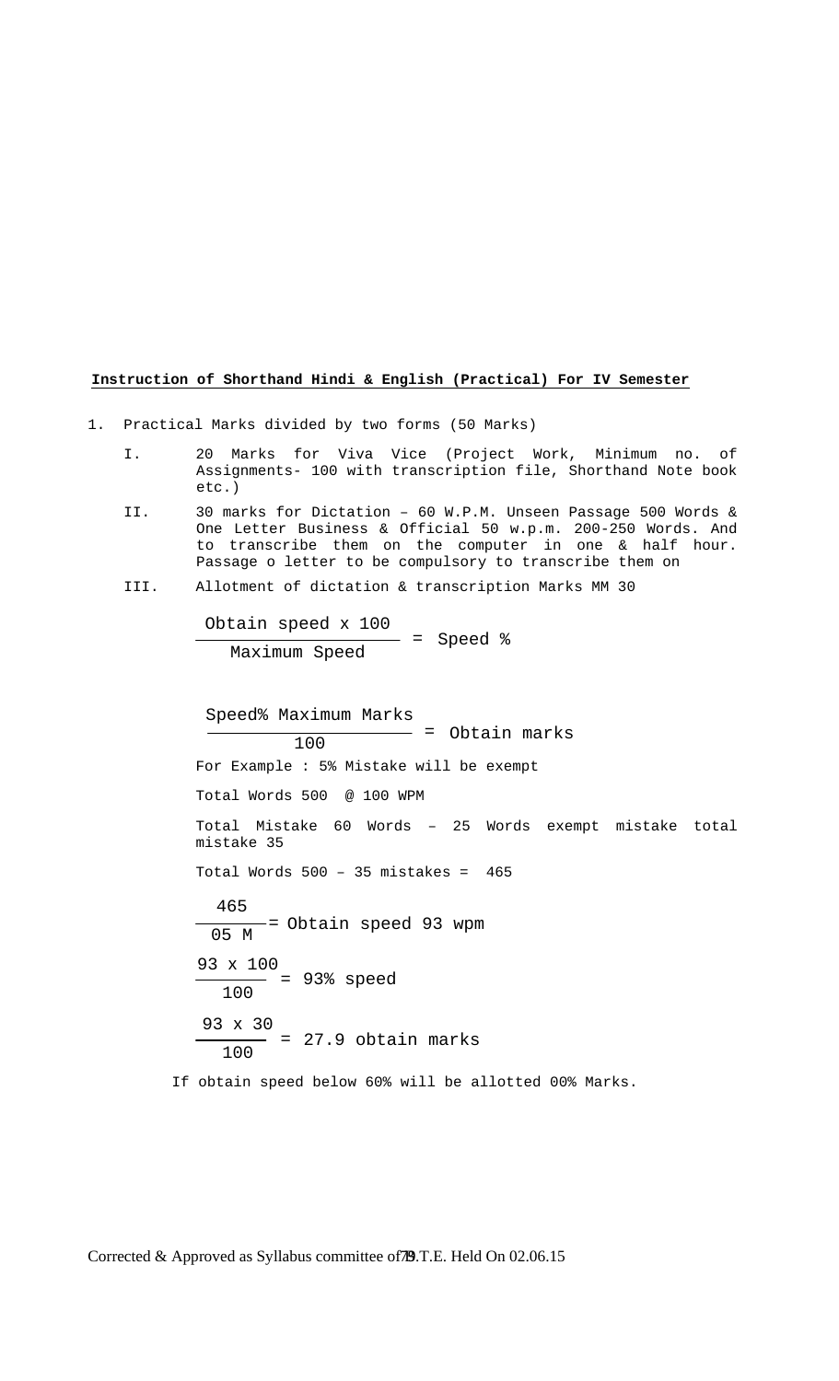## **Instruction of Shorthand Hindi & English (Practical) For IV Semester**

- 1. Practical Marks divided by two forms (50 Marks)
	- I. 20 Marks for Viva Vice (Project Work, Minimum no. of Assignments- 100 with transcription file, Shorthand Note book etc.)
	- II. 30 marks for Dictation 60 W.P.M. Unseen Passage 500 Words & One Letter Business & Official 50 w.p.m. 200-250 Words. And to transcribe them on the computer in one & half hour. Passage o letter to be compulsory to transcribe them on
	- III. Allotment of dictation & transcription Marks MM 30

Obtain speed x 100 Maximum Speed = Speed %

 For Example : 5% Mistake will be exempt Total Words 500 @ 100 WPM Total Mistake 60 Words – 25 Words exempt mistake total mistake 35 Total Words  $500 - 35$  mistakes =  $465$  If obtain speed below 60% will be allotted 00% Marks. Speed% Maximum Marks  $100$  = Obtain marks 465  $\frac{1}{05 M}$  = Obtain speed 93 wpm 93 x 100 100 <sup>=</sup> 93% speed 93 x 30  $\frac{100}{100}$  = 27.9 obtain marks

Corrected & Approved as Syllabus committee of 79.T.E. Held On 02.06.15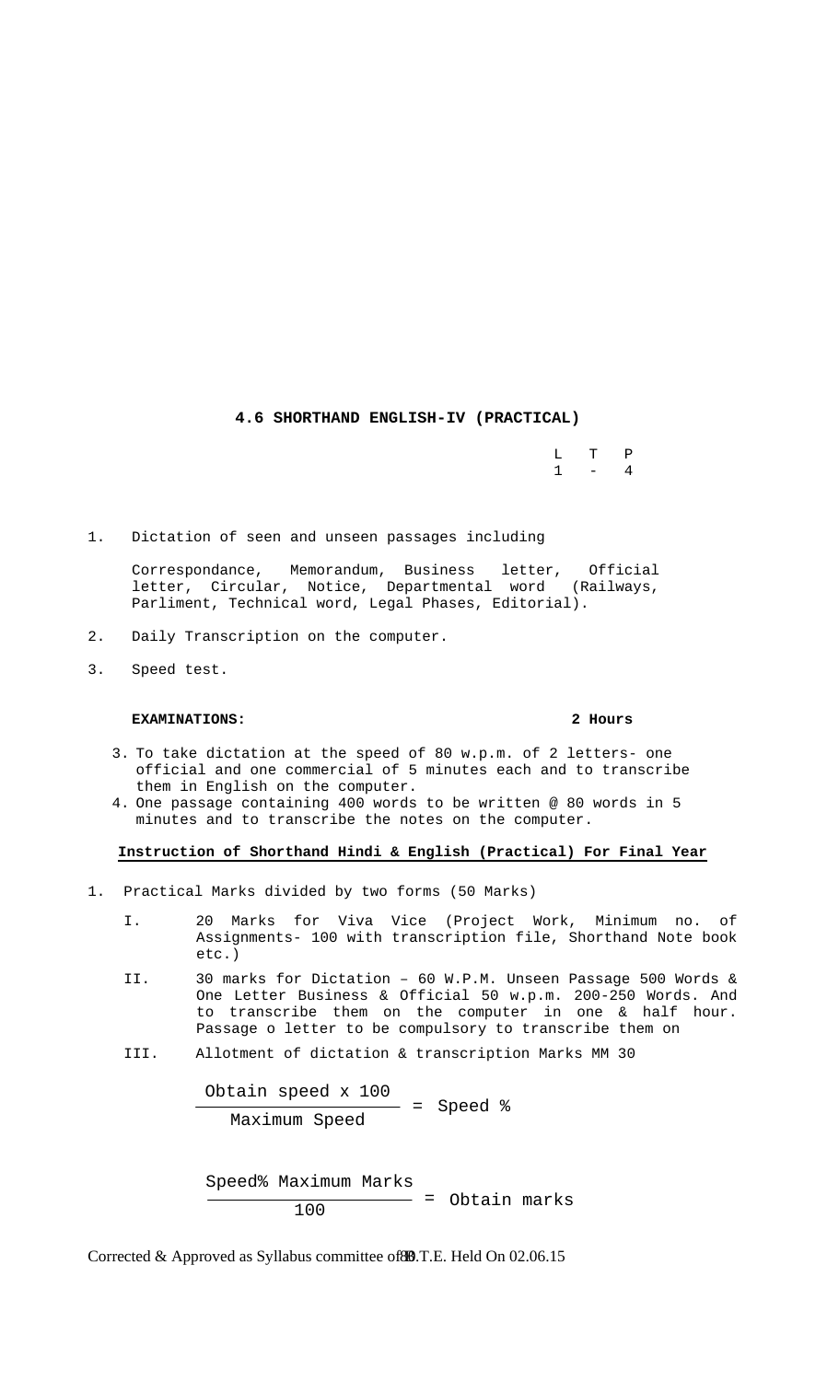## **4.6 SHORTHAND ENGLISH-IV (PRACTICAL)**

 $\begin{array}{ccc}\nL & T & P \\
1 & - & 4\n\end{array}$  $1 - 4$ 

1. Dictation of seen and unseen passages including

 Correspondance, Memorandum, Business letter, Official letter, Circular, Notice, Departmental word (Railways, Parliment, Technical word, Legal Phases, Editorial).

- 2. Daily Transcription on the computer.
- 3. Speed test.

## **EXAMINATIONS: 2 Hours**

- 3. To take dictation at the speed of 80 w.p.m. of 2 letters- one official and one commercial of 5 minutes each and to transcribe them in English on the computer.
- 4. One passage containing 400 words to be written @ 80 words in 5 minutes and to transcribe the notes on the computer.

## **Instruction of Shorthand Hindi & English (Practical) For Final Year**

- 1. Practical Marks divided by two forms (50 Marks)
	- I. 20 Marks for Viva Vice (Project Work, Minimum no. of Assignments- 100 with transcription file, Shorthand Note book etc.)
	- II. 30 marks for Dictation 60 W.P.M. Unseen Passage 500 Words & One Letter Business & Official 50 w.p.m. 200-250 Words. And to transcribe them on the computer in one & half hour. Passage o letter to be compulsory to transcribe them on
	- III. Allotment of dictation & transcription Marks MM 30

Obtain speed  $x$  100<br>= Speed  $\xi$ Maximum Speed

Speed% Maximum Marks  $100$  = Obtain marks

Corrected & Approved as Syllabus committee of 80.T.E. Held On 02.06.15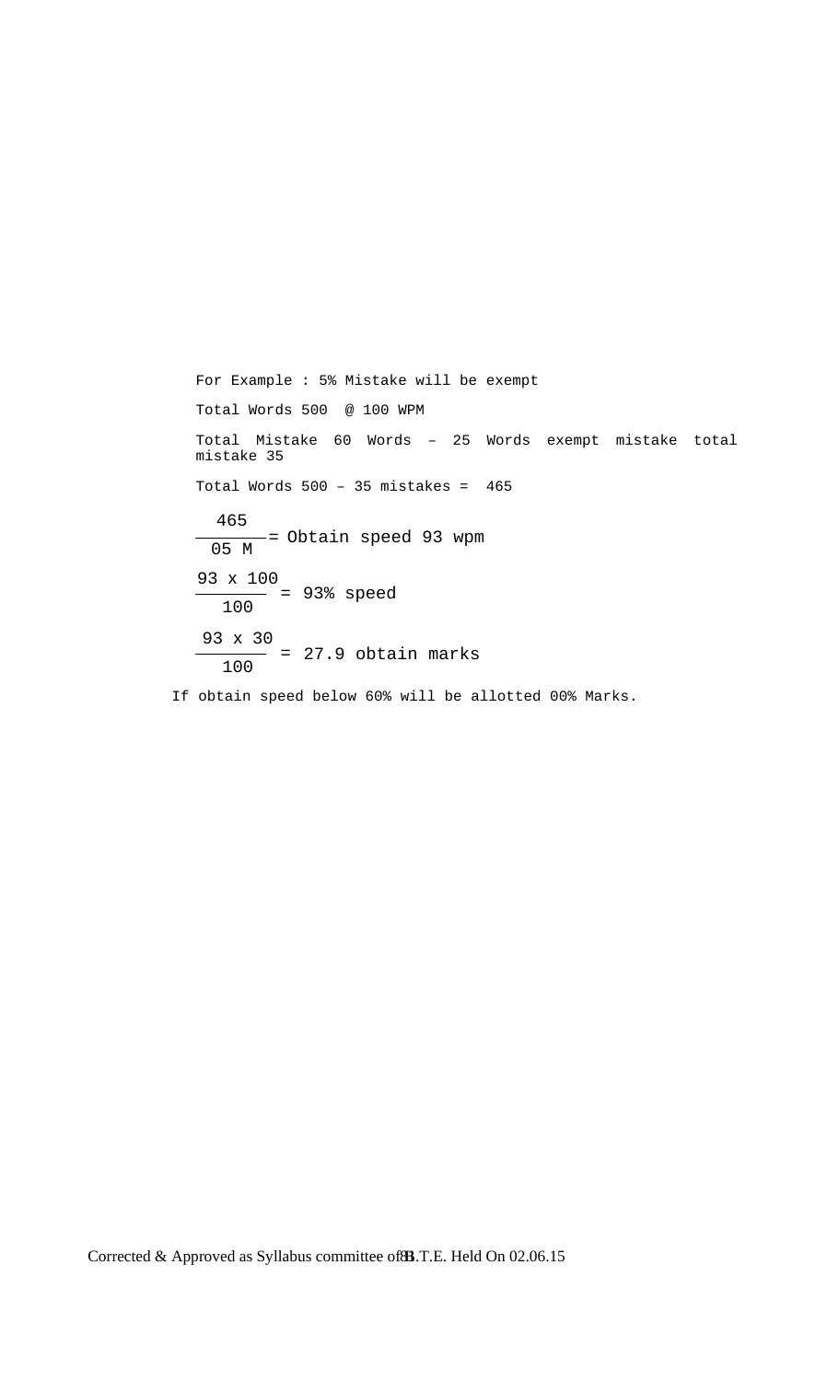```
 For Example : 5% Mistake will be exempt 
   Total Words 500 @ 100 WPM 
   Total Mistake 60 Words – 25 Words exempt mistake total 
  mistake 35 
  Total Words 500 - 35 mistakes = 465 If obtain speed below 60% will be allotted 00% Marks. 
    465 
  \frac{1}{\sqrt{105 M}} = Obtain speed 93 wpm
   93 x 100 
      100 = 93% speed
   93 x 30 
      100 = 27.9 obtain marks
```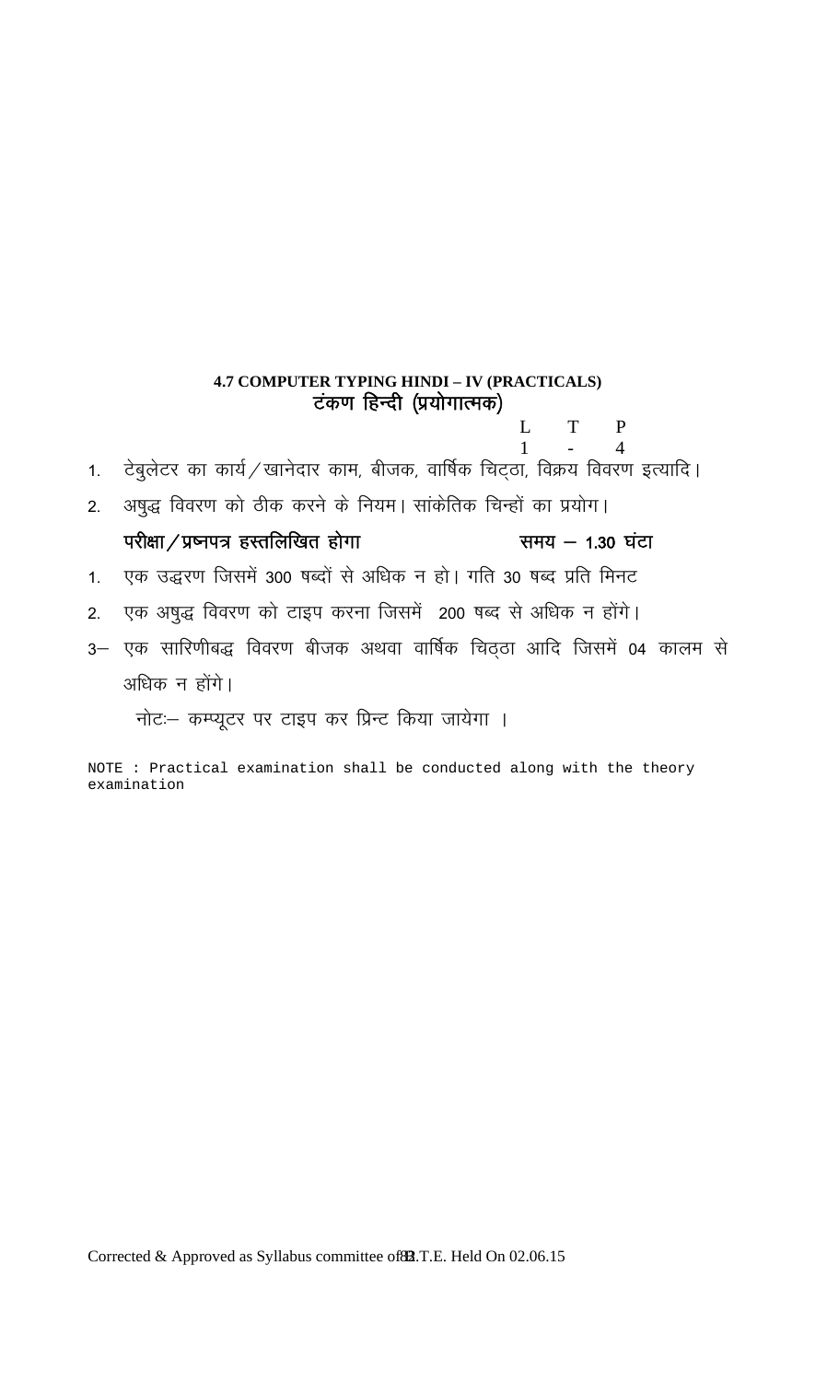## **4.7 COMPUTER TYPING HINDI – IV (PRACTICALS)**  टंकण हिन्दी (प्रयोगात्मक)

L T P  $1 - 4$ 

- 1. टेबुलेटर का कार्य $\diagup$ खानेदार काम, बीजक, वार्षिक चिट्ठा, विक्रय विवरण इत्यादि।
- 2. अषुद्ध विवरण को ठीक करने के नियम। सांकेतिक चिन्हों का प्रयोग।

## परीक्षा / प्रष्नपत्र हस्तलिखित होगा समय – 1.30 घंटा

- 1. एक उद्धरण जिसमें 300 षब्दों से अधिक न हो। गति 30 षब्द प्रति मिनट
- 2. एक अषुद्ध विवरण को टाइप करना जिसमें 200 षब्द से अधिक न होंगे।
- 3– एक सारिणीबद्ध विवरण बीजक अथवा वार्षिक चिठ्ठा आदि जिसमें 04 कालम से अधिक न होंगे।

नोट: कम्प्यूटर पर टाइप कर प्रिन्ट किया जायेगा ।

NOTE : Practical examination shall be conducted along with the theory examination

Corrected & Approved as Syllabus committee of 82.T.E. Held On 02.06.15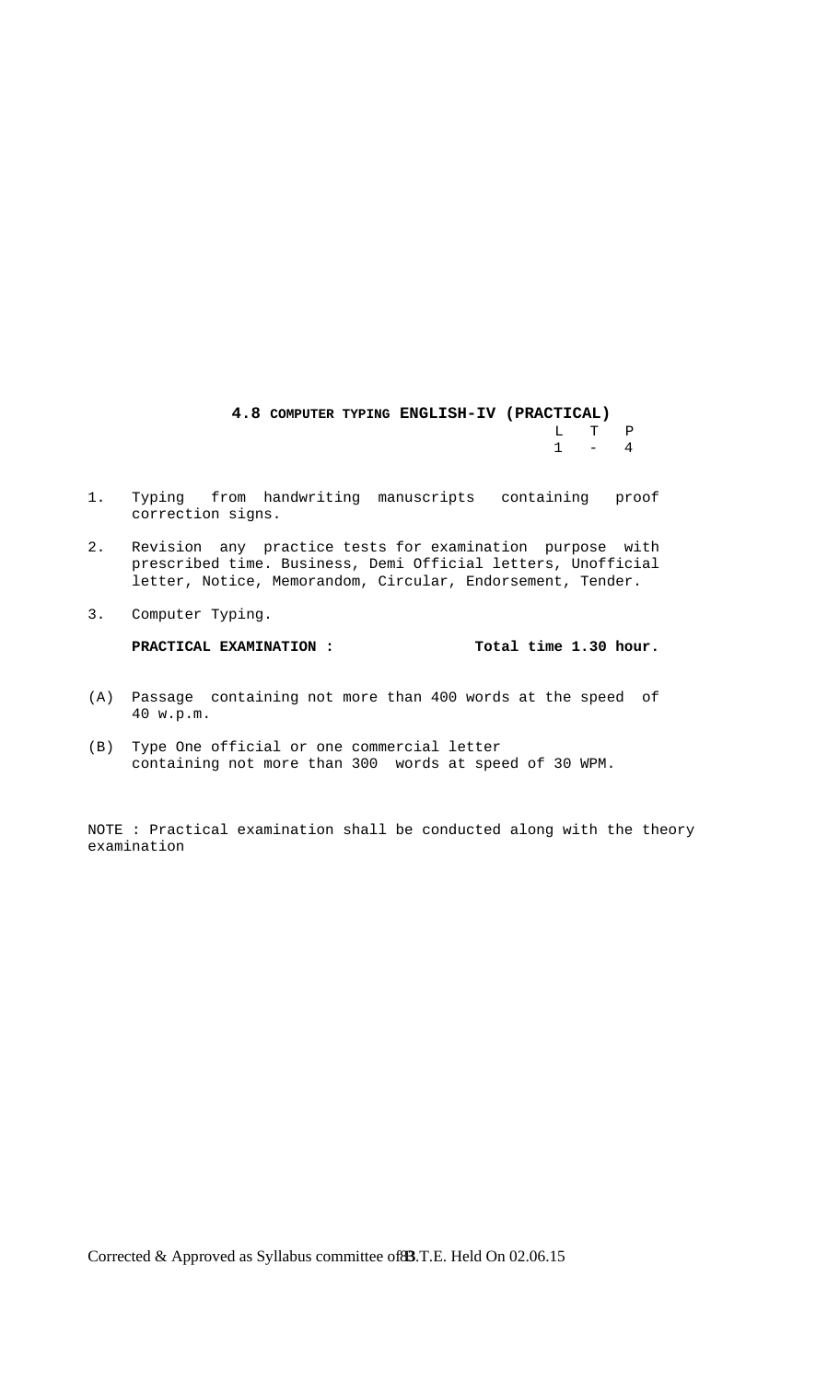## **4.8 COMPUTER TYPING ENGLISH-IV (PRACTICAL)**  $\begin{array}{ccc} \mathtt{L} & \mathtt{T} & \mathtt{P} \\ 1 & - & 4 \end{array}$  $1 - 4$

- 1. Typing from handwriting manuscripts containing proof correction signs.
- 2. Revision any practice tests for examination purpose with prescribed time. Business, Demi Official letters, Unofficial letter, Notice, Memorandom, Circular, Endorsement, Tender.
- 3. Computer Typing.

**PRACTICAL EXAMINATION : Total time 1.30 hour.**

- (A) Passage containing not more than 400 words at the speed of 40 w.p.m.
- (B) Type One official or one commercial letter containing not more than 300 words at speed of 30 WPM.

NOTE : Practical examination shall be conducted along with the theory examination

Corrected & Approved as Syllabus committee of **83**.T.E. Held On 02.06.15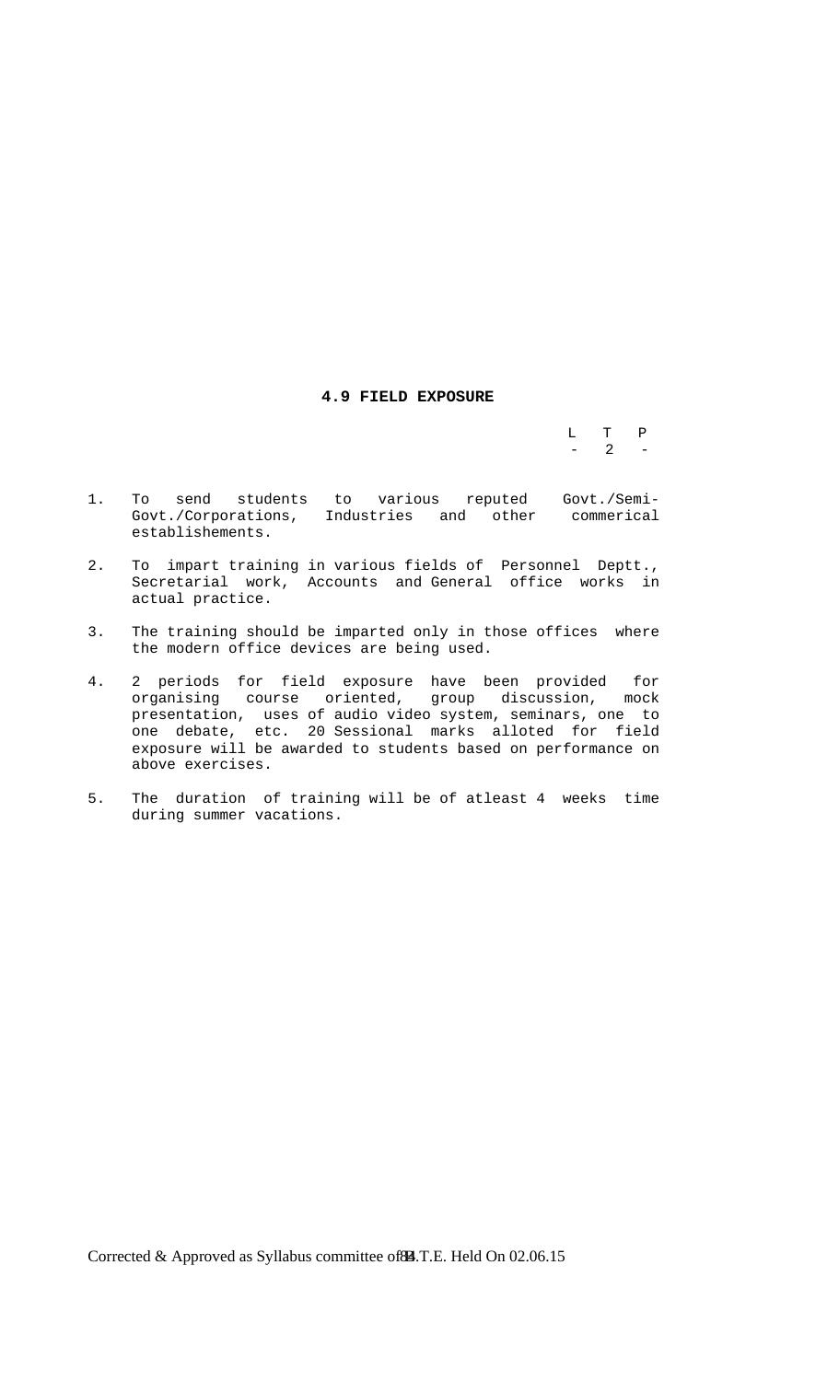## **4.9 FIELD EXPOSURE**

 L T P  $-$  2  $-$ 

- 1. To send students to various reputed Govt./Semi- Govt./Corporations, Industries and other commerical establishements.
- 2. To impart training in various fields of Personnel Deptt., Secretarial work, Accounts and General office works in actual practice.
- 3. The training should be imparted only in those offices where the modern office devices are being used.
- 4. 2 periods for field exposure have been provided for organising course oriented, group discussion, mock presentation, uses of audio video system, seminars, one to one debate, etc. 20 Sessional marks alloted for field exposure will be awarded to students based on performance on above exercises.
- 5. The duration of training will be of atleast 4 weeks time during summer vacations.

Corrected & Approved as Syllabus committee of **84**. T.E. Held On 02.06.15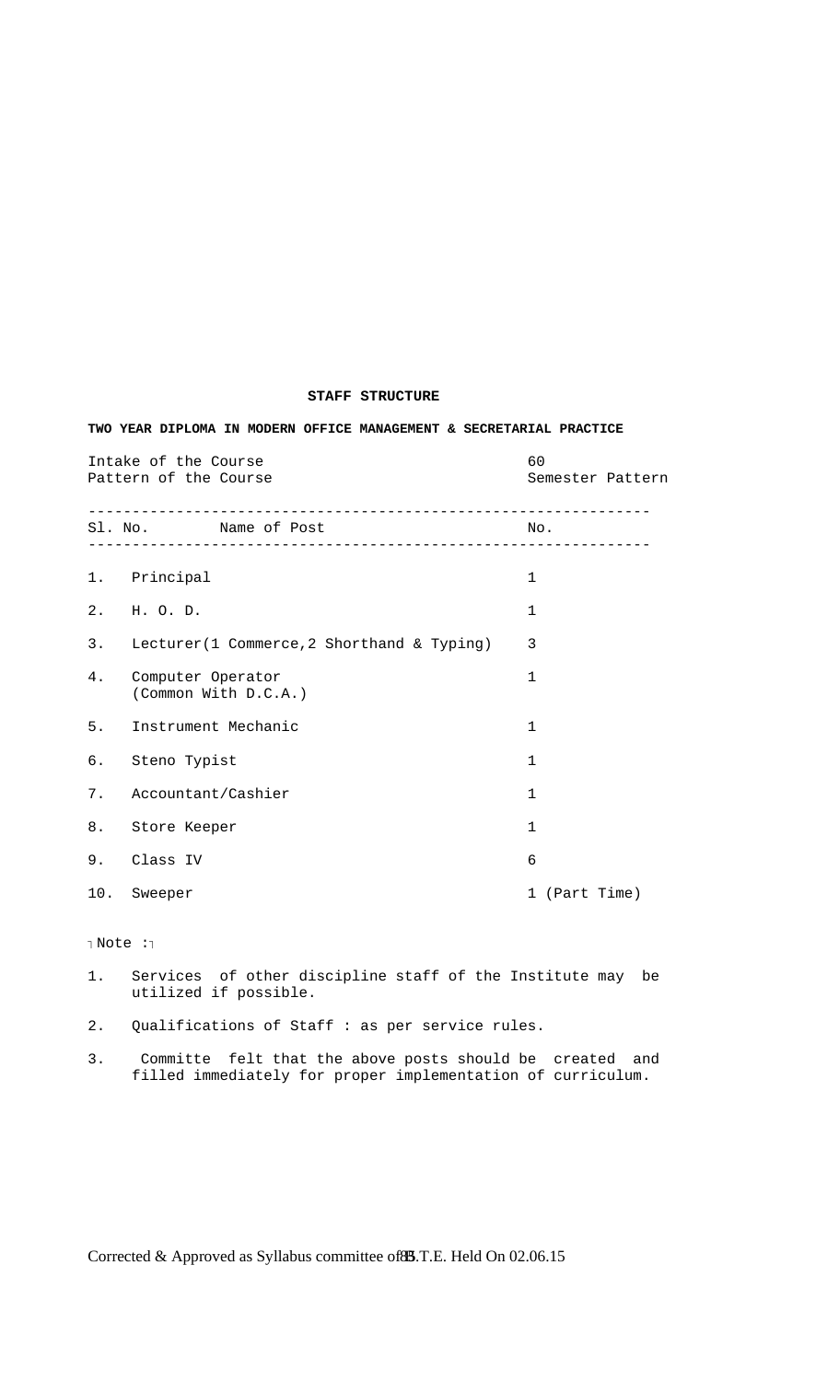## **STAFF STRUCTURE**

## **TWO YEAR DIPLOMA IN MODERN OFFICE MANAGEMENT & SECRETARIAL PRACTICE**

Intake of the Course 60 Pattern of the Course Semester Pattern Semester Pattern ---------------------------------------------------------------- Sl. No. Name of Post No. ---------------------------------------------------------------- 1. Principal 1 2. H. O. D. 1 3. Lecturer(1 Commerce,2 Shorthand & Typing) 3 4. Computer Operator 1 (Common With D.C.A.) 5. Instrument Mechanic 1 6. Steno Typist 1 7. Accountant/Cashier 1 8. Store Keeper 1 9. Class IV 6 10. Sweeper 1 (Part Time) Rote : 1. Services of other discipline staff of the Institute may be utilized if possible. 2. Qualifications of Staff : as per service rules.

3. Committe felt that the above posts should be created and filled immediately for proper implementation of curriculum.

Corrected & Approved as Syllabus committee of **85**.T.E. Held On 02.06.15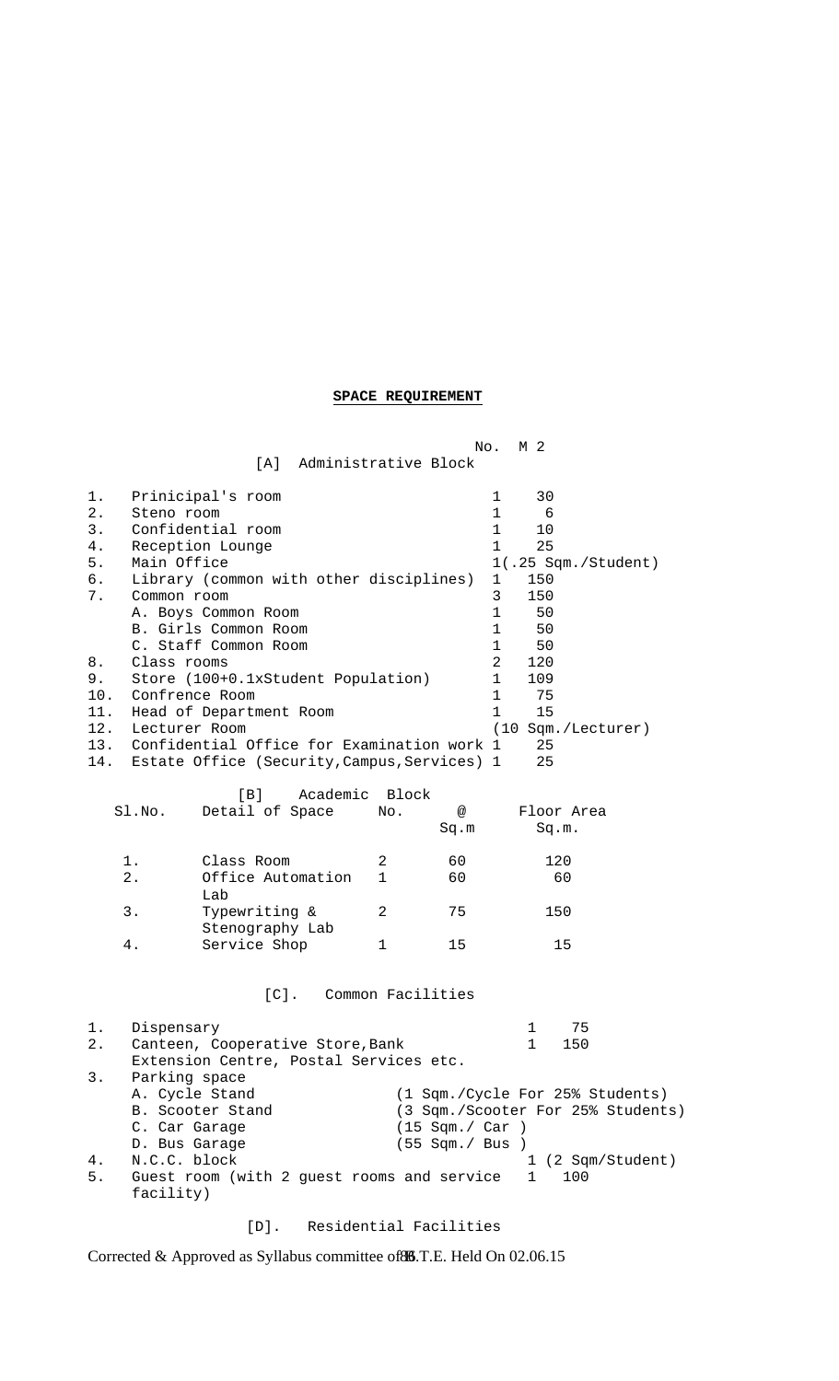## **SPACE REQUIREMENT**

| No.<br>M 2                                                                                  |                                                                                                              |                                                                                                                                                                                                                                                                                                                                             |              |                                   |                                                                                                                                                                                                                                                                                                                               |
|---------------------------------------------------------------------------------------------|--------------------------------------------------------------------------------------------------------------|---------------------------------------------------------------------------------------------------------------------------------------------------------------------------------------------------------------------------------------------------------------------------------------------------------------------------------------------|--------------|-----------------------------------|-------------------------------------------------------------------------------------------------------------------------------------------------------------------------------------------------------------------------------------------------------------------------------------------------------------------------------|
|                                                                                             |                                                                                                              | Administrative Block<br>[A]                                                                                                                                                                                                                                                                                                                 |              |                                   |                                                                                                                                                                                                                                                                                                                               |
| $1$ .<br>$2$ .<br>3.<br>4.<br>5.<br>б.<br>7.<br>8.<br>9.<br>10.<br>11.<br>12.<br>13.<br>14. | Steno room<br>Main Office<br>Common room<br>Class rooms<br>Confrence Room<br>Lecturer Room                   | Prinicipal's room<br>Confidential room<br>Reception Lounge<br>Library (common with other disciplines)<br>A. Boys Common Room<br>B. Girls Common Room<br>C. Staff Common Room<br>Store (100+0.1xStudent Population)<br>Head of Department Room<br>Confidential Office for Examination work 1<br>Estate Office (Security, Campus, Services) 1 |              |                                   | 30<br>1<br>$\mathbf{1}$<br>6<br>$\mathbf 1$<br>10<br>25<br>$\mathbf{1}$<br>1(.25 Sqm./Student)<br>$\mathbf{1}$<br>150<br>150<br>3<br>$\mathbf{1}$<br>50<br>$\mathbf 1$<br>50<br>$\mathbf 1$<br>50<br>120<br>$\overline{2}$<br>$\mathbf 1$<br>109<br>$\mathbf 1$<br>75<br>$\mathbf{1}$<br>15<br>(10 Sqm./Lecturer)<br>25<br>25 |
|                                                                                             |                                                                                                              |                                                                                                                                                                                                                                                                                                                                             |              |                                   |                                                                                                                                                                                                                                                                                                                               |
|                                                                                             | Sl.No.                                                                                                       | Academic<br>[B]<br>Detail of Space                                                                                                                                                                                                                                                                                                          | Block<br>No. | @                                 | Floor Area                                                                                                                                                                                                                                                                                                                    |
|                                                                                             |                                                                                                              |                                                                                                                                                                                                                                                                                                                                             |              | Sq.m                              | Sq.m.                                                                                                                                                                                                                                                                                                                         |
|                                                                                             | 1.                                                                                                           | Class Room                                                                                                                                                                                                                                                                                                                                  | 2            | 60                                | 120                                                                                                                                                                                                                                                                                                                           |
|                                                                                             | $2$ .                                                                                                        | Office Automation<br>Lab                                                                                                                                                                                                                                                                                                                    | 1            | 60                                | 60                                                                                                                                                                                                                                                                                                                            |
|                                                                                             | 3.                                                                                                           | Typewriting &<br>Stenography Lab                                                                                                                                                                                                                                                                                                            | 2            | 75                                | 150                                                                                                                                                                                                                                                                                                                           |
|                                                                                             | 4.                                                                                                           | Service Shop                                                                                                                                                                                                                                                                                                                                | $\mathbf 1$  | 15                                | 15                                                                                                                                                                                                                                                                                                                            |
|                                                                                             |                                                                                                              | $[C]$ .                                                                                                                                                                                                                                                                                                                                     |              | Common Facilities                 |                                                                                                                                                                                                                                                                                                                               |
| 1.<br>2.<br>3.<br>4.<br>5.                                                                  | Dispensary<br>Parking space<br>A. Cycle Stand<br>C. Car Garage<br>D. Bus Garage<br>N.C.C. block<br>facility) | Canteen, Cooperative Store, Bank<br>Extension Centre, Postal Services etc.<br>B. Scooter Stand<br>Guest room (with 2 guest rooms and service                                                                                                                                                                                                |              | (15 Sgm. / Car)<br>(55 Sqm./ Bus) | 75<br>1<br>$\mathbf 1$<br>150<br>(1 Sqm./Cycle For 25% Students)<br>(3 Sqm./Scooter For 25% Students)<br>1 (2 Sqm/Student)<br>$\mathbf{1}$<br>100                                                                                                                                                                             |

[D]. Residential Facilities

Corrected & Approved as Syllabus committee of 86.T.E. Held On 02.06.15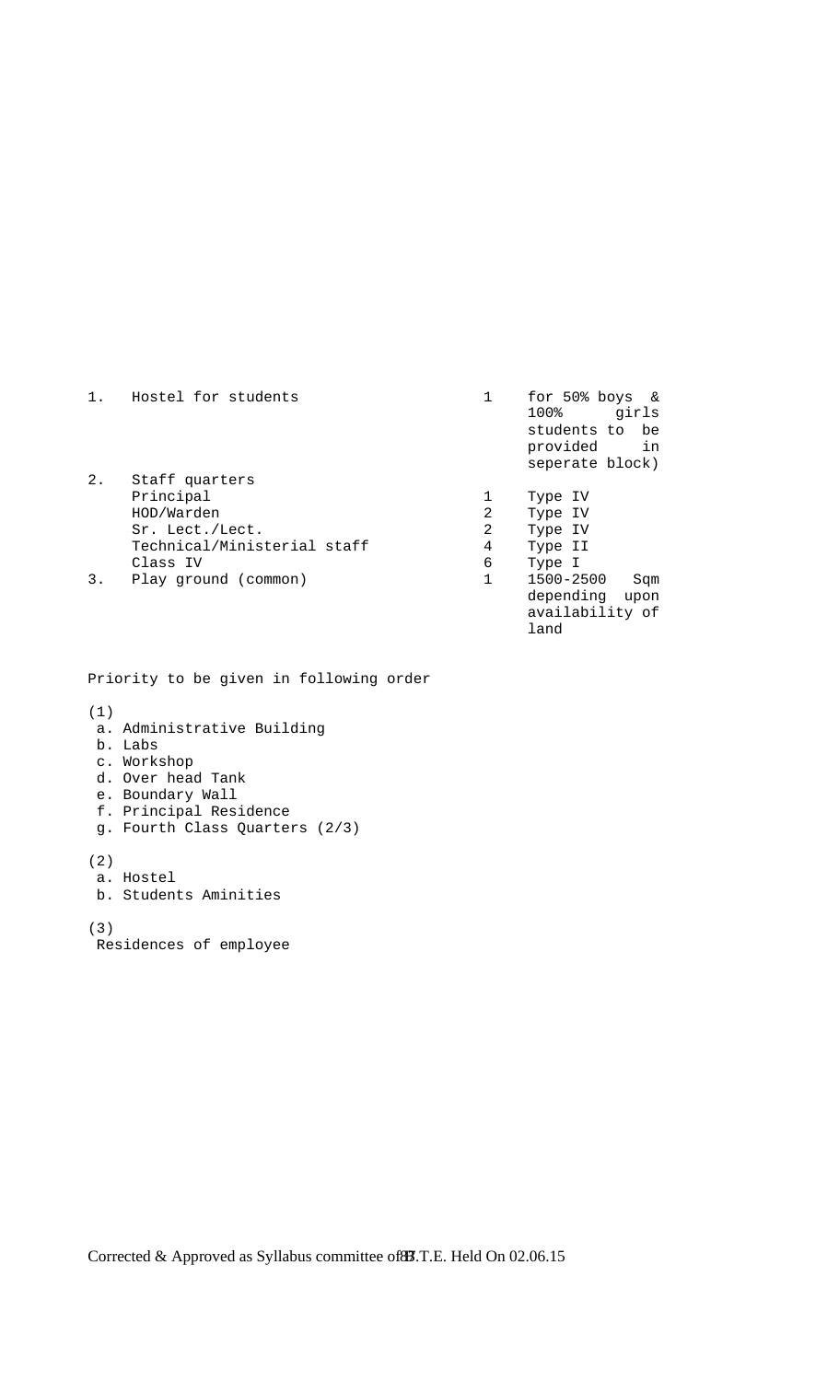| 1. | Hostel for students         |   | for $50\%$ boys &<br>100%<br>girls<br>students to be<br>provided<br>in<br>seperate block) |
|----|-----------------------------|---|-------------------------------------------------------------------------------------------|
| 2. | Staff quarters              |   |                                                                                           |
|    | Principal                   |   | Type IV                                                                                   |
|    | HOD/Warden                  | 2 | Type IV                                                                                   |
|    | Sr. Lect./Lect.             | 2 | Type IV                                                                                   |
|    | Technical/Ministerial staff | 4 | Type II                                                                                   |
|    | Class IV                    | 6 | Type I                                                                                    |
| 3. | Play ground (common)        |   | 1500-2500<br>Sqm                                                                          |
|    |                             |   | depending<br>upon                                                                         |
|    |                             |   | availability of                                                                           |
|    |                             |   | land                                                                                      |

Priority to be given in following order

(1)

- a. Administrative Building
- b. Labs
- c. Workshop
- d. Over head Tank
- e. Boundary Wall
- f. Principal Residence
- g. Fourth Class Quarters (2/3)

(2)

- a. Hostel
- b. Students Aminities

(3)

Residences of employee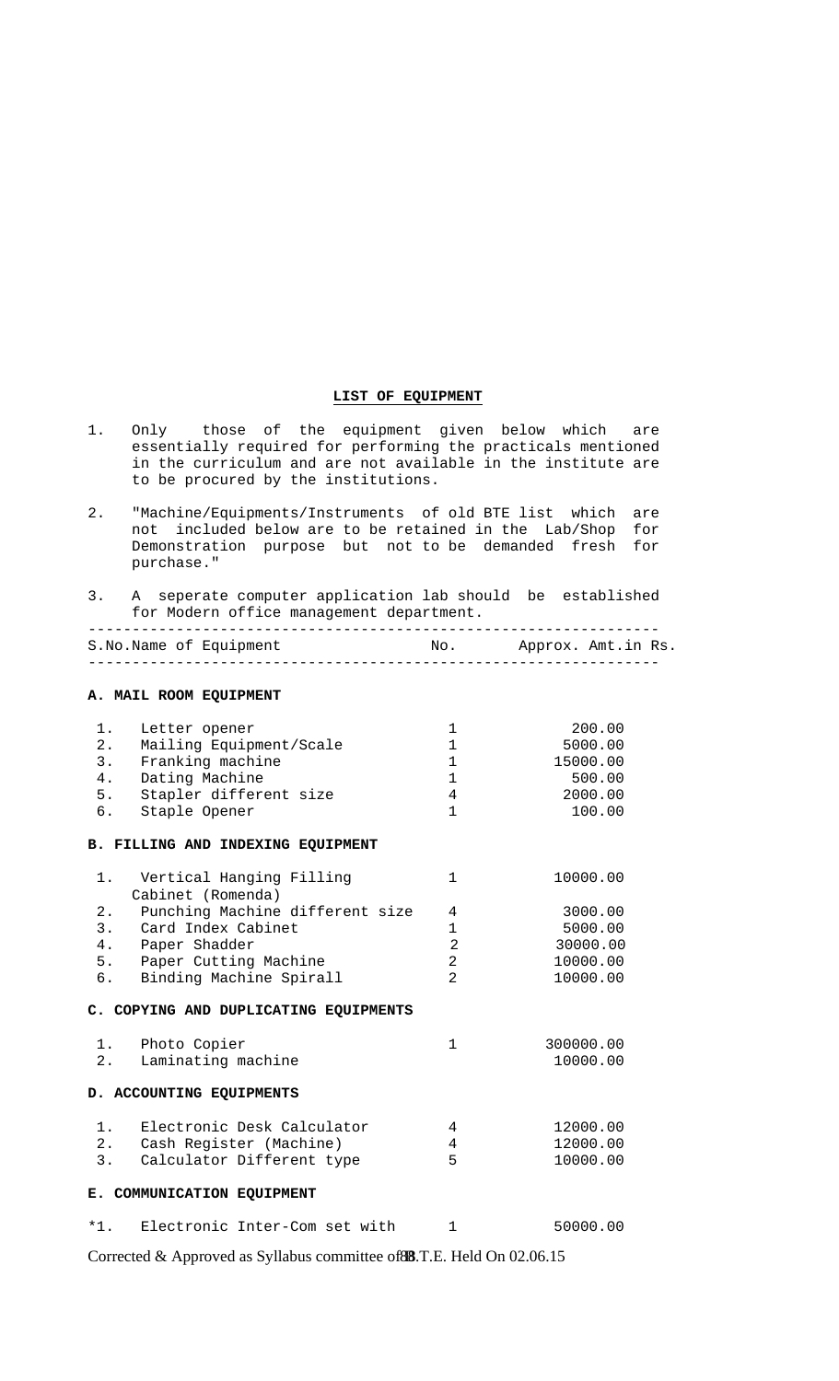## **LIST OF EQUIPMENT**

- 1. Only those of the equipment given below which are essentially required for performing the practicals mentioned in the curriculum and are not available in the institute are to be procured by the institutions.
- 2. "Machine/Equipments/Instruments of old BTE list which are not included below are to be retained in the Lab/Shop for Demonstration purpose but not to be demanded fresh for purchase."

## 3. A seperate computer application lab should be established for Modern office management department.

|  | S.No.Name of Equipment |  | No. Approx. Amt.in Rs. |
|--|------------------------|--|------------------------|
|  |                        |  |                        |

**A. MAIL ROOM EQUIPMENT** 

| 1.<br>2.<br>3.<br>4.<br>6. | Letter opener<br>Mailing Equipment/Scale<br>Franking machine<br>Dating Machine<br>5. Stapler different size<br>Staple Opener | 1<br>$\mathbf{1}$<br>$\mathbf 1$<br>$\mathbf{1}$<br>4<br>$\mathbf{1}$ | 200.00<br>5000.00<br>15000.00<br>500.00<br>2000.00<br>100.00 |
|----------------------------|------------------------------------------------------------------------------------------------------------------------------|-----------------------------------------------------------------------|--------------------------------------------------------------|
|                            | B. FILLING AND INDEXING EQUIPMENT                                                                                            |                                                                       |                                                              |
| 1.                         | Vertical Hanging Filling<br>Cabinet (Romenda)                                                                                | $\mathbf{1}$                                                          | 10000.00                                                     |
| 2.                         | Punching Machine different size                                                                                              | 4                                                                     | 3000.00                                                      |
|                            | 3. Card Index Cabinet                                                                                                        | $\mathbf 1$                                                           | 5000.00                                                      |
|                            | 4. Paper Shadder                                                                                                             | $\overline{2}$                                                        | 30000.00                                                     |
|                            | 5. Paper Cutting Machine                                                                                                     | 2                                                                     | 10000.00                                                     |
|                            | 6. Binding Machine Spirall                                                                                                   | $\overline{2}$                                                        | 10000.00                                                     |
|                            | C. COPYING AND DUPLICATING EQUIPMENTS                                                                                        |                                                                       |                                                              |
|                            | 1. Photo Copier                                                                                                              | $\mathbf{1}$                                                          | 300000.00                                                    |
|                            | 2. Laminating machine                                                                                                        |                                                                       | 10000.00                                                     |
|                            | D. ACCOUNTING EQUIPMENTS                                                                                                     |                                                                       |                                                              |
| 1.                         | Electronic Desk Calculator                                                                                                   | 4                                                                     | 12000.00                                                     |
|                            | 2. Cash Register (Machine)                                                                                                   | 4                                                                     | 12000.00                                                     |
| 3.                         | Calculator Different type                                                                                                    | 5                                                                     | 10000.00                                                     |
|                            | E. COMMUNICATION EQUIPMENT                                                                                                   |                                                                       |                                                              |
| $*1.$                      | Electronic Inter-Com set with                                                                                                | $\mathbf{1}$                                                          | 50000.00                                                     |

Corrected & Approved as Syllabus committee of 88.T.E. Held On 02.06.15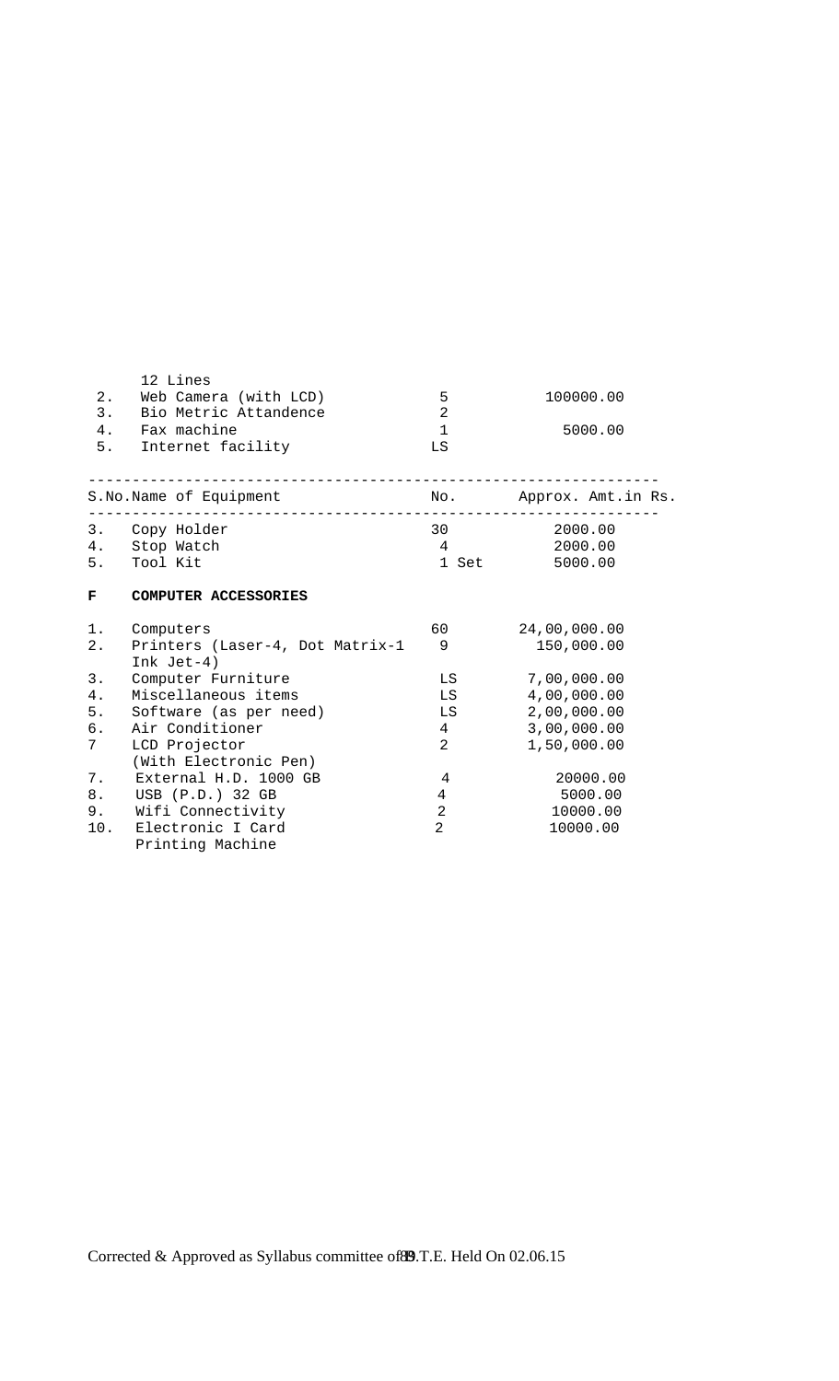|                | 12 Lines                                        |                 |                        |
|----------------|-------------------------------------------------|-----------------|------------------------|
| 2.             | Web Camera (with LCD)                           | 5               | 100000.00              |
|                | 3. Bio Metric Attandence                        | $\overline{2}$  |                        |
|                | 4. Fax machine                                  | $\mathbf{1}$    | 5000.00                |
|                | 5. Internet facility                            | LS              |                        |
|                | S.No.Name of Equipment                          |                 | No. Approx. Amt.in Rs. |
|                | 3. Copy Holder                                  | 30 <sup>2</sup> | 2000.00                |
|                | 4. Stop Watch                                   | $\overline{4}$  | 2000.00                |
|                | 5. Tool Kit                                     | 1 Set           | 5000.00                |
| F              | COMPUTER ACCESSORIES                            |                 |                        |
| 1.             | Computers                                       | 60              | 24,00,000.00           |
| $2$ .          | Printers (Laser-4, Dot Matrix-1<br>Ink $Jet-4)$ | 9               | 150,000.00             |
| 3.             | Computer Furniture                              | LS              | 7,00,000.00            |
| 4.             | Miscellaneous items                             | LS              | 4,00,000.00            |
| 5.             | Software (as per need)                          | LS              | 2,00,000.00            |
| б.             | Air Conditioner                                 | $4\overline{ }$ | 3,00,000.00            |
| 7 <sup>7</sup> | LCD Projector                                   | $\overline{2}$  | 1,50,000.00            |
|                | (With Electronic Pen)                           |                 |                        |
| 7.             | External H.D. 1000 GB                           | 4               | 20000.00               |
| 8.             | USB (P.D.) 32 GB                                | 4               | 5000.00                |
| 9.             | Wifi Connectivity                               | $\overline{2}$  | 10000.00               |
| 10.            | Electronic I Card                               | $\overline{2}$  | 10000.00               |
|                | Printing Machine                                |                 |                        |

Corrected & Approved as Syllabus committee of 89.T.E. Held On 02.06.15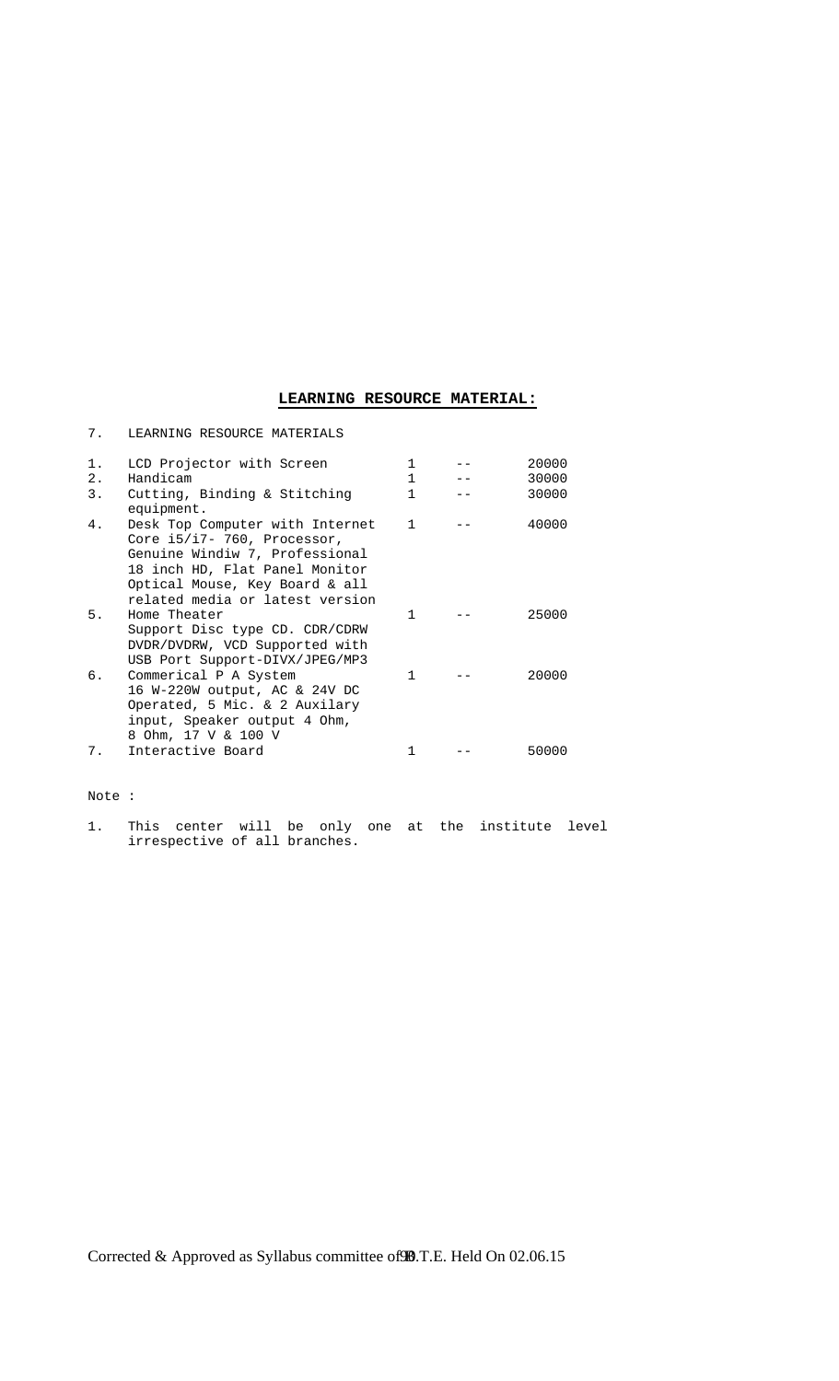## **LEARNING RESOURCE MATERIAL:**

| 7.    | LEARNING RESOURCE MATERIALS                                                                                                                                                                             |              |       |
|-------|---------------------------------------------------------------------------------------------------------------------------------------------------------------------------------------------------------|--------------|-------|
| $1$ . | LCD Projector with Screen                                                                                                                                                                               | $\mathbf{1}$ | 20000 |
| 2.    | Handicam                                                                                                                                                                                                | $\mathbf{1}$ | 30000 |
| 3.    | Cutting, Binding & Stitching<br>equipment.                                                                                                                                                              | 1            | 30000 |
| 4.    | Desk Top Computer with Internet<br>Core i5/i7- 760, Processor,<br>Genuine Windiw 7, Professional<br>18 inch HD, Flat Panel Monitor<br>Optical Mouse, Key Board & all<br>related media or latest version | $\mathbf{1}$ | 40000 |
| 5.    | Home Theater<br>Support Disc type CD. CDR/CDRW<br>DVDR/DVDRW, VCD Supported with<br>USB Port Support-DIVX/JPEG/MP3                                                                                      | 1            | 25000 |
| б.    | Commerical P A System<br>16 W-220W output, AC & 24V DC<br>Operated, 5 Mic. & 2 Auxilary<br>input, Speaker output 4 Ohm,<br>8 Ohm, 17 V & 100 V                                                          | 1            | 20000 |
| 7.    | Interactive Board                                                                                                                                                                                       | 1            | 50000 |

Note :

1. This center will be only one at the institute level irrespective of all branches.

Corrected & Approved as Syllabus committee of 90.T.E. Held On 02.06.15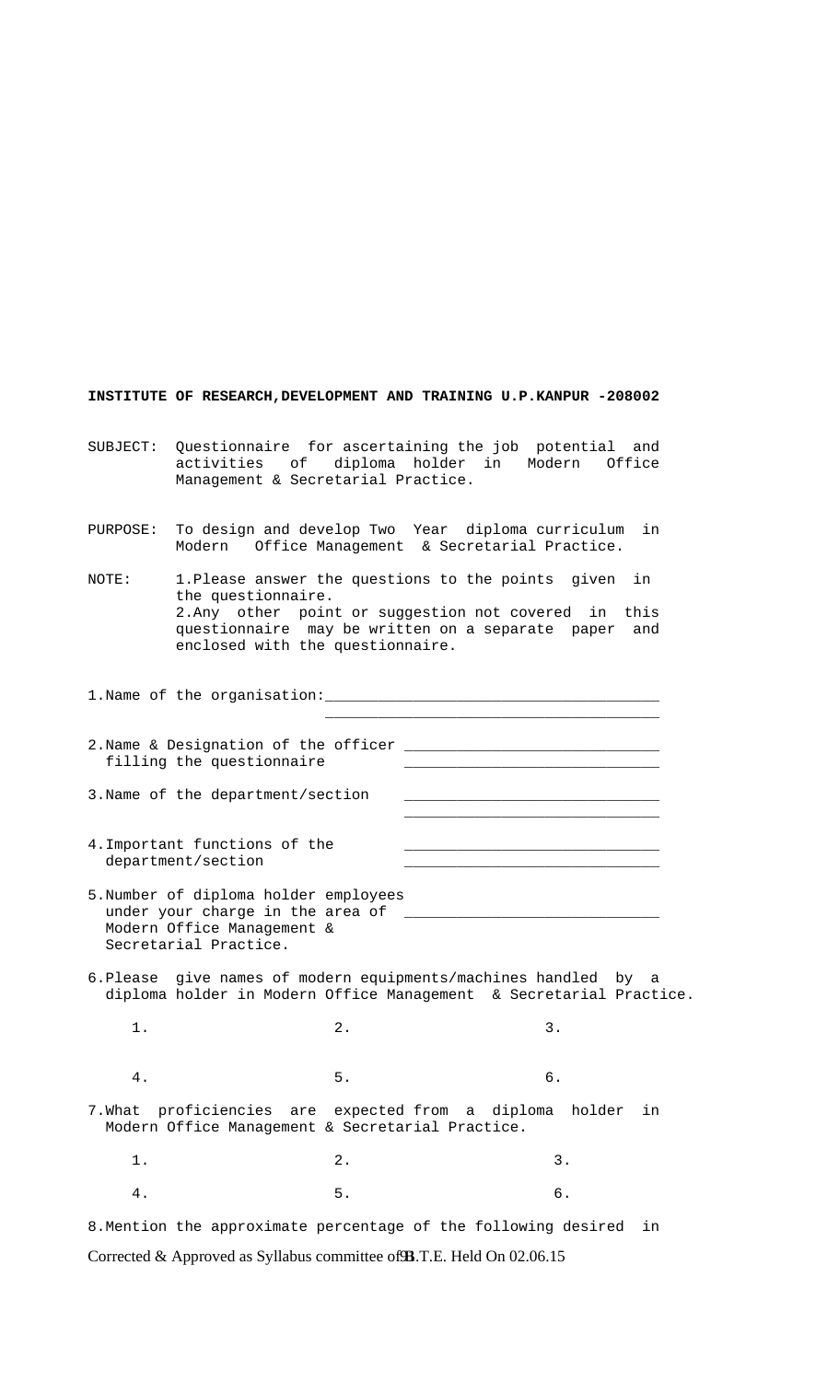**INSTITUTE OF RESEARCH,DEVELOPMENT AND TRAINING U.P.KANPUR -208002** 

- SUBJECT: Questionnaire for ascertaining the job potential and activities of diploma holder in Modern Office Management & Secretarial Practice.
- PURPOSE: To design and develop Two Year diploma curriculum in Modern Office Management & Secretarial Practice.

NOTE: 1.Please answer the questions to the points given in the questionnaire. 2.Any other point or suggestion not covered in this questionnaire may be written on a separate paper and enclosed with the questionnaire.

1. Name of the organisation:  $\overline{\phantom{a}}$  , which is a set of the set of the set of the set of the set of the set of the set of the set of the set of the set of the set of the set of the set of the set of the set of the set of the set of the set of th

| 2.Name & Designation of the officer |  |
|-------------------------------------|--|
| filling the questionnaire           |  |
|                                     |  |

3. Name of the department/section  $\overline{\phantom{a}}$  , and the state of the state of the state of the state of the state of the state of the state of the state of the state of the state of the state of the state of the state of the state of the state of the stat

- 4.Important functions of the department/section
- 5.Number of diploma holder employees under your charge in the area of  $\overline{\phantom{a}}$  Modern Office Management & Secretarial Practice.
- 6.Please give names of modern equipments/machines handled by a diploma holder in Modern Office Management & Secretarial Practice.
- 1. 2. 3.
- 4. 5. 6.

7.What proficiencies are expected from a diploma holder in Modern Office Management & Secretarial Practice.

1. 2. 3. 4. 5. 6.

Corrected & Approved as Syllabus committee of **93**.T.E. Held On 02.06.15 8.Mention the approximate percentage of the following desired in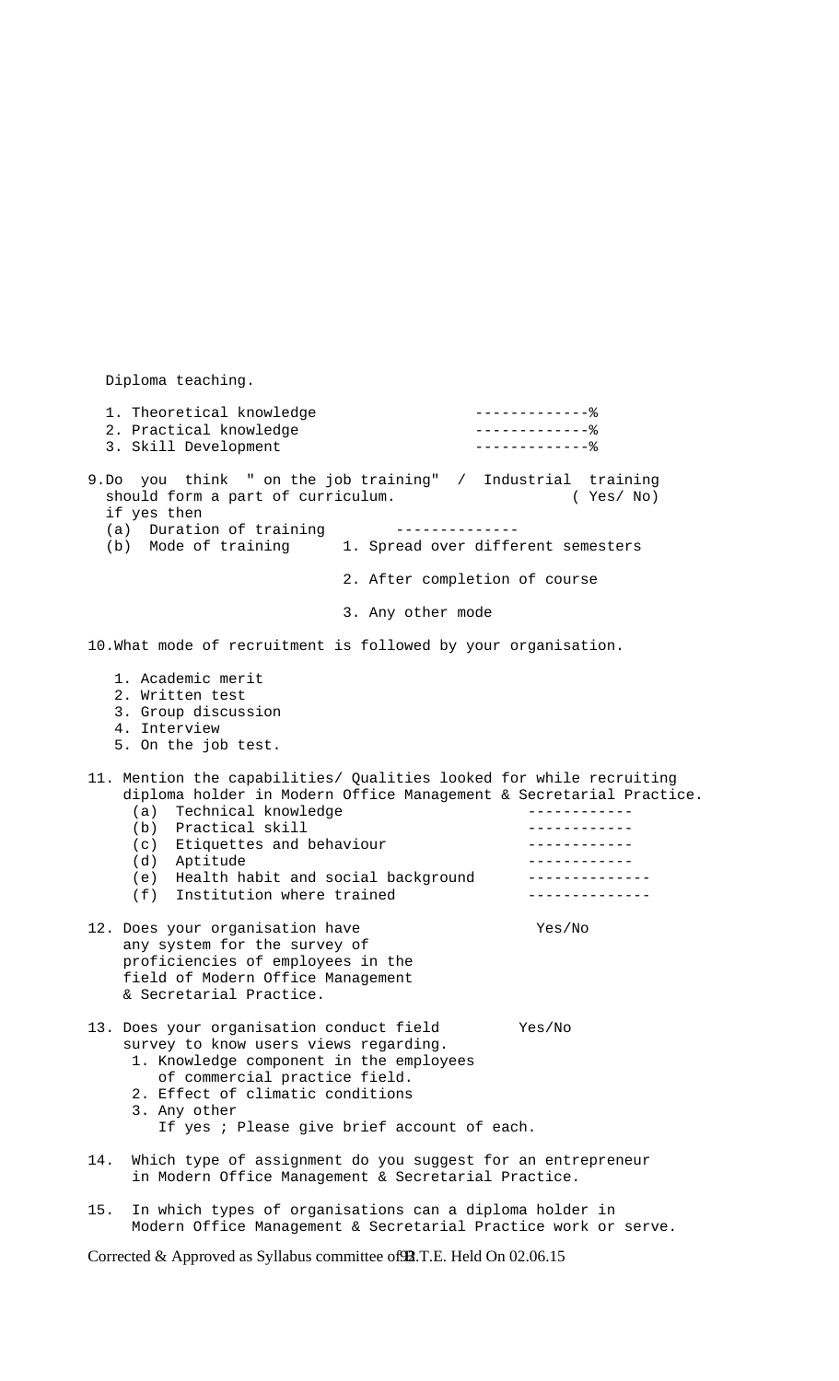Diploma teaching. 1. Theoretical knowledge -------------% 2. Practical knowledge 3. Skill Development --------------- % 9.Do you think " on the job training" / Industrial training should form a part of curriculum. (Yes/ No) if yes then (a) Duration of training -------------- (b) Mode of training 1. Spread over different semesters 2. After completion of course 3. Any other mode 10.What mode of recruitment is followed by your organisation. 1. Academic merit 2. Written test 3. Group discussion 4. Interview 5. On the job test. 11. Mention the capabilities/ Qualities looked for while recruiting diploma holder in Modern Office Management & Secretarial Practice. (a) Technical knowledge ------------ (b) Practical skill ------------(c) Etiquettes and behaviour contracts of the contract of the set of the set of the set of the set of the set o (d) Aptitude ------------ (e) Health habit and social background -------------- (f) Institution where trained -------------- 12. Does your organisation have Yes/No any system for the survey of proficiencies of employees in the field of Modern Office Management & Secretarial Practice. 13. Does your organisation conduct field Yes/No survey to know users views regarding. 1. Knowledge component in the employees of commercial practice field. 2. Effect of climatic conditions 3. Any other If yes ; Please give brief account of each. 14. Which type of assignment do you suggest for an entrepreneur in Modern Office Management & Secretarial Practice. 15. In which types of organisations can a diploma holder in

Corrected & Approved as Syllabus committee of **92**.T.E. Held On 02.06.15

Modern Office Management & Secretarial Practice work or serve.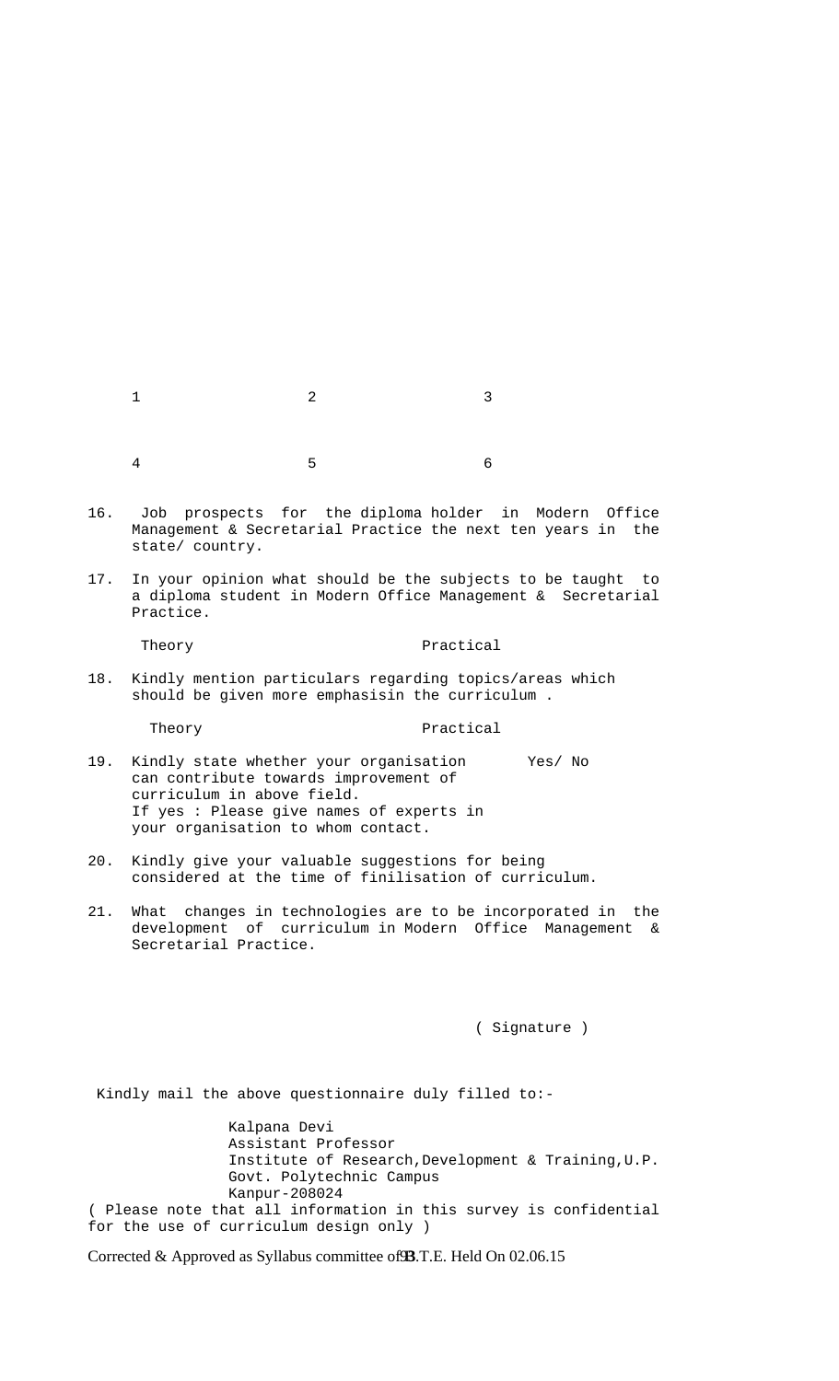| $1$ and $2$ and $3$               |  |
|-----------------------------------|--|
|                                   |  |
|                                   |  |
| $4\hspace{1.5cm}5\hspace{1.5cm}6$ |  |

- 16. Job prospects for the diploma holder in Modern Office Management & Secretarial Practice the next ten years in the state/ country.
- 17. In your opinion what should be the subjects to be taught to a diploma student in Modern Office Management & Secretarial Practice.

## Theory **Practical**

18. Kindly mention particulars regarding topics/areas which should be given more emphasisin the curriculum .

#### Theory **Practical**

- 19. Kindly state whether your organisation Yes/ No can contribute towards improvement of curriculum in above field. If yes : Please give names of experts in your organisation to whom contact.
- 20. Kindly give your valuable suggestions for being considered at the time of finilisation of curriculum.
- 21. What changes in technologies are to be incorporated in the development of curriculum in Modern Office Management & Secretarial Practice.

( Signature )

Kindly mail the above questionnaire duly filled to:-

 Kalpana Devi Assistant Professor Institute of Research,Development & Training,U.P. Govt. Polytechnic Campus Kanpur-208024 ( Please note that all information in this survey is confidential for the use of curriculum design only )

Corrected & Approved as Syllabus committee of **93**.T.E. Held On 02.06.15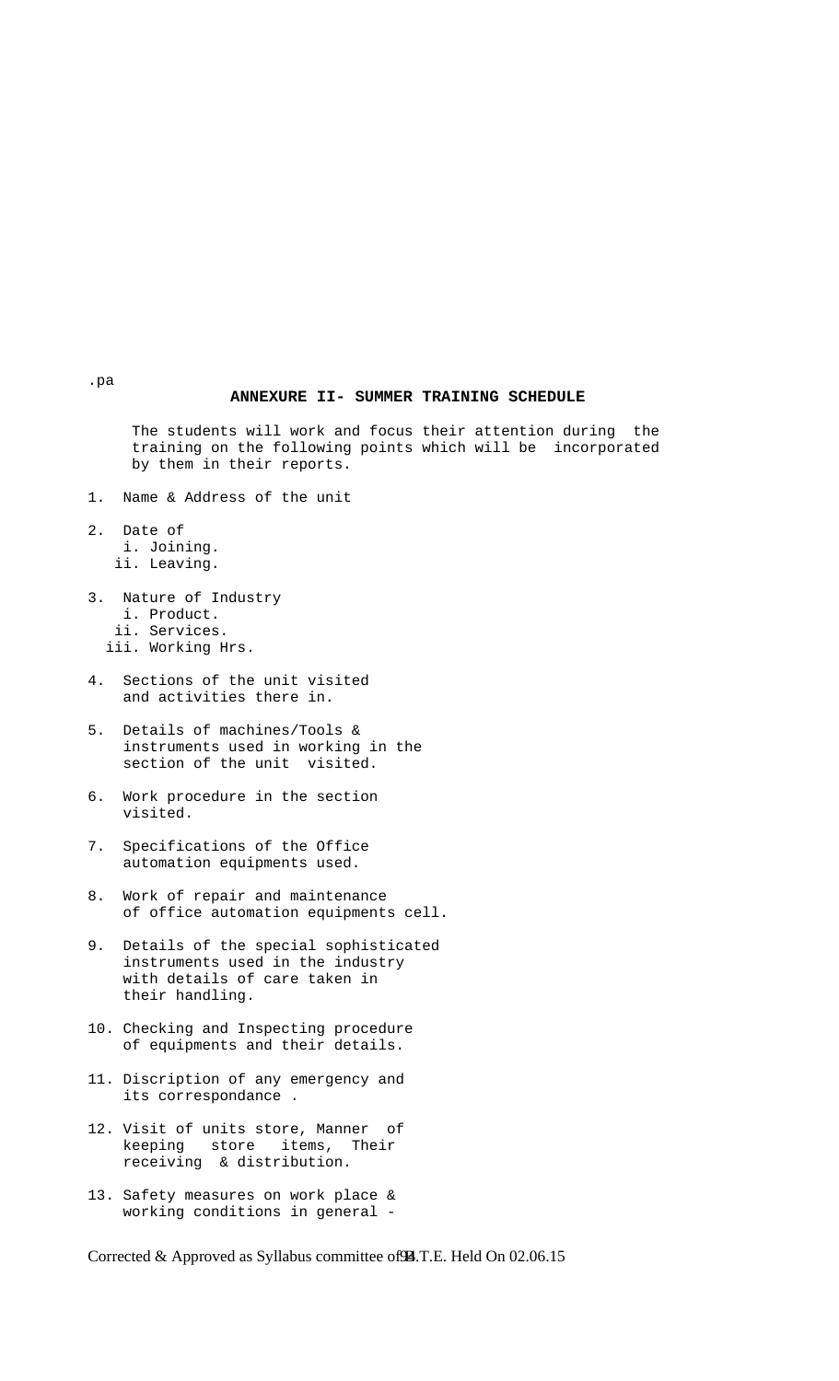## **ANNEXURE II- SUMMER TRAINING SCHEDULE**

 The students will work and focus their attention during the training on the following points which will be incorporated by them in their reports.

- 1. Name & Address of the unit
- 2. Date of i. Joining. ii. Leaving.
- 3. Nature of Industry i. Product. ii. Services. iii. Working Hrs.
- 4. Sections of the unit visited and activities there in.
- 5. Details of machines/Tools & instruments used in working in the section of the unit visited.
- 6. Work procedure in the section visited.
- 7. Specifications of the Office automation equipments used.
- 8. Work of repair and maintenance of office automation equipments cell.
- 9. Details of the special sophisticated instruments used in the industry with details of care taken in their handling.
- 10. Checking and Inspecting procedure of equipments and their details.
- 11. Discription of any emergency and its correspondance .
- 12. Visit of units store, Manner of keeping store items, Their receiving & distribution.
- 13. Safety measures on work place & working conditions in general -

Corrected & Approved as Syllabus committee of **A.T.E.** Held On 02.06.15

.pa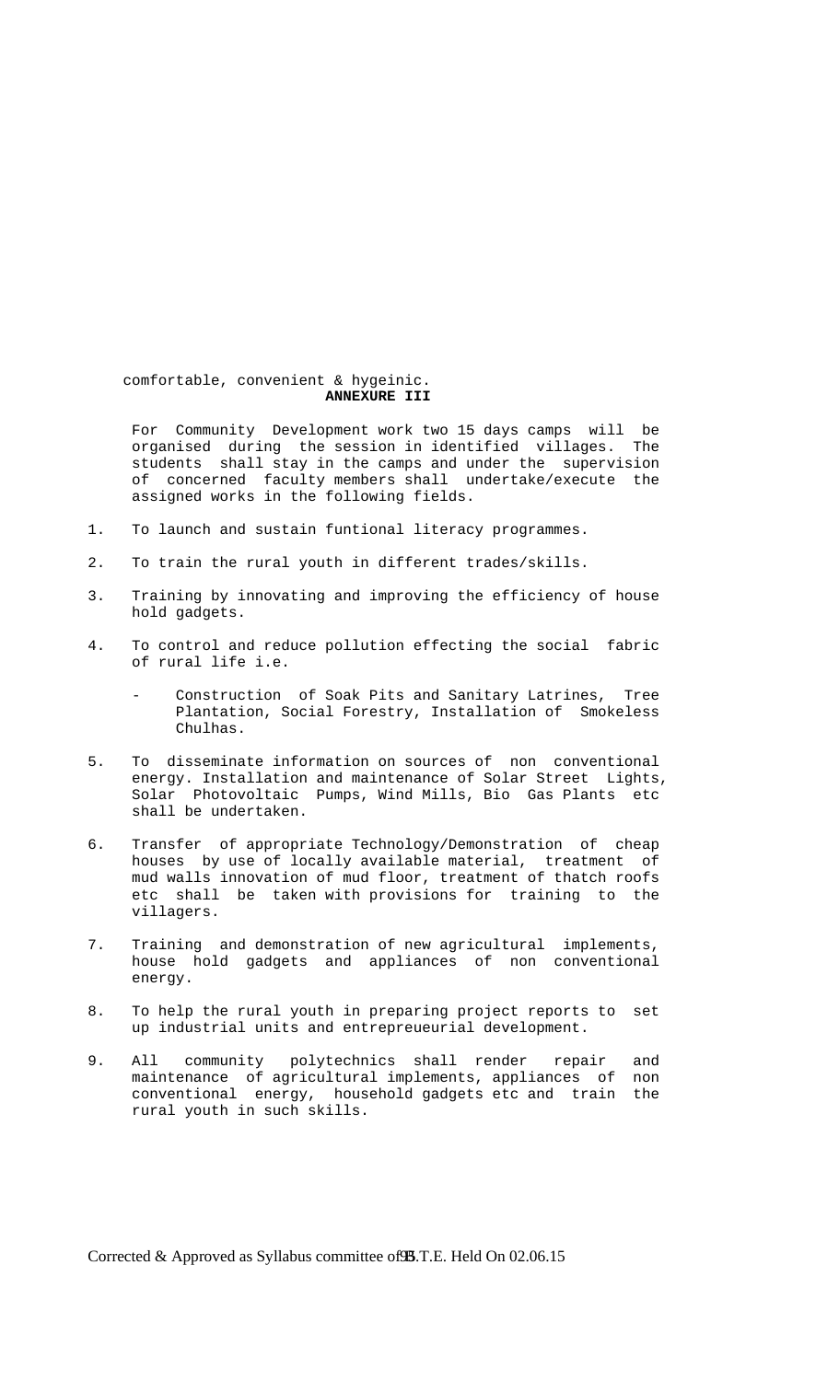comfortable, convenient & hygeinic. **ANNEXURE III** 

 For Community Development work two 15 days camps will be organised during the session in identified villages. The students shall stay in the camps and under the supervision of concerned faculty members shall undertake/execute the assigned works in the following fields.

- 1. To launch and sustain funtional literacy programmes.
- 2. To train the rural youth in different trades/skills.
- 3. Training by innovating and improving the efficiency of house hold gadgets.
- 4. To control and reduce pollution effecting the social fabric of rural life i.e.
	- Construction of Soak Pits and Sanitary Latrines, Tree Plantation, Social Forestry, Installation of Smokeless Chulhas.
- 5. To disseminate information on sources of non conventional energy. Installation and maintenance of Solar Street Lights, Solar Photovoltaic Pumps, Wind Mills, Bio Gas Plants etc shall be undertaken.
- 6. Transfer of appropriate Technology/Demonstration of cheap houses by use of locally available material, treatment of mud walls innovation of mud floor, treatment of thatch roofs etc shall be taken with provisions for training to the villagers.
- 7. Training and demonstration of new agricultural implements, house hold gadgets and appliances of non conventional energy.
- 8. To help the rural youth in preparing project reports to set up industrial units and entrepreueurial development.
- 9. All community polytechnics shall render repair and maintenance of agricultural implements, appliances of non conventional energy, household gadgets etc and train the rural youth in such skills.

Corrected & Approved as Syllabus committee of **95**.T.E. Held On 02.06.15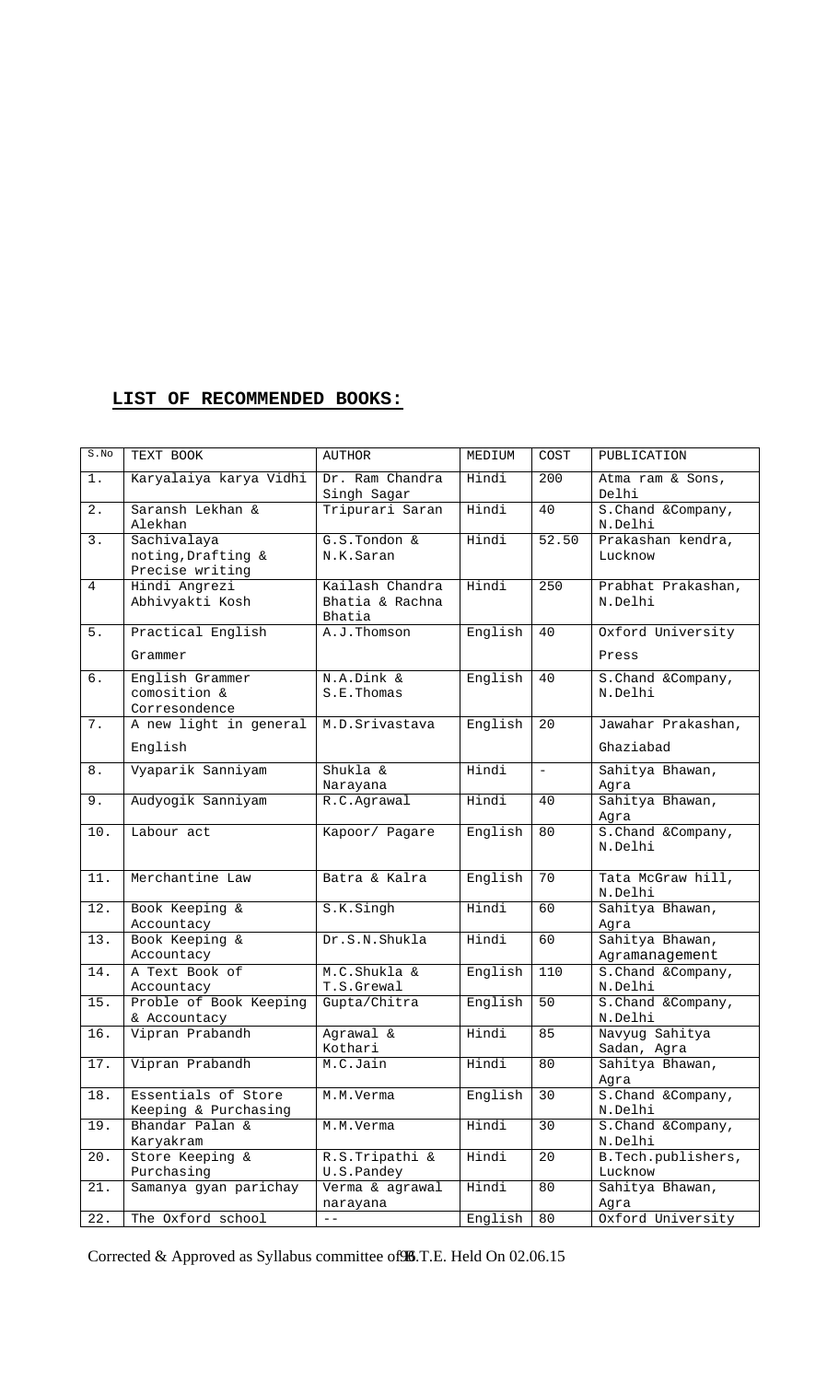## **LIST OF RECOMMENDED BOOKS:**

| S.No           | TEXT BOOK                                            | AUTHOR                                       | MEDIUM  | COST                     | PUBLICATION                       |
|----------------|------------------------------------------------------|----------------------------------------------|---------|--------------------------|-----------------------------------|
| 1.             | Karyalaiya karya Vidhi                               | Dr. Ram Chandra<br>Singh Sagar               | Hindi   | 200                      | Atma ram & Sons,<br>Delhi         |
| 2.             | Saransh Lekhan &<br>Alekhan                          | Tripurari Saran                              | Hindi   | 40                       | S. Chand & Company,<br>N.Delhi    |
| 3.             | Sachivalaya<br>noting, Drafting &<br>Precise writing | G.S.Tondon &<br>N.K.Saran                    | Hindi   | 52.50                    | Prakashan kendra,<br>Lucknow      |
| $\overline{4}$ | Hindi Angrezi<br>Abhivyakti Kosh                     | Kailash Chandra<br>Bhatia & Rachna<br>Bhatia | Hindi   | 250                      | Prabhat Prakashan,<br>N.Delhi     |
| 5.             | Practical English<br>Grammer                         | A.J.Thomson                                  | English | 40                       | Oxford University<br>Press        |
| 6.             | English Grammer<br>comosition &<br>Corresondence     | N.A.Dink &<br>S.E.Thomas                     | English | 40                       | S. Chand & Company,<br>N.Delhi    |
| 7.             | A new light in general<br>English                    | M.D.Srivastava                               | English | 20                       | Jawahar Prakashan,<br>Ghaziabad   |
| 8.             | Vyaparik Sanniyam                                    | Shukla &<br>Narayana                         | Hindi   | $\overline{\phantom{a}}$ | Sahitya Bhawan,<br>Agra           |
| 9.             | Audyogik Sanniyam                                    | R.C.Agrawal                                  | Hindi   | 40                       | Sahitya Bhawan,<br>Agra           |
| 10.            | Labour act                                           | Kapoor/ Pagare                               | English | 80                       | S. Chand & Company,<br>N.Delhi    |
| 11.            | Merchantine Law                                      | Batra & Kalra                                | English | 70                       | Tata McGraw hill,<br>N.Delhi      |
| 12.            | Book Keeping &<br>Accountacy                         | S.K.Singh                                    | Hindi   | 60                       | Sahitya Bhawan,<br>Aqra           |
| 13.            | Book Keeping &<br>Accountacy                         | Dr.S.N.Shukla                                | Hindi   | 60                       | Sahitya Bhawan,<br>Agramanagement |
| 14.            | A Text Book of<br>Accountacy                         | M.C.Shukla &<br>T.S.Grewal                   | English | 110                      | S. Chand & Company,<br>N.Delhi    |
| 15.            | Proble of Book Keeping<br>& Accountacy               | Gupta/Chitra                                 | English | 50                       | S. Chand & Company,<br>N.Delhi    |
| 16.            | Vipran Prabandh                                      | Agrawal &<br>Kothari                         | Hindi   | 85                       | Navyug Sahitya<br>Sadan, Agra     |
| 17.            | Vipran Prabandh                                      | M.C.Jain                                     | Hindi   | 80                       | Sahitya Bhawan,<br>Aqra           |
| 18.            | Essentials of Store<br>Keeping & Purchasing          | M.M.Verma                                    | English | 30                       | S. Chand & Company,<br>N.Delhi    |
| 19.            | Bhandar Palan &<br>Karyakram                         | M.M.Verma                                    | Hindi   | 30                       | S. Chand & Company,<br>N.Delhi    |
| 20.            | Store Keeping &<br>Purchasing                        | R.S. Tripathi &<br>U.S.Pandey                | Hindi   | 20                       | B.Tech.publishers,<br>Lucknow     |
| 21.            | Samanya gyan parichay                                | Verma & agrawal<br>narayana                  | Hindi   | 80                       | Sahitya Bhawan,<br>Agra           |
| 22.            | The Oxford school                                    | $=$ $-$                                      | English | 80                       | Oxford University                 |

Corrected & Approved as Syllabus committee of 96.T.E. Held On 02.06.15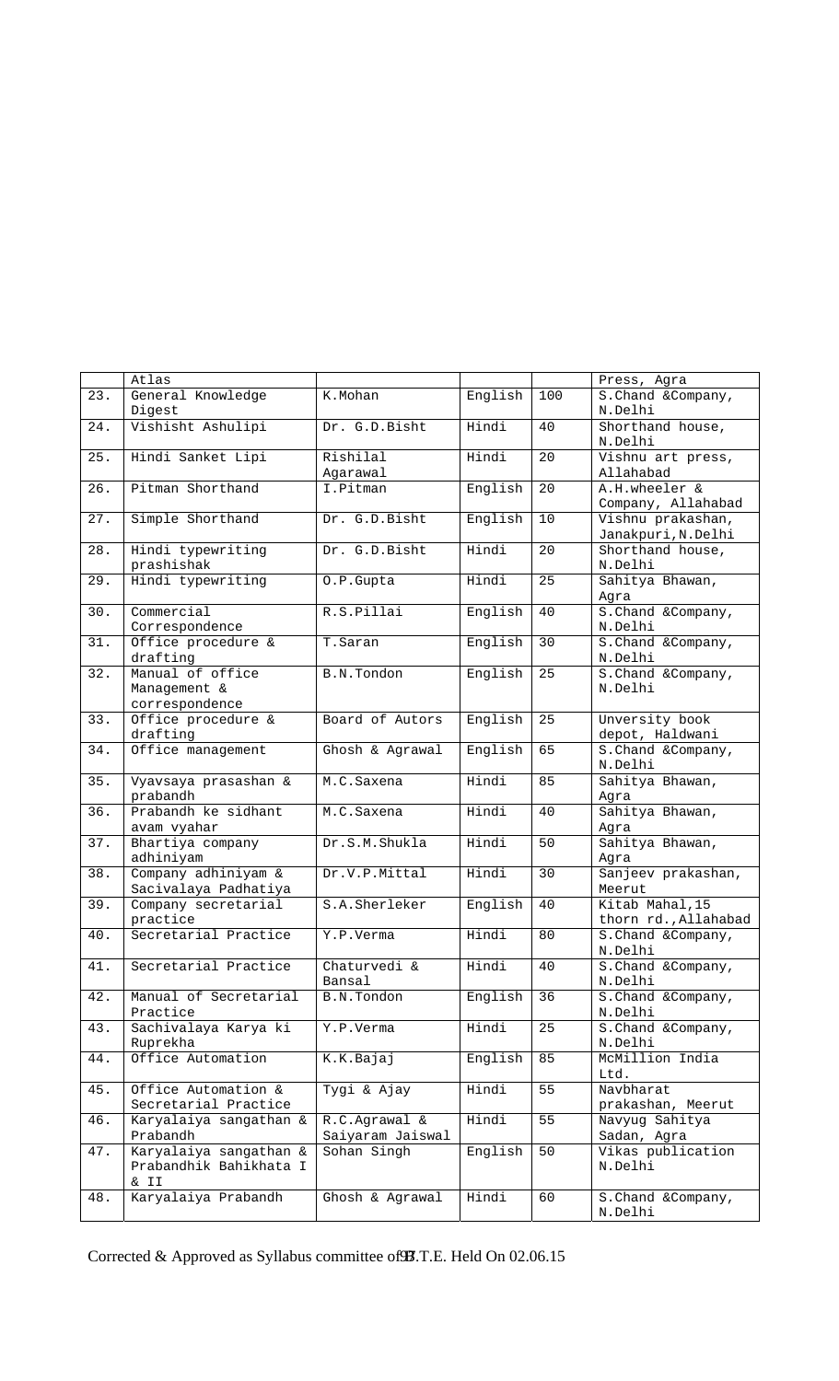|        | Atlas                  |                  |         |     | Press, Agra          |
|--------|------------------------|------------------|---------|-----|----------------------|
| 23.    | General Knowledge      | K.Mohan          | English | 100 | S. Chand & Company,  |
|        | Digest                 |                  |         |     | N.Delhi              |
| 24.    | Vishisht Ashulipi      | Dr. G.D.Bisht    | Hindi   | 40  | Shorthand house,     |
|        |                        |                  |         |     | N.Delhi              |
| 25.    | Hindi Sanket Lipi      | Rishilal         | Hindi   | 20  | Vishnu art press,    |
|        |                        | Agarawal         |         |     | Allahabad            |
| 26.    | Pitman Shorthand       | I.Pitman         | English | 20  | A.H.wheeler &        |
|        |                        |                  |         |     | Company, Allahabad   |
| 27.    | Simple Shorthand       | Dr. G.D.Bisht    | English | 10  | Vishnu prakashan,    |
|        |                        |                  |         |     | Janakpuri, N.Delhi   |
| 28.    | Hindi typewriting      | Dr. G.D.Bisht    | Hindi   | 20  | Shorthand house,     |
|        |                        |                  |         |     | N.Delhi              |
|        | prashishak             |                  |         |     |                      |
| 29.    | Hindi typewriting      | O.P.Gupta        | Hindi   | 25  | Sahitya Bhawan,      |
|        |                        |                  |         |     | Agra                 |
| 30.    | Commercial             | R.S.Pillai       | English | 40  | S. Chand & Company,  |
|        | Correspondence         |                  |         |     | N.Delhi              |
| 31.    | Office procedure &     | T.Saran          | English | 30  | S. Chand & Company,  |
|        | drafting               |                  |         |     | N.Delhi              |
| 32.    | Manual of office       | B.N.Tondon       | English | 25  | S. Chand & Company,  |
|        | Management &           |                  |         |     | N.Delhi              |
|        | correspondence         |                  |         |     |                      |
| 33.    | Office procedure &     | Board of Autors  | English | 25  | Unversity book       |
|        | drafting               |                  |         |     | depot, Haldwani      |
| 34.    | Office management      | Ghosh & Agrawal  | English | 65  | S. Chand & Company,  |
|        |                        |                  |         |     | N.Delhi              |
| 35.    | Vyavsaya prasashan &   | M.C.Saxena       | Hindi   | 85  | Sahitya Bhawan,      |
|        | prabandh               |                  |         |     | Agra                 |
| 36.    | Prabandh ke sidhant    | M.C.Saxena       | Hindi   | 40  | Sahitya Bhawan,      |
|        | avam vyahar            |                  |         |     | Aqra                 |
| 37.    | Bhartiya company       | Dr.S.M.Shukla    | Hindi   | 50  | Sahitya Bhawan,      |
|        | adhiniyam              |                  |         |     |                      |
|        |                        |                  |         |     | Agra                 |
| 38.    | Company adhiniyam &    | Dr.V.P.Mittal    | Hindi   | 30  | Sanjeev prakashan,   |
|        | Sacivalaya Padhatiya   |                  |         |     | Meerut               |
| 39.    | Company secretarial    | S.A.Sherleker    | English | 40  | Kitab Mahal, 15      |
|        | practice               |                  |         |     | thorn rd., Allahabad |
| 40.    | Secretarial Practice   | Y.P.Verma        | Hindi   | 80  | S. Chand & Company,  |
|        |                        |                  |         |     | N.Delhi              |
| 41.    | Secretarial Practice   | Chaturvedi &     | Hindi   | 40  | S. Chand & Company,  |
|        |                        | Bansal           |         |     | N.Delhi              |
| 42.    | Manual of Secretarial  | B.N.Tondon       | English | 36  | S. Chand & Company,  |
|        | Practice               |                  |         |     | N.Delhi              |
| 43.    | Sachivalaya Karya ki   | Y.P.Verma        | Hindi   | 25  | S. Chand & Company,  |
|        | Ruprekha               |                  |         |     | N.Delhi              |
| $44$ . | Office Automation      | K.K.Bajaj        | English | 85  | McMillion India      |
|        |                        |                  |         |     | Ltd.                 |
| 45.    | Office Automation &    | Tygi & Ajay      | Hindi   | 55  | Navbharat            |
|        | Secretarial Practice   |                  |         |     | prakashan, Meerut    |
| 46.    | Karyalaiya sangathan & | R.C.Agrawal &    | Hindi   | 55  | Navyug Sahitya       |
|        | Prabandh               | Saiyaram Jaiswal |         |     | Sadan, Agra          |
|        |                        | Sohan Singh      |         |     |                      |
| 47.    | Karyalaiya sangathan & |                  | English | 50  | Vikas publication    |
|        | Prabandhik Bahikhata I |                  |         |     | N.Delhi              |
|        | & II                   |                  |         |     |                      |
| 48.    | Karyalaiya Prabandh    | Ghosh & Agrawal  | Hindi   | 60  | S. Chand & Company,  |
|        |                        |                  |         |     | N.Delhi              |

Corrected & Approved as Syllabus committee of  $\mathcal{B}$ .T.E. Held On 02.06.15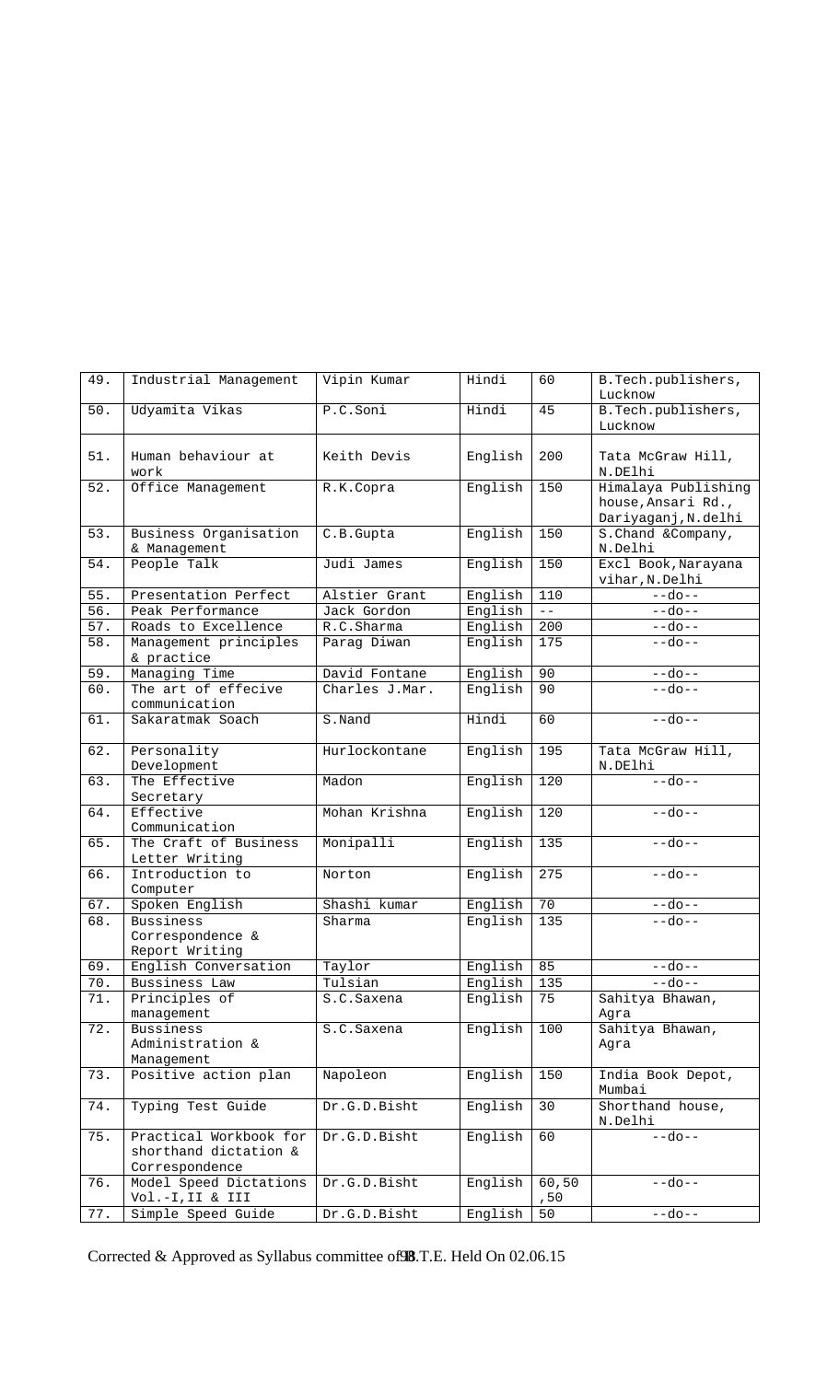| 49.   | Industrial Management                                             | Vipin Kumar    | Hindi   | 60            | B.Tech.publishers,<br>Lucknow                                    |
|-------|-------------------------------------------------------------------|----------------|---------|---------------|------------------------------------------------------------------|
| $50.$ | Udyamita Vikas                                                    | P.C.Soni       | Hindi   | 45            | B. Tech. publishers,<br>Lucknow                                  |
| 51.   | Human behaviour at<br>work                                        | Keith Devis    | English | 200           | Tata McGraw Hill,<br>N.DElhi                                     |
| 52.   | Office Management                                                 | R.K.Copra      | English | 150           | Himalaya Publishing<br>house, Ansari Rd.,<br>Dariyaganj, N.delhi |
| 53.   | Business Organisation<br>& Management                             | C.B.Gupta      | English | 150           | S. Chand & Company,<br>N.Delhi                                   |
| 54.   | People Talk                                                       | Judi James     | English | 150           | Excl Book, Narayana<br>vihar, N.Delhi                            |
| 55.   | Presentation Perfect                                              | Alstier Grant  | English | 110           | $-$ -do $-$                                                      |
| 56.   | Peak Performance                                                  | Jack Gordon    | English | $- -$         | $-$ -do--                                                        |
| 57.   | Roads to Excellence                                               | R.C.Sharma     | English | 200           | $--do--$                                                         |
| 58.   | Management principles                                             | Parag Diwan    | English | 175           | $-$ -do $-$                                                      |
|       | & practice                                                        |                |         |               |                                                                  |
| 59.   | Managing Time                                                     | David Fontane  | English | 90            | $-$ -do $-$                                                      |
| 60.   | The art of effecive                                               | Charles J.Mar. | English | 90            | $-$ -do $-$                                                      |
|       | communication                                                     |                |         |               |                                                                  |
| 61.   | Sakaratmak Soach                                                  | S.Nand         | Hindi   | 60            | $-$ -do $-$                                                      |
| 62.   | Personality<br>Development                                        | Hurlockontane  | English | 195           | Tata McGraw Hill,<br>N.DElhi                                     |
| 63.   | The Effective<br>Secretary                                        | Madon          | English | 120           | $-$ -do $-$                                                      |
| 64.   | Effective<br>Communication                                        | Mohan Krishna  | English | 120           | $-$ -do $-$                                                      |
| 65.   | The Craft of Business<br>Letter Writing                           | Monipalli      | English | 135           | $-$ -do $-$                                                      |
| 66.   | Introduction to<br>Computer                                       | Norton         | English | 275           | $-$ -do $-$                                                      |
| 67.   | Spoken English                                                    | Shashi kumar   | English | 70            | $-$ -do $-$                                                      |
| 68.   | <b>Bussiness</b><br>Correspondence &                              | Sharma         | English | 135           | $-$ -do- $-$                                                     |
|       | Report Writing                                                    |                |         |               |                                                                  |
| 69.   | English Conversation                                              | Taylor         | English | 85            | $-$ -do $-$                                                      |
| 70.   | Bussiness Law                                                     | Tulsian        | English | 135           | --do--                                                           |
| $71.$ | Principles of<br>management                                       | S.C. Saxena    | English | 75            | Sahitya Bhawan,<br>Agra                                          |
| 72.   | <b>Bussiness</b><br>Administration &<br>Management                | S.C. Saxena    | English | 100           | Sahitya Bhawan,<br>Aqra                                          |
| 73.   | Positive action plan                                              | Napoleon       | English | 150           | India Book Depot,<br>Mumbai                                      |
| 74.   | Typing Test Guide                                                 | Dr.G.D.Bisht   | English | 30            | Shorthand house,<br>N.Delhi                                      |
| 75.   | Practical Workbook for<br>shorthand dictation &<br>Correspondence | Dr.G.D.Bisht   | English | 60            | $-$ -do $-$                                                      |
| 76.   | Model Speed Dictations<br>Vol.-I, II & III                        | Dr.G.D.Bisht   | English | 60,50<br>, 50 | $-$ -do $-$                                                      |
| 77.   | Simple Speed Guide                                                | Dr.G.D.Bisht   | English | 50            | $-$ -do $-$                                                      |

Corrected & Approved as Syllabus committee of 98.T.E. Held On 02.06.15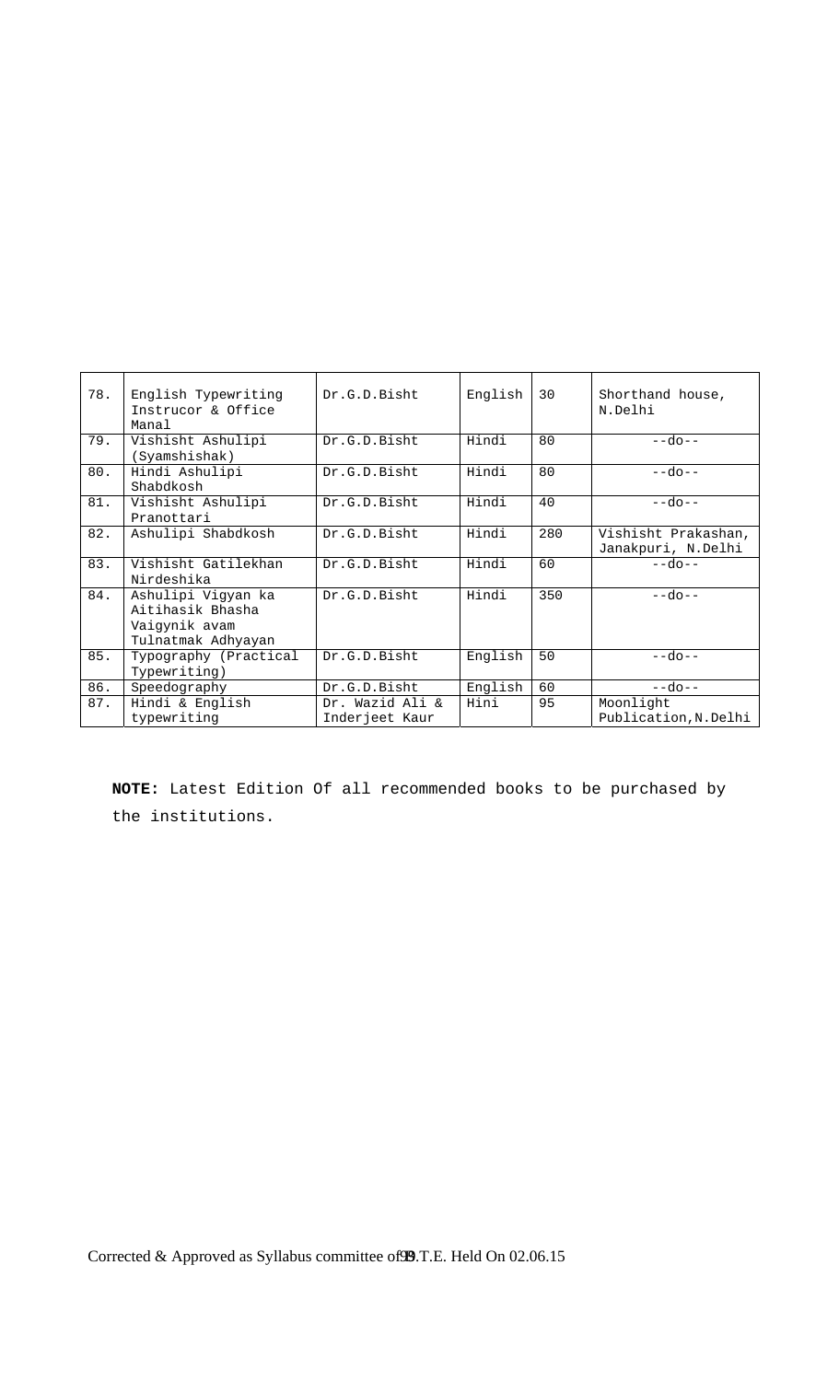| 78. | English Typewriting<br>Instrucor & Office<br>Manal                            | Dr.G.D.Bisht                      | English | 30  | Shorthand house,<br>N.Delhi               |
|-----|-------------------------------------------------------------------------------|-----------------------------------|---------|-----|-------------------------------------------|
| 79. | Vishisht Ashulipi<br>(Syamshishak)                                            | Dr.G.D.Bisht                      | Hindi   | 80  | $-$ -do $-$                               |
| 80. | Hindi Ashulipi<br>Shabdkosh                                                   | Dr.G.D.Bisht                      | Hindi   | 80  | $-$ -do $-$                               |
| 81. | Vishisht Ashulipi<br>Pranottari                                               | Dr.G.D.Bisht                      | Hindi   | 40  | $-$ -do $-$                               |
| 82. | Ashulipi Shabdkosh                                                            | Dr.G.D.Bisht                      | Hindi   | 280 | Vishisht Prakashan,<br>Janakpuri, N.Delhi |
| 83. | Vishisht Gatilekhan<br>Nirdeshika                                             | Dr.G.D.Bisht                      | Hindi   | 60  | $-$ -do $-$                               |
| 84. | Ashulipi Vigyan ka<br>Aitihasik Bhasha<br>Vaigynik avam<br>Tulnatmak Adhyayan | Dr.G.D.Bisht                      | Hindi   | 350 | $-$ -do $-$                               |
| 85. | Typography (Practical<br>Typewriting)                                         | Dr.G.D.Bisht                      | English | 50  | $-$ -do $-$                               |
| 86. | Speedography                                                                  | Dr.G.D.Bisht                      | English | 60  | $-$ -do $-$                               |
| 87. | Hindi & English<br>typewriting                                                | Dr. Wazid Ali &<br>Inderjeet Kaur | Hini    | 95  | Moonlight<br>Publication, N. Delhi        |

**NOTE:** Latest Edition Of all recommended books to be purchased by the institutions.

Corrected & Approved as Syllabus committee of 99.T.E. Held On 02.06.15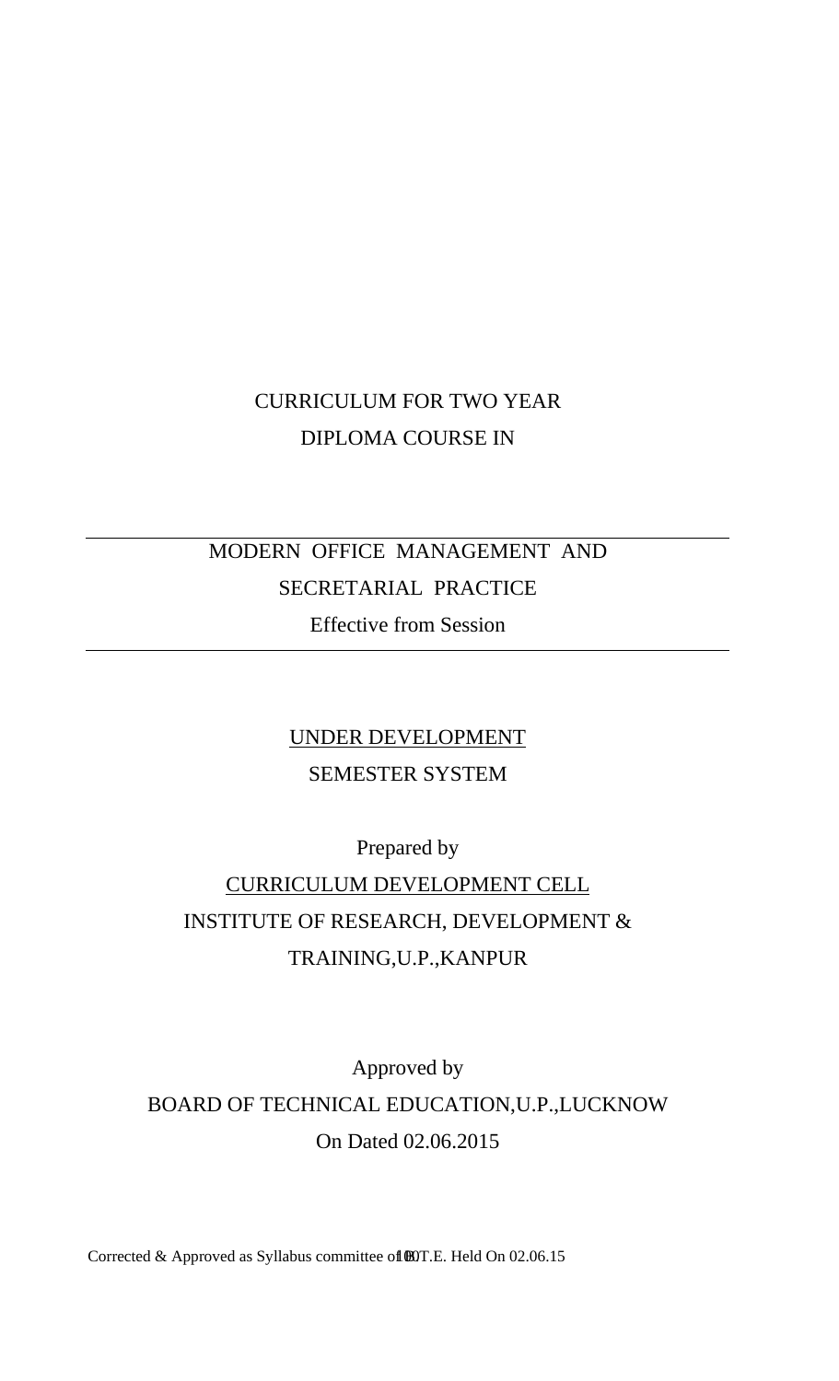# CURRICULUM FOR TWO YEAR DIPLOMA COURSE IN

# MODERN OFFICE MANAGEMENT AND SECRETARIAL PRACTICE Effective from Session

# UNDER DEVELOPMENT SEMESTER SYSTEM

Prepared by

# CURRICULUM DEVELOPMENT CELL INSTITUTE OF RESEARCH, DEVELOPMENT & TRAINING,U.P.,KANPUR

Approved by BOARD OF TECHNICAL EDUCATION,U.P.,LUCKNOW On Dated 02.06.2015

Corrected & Approved as Syllabus committee of  $\textcircled{B}$ T.E. Held On 02.06.15